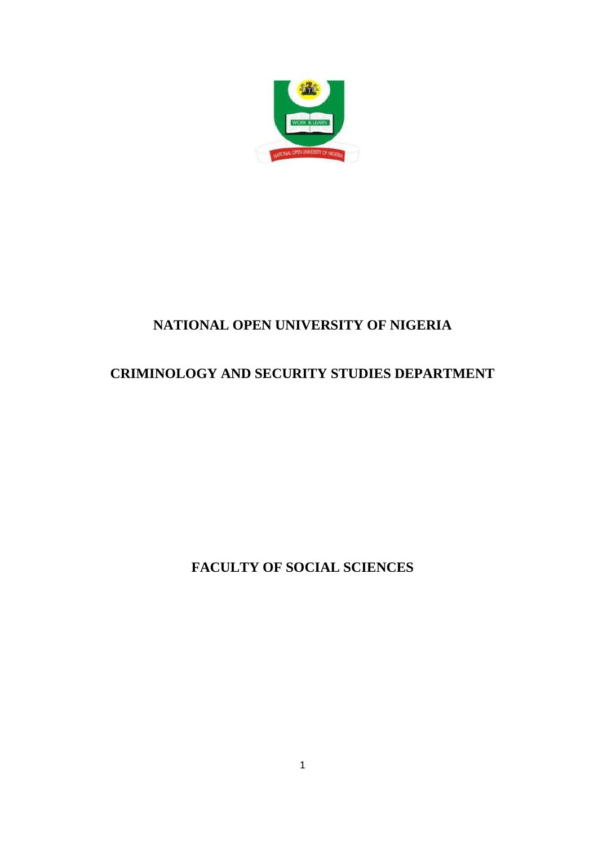

# **NATIONAL OPEN UNIVERSITY OF NIGERIA**

# **CRIMINOLOGY AND SECURITY STUDIES DEPARTMENT**

**FACULTY OF SOCIAL SCIENCES**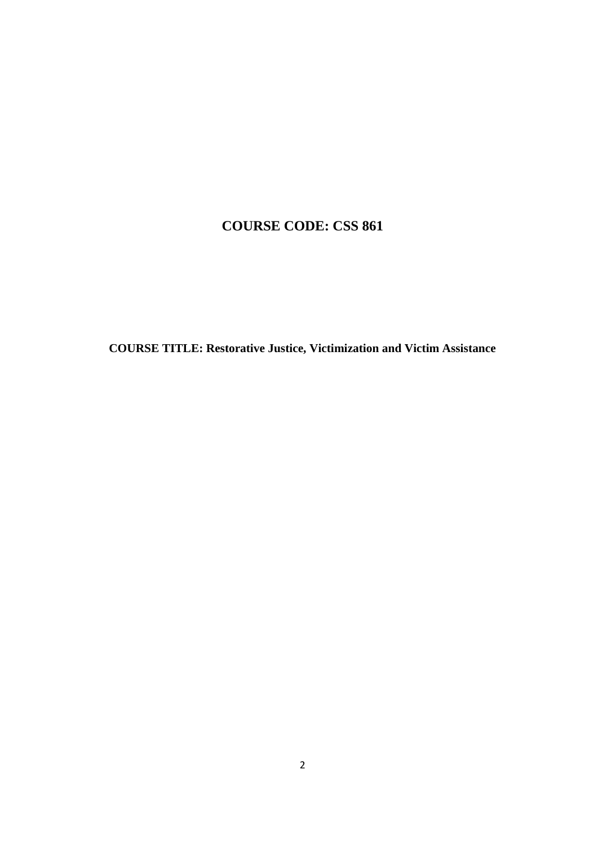## **COURSE CODE: CSS 861**

**COURSE TITLE: Restorative Justice, Victimization and Victim Assistance**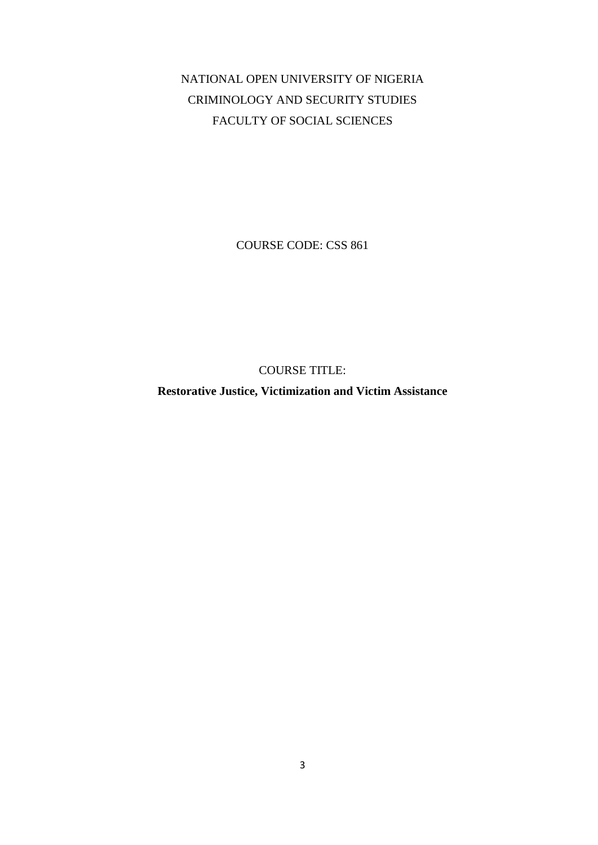NATIONAL OPEN UNIVERSITY OF NIGERIA CRIMINOLOGY AND SECURITY STUDIES FACULTY OF SOCIAL SCIENCES

COURSE CODE: CSS 861

COURSE TITLE:

**Restorative Justice, Victimization and Victim Assistance**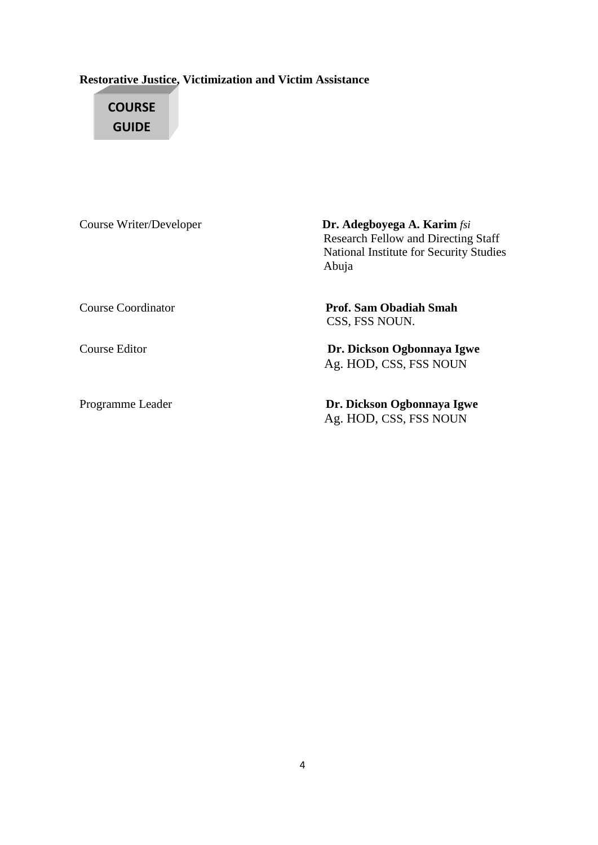## **Restorative Justice, Victimization and Victim Assistance**

# **COURSE GUIDE**

| Course Writer/Developer | <b>Dr. Adegboyega A. Karim</b> fsi<br><b>Research Fellow and Directing Staff</b><br><b>National Institute for Security Studies</b><br>Abuja |
|-------------------------|---------------------------------------------------------------------------------------------------------------------------------------------|
| Course Coordinator      | Prof. Sam Obadiah Smah<br>CSS, FSS NOUN.                                                                                                    |
| Course Editor           | Dr. Dickson Ogbonnaya Igwe<br>Ag. HOD, CSS, FSS NOUN                                                                                        |
| Programme Leader        | Dr. Dickson Ogbonnaya Igwe<br>Ag. HOD, CSS, FSS NOUN                                                                                        |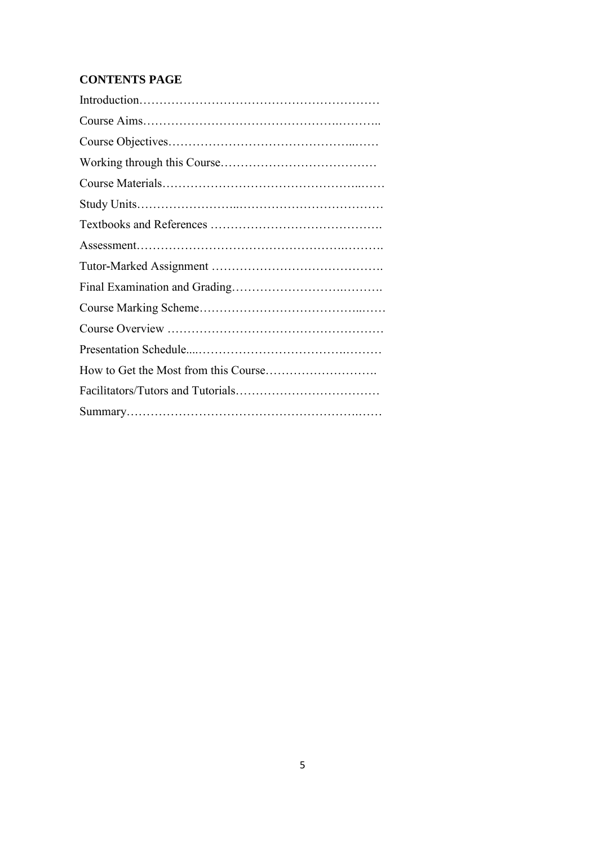## **CONTENTS PAGE**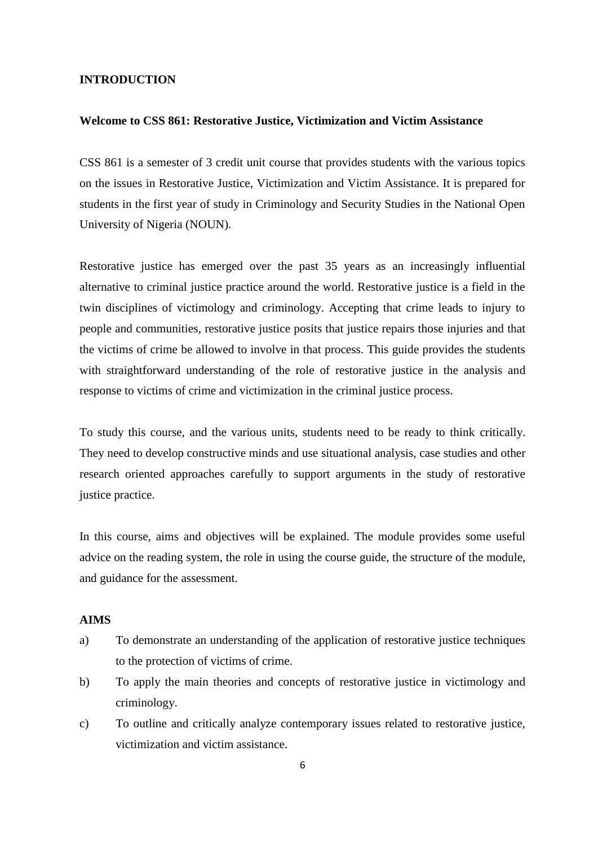#### **INTRODUCTION**

#### **Welcome to CSS 861: Restorative Justice, Victimization and Victim Assistance**

CSS 861 is a semester of 3 credit unit course that provides students with the various topics on the issues in Restorative Justice, Victimization and Victim Assistance. It is prepared for students in the first year of study in Criminology and Security Studies in the National Open University of Nigeria (NOUN).

Restorative justice has emerged over the past 35 years as an increasingly influential alternative to criminal justice practice around the world. Restorative justice is a field in the twin disciplines of victimology and criminology. Accepting that crime leads to injury to people and communities, restorative justice posits that justice repairs those injuries and that the victims of crime be allowed to involve in that process. This guide provides the students with straightforward understanding of the role of restorative justice in the analysis and response to victims of crime and victimization in the criminal justice process.

To study this course, and the various units, students need to be ready to think critically. They need to develop constructive minds and use situational analysis, case studies and other research oriented approaches carefully to support arguments in the study of restorative justice practice.

In this course, aims and objectives will be explained. The module provides some useful advice on the reading system, the role in using the course guide, the structure of the module, and guidance for the assessment.

## **AIMS**

- a) To demonstrate an understanding of the application of restorative justice techniques to the protection of victims of crime.
- b) To apply the main theories and concepts of restorative justice in victimology and criminology.
- c) To outline and critically analyze contemporary issues related to restorative justice, victimization and victim assistance.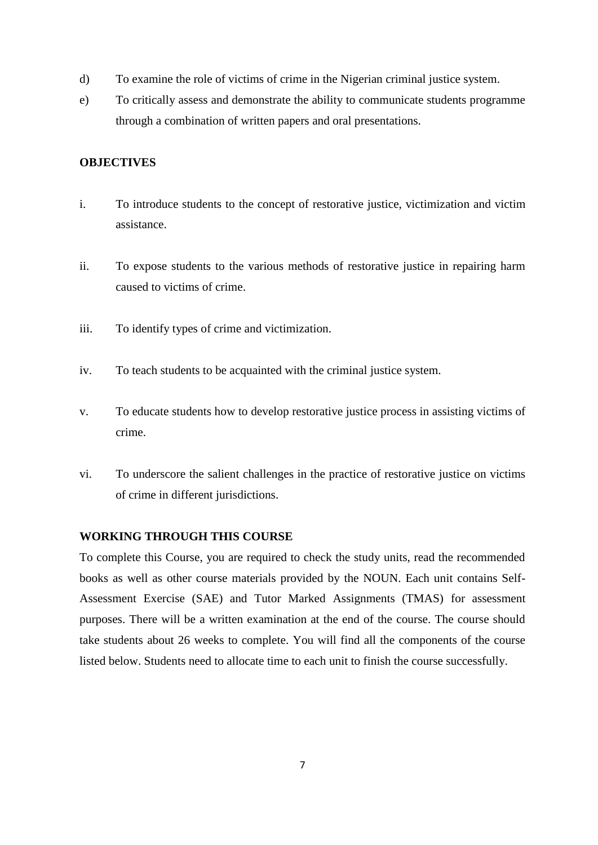- d) To examine the role of victims of crime in the Nigerian criminal justice system.
- e) To critically assess and demonstrate the ability to communicate students programme through a combination of written papers and oral presentations.

## **OBJECTIVES**

- i. To introduce students to the concept of restorative justice, victimization and victim assistance.
- ii. To expose students to the various methods of restorative justice in repairing harm caused to victims of crime.
- iii. To identify types of crime and victimization.
- iv. To teach students to be acquainted with the criminal justice system.
- v. To educate students how to develop restorative justice process in assisting victims of crime.
- vi. To underscore the salient challenges in the practice of restorative justice on victims of crime in different jurisdictions.

### **WORKING THROUGH THIS COURSE**

To complete this Course, you are required to check the study units, read the recommended books as well as other course materials provided by the NOUN. Each unit contains Self-Assessment Exercise (SAE) and Tutor Marked Assignments (TMAS) for assessment purposes. There will be a written examination at the end of the course. The course should take students about 26 weeks to complete. You will find all the components of the course listed below. Students need to allocate time to each unit to finish the course successfully.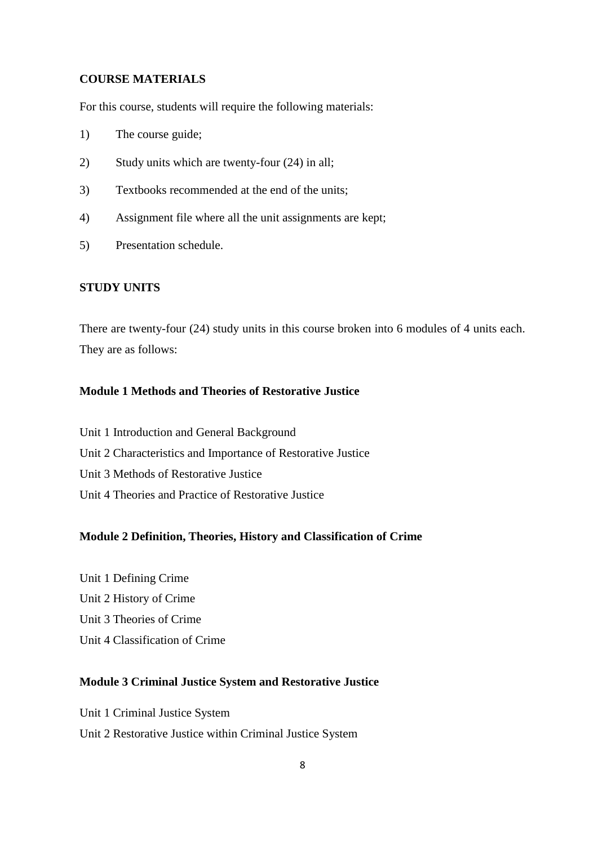#### **COURSE MATERIALS**

For this course, students will require the following materials:

- 1) The course guide;
- 2) Study units which are twenty-four (24) in all;
- 3) Textbooks recommended at the end of the units;
- 4) Assignment file where all the unit assignments are kept;
- 5) Presentation schedule.

## **STUDY UNITS**

There are twenty-four (24) study units in this course broken into 6 modules of 4 units each. They are as follows:

## **Module 1 Methods and Theories of Restorative Justice**

Unit 1 Introduction and General Background Unit 2 Characteristics and Importance of Restorative Justice Unit 3 Methods of Restorative Justice Unit 4 Theories and Practice of Restorative Justice

## **Module 2 Definition, Theories, History and Classification of Crime**

Unit 1 Defining Crime Unit 2 History of Crime Unit 3 Theories of Crime Unit 4 Classification of Crime

## **Module 3 Criminal Justice System and Restorative Justice**

Unit 1 Criminal Justice System Unit 2 Restorative Justice within Criminal Justice System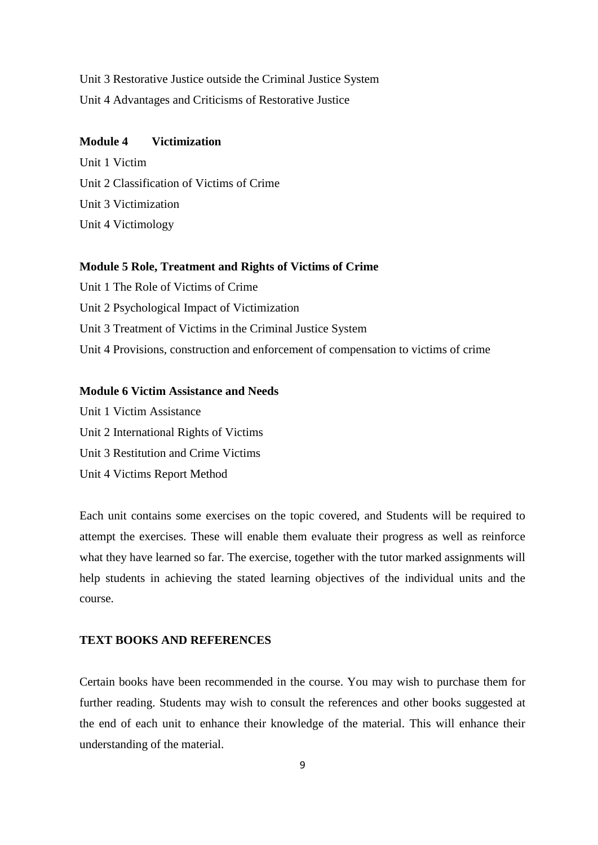Unit 3 Restorative Justice outside the Criminal Justice System Unit 4 Advantages and Criticisms of Restorative Justice

#### **Module 4 Victimization**

Unit 1 Victim Unit 2 Classification of Victims of Crime Unit 3 Victimization Unit 4 Victimology

#### **Module 5 Role, Treatment and Rights of Victims of Crime**

Unit 1 The Role of Victims of Crime Unit 2 Psychological Impact of Victimization Unit 3 Treatment of Victims in the Criminal Justice System Unit 4 Provisions, construction and enforcement of compensation to victims of crime

## **Module 6 Victim Assistance and Needs**

Unit 1 Victim Assistance Unit 2 International Rights of Victims Unit 3 Restitution and Crime Victims Unit 4 Victims Report Method

Each unit contains some exercises on the topic covered, and Students will be required to attempt the exercises. These will enable them evaluate their progress as well as reinforce what they have learned so far. The exercise, together with the tutor marked assignments will help students in achieving the stated learning objectives of the individual units and the course.

#### **TEXT BOOKS AND REFERENCES**

Certain books have been recommended in the course. You may wish to purchase them for further reading. Students may wish to consult the references and other books suggested at the end of each unit to enhance their knowledge of the material. This will enhance their understanding of the material.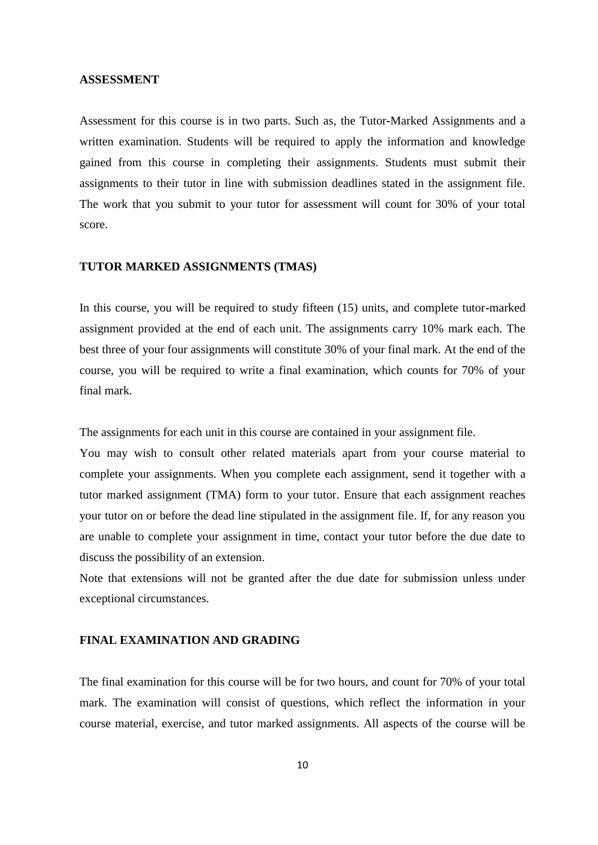#### **ASSESSMENT**

Assessment for this course is in two parts. Such as, the Tutor**-**Marked Assignments and a written examination. Students will be required to apply the information and knowledge gained from this course in completing their assignments. Students must submit their assignments to their tutor in line with submission deadlines stated in the assignment file. The work that you submit to your tutor for assessment will count for 30% of your total score.

#### **TUTOR MARKED ASSIGNMENTS (TMAS)**

In this course, you will be required to study fifteen (15) units, and complete tutor**-**marked assignment provided at the end of each unit. The assignments carry 10% mark each. The best three of your four assignments will constitute 30% of your final mark. At the end of the course, you will be required to write a final examination, which counts for 70% of your final mark.

The assignments for each unit in this course are contained in your assignment file.

You may wish to consult other related materials apart from your course material to complete your assignments. When you complete each assignment, send it together with a tutor marked assignment (TMA) form to your tutor. Ensure that each assignment reaches your tutor on or before the dead line stipulated in the assignment file. If, for any reason you are unable to complete your assignment in time, contact your tutor before the due date to discuss the possibility of an extension.

Note that extensions will not be granted after the due date for submission unless under exceptional circumstances.

#### **FINAL EXAMINATION AND GRADING**

The final examination for this course will be for two hours, and count for 70% of your total mark. The examination will consist of questions, which reflect the information in your course material, exercise, and tutor marked assignments. All aspects of the course will be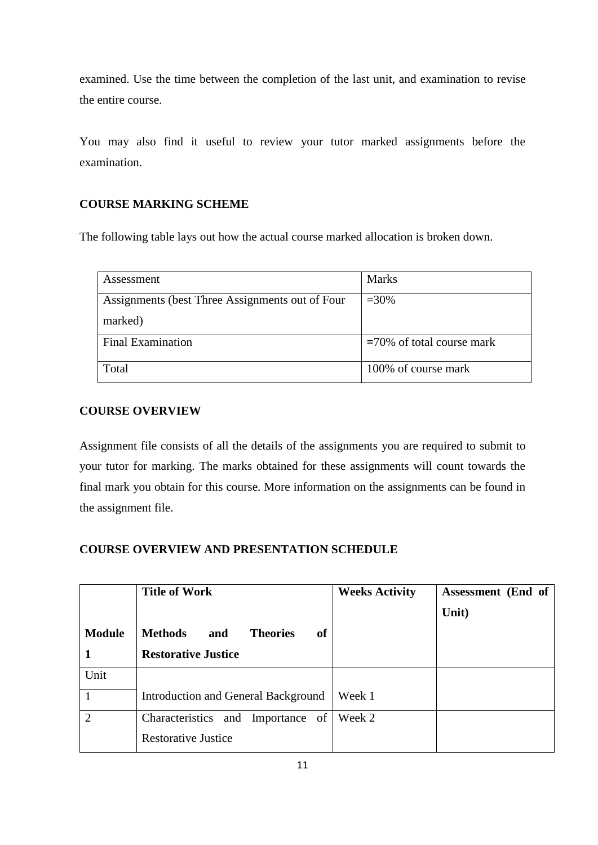examined. Use the time between the completion of the last unit, and examination to revise the entire course.

You may also find it useful to review your tutor marked assignments before the examination.

## **COURSE MARKING SCHEME**

The following table lays out how the actual course marked allocation is broken down.

| Assessment                                      | <b>Marks</b>                 |
|-------------------------------------------------|------------------------------|
| Assignments (best Three Assignments out of Four | $=30\%$                      |
| marked)                                         |                              |
| <b>Final Examination</b>                        | $=70\%$ of total course mark |
| Total                                           | 100% of course mark          |

## **COURSE OVERVIEW**

Assignment file consists of all the details of the assignments you are required to submit to your tutor for marking. The marks obtained for these assignments will count towards the final mark you obtain for this course. More information on the assignments can be found in the assignment file.

## **COURSE OVERVIEW AND PRESENTATION SCHEDULE**

|                | <b>Title of Work</b>                           | <b>Weeks Activity</b> | Assessment (End of |
|----------------|------------------------------------------------|-----------------------|--------------------|
| <b>Module</b>  | <b>Methods</b><br><b>Theories</b><br>and<br>of |                       | Unit)              |
| 1              | <b>Restorative Justice</b>                     |                       |                    |
| Unit           |                                                |                       |                    |
|                | Introduction and General Background            | Week 1                |                    |
| $\overline{2}$ | Characteristics and Importance of              | Week 2                |                    |
|                | <b>Restorative Justice</b>                     |                       |                    |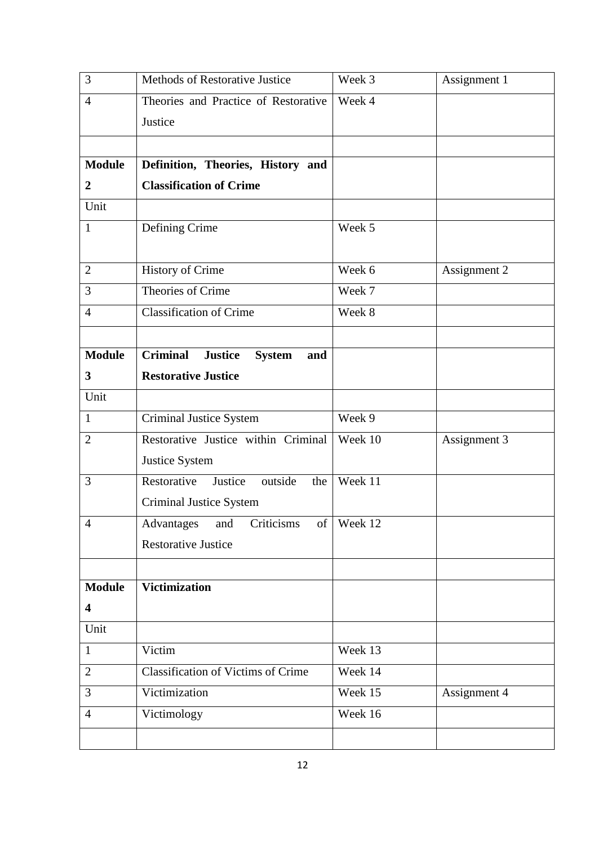| 3                       | Methods of Restorative Justice                            | Week 3     | Assignment 1 |
|-------------------------|-----------------------------------------------------------|------------|--------------|
| $\overline{4}$          | Theories and Practice of Restorative                      | Week 4     |              |
|                         | Justice                                                   |            |              |
|                         |                                                           |            |              |
| <b>Module</b>           | Definition, Theories, History and                         |            |              |
| $\overline{2}$          | <b>Classification of Crime</b>                            |            |              |
| Unit                    |                                                           |            |              |
| $\mathbf{1}$            | Defining Crime                                            | Week 5     |              |
|                         |                                                           |            |              |
| $\overline{2}$          | <b>History of Crime</b>                                   | Week 6     | Assignment 2 |
| 3                       | Theories of Crime                                         | Week 7     |              |
| $\overline{4}$          | <b>Classification of Crime</b>                            | Week 8     |              |
|                         |                                                           |            |              |
| <b>Module</b>           | <b>Criminal</b><br><b>Justice</b><br><b>System</b><br>and |            |              |
| 3                       | <b>Restorative Justice</b>                                |            |              |
| Unit                    |                                                           |            |              |
| $\mathbf{1}$            | <b>Criminal Justice System</b>                            | Week 9     |              |
| $\overline{2}$          | Restorative Justice within Criminal                       | Week 10    | Assignment 3 |
|                         | Justice System                                            |            |              |
| 3                       | outside<br>Restorative<br>Justice<br>the                  | Week 11    |              |
|                         | <b>Criminal Justice System</b>                            |            |              |
| $\overline{4}$          | Advantages<br><b>Criticisms</b><br>and                    | of Week 12 |              |
|                         | <b>Restorative Justice</b>                                |            |              |
|                         |                                                           |            |              |
| <b>Module</b>           | <b>Victimization</b>                                      |            |              |
| $\overline{\mathbf{4}}$ |                                                           |            |              |
| Unit                    |                                                           |            |              |
| $\mathbf{1}$            | Victim                                                    | Week 13    |              |
| $\overline{2}$          | <b>Classification of Victims of Crime</b>                 | Week 14    |              |
| 3                       | Victimization                                             | Week 15    | Assignment 4 |
| $\overline{4}$          | Victimology                                               | Week 16    |              |
|                         |                                                           |            |              |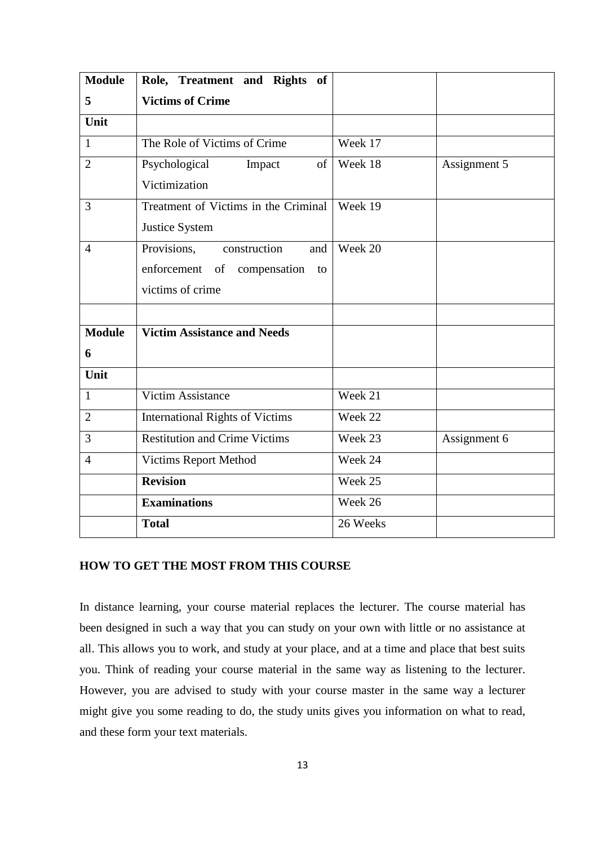| <b>Module</b>  | Role, Treatment and Rights of          |          |              |
|----------------|----------------------------------------|----------|--------------|
| 5              | <b>Victims of Crime</b>                |          |              |
| Unit           |                                        |          |              |
| 1              | The Role of Victims of Crime           | Week 17  |              |
| $\overline{2}$ | Psychological<br>of<br>Impact          | Week 18  | Assignment 5 |
|                | Victimization                          |          |              |
| 3              | Treatment of Victims in the Criminal   | Week 19  |              |
|                | Justice System                         |          |              |
| $\overline{4}$ | Provisions,<br>construction<br>and     | Week 20  |              |
|                | enforcement of compensation to         |          |              |
|                | victims of crime                       |          |              |
|                |                                        |          |              |
| <b>Module</b>  | <b>Victim Assistance and Needs</b>     |          |              |
| 6              |                                        |          |              |
| Unit           |                                        |          |              |
| $\mathbf{1}$   | Victim Assistance                      | Week 21  |              |
| $\overline{2}$ | <b>International Rights of Victims</b> | Week 22  |              |
| 3              | <b>Restitution and Crime Victims</b>   | Week 23  | Assignment 6 |
| $\overline{4}$ | Victims Report Method                  | Week 24  |              |
|                | <b>Revision</b>                        | Week 25  |              |
|                | <b>Examinations</b>                    | Week 26  |              |
|                | <b>Total</b>                           | 26 Weeks |              |

## **HOW TO GET THE MOST FROM THIS COURSE**

In distance learning, your course material replaces the lecturer. The course material has been designed in such a way that you can study on your own with little or no assistance at all. This allows you to work, and study at your place, and at a time and place that best suits you. Think of reading your course material in the same way as listening to the lecturer. However, you are advised to study with your course master in the same way a lecturer might give you some reading to do, the study units gives you information on what to read, and these form your text materials.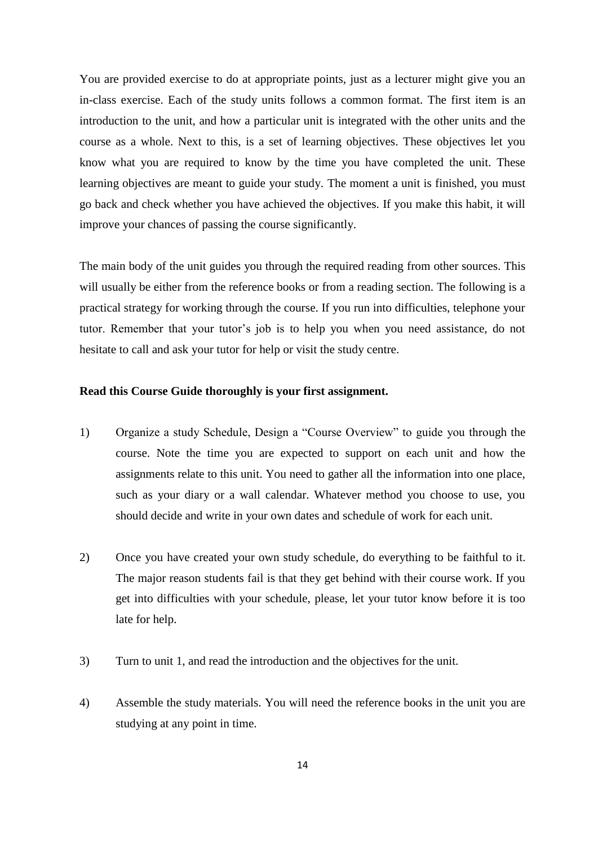You are provided exercise to do at appropriate points, just as a lecturer might give you an in-class exercise. Each of the study units follows a common format. The first item is an introduction to the unit, and how a particular unit is integrated with the other units and the course as a whole. Next to this, is a set of learning objectives. These objectives let you know what you are required to know by the time you have completed the unit. These learning objectives are meant to guide your study. The moment a unit is finished, you must go back and check whether you have achieved the objectives. If you make this habit, it will improve your chances of passing the course significantly.

The main body of the unit guides you through the required reading from other sources. This will usually be either from the reference books or from a reading section. The following is a practical strategy for working through the course. If you run into difficulties, telephone your tutor. Remember that your tutor's job is to help you when you need assistance, do not hesitate to call and ask your tutor for help or visit the study centre.

#### **Read this Course Guide thoroughly is your first assignment.**

- 1) Organize a study Schedule, Design a "Course Overview" to guide you through the course. Note the time you are expected to support on each unit and how the assignments relate to this unit. You need to gather all the information into one place, such as your diary or a wall calendar. Whatever method you choose to use, you should decide and write in your own dates and schedule of work for each unit.
- 2) Once you have created your own study schedule, do everything to be faithful to it. The major reason students fail is that they get behind with their course work. If you get into difficulties with your schedule, please, let your tutor know before it is too late for help.
- 3) Turn to unit 1, and read the introduction and the objectives for the unit.
- 4) Assemble the study materials. You will need the reference books in the unit you are studying at any point in time.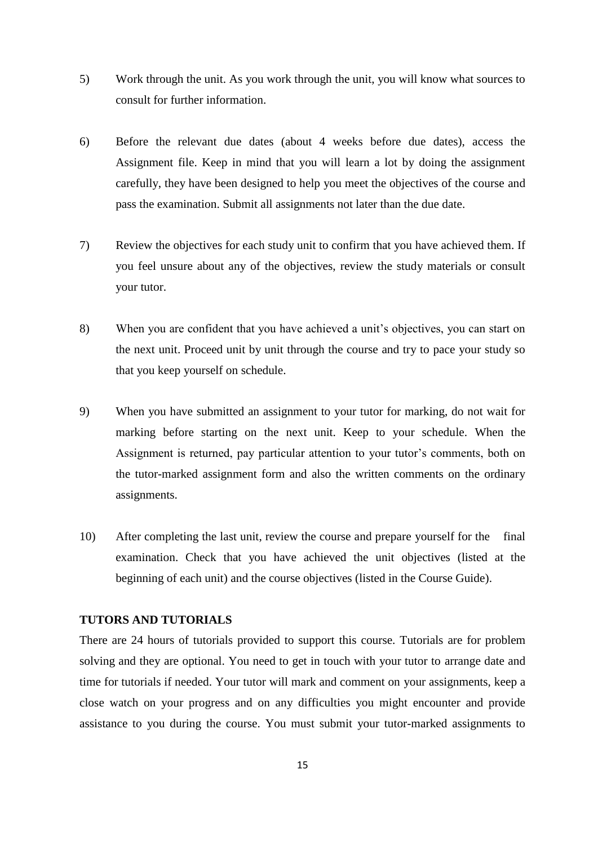- 5) Work through the unit. As you work through the unit, you will know what sources to consult for further information.
- 6) Before the relevant due dates (about 4 weeks before due dates), access the Assignment file. Keep in mind that you will learn a lot by doing the assignment carefully, they have been designed to help you meet the objectives of the course and pass the examination. Submit all assignments not later than the due date.
- 7) Review the objectives for each study unit to confirm that you have achieved them. If you feel unsure about any of the objectives, review the study materials or consult your tutor.
- 8) When you are confident that you have achieved a unit's objectives, you can start on the next unit. Proceed unit by unit through the course and try to pace your study so that you keep yourself on schedule.
- 9) When you have submitted an assignment to your tutor for marking, do not wait for marking before starting on the next unit. Keep to your schedule. When the Assignment is returned, pay particular attention to your tutor's comments, both on the tutor-marked assignment form and also the written comments on the ordinary assignments.
- 10) After completing the last unit, review the course and prepare yourself for the final examination. Check that you have achieved the unit objectives (listed at the beginning of each unit) and the course objectives (listed in the Course Guide).

## **TUTORS AND TUTORIALS**

There are 24 hours of tutorials provided to support this course. Tutorials are for problem solving and they are optional. You need to get in touch with your tutor to arrange date and time for tutorials if needed. Your tutor will mark and comment on your assignments, keep a close watch on your progress and on any difficulties you might encounter and provide assistance to you during the course. You must submit your tutor-marked assignments to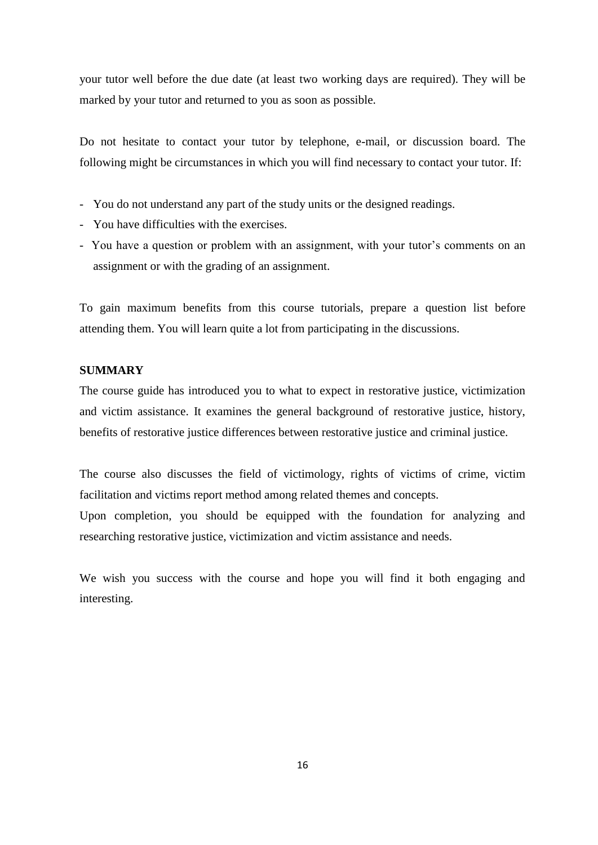your tutor well before the due date (at least two working days are required). They will be marked by your tutor and returned to you as soon as possible.

Do not hesitate to contact your tutor by telephone, e-mail, or discussion board. The following might be circumstances in which you will find necessary to contact your tutor. If:

- You do not understand any part of the study units or the designed readings.
- You have difficulties with the exercises.
- You have a question or problem with an assignment, with your tutor's comments on an assignment or with the grading of an assignment.

To gain maximum benefits from this course tutorials, prepare a question list before attending them. You will learn quite a lot from participating in the discussions.

## **SUMMARY**

The course guide has introduced you to what to expect in restorative justice, victimization and victim assistance. It examines the general background of restorative justice, history, benefits of restorative justice differences between restorative justice and criminal justice.

The course also discusses the field of victimology, rights of victims of crime, victim facilitation and victims report method among related themes and concepts.

Upon completion, you should be equipped with the foundation for analyzing and researching restorative justice, victimization and victim assistance and needs.

We wish you success with the course and hope you will find it both engaging and interesting.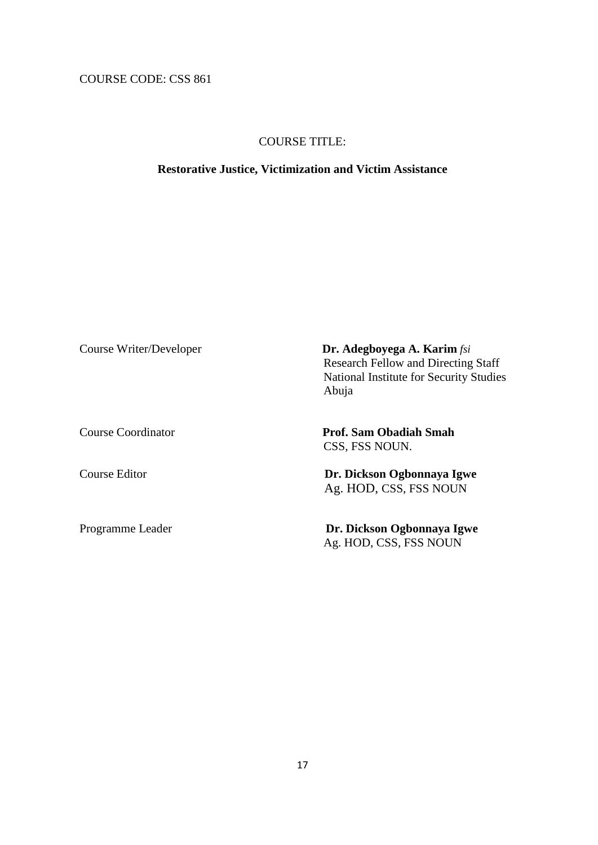COURSE CODE: CSS 861

## COURSE TITLE:

#### **Restorative Justice, Victimization and Victim Assistance**

Course Writer/Developer **Dr. Adegboyega A. Karim** *fsi*  Research Fellow and Directing Staff National Institute for Security Studies Abuja

Course Coordinator **Prof. Sam Obadiah Smah** CSS, FSS NOUN.

Course Editor **Dr. Dickson Ogbonnaya Igwe** Ag. HOD, CSS, FSS NOUN

Programme Leader **Dr. Dickson Ogbonnaya Igwe** Ag. HOD, CSS, FSS NOUN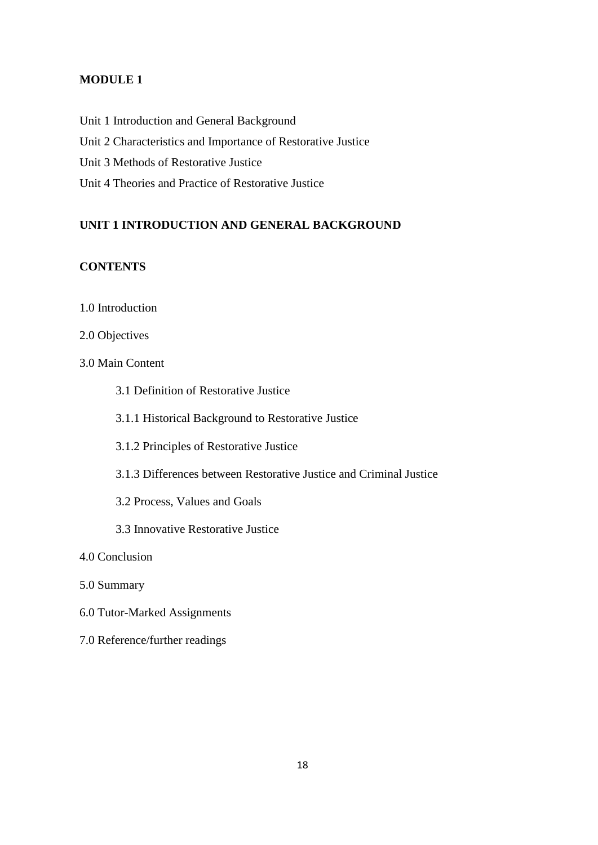## **MODULE 1**

Unit 1 Introduction and General Background Unit 2 Characteristics and Importance of Restorative Justice Unit 3 Methods of Restorative Justice Unit 4 Theories and Practice of Restorative Justice

## **UNIT 1 INTRODUCTION AND GENERAL BACKGROUND**

## **CONTENTS**

1.0 Introduction

## 2.0 Objectives

- 3.0 Main Content
	- 3.1 Definition of Restorative Justice
	- 3.1.1 Historical Background to Restorative Justice
	- 3.1.2 Principles of Restorative Justice
	- 3.1.3 Differences between Restorative Justice and Criminal Justice
	- 3.2 Process, Values and Goals
	- 3.3 Innovative Restorative Justice
- 4.0 Conclusion
- 5.0 Summary
- 6.0 Tutor-Marked Assignments
- 7.0 Reference/further readings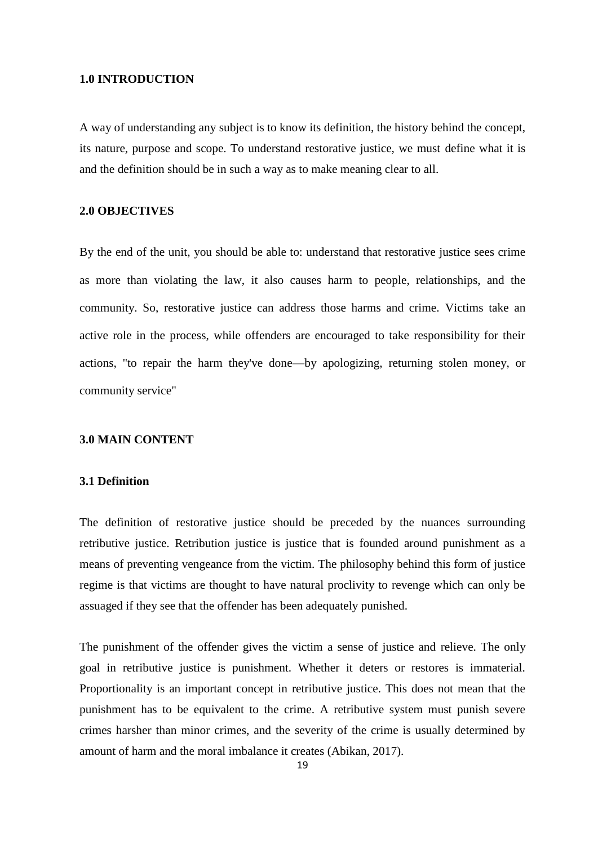#### **1.0 INTRODUCTION**

A way of understanding any subject is to know its definition, the history behind the concept, its nature, purpose and scope. To understand restorative justice, we must define what it is and the definition should be in such a way as to make meaning clear to all.

#### **2.0 OBJECTIVES**

By the end of the unit, you should be able to: understand that restorative justice sees crime as more than violating the law, it also causes harm to people, relationships, and the community. So, restorative justice can address those harms and crime. Victims take an active role in the process, while offenders are encouraged to take responsibility for their actions, "to repair the harm they've done—by apologizing, returning stolen money, or community service"

#### **3.0 MAIN CONTENT**

#### **3.1 Definition**

The definition of restorative justice should be preceded by the nuances surrounding retributive justice. Retribution justice is justice that is founded around punishment as a means of preventing vengeance from the victim. The philosophy behind this form of justice regime is that victims are thought to have natural proclivity to revenge which can only be assuaged if they see that the offender has been adequately punished.

The punishment of the offender gives the victim a sense of justice and relieve. The only goal in retributive justice is punishment. Whether it deters or restores is immaterial. Proportionality is an important concept in retributive justice. This does not mean that the punishment has to be equivalent to the crime. A retributive system must punish severe crimes harsher than minor crimes, and the severity of the crime is usually determined by amount of harm and the moral imbalance it creates (Abikan, 2017).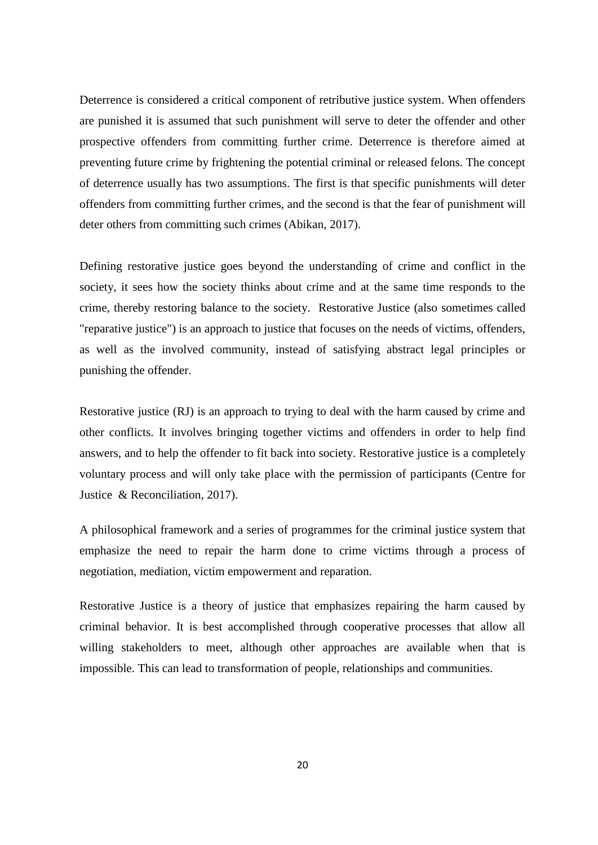Deterrence is considered a critical component of retributive justice system. When offenders are punished it is assumed that such punishment will serve to deter the offender and other prospective offenders from committing further crime. Deterrence is therefore aimed at preventing future crime by frightening the potential criminal or released felons. The concept of deterrence usually has two assumptions. The first is that specific punishments will deter offenders from committing further crimes, and the second is that the fear of punishment will deter others from committing such crimes (Abikan, 2017).

Defining restorative justice goes beyond the understanding of crime and conflict in the society, it sees how the society thinks about crime and at the same time responds to the crime, thereby restoring balance to the society. Restorative Justice (also sometimes called "reparative justice") is an approach to justice that focuses on the needs of victims, offenders, as well as the involved community, instead of satisfying abstract legal principles or punishing the offender.

Restorative justice (RJ) is an approach to trying to deal with the harm caused by crime and other conflicts. It involves bringing together victims and offenders in order to help find answers, and to help the offender to fit back into society. Restorative justice is a completely voluntary process and will only take place with the permission of participants (Centre for Justice & Reconciliation, 2017).

A philosophical framework and a series of programmes for the criminal justice system that emphasize the need to repair the harm done to crime victims through a process of negotiation, mediation, victim empowerment and reparation.

Restorative Justice is a theory of justice that emphasizes repairing the harm caused by criminal behavior. It is best accomplished through cooperative processes that allow all willing stakeholders to meet, although other approaches are available when that is impossible. This can lead to transformation of people, relationships and communities.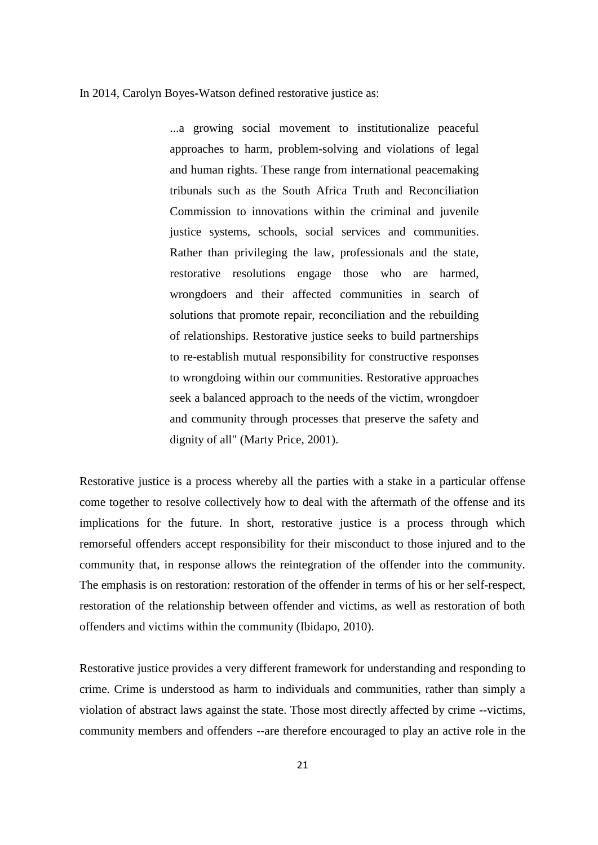#### In 2014, Carolyn Boyes**-**Watson defined restorative justice as:

...a growing social movement to institutionalize peaceful approaches to harm, problem-solving and violations of legal and human rights. These range from international peacemaking tribunals such as the South Africa Truth and Reconciliation Commission to innovations within the criminal and juvenile justice systems, schools, social services and communities. Rather than privileging the law, professionals and the state, restorative resolutions engage those who are harmed, wrongdoers and their affected communities in search of solutions that promote repair, reconciliation and the rebuilding of relationships. Restorative justice seeks to build partnerships to re-establish mutual responsibility for constructive responses to wrongdoing within our communities. Restorative approaches seek a balanced approach to the needs of the victim, wrongdoer and community through processes that preserve the safety and dignity of all" (Marty Price, 2001).

Restorative justice is a process whereby all the parties with a stake in a particular offense come together to resolve collectively how to deal with the aftermath of the offense and its implications for the future. In short, restorative justice is a process through which remorseful offenders accept responsibility for their misconduct to those injured and to the community that, in response allows the reintegration of the offender into the community. The emphasis is on restoration: restoration of the offender in terms of his or her self-respect, restoration of the relationship between offender and victims, as well as restoration of both offenders and victims within the community (Ibidapo, 2010).

Restorative justice provides a very different framework for understanding and responding to crime. Crime is understood as harm to individuals and communities, rather than simply a violation of abstract laws against the state. Those most directly affected by crime --victims, community members and offenders --are therefore encouraged to play an active role in the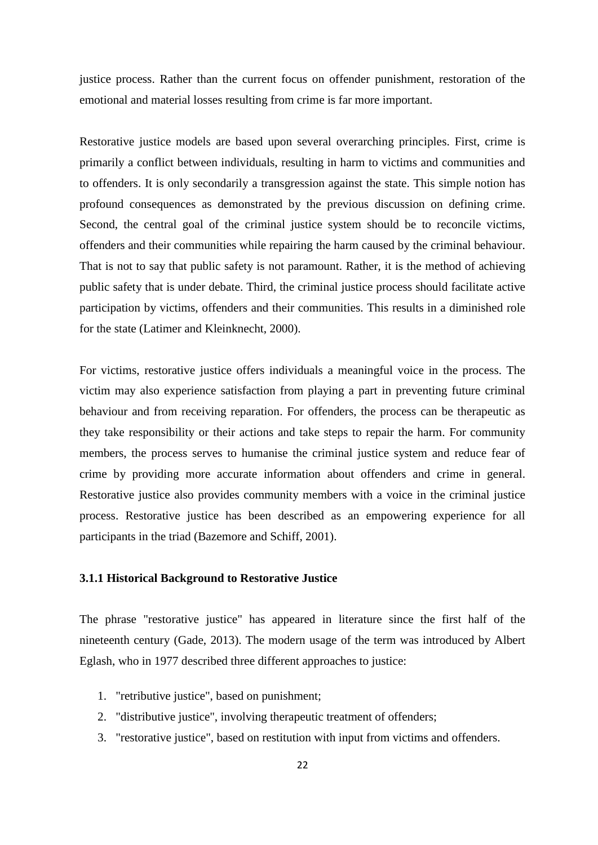justice process. Rather than the current focus on offender punishment, restoration of the emotional and material losses resulting from crime is far more important.

Restorative justice models are based upon several overarching principles. First, crime is primarily a conflict between individuals, resulting in harm to victims and communities and to offenders. It is only secondarily a transgression against the state. This simple notion has profound consequences as demonstrated by the previous discussion on defining crime. Second, the central goal of the criminal justice system should be to reconcile victims, offenders and their communities while repairing the harm caused by the criminal behaviour. That is not to say that public safety is not paramount. Rather, it is the method of achieving public safety that is under debate. Third, the criminal justice process should facilitate active participation by victims, offenders and their communities. This results in a diminished role for the state (Latimer and Kleinknecht, 2000).

For victims, restorative justice offers individuals a meaningful voice in the process. The victim may also experience satisfaction from playing a part in preventing future criminal behaviour and from receiving reparation. For offenders, the process can be therapeutic as they take responsibility or their actions and take steps to repair the harm. For community members, the process serves to humanise the criminal justice system and reduce fear of crime by providing more accurate information about offenders and crime in general. Restorative justice also provides community members with a voice in the criminal justice process. Restorative justice has been described as an empowering experience for all participants in the triad (Bazemore and Schiff, 2001).

## **3.1.1 Historical Background to Restorative Justice**

The phrase "restorative justice" has appeared in literature since the first half of the nineteenth century (Gade, 2013). The modern usage of the term was introduced by Albert Eglash, who in 1977 described three different approaches to justice:

- 1. "retributive justice", based on punishment;
- 2. "distributive justice", involving therapeutic treatment of offenders;
- 3. "restorative justice", based on restitution with input from victims and offenders.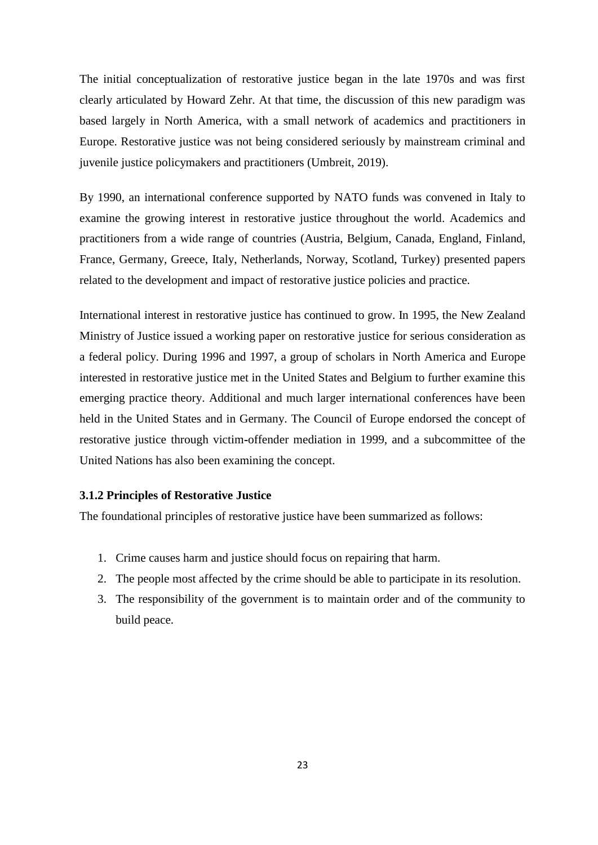The initial conceptualization of restorative justice began in the late 1970s and was first clearly articulated by Howard Zehr. At that time, the discussion of this new paradigm was based largely in North America, with a small network of academics and practitioners in Europe. Restorative justice was not being considered seriously by mainstream criminal and juvenile justice policymakers and practitioners (Umbreit, 2019).

By 1990, an international conference supported by NATO funds was convened in Italy to examine the growing interest in restorative justice throughout the world. Academics and practitioners from a wide range of countries (Austria, Belgium, Canada, England, Finland, France, Germany, Greece, Italy, Netherlands, Norway, Scotland, Turkey) presented papers related to the development and impact of restorative justice policies and practice.

International interest in restorative justice has continued to grow. In 1995, the New Zealand Ministry of Justice issued a working paper on restorative justice for serious consideration as a federal policy. During 1996 and 1997, a group of scholars in North America and Europe interested in restorative justice met in the United States and Belgium to further examine this emerging practice theory. Additional and much larger international conferences have been held in the United States and in Germany. The Council of Europe endorsed the concept of restorative justice through victim**-**offender mediation in 1999, and a subcommittee of the United Nations has also been examining the concept.

#### **3.1.2 Principles of Restorative Justice**

The foundational principles of restorative justice have been summarized as follows:

- 1. Crime causes harm and justice should focus on repairing that harm.
- 2. The people most affected by the crime should be able to participate in its resolution.
- 3. The responsibility of the government is to maintain order and of the community to build peace.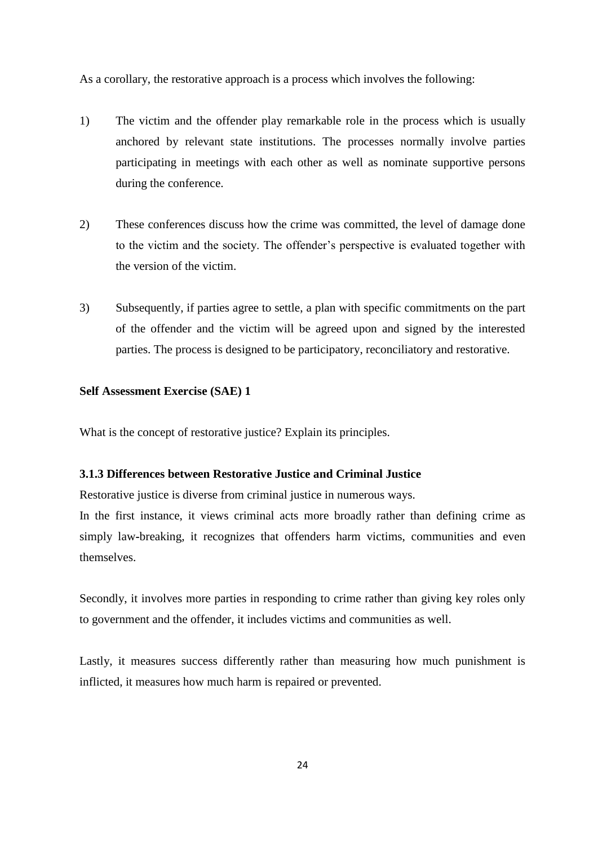As a corollary, the restorative approach is a process which involves the following:

- 1) The victim and the offender play remarkable role in the process which is usually anchored by relevant state institutions. The processes normally involve parties participating in meetings with each other as well as nominate supportive persons during the conference.
- 2) These conferences discuss how the crime was committed, the level of damage done to the victim and the society. The offender's perspective is evaluated together with the version of the victim.
- 3) Subsequently, if parties agree to settle, a plan with specific commitments on the part of the offender and the victim will be agreed upon and signed by the interested parties. The process is designed to be participatory, reconciliatory and restorative.

#### **Self Assessment Exercise (SAE) 1**

What is the concept of restorative justice? Explain its principles.

#### **3.1.3 Differences between Restorative Justice and Criminal Justice**

Restorative justice is diverse from criminal justice in numerous ways.

In the first instance, it views criminal acts more broadly rather than defining crime as simply law**-**breaking, it recognizes that offenders harm victims, communities and even themselves.

Secondly, it involves more parties in responding to crime rather than giving key roles only to government and the offender, it includes victims and communities as well.

Lastly, it measures success differently rather than measuring how much punishment is inflicted, it measures how much harm is repaired or prevented.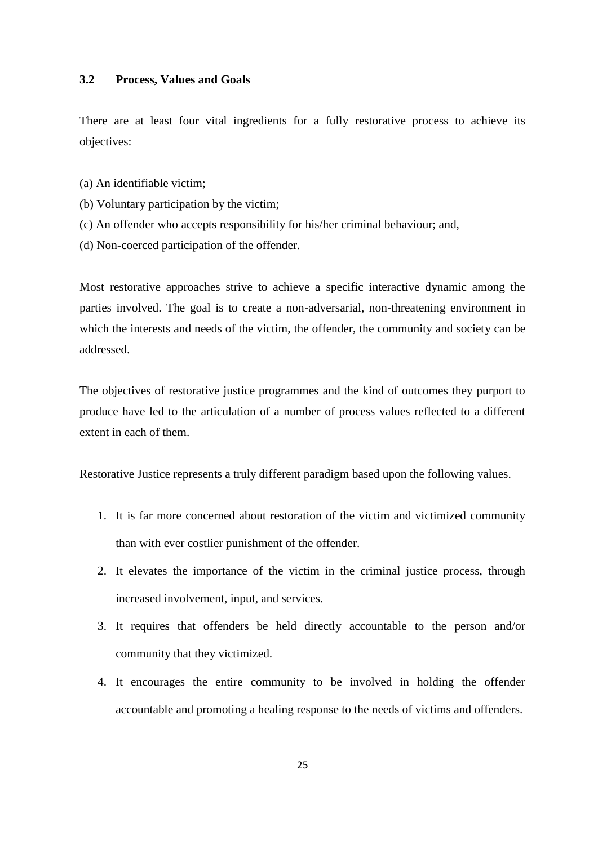#### **3.2 Process, Values and Goals**

There are at least four vital ingredients for a fully restorative process to achieve its objectives:

- (a) An identifiable victim;
- (b) Voluntary participation by the victim;
- (c) An offender who accepts responsibility for his/her criminal behaviour; and,
- (d) Non**-**coerced participation of the offender.

Most restorative approaches strive to achieve a specific interactive dynamic among the parties involved. The goal is to create a non-adversarial, non-threatening environment in which the interests and needs of the victim, the offender, the community and society can be addressed.

The objectives of restorative justice programmes and the kind of outcomes they purport to produce have led to the articulation of a number of process values reflected to a different extent in each of them.

Restorative Justice represents a truly different paradigm based upon the following values.

- 1. It is far more concerned about restoration of the victim and victimized community than with ever costlier punishment of the offender.
- 2. It elevates the importance of the victim in the criminal justice process, through increased involvement, input, and services.
- 3. It requires that offenders be held directly accountable to the person and/or community that they victimized.
- 4. It encourages the entire community to be involved in holding the offender accountable and promoting a healing response to the needs of victims and offenders.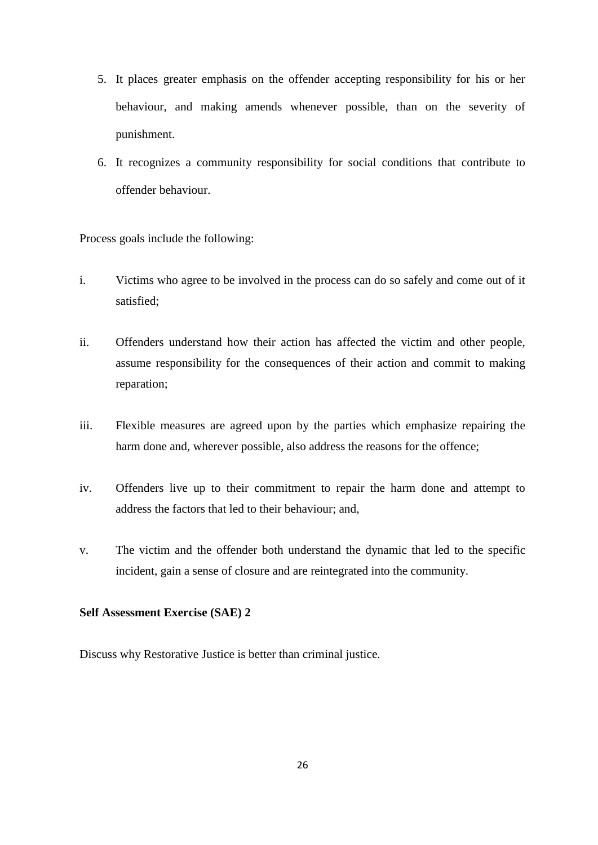- 5. It places greater emphasis on the offender accepting responsibility for his or her behaviour, and making amends whenever possible, than on the severity of punishment.
- 6. It recognizes a community responsibility for social conditions that contribute to offender behaviour.

Process goals include the following:

- i. Victims who agree to be involved in the process can do so safely and come out of it satisfied;
- ii. Offenders understand how their action has affected the victim and other people, assume responsibility for the consequences of their action and commit to making reparation;
- iii. Flexible measures are agreed upon by the parties which emphasize repairing the harm done and, wherever possible, also address the reasons for the offence;
- iv. Offenders live up to their commitment to repair the harm done and attempt to address the factors that led to their behaviour; and,
- v. The victim and the offender both understand the dynamic that led to the specific incident, gain a sense of closure and are reintegrated into the community.

## **Self Assessment Exercise (SAE) 2**

Discuss why Restorative Justice is better than criminal justice.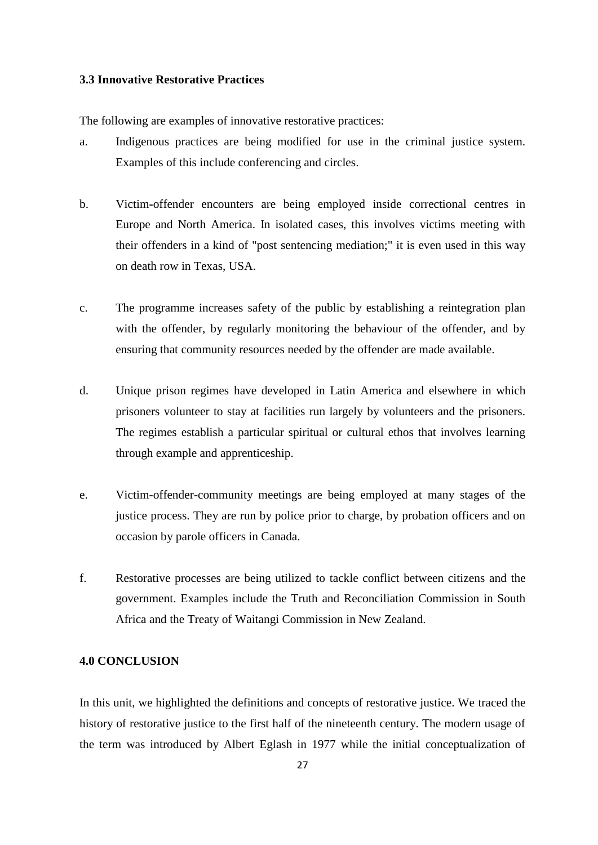#### **3.3 Innovative Restorative Practices**

The following are examples of innovative restorative practices:

- a. Indigenous practices are being modified for use in the criminal justice system. Examples of this include conferencing and circles.
- b. Victim**-**offender encounters are being employed inside correctional centres in Europe and North America. In isolated cases, this involves victims meeting with their offenders in a kind of "post sentencing mediation;" it is even used in this way on death row in Texas, USA.
- c. The programme increases safety of the public by establishing a reintegration plan with the offender, by regularly monitoring the behaviour of the offender, and by ensuring that community resources needed by the offender are made available.
- d. Unique prison regimes have developed in Latin America and elsewhere in which prisoners volunteer to stay at facilities run largely by volunteers and the prisoners. The regimes establish a particular spiritual or cultural ethos that involves learning through example and apprenticeship.
- e. Victim-offender-community meetings are being employed at many stages of the justice process. They are run by police prior to charge, by probation officers and on occasion by parole officers in Canada.
- f. Restorative processes are being utilized to tackle conflict between citizens and the government. Examples include the Truth and Reconciliation Commission in South Africa and the Treaty of Waitangi Commission in New Zealand.

## **4.0 CONCLUSION**

In this unit, we highlighted the definitions and concepts of restorative justice. We traced the history of restorative justice to the first half of the nineteenth century. The modern usage of the term was introduced by Albert Eglash in 1977 while the initial conceptualization of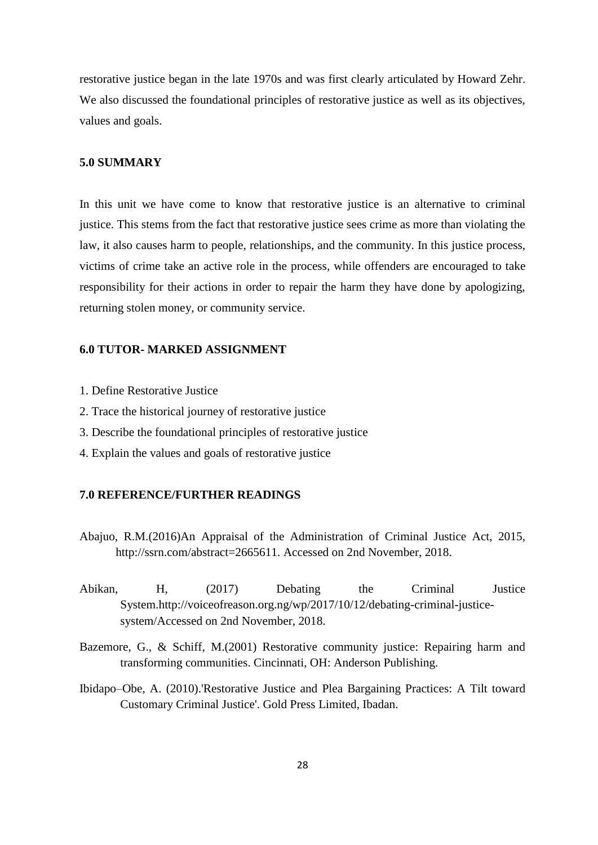restorative justice began in the late 1970s and was first clearly articulated by Howard Zehr. We also discussed the foundational principles of restorative justice as well as its objectives, values and goals.

## **5.0 SUMMARY**

In this unit we have come to know that restorative justice is an alternative to criminal justice. This stems from the fact that restorative justice sees crime as more than violating the law, it also causes harm to people, relationships, and the community. In this justice process, victims of crime take an active role in the process, while offenders are encouraged to take responsibility for their actions in order to repair the harm they have done by apologizing, returning stolen money, or community service.

#### **6.0 TUTOR- MARKED ASSIGNMENT**

- 1. Define Restorative Justice
- 2. Trace the historical journey of restorative justice
- 3. Describe the foundational principles of restorative justice
- 4. Explain the values and goals of restorative justice

#### **7.0 REFERENCE/FURTHER READINGS**

- Abajuo, R.M.(2016)An Appraisal of the Administration of Criminal Justice Act, 2015, http://ssrn.com/abstract=2665611. Accessed on 2nd November, 2018.
- Abikan, H, (2017) Debating the Criminal Justice System.http://voiceofreason.org.ng/wp/2017/10/12/debating-criminal-justicesystem/Accessed on 2nd November, 2018.
- Bazemore, G., & Schiff, M.(2001) Restorative community justice: Repairing harm and transforming communities. Cincinnati, OH: Anderson Publishing.
- Ibidapo–Obe, A. (2010).'Restorative Justice and Plea Bargaining Practices: A Tilt toward Customary Criminal Justice'. Gold Press Limited, Ibadan.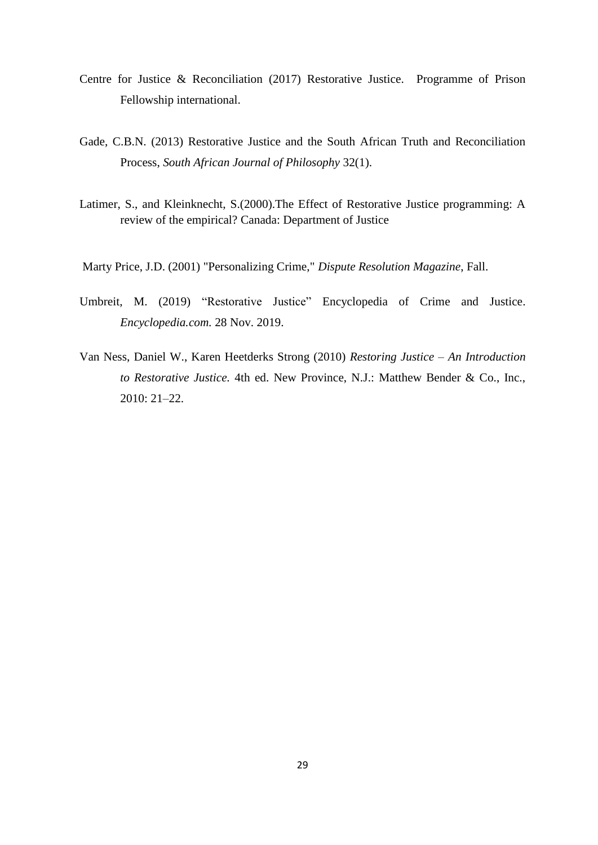- Centre for Justice & Reconciliation (2017) Restorative Justice. Programme of Prison Fellowship international.
- Gade, C.B.N. (2013) [Restorative Justice and the South African Truth and Reconciliation](http://pure.au.dk/portal/files/53264449/Restorative_Justice_and_the_South_African_Truth_and_Reconciliation_Process.pdf)  Process, *[South African Journal of Philosophy](http://pure.au.dk/portal/files/53264449/Restorative_Justice_and_the_South_African_Truth_and_Reconciliation_Process.pdf)* 32(1).
- Latimer, S., and Kleinknecht, S.(2000).The Effect of Restorative Justice programming: A review of the empirical? Canada: Department of Justice

Marty Price, J.D. (2001) "Personalizing Crime," *Dispute Resolution Magazine*, Fall.

- Umbreit, M. (2019) "Restorative Justice" Encyclopedia of Crime and Justice. *Encyclopedia.com.* 28 Nov. 2019.
- Van Ness, Daniel W., Karen Heetderks Strong (2010) *Restoring Justice – An Introduction to Restorative Justice.* 4th ed. New Province, N.J.: Matthew Bender & Co., Inc., 2010: 21–22.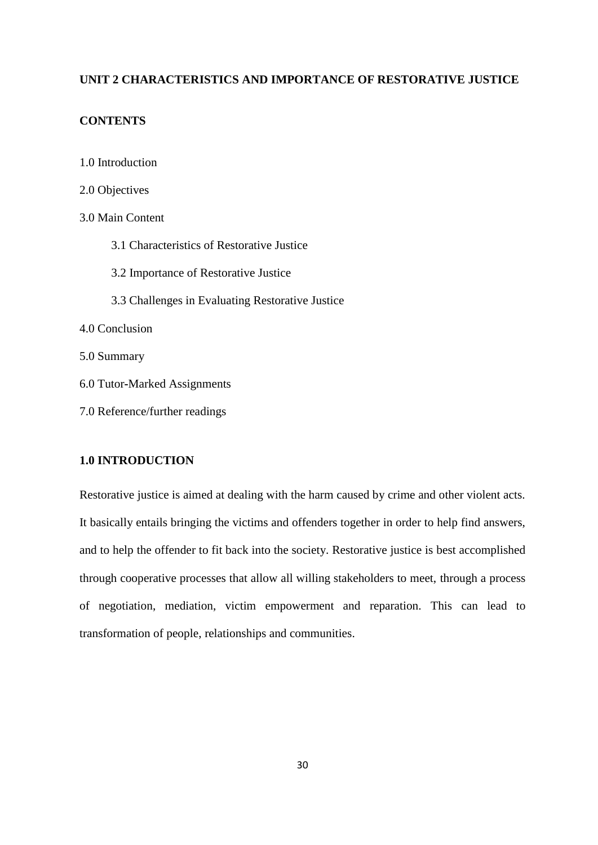## **UNIT 2 CHARACTERISTICS AND IMPORTANCE OF RESTORATIVE JUSTICE**

## **CONTENTS**

- 1.0 Introduction
- 2.0 Objectives
- 3.0 Main Content
	- 3.1 Characteristics of Restorative Justice
	- 3.2 Importance of Restorative Justice
	- 3.3 Challenges in Evaluating Restorative Justice
- 4.0 Conclusion
- 5.0 Summary
- 6.0 Tutor**-**Marked Assignments
- 7.0 Reference/further readings

### **1.0 INTRODUCTION**

Restorative justice is aimed at dealing with the harm caused by crime and other violent acts. It basically entails bringing the victims and offenders together in order to help find answers, and to help the offender to fit back into the society. Restorative justice is best accomplished through cooperative processes that allow all willing stakeholders to meet, through a process of negotiation, mediation, victim empowerment and reparation. This can lead to transformation of people, relationships and communities.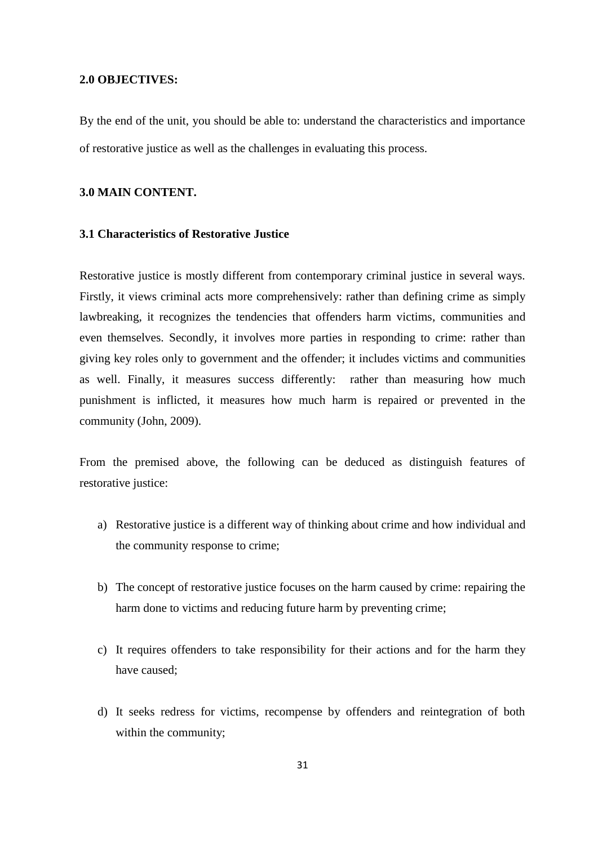#### **2.0 OBJECTIVES:**

By the end of the unit, you should be able to: understand the characteristics and importance of restorative justice as well as the challenges in evaluating this process.

## **3.0 MAIN CONTENT.**

#### **3.1 Characteristics of Restorative Justice**

Restorative justice is mostly different from contemporary criminal justice in several ways. Firstly, it views criminal acts more comprehensively: rather than defining crime as simply lawbreaking, it recognizes the tendencies that offenders harm victims, communities and even themselves. Secondly, it involves more parties in responding to crime: rather than giving key roles only to government and the offender; it includes victims and communities as well. Finally, it measures success differently: rather than measuring how much punishment is inflicted, it measures how much harm is repaired or prevented in the community (John, 2009).

From the premised above, the following can be deduced as distinguish features of restorative justice:

- a) Restorative justice is a different way of thinking about crime and how individual and the community response to crime;
- b) The concept of restorative justice focuses on the harm caused by crime: repairing the harm done to victims and reducing future harm by preventing crime;
- c) It requires offenders to take responsibility for their actions and for the harm they have caused;
- d) It seeks redress for victims, recompense by offenders and reintegration of both within the community;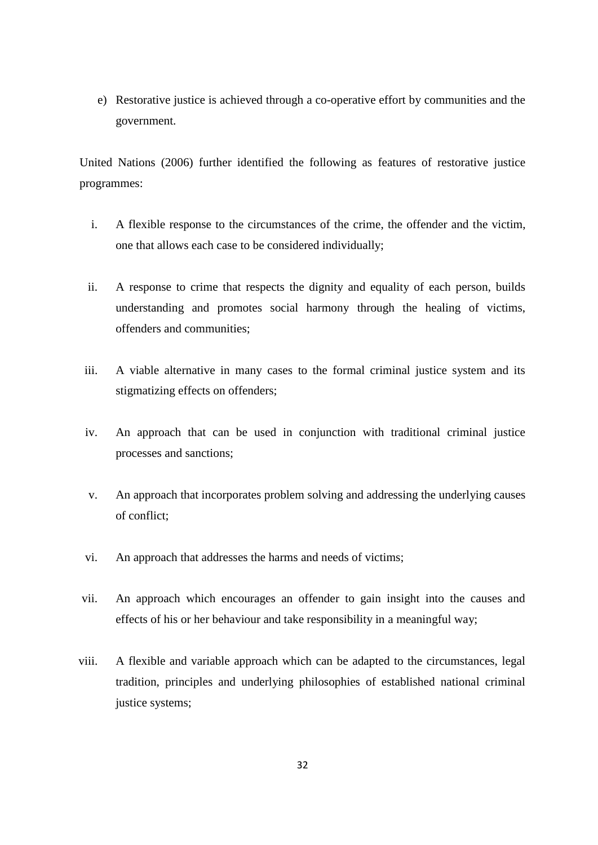e) Restorative justice is achieved through a co-operative effort by communities and the government.

United Nations (2006) further identified the following as features of restorative justice programmes:

- i. A flexible response to the circumstances of the crime, the offender and the victim, one that allows each case to be considered individually;
- ii. A response to crime that respects the dignity and equality of each person, builds understanding and promotes social harmony through the healing of victims, offenders and communities;
- iii. A viable alternative in many cases to the formal criminal justice system and its stigmatizing effects on offenders;
- iv. An approach that can be used in conjunction with traditional criminal justice processes and sanctions;
- v. An approach that incorporates problem solving and addressing the underlying causes of conflict;
- vi. An approach that addresses the harms and needs of victims;
- vii. An approach which encourages an offender to gain insight into the causes and effects of his or her behaviour and take responsibility in a meaningful way;
- viii. A flexible and variable approach which can be adapted to the circumstances, legal tradition, principles and underlying philosophies of established national criminal justice systems;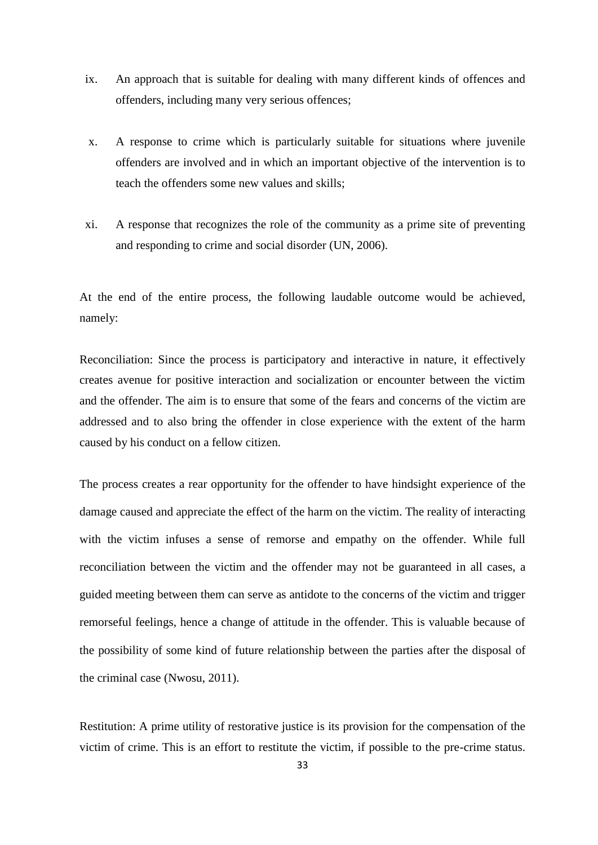- ix. An approach that is suitable for dealing with many different kinds of offences and offenders, including many very serious offences;
- x. A response to crime which is particularly suitable for situations where juvenile offenders are involved and in which an important objective of the intervention is to teach the offenders some new values and skills;
- xi. A response that recognizes the role of the community as a prime site of preventing and responding to crime and social disorder (UN, 2006).

At the end of the entire process, the following laudable outcome would be achieved, namely:

Reconciliation: Since the process is participatory and interactive in nature, it effectively creates avenue for positive interaction and socialization or encounter between the victim and the offender. The aim is to ensure that some of the fears and concerns of the victim are addressed and to also bring the offender in close experience with the extent of the harm caused by his conduct on a fellow citizen.

The process creates a rear opportunity for the offender to have hindsight experience of the damage caused and appreciate the effect of the harm on the victim. The reality of interacting with the victim infuses a sense of remorse and empathy on the offender. While full reconciliation between the victim and the offender may not be guaranteed in all cases, a guided meeting between them can serve as antidote to the concerns of the victim and trigger remorseful feelings, hence a change of attitude in the offender. This is valuable because of the possibility of some kind of future relationship between the parties after the disposal of the criminal case (Nwosu, 2011).

Restitution: A prime utility of restorative justice is its provision for the compensation of the victim of crime. This is an effort to restitute the victim, if possible to the pre-crime status.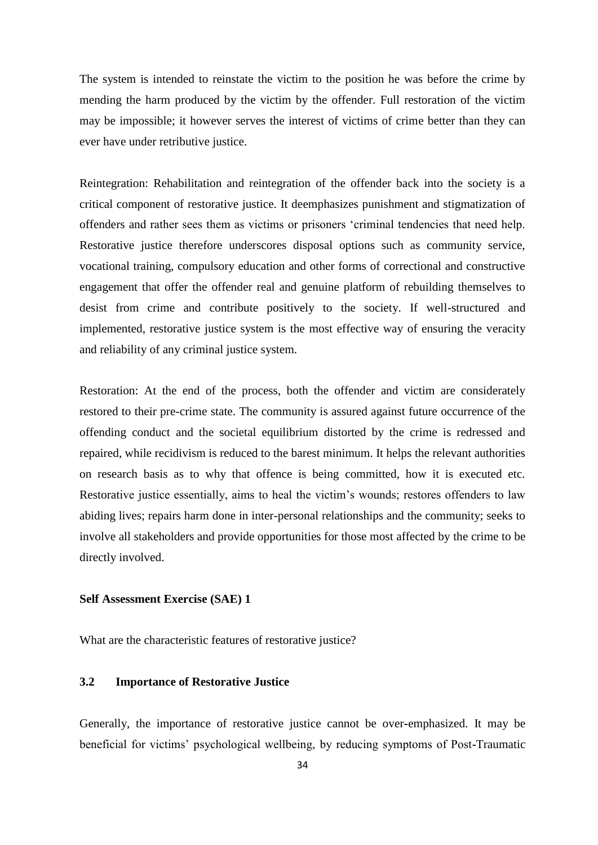The system is intended to reinstate the victim to the position he was before the crime by mending the harm produced by the victim by the offender. Full restoration of the victim may be impossible; it however serves the interest of victims of crime better than they can ever have under retributive justice.

Reintegration: Rehabilitation and reintegration of the offender back into the society is a critical component of restorative justice. It deemphasizes punishment and stigmatization of offenders and rather sees them as victims or prisoners ‗criminal tendencies that need help. Restorative justice therefore underscores disposal options such as community service, vocational training, compulsory education and other forms of correctional and constructive engagement that offer the offender real and genuine platform of rebuilding themselves to desist from crime and contribute positively to the society. If well-structured and implemented, restorative justice system is the most effective way of ensuring the veracity and reliability of any criminal justice system.

Restoration: At the end of the process, both the offender and victim are considerately restored to their pre-crime state. The community is assured against future occurrence of the offending conduct and the societal equilibrium distorted by the crime is redressed and repaired, while recidivism is reduced to the barest minimum. It helps the relevant authorities on research basis as to why that offence is being committed, how it is executed etc. Restorative justice essentially, aims to heal the victim's wounds; restores offenders to law abiding lives; repairs harm done in inter-personal relationships and the community; seeks to involve all stakeholders and provide opportunities for those most affected by the crime to be directly involved.

#### **Self Assessment Exercise (SAE) 1**

What are the characteristic features of restorative justice?

## **3.2 Importance of Restorative Justice**

Generally, the importance of restorative justice cannot be over**-**emphasized. It may be beneficial for victims' psychological wellbeing, by reducing symptoms of Post**-**Traumatic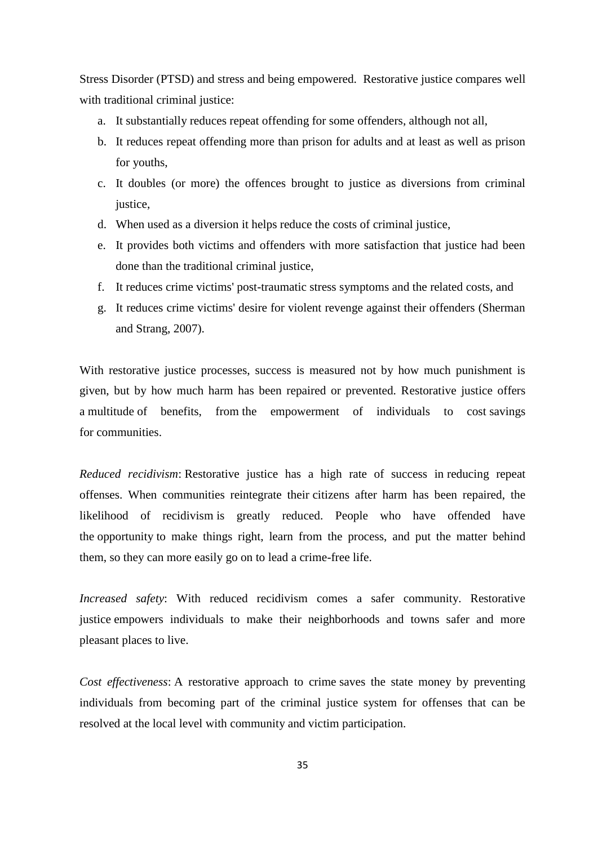Stress Disorder (PTSD) and stress and being empowered. Restorative justice compares well with traditional criminal justice:

- a. It substantially reduces repeat offending for some offenders, although not all,
- b. It reduces repeat offending more than prison for adults and at least as well as prison for youths,
- c. It doubles (or more) the offences brought to justice as diversions from criminal justice.
- d. When used as a diversion it helps reduce the costs of criminal justice,
- e. It provides both victims and offenders with more satisfaction that justice had been done than the traditional criminal justice,
- f. It reduces crime victims' post-traumatic stress symptoms and the related costs, and
- g. It reduces crime victims' desire for violent revenge against their offenders (Sherman and Strang, 2007).

With restorative justice processes, success is measured not by how much punishment is given, but by how much harm has been repaired or prevented. Restorative justice offers a multitude of benefits, from the empowerment of individuals to cost savings for communities.

*Reduced recidivism*: Restorative justice has a high rate of success in reducing repeat offenses. When communities reintegrate their citizens after harm has been repaired, the likelihood of recidivism is greatly reduced. People who have offended have the opportunity to make things right, learn from the process, and put the matter behind them, so they can more easily go on to lead a crime-free life.

*Increased safety*: With reduced recidivism comes a safer community. Restorative justice empowers individuals to make their neighborhoods and towns safer and more pleasant places to live.

*Cost effectiveness*: A restorative approach to crime saves the state money by preventing individuals from becoming part of the criminal justice system for offenses that can be resolved at the local level with community and victim participation.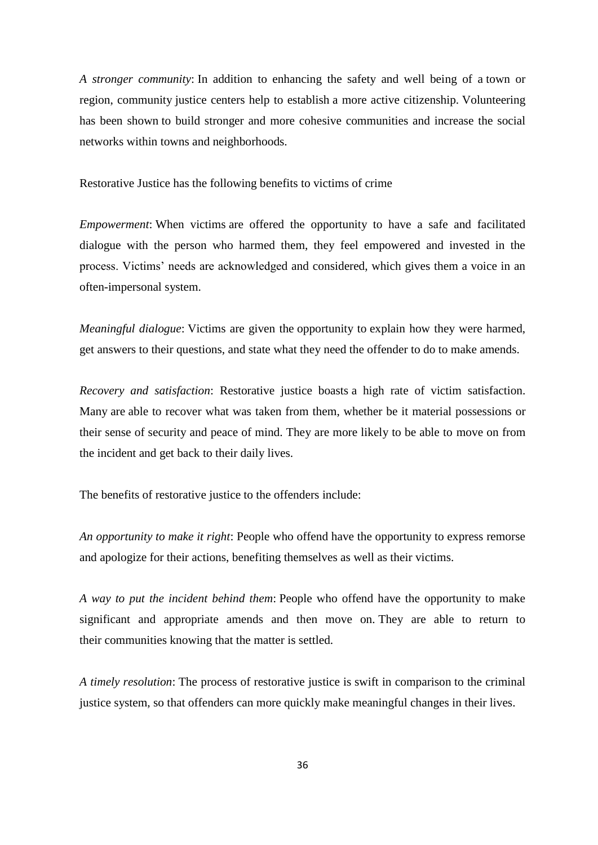*A stronger community*: In addition to enhancing the safety and well being of a town or region, community justice centers help to establish a more active citizenship. Volunteering has been shown to build stronger and more cohesive communities and increase the social networks within towns and neighborhoods.

Restorative Justice has the following benefits to victims of crime

*Empowerment*: When victims are offered the opportunity to have a safe and facilitated dialogue with the person who harmed them, they feel empowered and invested in the process. Victims' needs are acknowledged and considered, which gives them a voice in an often-impersonal system.

*Meaningful dialogue*: Victims are given the opportunity to explain how they were harmed, get answers to their questions, and state what they need the offender to do to make amends.

*Recovery and satisfaction*: Restorative justice boasts a high rate of victim satisfaction. Many are able to recover what was taken from them, whether be it material possessions or their sense of security and peace of mind. They are more likely to be able to move on from the incident and get back to their daily lives.

The benefits of restorative justice to the offenders include:

*An opportunity to make it right*: People who offend have the opportunity to express remorse and apologize for their actions, benefiting themselves as well as their victims.

*A way to put the incident behind them*: People who offend have the opportunity to make significant and appropriate amends and then move on. They are able to return to their communities knowing that the matter is settled.

*A timely resolution*: The process of restorative justice is swift in comparison to the criminal justice system, so that offenders can more quickly make meaningful changes in their lives.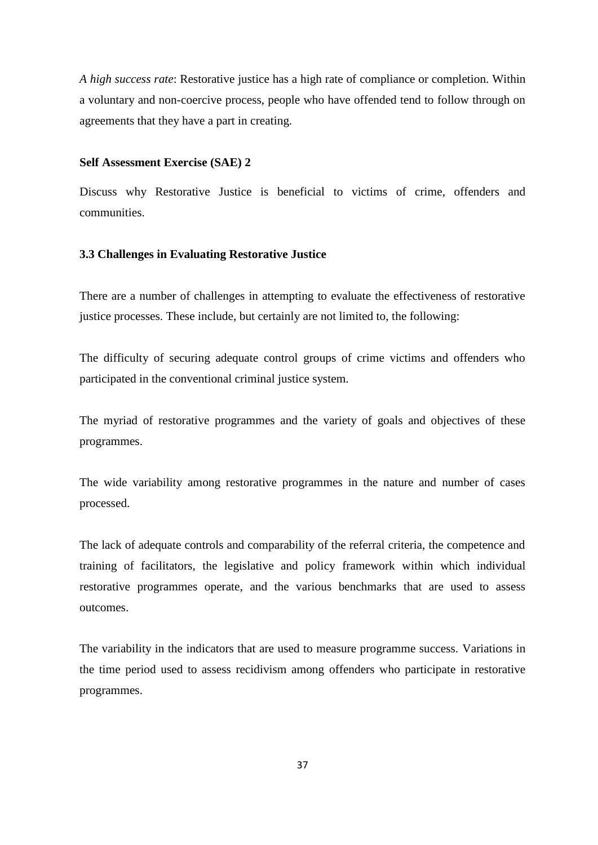*A high success rate*: Restorative justice has a high rate of compliance or completion. Within a voluntary and non-coercive process, people who have offended tend to follow through on agreements that they have a part in creating.

#### **Self Assessment Exercise (SAE) 2**

Discuss why Restorative Justice is beneficial to victims of crime, offenders and communities.

## **3.3 Challenges in Evaluating Restorative Justice**

There are a number of challenges in attempting to evaluate the effectiveness of restorative justice processes. These include, but certainly are not limited to, the following:

The difficulty of securing adequate control groups of crime victims and offenders who participated in the conventional criminal justice system.

The myriad of restorative programmes and the variety of goals and objectives of these programmes.

The wide variability among restorative programmes in the nature and number of cases processed.

The lack of adequate controls and comparability of the referral criteria, the competence and training of facilitators, the legislative and policy framework within which individual restorative programmes operate, and the various benchmarks that are used to assess outcomes.

The variability in the indicators that are used to measure programme success. Variations in the time period used to assess recidivism among offenders who participate in restorative programmes.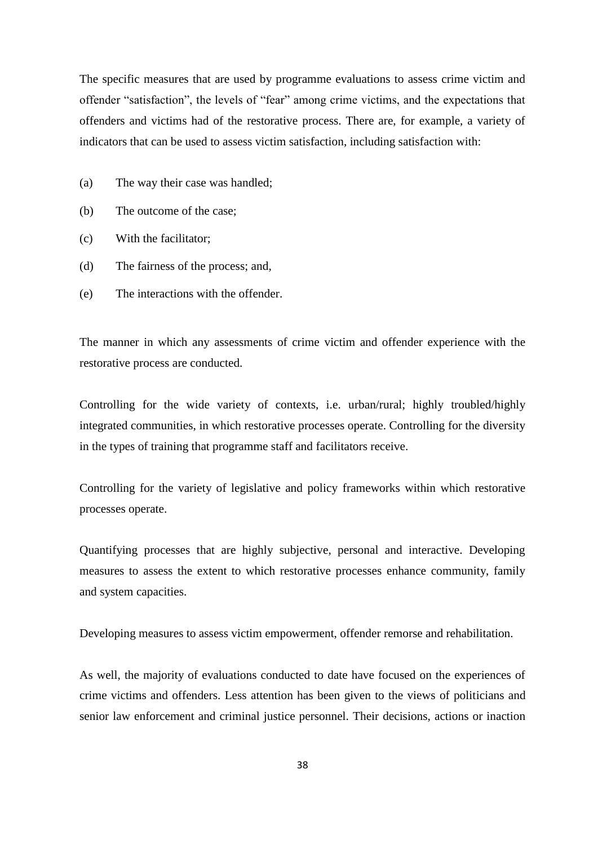The specific measures that are used by programme evaluations to assess crime victim and offender "satisfaction", the levels of "fear" among crime victims, and the expectations that offenders and victims had of the restorative process. There are, for example, a variety of indicators that can be used to assess victim satisfaction, including satisfaction with:

- (a) The way their case was handled;
- (b) The outcome of the case;
- (c) With the facilitator;
- (d) The fairness of the process; and,
- (e) The interactions with the offender.

The manner in which any assessments of crime victim and offender experience with the restorative process are conducted.

Controlling for the wide variety of contexts, i.e. urban/rural; highly troubled/highly integrated communities, in which restorative processes operate. Controlling for the diversity in the types of training that programme staff and facilitators receive.

Controlling for the variety of legislative and policy frameworks within which restorative processes operate.

Quantifying processes that are highly subjective, personal and interactive. Developing measures to assess the extent to which restorative processes enhance community, family and system capacities.

Developing measures to assess victim empowerment, offender remorse and rehabilitation.

As well, the majority of evaluations conducted to date have focused on the experiences of crime victims and offenders. Less attention has been given to the views of politicians and senior law enforcement and criminal justice personnel. Their decisions, actions or inaction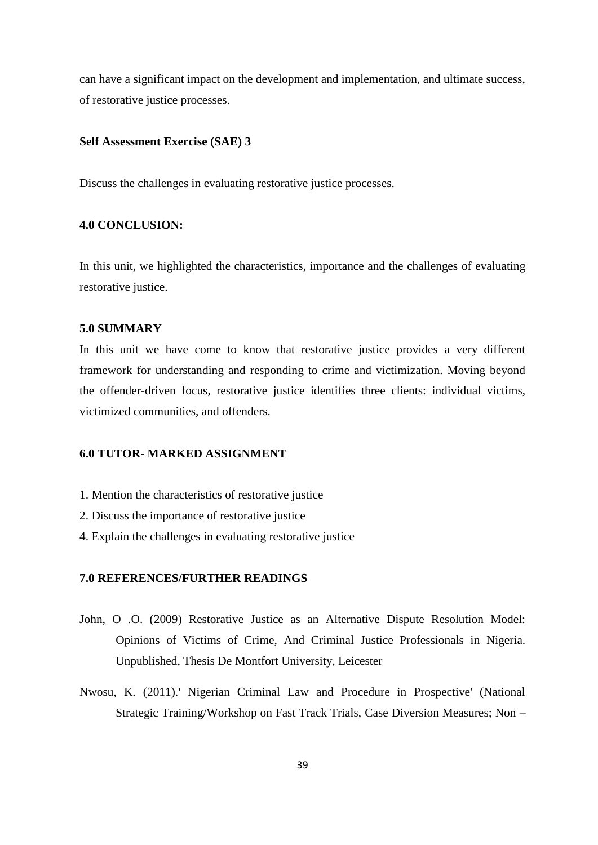can have a significant impact on the development and implementation, and ultimate success, of restorative justice processes.

# **Self Assessment Exercise (SAE) 3**

Discuss the challenges in evaluating restorative justice processes.

## **4.0 CONCLUSION:**

In this unit, we highlighted the characteristics, importance and the challenges of evaluating restorative justice.

#### **5.0 SUMMARY**

In this unit we have come to know that restorative justice provides a very different framework for understanding and responding to crime and victimization. Moving beyond the offender-driven focus, restorative justice identifies three clients: individual victims, victimized communities, and offenders.

## **6.0 TUTOR- MARKED ASSIGNMENT**

- 1. Mention the characteristics of restorative justice
- 2. Discuss the importance of restorative justice
- 4. Explain the challenges in evaluating restorative justice

# **7.0 REFERENCES/FURTHER READINGS**

- John, O .O. (2009) Restorative Justice as an Alternative Dispute Resolution Model: Opinions of Victims of Crime, And Criminal Justice Professionals in Nigeria. Unpublished, Thesis De Montfort University, Leicester
- Nwosu, K. (2011).' Nigerian Criminal Law and Procedure in Prospective' (National Strategic Training/Workshop on Fast Track Trials, Case Diversion Measures; Non –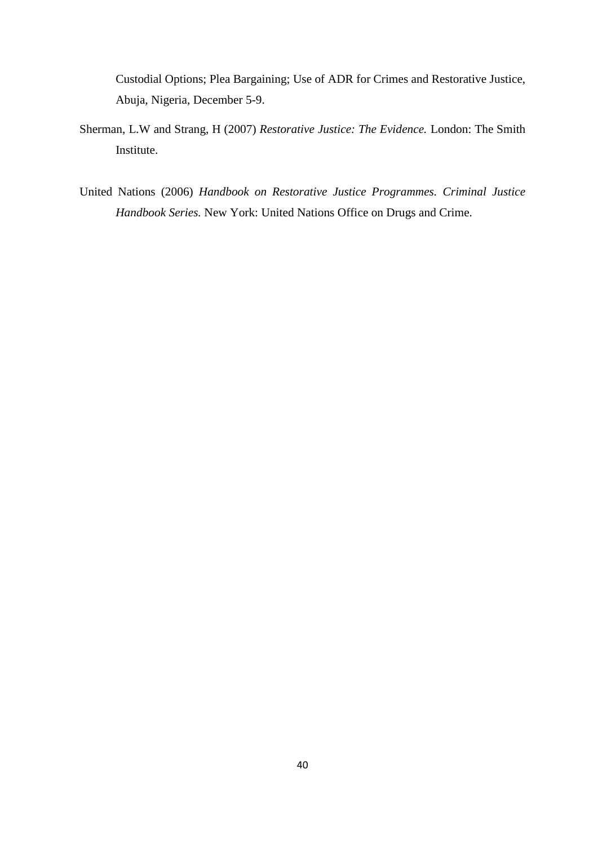Custodial Options; Plea Bargaining; Use of ADR for Crimes and Restorative Justice, Abuja, Nigeria, December 5-9.

- Sherman, L.W and Strang, H (2007) *Restorative Justice: The Evidence.* London: The Smith Institute.
- United Nations (2006) *Handbook on Restorative Justice Programmes. Criminal Justice Handbook Series.* New York: United Nations Office on Drugs and Crime.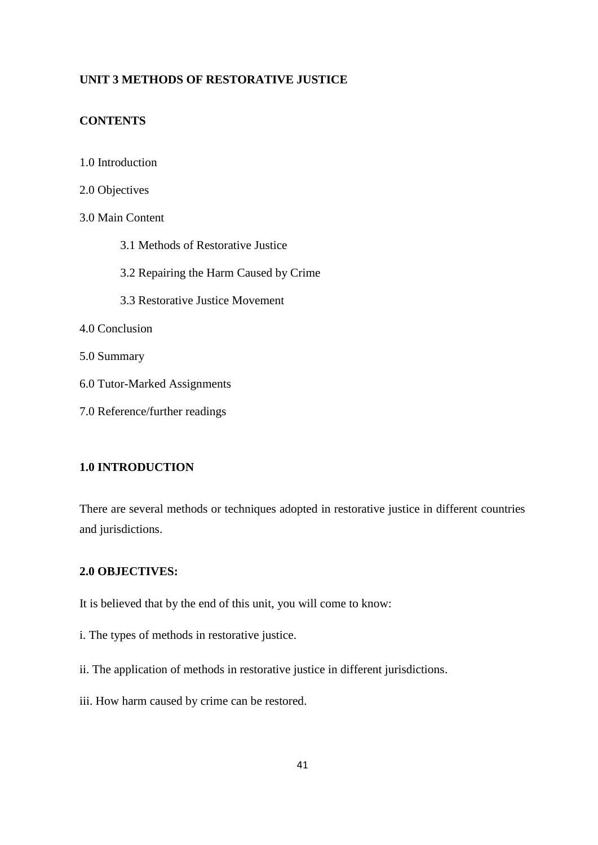# **UNIT 3 METHODS OF RESTORATIVE JUSTICE**

# **CONTENTS**

- 1.0 Introduction
- 2.0 Objectives
- 3.0 Main Content
	- 3.1 Methods of Restorative Justice
	- 3.2 Repairing the Harm Caused by Crime
	- 3.3 Restorative Justice Movement
- 4.0 Conclusion
- 5.0 Summary
- 6.0 Tutor-Marked Assignments
- 7.0 Reference/further readings

# **1.0 INTRODUCTION**

There are several methods or techniques adopted in restorative justice in different countries and jurisdictions.

# **2.0 OBJECTIVES:**

It is believed that by the end of this unit, you will come to know:

- i. The types of methods in restorative justice.
- ii. The application of methods in restorative justice in different jurisdictions.
- iii. How harm caused by crime can be restored.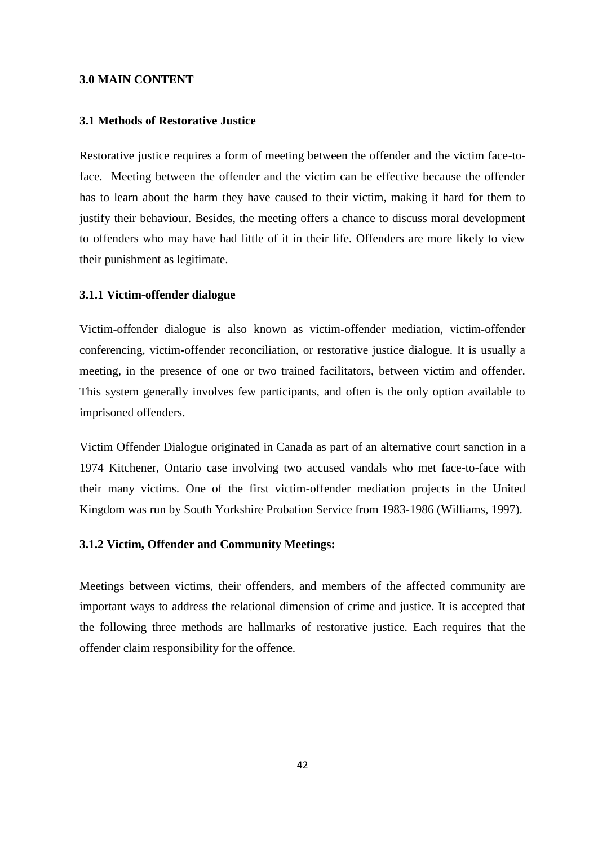## **3.0 MAIN CONTENT**

#### **3.1 Methods of Restorative Justice**

Restorative justice requires a form of meeting between the offender and the victim face**-**toface. Meeting between the offender and the victim can be effective because the offender has to learn about the harm they have caused to their victim, making it hard for them to justify their behaviour. Besides, the meeting offers a chance to discuss moral development to offenders who may have had little of it in their life. Offenders are more likely to view their punishment as legitimate.

#### **3.1.1 Victim-offender dialogue**

Victim**-**offender dialogue is also known as victim**-**offender mediation, victim**-**offender conferencing, victim**-**offender reconciliation, or restorative justice dialogue. It is usually a meeting, in the presence of one or two trained facilitators, between victim and offender. This system generally involves few participants, and often is the only option available to imprisoned offenders.

Victim Offender Dialogue originated in Canada as part of an alternative court sanction in a 1974 Kitchener, Ontario case involving two accused vandals who met face**-**to**-**face with their many victims. One of the first victim**-**offender mediation projects in the United Kingdom was run by South Yorkshire Probation Service from 1983**-**1986 (Williams, 1997).

## **3.1.2 Victim, Offender and Community Meetings:**

Meetings between victims, their offenders, and members of the affected community are important ways to address the relational dimension of crime and justice. It is accepted that the following three methods are hallmarks of restorative justice. Each requires that the offender claim responsibility for the offence.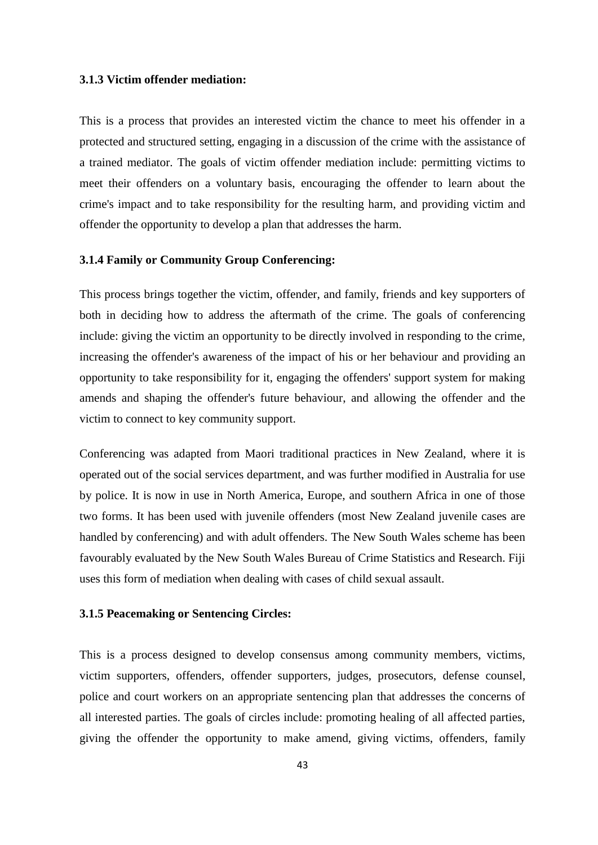#### **3.1.3 Victim offender mediation:**

This is a process that provides an interested victim the chance to meet his offender in a protected and structured setting, engaging in a discussion of the crime with the assistance of a trained mediator. The goals of victim offender mediation include: permitting victims to meet their offenders on a voluntary basis, encouraging the offender to learn about the crime's impact and to take responsibility for the resulting harm, and providing victim and offender the opportunity to develop a plan that addresses the harm.

## **3.1.4 Family or Community Group Conferencing:**

This process brings together the victim, offender, and family, friends and key supporters of both in deciding how to address the aftermath of the crime. The goals of conferencing include: giving the victim an opportunity to be directly involved in responding to the crime, increasing the offender's awareness of the impact of his or her behaviour and providing an opportunity to take responsibility for it, engaging the offenders' support system for making amends and shaping the offender's future behaviour, and allowing the offender and the victim to connect to key community support.

Conferencing was adapted from Maori traditional practices in New Zealand, where it is operated out of the social services department, and was further modified in Australia for use by police. It is now in use in North America, Europe, and southern Africa in one of those two forms. It has been used with juvenile offenders (most New Zealand juvenile cases are handled by conferencing) and with adult offenders. The New South Wales scheme has been favourably evaluated by the New South Wales Bureau of Crime Statistics and Research. Fiji uses this form of mediation when dealing with cases of child sexual assault.

#### **3.1.5 Peacemaking or Sentencing Circles:**

This is a process designed to develop consensus among community members, victims, victim supporters, offenders, offender supporters, judges, prosecutors, defense counsel, police and court workers on an appropriate sentencing plan that addresses the concerns of all interested parties. The goals of circles include: promoting healing of all affected parties, giving the offender the opportunity to make amend, giving victims, offenders, family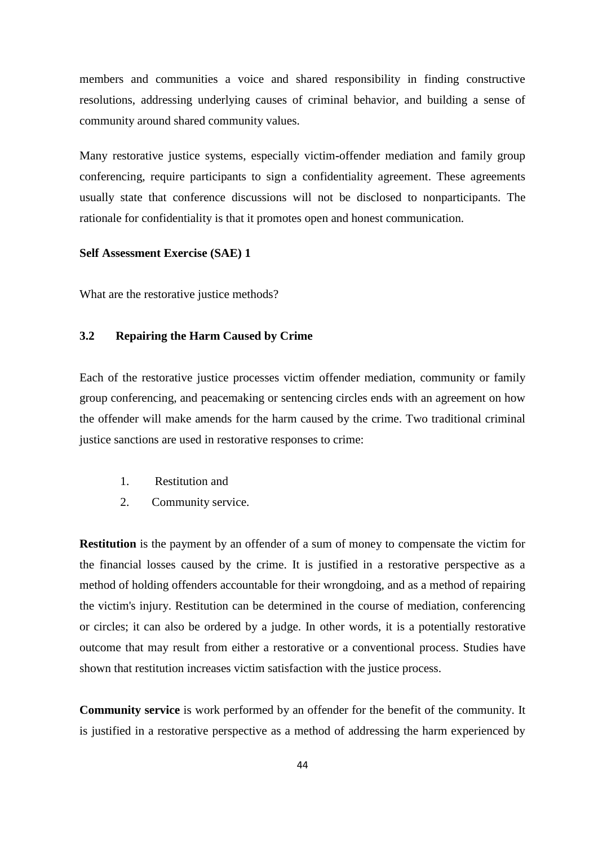members and communities a voice and shared responsibility in finding constructive resolutions, addressing underlying causes of criminal behavior, and building a sense of community around shared community values.

Many restorative justice systems, especially victim**-**offender mediation and family group conferencing, require participants to sign a confidentiality agreement. These agreements usually state that conference discussions will not be disclosed to nonparticipants. The rationale for confidentiality is that it promotes open and honest communication.

#### **Self Assessment Exercise (SAE) 1**

What are the restorative justice methods?

# **3.2 Repairing the Harm Caused by Crime**

Each of the restorative justice processes victim offender mediation, community or family group conferencing, and peacemaking or sentencing circles ends with an agreement on how the offender will make amends for the harm caused by the crime. Two traditional criminal justice sanctions are used in restorative responses to crime:

- 1. Restitution and
- 2. Community service.

**Restitution** is the payment by an offender of a sum of money to compensate the victim for the financial losses caused by the crime. It is justified in a restorative perspective as a method of holding offenders accountable for their wrongdoing, and as a method of repairing the victim's injury. Restitution can be determined in the course of mediation, conferencing or circles; it can also be ordered by a judge. In other words, it is a potentially restorative outcome that may result from either a restorative or a conventional process. Studies have shown that restitution increases victim satisfaction with the justice process.

**Community service** is work performed by an offender for the benefit of the community. It is justified in a restorative perspective as a method of addressing the harm experienced by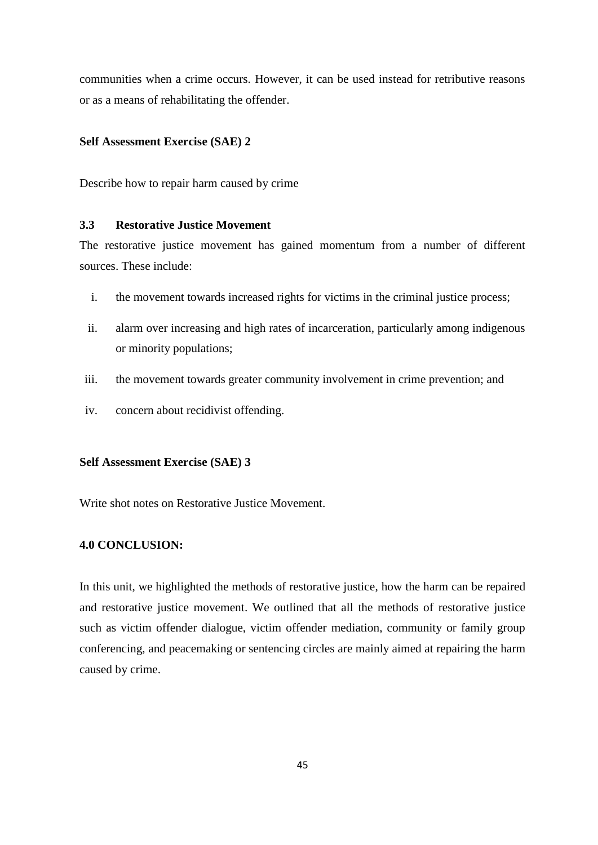communities when a crime occurs. However, it can be used instead for retributive reasons or as a means of rehabilitating the offender.

## **Self Assessment Exercise (SAE) 2**

Describe how to repair harm caused by crime

## **3.3 Restorative Justice Movement**

The restorative justice movement has gained momentum from a number of different sources. These include:

- i. the movement towards increased rights for victims in the criminal justice process;
- ii. alarm over increasing and high rates of incarceration, particularly among indigenous or minority populations;
- iii. the movement towards greater community involvement in crime prevention; and
- iv. concern about recidivist offending.

#### **Self Assessment Exercise (SAE) 3**

Write shot notes on Restorative Justice Movement.

## **4.0 CONCLUSION:**

In this unit, we highlighted the methods of restorative justice, how the harm can be repaired and restorative justice movement. We outlined that all the methods of restorative justice such as victim offender dialogue, victim offender mediation, community or family group conferencing, and peacemaking or sentencing circles are mainly aimed at repairing the harm caused by crime.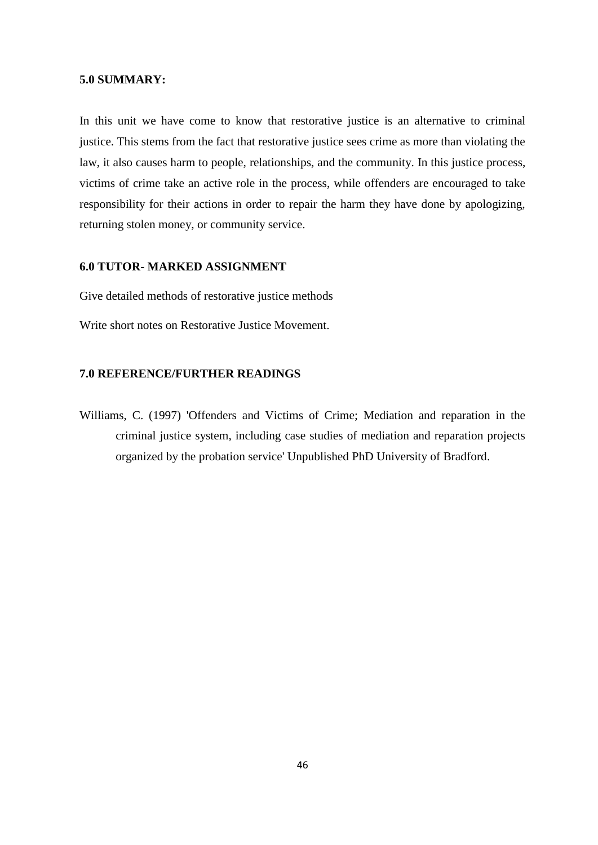#### **5.0 SUMMARY:**

In this unit we have come to know that restorative justice is an alternative to criminal justice. This stems from the fact that restorative justice sees crime as more than violating the law, it also causes harm to people, relationships, and the community. In this justice process, victims of crime take an active role in the process, while offenders are encouraged to take responsibility for their actions in order to repair the harm they have done by apologizing, returning stolen money, or community service.

# **6.0 TUTOR- MARKED ASSIGNMENT**

Give detailed methods of restorative justice methods

Write short notes on Restorative Justice Movement.

# **7.0 REFERENCE/FURTHER READINGS**

Williams, C. (1997) 'Offenders and Victims of Crime; Mediation and reparation in the criminal justice system, including case studies of mediation and reparation projects organized by the probation service' Unpublished PhD University of Bradford.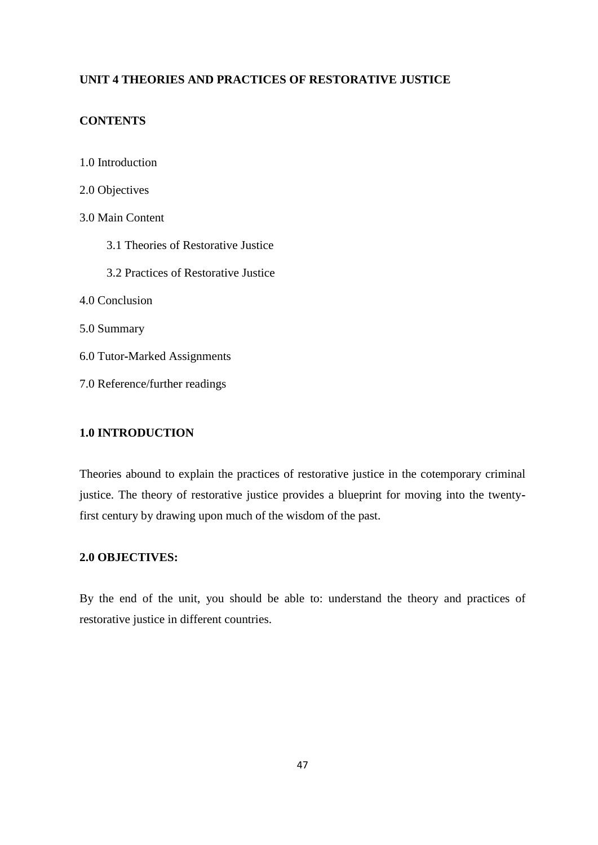# **UNIT 4 THEORIES AND PRACTICES OF RESTORATIVE JUSTICE**

# **CONTENTS**

1.0 Introduction 2.0 Objectives 3.0 Main Content 3.1 Theories of Restorative Justice 3.2 Practices of Restorative Justice 4.0 Conclusion 5.0 Summary 6.0 Tutor**-**Marked Assignments 7.0 Reference/further readings

# **1.0 INTRODUCTION**

Theories abound to explain the practices of restorative justice in the cotemporary criminal justice. The theory of restorative justice provides a blueprint for moving into the twentyfirst century by drawing upon much of the wisdom of the past.

# **2.0 OBJECTIVES:**

By the end of the unit, you should be able to: understand the theory and practices of restorative justice in different countries.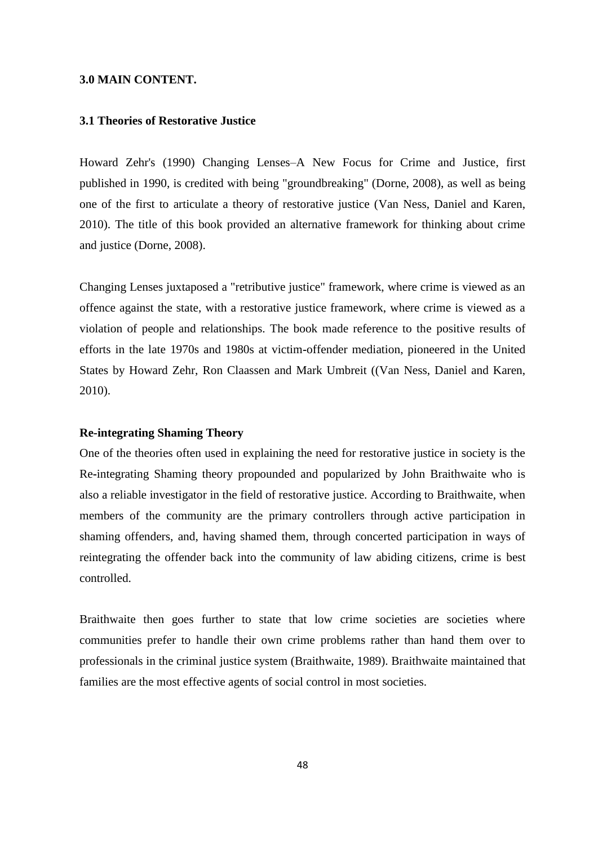#### **3.0 MAIN CONTENT.**

## **3.1 Theories of Restorative Justice**

Howard Zehr's (1990) Changing Lenses–A New Focus for Crime and Justice, first published in 1990, is credited with being "groundbreaking" (Dorne, 2008), as well as being one of the first to articulate a theory of restorative justice (Van Ness, Daniel and Karen, 2010). The title of this book provided an alternative framework for thinking about crime and justice (Dorne, 2008).

Changing Lenses juxtaposed a "retributive justice" framework, where crime is viewed as an offence against the state, with a restorative justice framework, where crime is viewed as a violation of people and relationships. The book made reference to the positive results of efforts in the late 1970s and 1980s at victim**-**offender mediation, pioneered in the United States by Howard Zehr, Ron Claassen and Mark Umbreit ((Van Ness, Daniel and Karen, 2010).

#### **Re-integrating Shaming Theory**

One of the theories often used in explaining the need for restorative justice in society is the Re**-**integrating Shaming theory propounded and popularized by John Braithwaite who is also a reliable investigator in the field of restorative justice. According to Braithwaite, when members of the community are the primary controllers through active participation in shaming offenders, and, having shamed them, through concerted participation in ways of reintegrating the offender back into the community of law abiding citizens, crime is best controlled.

Braithwaite then goes further to state that low crime societies are societies where communities prefer to handle their own crime problems rather than hand them over to professionals in the criminal justice system (Braithwaite, 1989). Braithwaite maintained that families are the most effective agents of social control in most societies.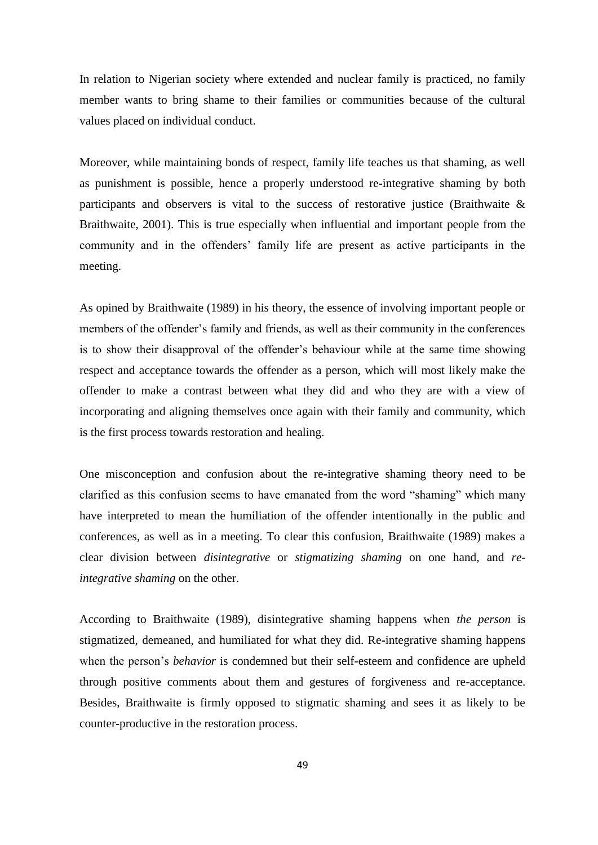In relation to Nigerian society where extended and nuclear family is practiced, no family member wants to bring shame to their families or communities because of the cultural values placed on individual conduct.

Moreover, while maintaining bonds of respect, family life teaches us that shaming, as well as punishment is possible, hence a properly understood re**-**integrative shaming by both participants and observers is vital to the success of restorative justice (Braithwaite & Braithwaite, 2001). This is true especially when influential and important people from the community and in the offenders' family life are present as active participants in the meeting.

As opined by Braithwaite (1989) in his theory, the essence of involving important people or members of the offender's family and friends, as well as their community in the conferences is to show their disapproval of the offender's behaviour while at the same time showing respect and acceptance towards the offender as a person, which will most likely make the offender to make a contrast between what they did and who they are with a view of incorporating and aligning themselves once again with their family and community, which is the first process towards restoration and healing.

One misconception and confusion about the re**-**integrative shaming theory need to be clarified as this confusion seems to have emanated from the word "shaming" which many have interpreted to mean the humiliation of the offender intentionally in the public and conferences, as well as in a meeting. To clear this confusion, Braithwaite (1989) makes a clear division between *disintegrative* or *stigmatizing shaming* on one hand, and *reintegrative shaming* on the other.

According to Braithwaite (1989), disintegrative shaming happens when *the person* is stigmatized, demeaned, and humiliated for what they did. Re**-**integrative shaming happens when the person's *behavior* is condemned but their self-esteem and confidence are upheld through positive comments about them and gestures of forgiveness and re-acceptance. Besides, Braithwaite is firmly opposed to stigmatic shaming and sees it as likely to be counter**-**productive in the restoration process.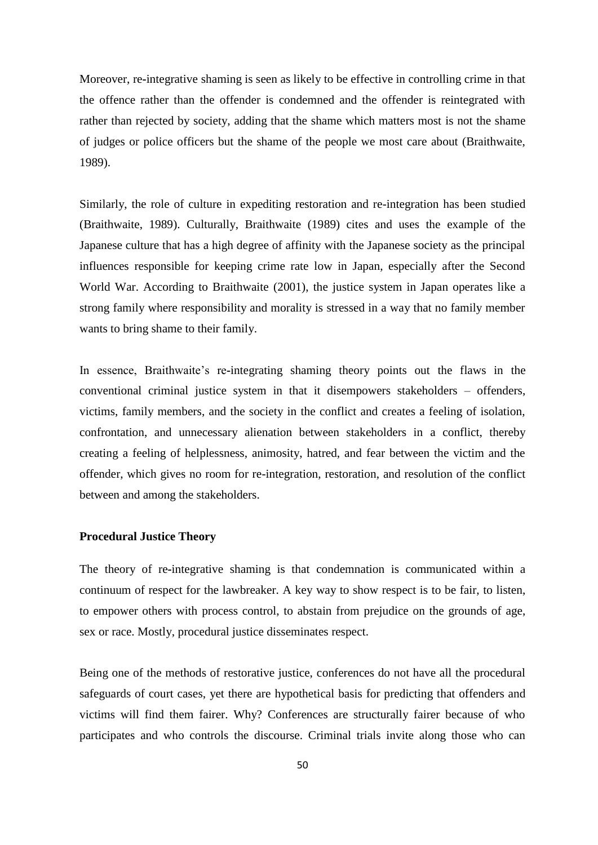Moreover, re**-**integrative shaming is seen as likely to be effective in controlling crime in that the offence rather than the offender is condemned and the offender is reintegrated with rather than rejected by society, adding that the shame which matters most is not the shame of judges or police officers but the shame of the people we most care about (Braithwaite, 1989).

Similarly, the role of culture in expediting restoration and re-integration has been studied (Braithwaite, 1989). Culturally, Braithwaite (1989) cites and uses the example of the Japanese culture that has a high degree of affinity with the Japanese society as the principal influences responsible for keeping crime rate low in Japan, especially after the Second World War. According to Braithwaite (2001), the justice system in Japan operates like a strong family where responsibility and morality is stressed in a way that no family member wants to bring shame to their family.

In essence, Braithwaite's re**-**integrating shaming theory points out the flaws in the conventional criminal justice system in that it disempowers stakeholders – offenders, victims, family members, and the society in the conflict and creates a feeling of isolation, confrontation, and unnecessary alienation between stakeholders in a conflict, thereby creating a feeling of helplessness, animosity, hatred, and fear between the victim and the offender, which gives no room for re-integration, restoration, and resolution of the conflict between and among the stakeholders.

## **Procedural Justice Theory**

The theory of re**-**integrative shaming is that condemnation is communicated within a continuum of respect for the lawbreaker. A key way to show respect is to be fair, to listen, to empower others with process control, to abstain from prejudice on the grounds of age, sex or race. Mostly, procedural justice disseminates respect.

Being one of the methods of restorative justice, conferences do not have all the procedural safeguards of court cases, yet there are hypothetical basis for predicting that offenders and victims will find them fairer. Why? Conferences are structurally fairer because of who participates and who controls the discourse. Criminal trials invite along those who can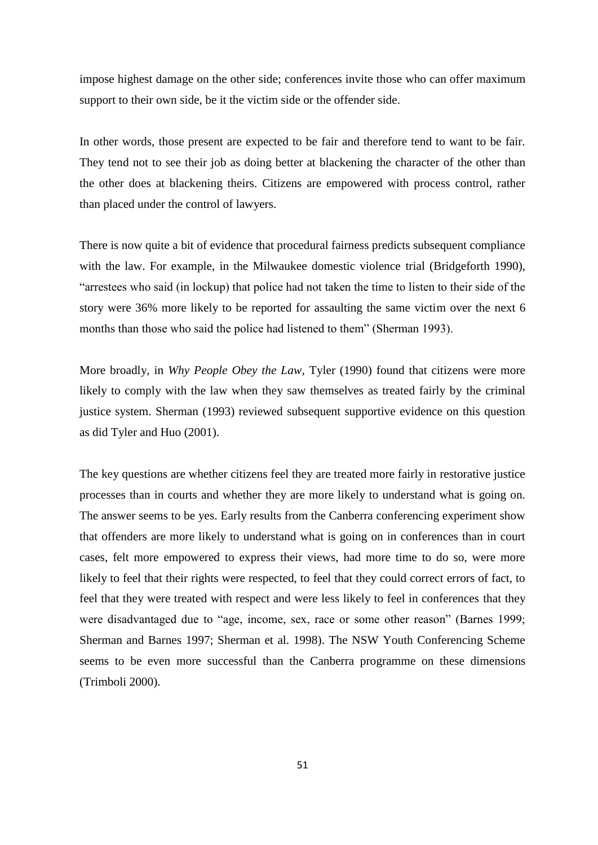impose highest damage on the other side; conferences invite those who can offer maximum support to their own side, be it the victim side or the offender side.

In other words, those present are expected to be fair and therefore tend to want to be fair. They tend not to see their job as doing better at blackening the character of the other than the other does at blackening theirs. Citizens are empowered with process control, rather than placed under the control of lawyers.

There is now quite a bit of evidence that procedural fairness predicts subsequent compliance with the law. For example, in the Milwaukee domestic violence trial (Bridgeforth 1990), "arrestees who said (in lockup) that police had not taken the time to listen to their side of the story were 36% more likely to be reported for assaulting the same victim over the next 6 months than those who said the police had listened to them" (Sherman 1993).

More broadly, in *Why People Obey the Law*, Tyler (1990) found that citizens were more likely to comply with the law when they saw themselves as treated fairly by the criminal justice system. Sherman (1993) reviewed subsequent supportive evidence on this question as did Tyler and Huo (2001).

The key questions are whether citizens feel they are treated more fairly in restorative justice processes than in courts and whether they are more likely to understand what is going on. The answer seems to be yes. Early results from the Canberra conferencing experiment show that offenders are more likely to understand what is going on in conferences than in court cases, felt more empowered to express their views, had more time to do so, were more likely to feel that their rights were respected, to feel that they could correct errors of fact, to feel that they were treated with respect and were less likely to feel in conferences that they were disadvantaged due to "age, income, sex, race or some other reason" (Barnes 1999; Sherman and Barnes 1997; Sherman et al. 1998). The NSW Youth Conferencing Scheme seems to be even more successful than the Canberra programme on these dimensions (Trimboli 2000).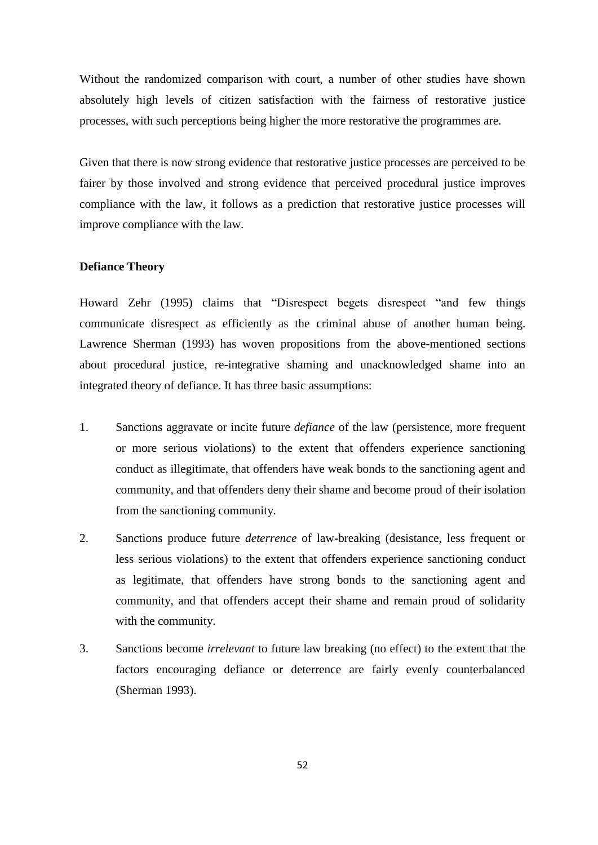Without the randomized comparison with court, a number of other studies have shown absolutely high levels of citizen satisfaction with the fairness of restorative justice processes, with such perceptions being higher the more restorative the programmes are.

Given that there is now strong evidence that restorative justice processes are perceived to be fairer by those involved and strong evidence that perceived procedural justice improves compliance with the law, it follows as a prediction that restorative justice processes will improve compliance with the law.

## **Defiance Theory**

Howard Zehr (1995) claims that "Disrespect begets disrespect "and few things communicate disrespect as efficiently as the criminal abuse of another human being. Lawrence Sherman (1993) has woven propositions from the above**-**mentioned sections about procedural justice, re**-**integrative shaming and unacknowledged shame into an integrated theory of defiance. It has three basic assumptions:

- 1. Sanctions aggravate or incite future *defiance* of the law (persistence, more frequent or more serious violations) to the extent that offenders experience sanctioning conduct as illegitimate, that offenders have weak bonds to the sanctioning agent and community, and that offenders deny their shame and become proud of their isolation from the sanctioning community.
- 2. Sanctions produce future *deterrence* of law**-**breaking (desistance, less frequent or less serious violations) to the extent that offenders experience sanctioning conduct as legitimate, that offenders have strong bonds to the sanctioning agent and community, and that offenders accept their shame and remain proud of solidarity with the community.
- 3. Sanctions become *irrelevant* to future law breaking (no effect) to the extent that the factors encouraging defiance or deterrence are fairly evenly counterbalanced (Sherman 1993).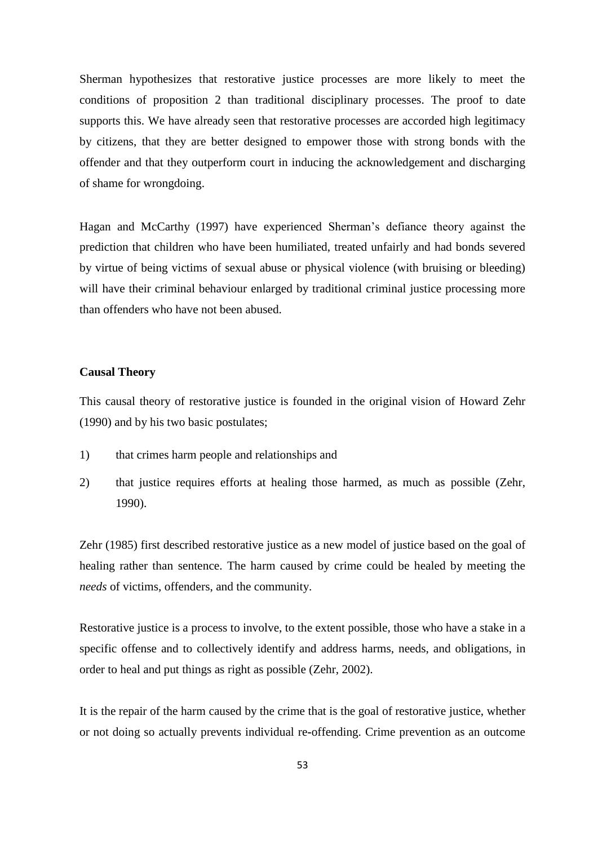Sherman hypothesizes that restorative justice processes are more likely to meet the conditions of proposition 2 than traditional disciplinary processes. The proof to date supports this. We have already seen that restorative processes are accorded high legitimacy by citizens, that they are better designed to empower those with strong bonds with the offender and that they outperform court in inducing the acknowledgement and discharging of shame for wrongdoing.

Hagan and McCarthy (1997) have experienced Sherman's defiance theory against the prediction that children who have been humiliated, treated unfairly and had bonds severed by virtue of being victims of sexual abuse or physical violence (with bruising or bleeding) will have their criminal behaviour enlarged by traditional criminal justice processing more than offenders who have not been abused.

## **Causal Theory**

This causal theory of restorative justice is founded in the original vision of Howard Zehr (1990) and by his two basic postulates;

- 1) that crimes harm people and relationships and
- 2) that justice requires efforts at healing those harmed, as much as possible (Zehr, 1990).

Zehr (1985) first described restorative justice as a new model of justice based on the goal of healing rather than sentence. The harm caused by crime could be healed by meeting the *needs* of victims, offenders, and the community.

Restorative justice is a process to involve, to the extent possible, those who have a stake in a specific offense and to collectively identify and address harms, needs, and obligations, in order to heal and put things as right as possible (Zehr, 2002).

It is the repair of the harm caused by the crime that is the goal of restorative justice, whether or not doing so actually prevents individual re**-**offending. Crime prevention as an outcome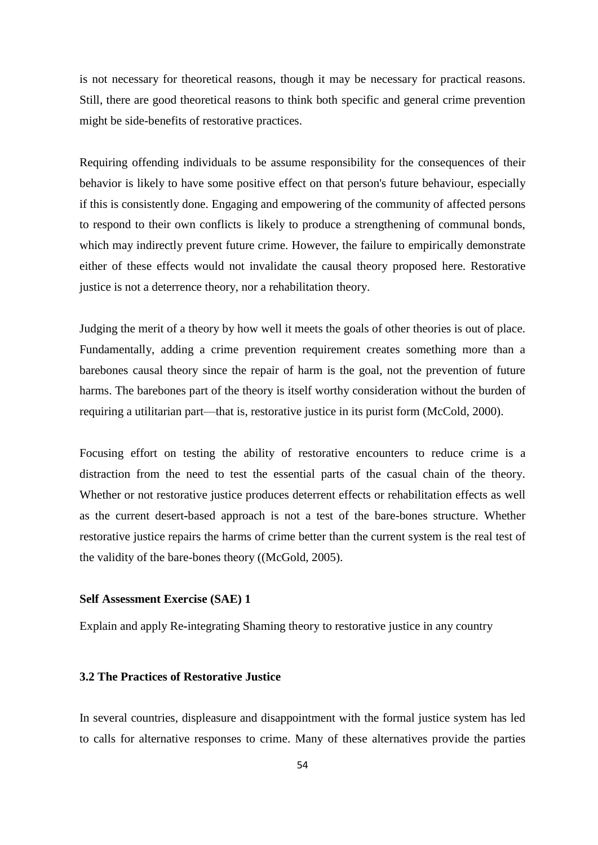is not necessary for theoretical reasons, though it may be necessary for practical reasons. Still, there are good theoretical reasons to think both specific and general crime prevention might be side-benefits of restorative practices.

Requiring offending individuals to be assume responsibility for the consequences of their behavior is likely to have some positive effect on that person's future behaviour, especially if this is consistently done. Engaging and empowering of the community of affected persons to respond to their own conflicts is likely to produce a strengthening of communal bonds, which may indirectly prevent future crime. However, the failure to empirically demonstrate either of these effects would not invalidate the causal theory proposed here. Restorative justice is not a deterrence theory, nor a rehabilitation theory.

Judging the merit of a theory by how well it meets the goals of other theories is out of place. Fundamentally, adding a crime prevention requirement creates something more than a barebones causal theory since the repair of harm is the goal, not the prevention of future harms. The barebones part of the theory is itself worthy consideration without the burden of requiring a utilitarian part—that is, restorative justice in its purist form (McCold, 2000).

Focusing effort on testing the ability of restorative encounters to reduce crime is a distraction from the need to test the essential parts of the casual chain of the theory. Whether or not restorative justice produces deterrent effects or rehabilitation effects as well as the current desert**-**based approach is not a test of the bare-bones structure. Whether restorative justice repairs the harms of crime better than the current system is the real test of the validity of the bare-bones theory ((McGold, 2005).

#### **Self Assessment Exercise (SAE) 1**

Explain and apply Re**-**integrating Shaming theory to restorative justice in any country

# **3.2 The Practices of Restorative Justice**

In several countries, displeasure and disappointment with the formal justice system has led to calls for alternative responses to crime. Many of these alternatives provide the parties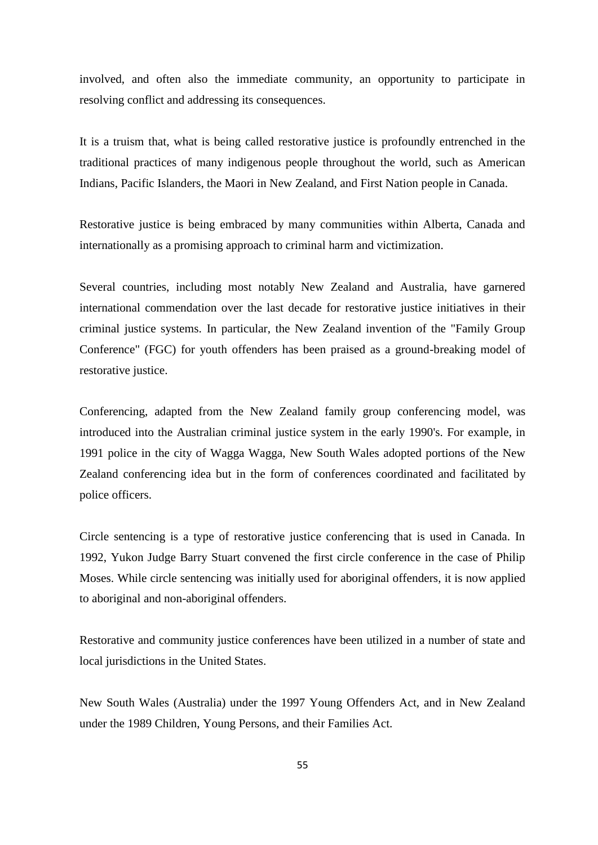involved, and often also the immediate community, an opportunity to participate in resolving conflict and addressing its consequences.

It is a truism that, what is being called restorative justice is profoundly entrenched in the traditional practices of many indigenous people throughout the world, such as American Indians, Pacific Islanders, the Maori in New Zealand, and First Nation people in Canada.

Restorative justice is being embraced by many communities within Alberta, Canada and internationally as a promising approach to criminal harm and victimization.

Several countries, including most notably New Zealand and Australia, have garnered international commendation over the last decade for restorative justice initiatives in their criminal justice systems. In particular, the New Zealand invention of the "Family Group Conference" (FGC) for youth offenders has been praised as a ground-breaking model of restorative justice.

Conferencing, adapted from the New Zealand family group conferencing model, was introduced into the Australian criminal justice system in the early 1990's. For example, in 1991 police in the city of Wagga Wagga, New South Wales adopted portions of the New Zealand conferencing idea but in the form of conferences coordinated and facilitated by police officers.

Circle sentencing is a type of restorative justice conferencing that is used in Canada. In 1992, Yukon Judge Barry Stuart convened the first circle conference in the case of Philip Moses. While circle sentencing was initially used for aboriginal offenders, it is now applied to aboriginal and non-aboriginal offenders.

Restorative and community justice conferences have been utilized in a number of state and local jurisdictions in the United States.

New South Wales (Australia) under the 1997 Young Offenders Act, and in New Zealand under the 1989 Children, Young Persons, and their Families Act.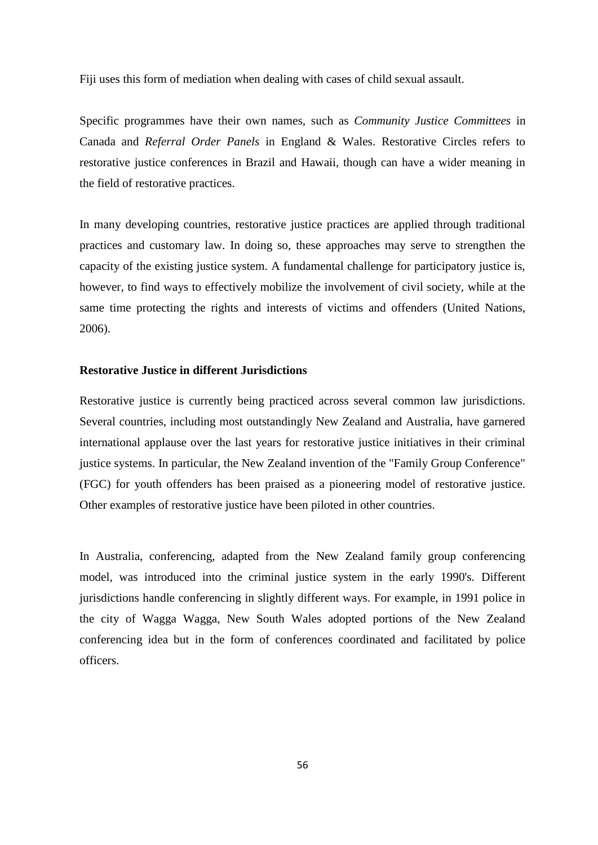Fiji uses this form of mediation when dealing with cases of child sexual assault.

Specific programmes have their own names, such as *Community Justice Committees* in Canada and *Referral Order Panels* in England & Wales. Restorative Circles refers to restorative justice conferences in Brazil and Hawaii, though can have a wider meaning in the field of restorative practices.

In many developing countries, restorative justice practices are applied through traditional practices and customary law. In doing so, these approaches may serve to strengthen the capacity of the existing justice system. A fundamental challenge for participatory justice is, however, to find ways to effectively mobilize the involvement of civil society, while at the same time protecting the rights and interests of victims and offenders (United Nations, 2006).

# **Restorative Justice in different Jurisdictions**

Restorative justice is currently being practiced across several common law jurisdictions. Several countries, including most outstandingly New Zealand and Australia, have garnered international applause over the last years for restorative justice initiatives in their criminal justice systems. In particular, the New Zealand invention of the "Family Group Conference" (FGC) for youth offenders has been praised as a pioneering model of restorative justice. Other examples of restorative justice have been piloted in other countries.

In Australia, conferencing, adapted from the New Zealand family group conferencing model, was introduced into the criminal justice system in the early 1990's. Different jurisdictions handle conferencing in slightly different ways. For example, in 1991 police in the city of Wagga Wagga, New South Wales adopted portions of the New Zealand conferencing idea but in the form of conferences coordinated and facilitated by police officers.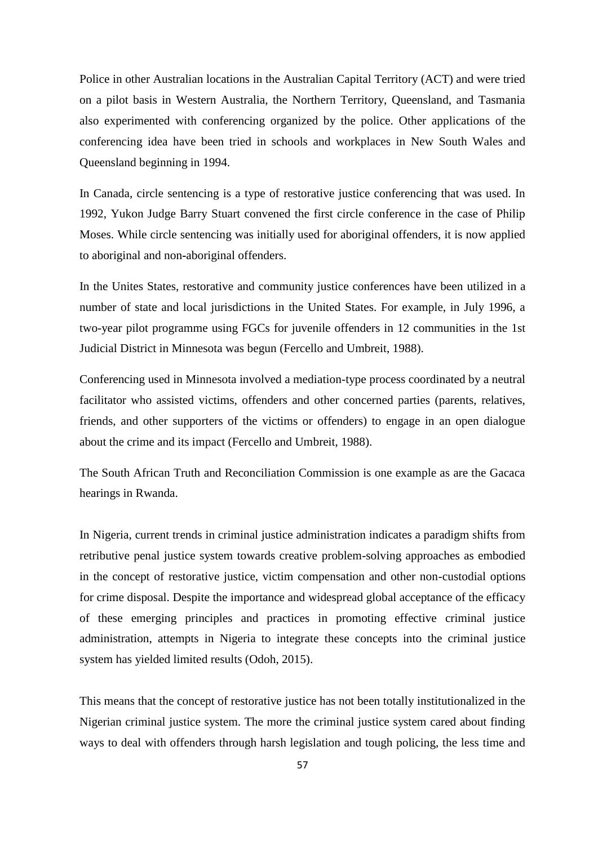Police in other Australian locations in the Australian Capital Territory (ACT) and were tried on a pilot basis in Western Australia, the Northern Territory, Queensland, and Tasmania also experimented with conferencing organized by the police. Other applications of the conferencing idea have been tried in schools and workplaces in New South Wales and Queensland beginning in 1994.

In Canada, circle sentencing is a type of restorative justice conferencing that was used. In 1992, Yukon Judge Barry Stuart convened the first circle conference in the case of Philip Moses. While circle sentencing was initially used for aboriginal offenders, it is now applied to aboriginal and non**-**aboriginal offenders.

In the Unites States, restorative and community justice conferences have been utilized in a number of state and local jurisdictions in the United States. For example, in July 1996, a two-year pilot programme using FGCs for juvenile offenders in 12 communities in the 1st Judicial District in Minnesota was begun (Fercello and Umbreit, 1988).

Conferencing used in Minnesota involved a mediation-type process coordinated by a neutral facilitator who assisted victims, offenders and other concerned parties (parents, relatives, friends, and other supporters of the victims or offenders) to engage in an open dialogue about the crime and its impact (Fercello and Umbreit, 1988).

The South African Truth and Reconciliation Commission is one example as are the Gacaca hearings in Rwanda.

In Nigeria, current trends in criminal justice administration indicates a paradigm shifts from retributive penal justice system towards creative problem-solving approaches as embodied in the concept of restorative justice, victim compensation and other non-custodial options for crime disposal. Despite the importance and widespread global acceptance of the efficacy of these emerging principles and practices in promoting effective criminal justice administration, attempts in Nigeria to integrate these concepts into the criminal justice system has yielded limited results (Odoh, 2015).

This means that the concept of restorative justice has not been totally institutionalized in the Nigerian criminal justice system. The more the criminal justice system cared about finding ways to deal with offenders through harsh legislation and tough policing, the less time and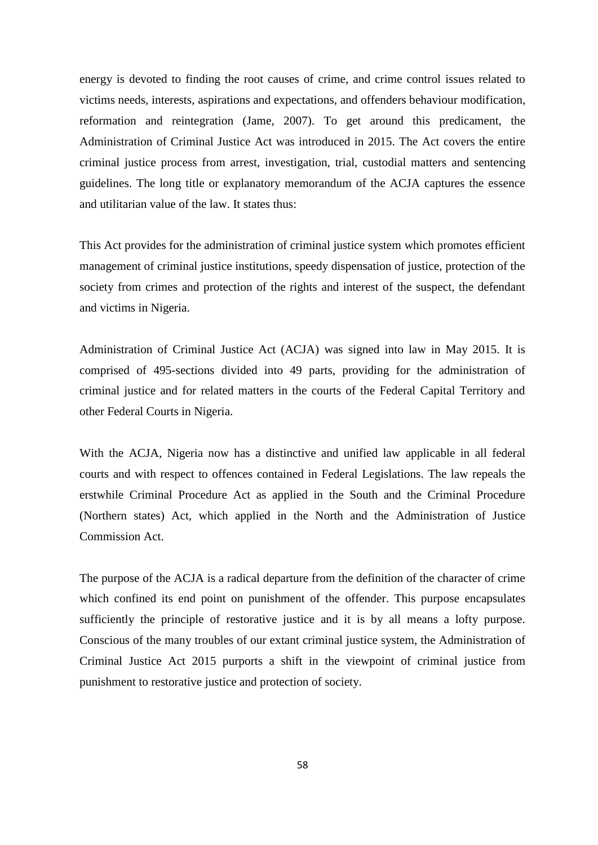energy is devoted to finding the root causes of crime, and crime control issues related to victims needs, interests, aspirations and expectations, and offenders behaviour modification, reformation and reintegration (Jame, 2007). To get around this predicament, the Administration of Criminal Justice Act was introduced in 2015. The Act covers the entire criminal justice process from arrest, investigation, trial, custodial matters and sentencing guidelines. The long title or explanatory memorandum of the ACJA captures the essence and utilitarian value of the law. It states thus:

This Act provides for the administration of criminal justice system which promotes efficient management of criminal justice institutions, speedy dispensation of justice, protection of the society from crimes and protection of the rights and interest of the suspect, the defendant and victims in Nigeria.

Administration of Criminal Justice Act (ACJA) was signed into law in May 2015. It is comprised of 495-sections divided into 49 parts, providing for the administration of criminal justice and for related matters in the courts of the Federal Capital Territory and other Federal Courts in Nigeria.

With the ACJA, Nigeria now has a distinctive and unified law applicable in all federal courts and with respect to offences contained in Federal Legislations. The law repeals the erstwhile Criminal Procedure Act as applied in the South and the Criminal Procedure (Northern states) Act, which applied in the North and the Administration of Justice Commission Act.

The purpose of the ACJA is a radical departure from the definition of the character of crime which confined its end point on punishment of the offender. This purpose encapsulates sufficiently the principle of restorative justice and it is by all means a lofty purpose. Conscious of the many troubles of our extant criminal justice system, the Administration of Criminal Justice Act 2015 purports a shift in the viewpoint of criminal justice from punishment to restorative justice and protection of society.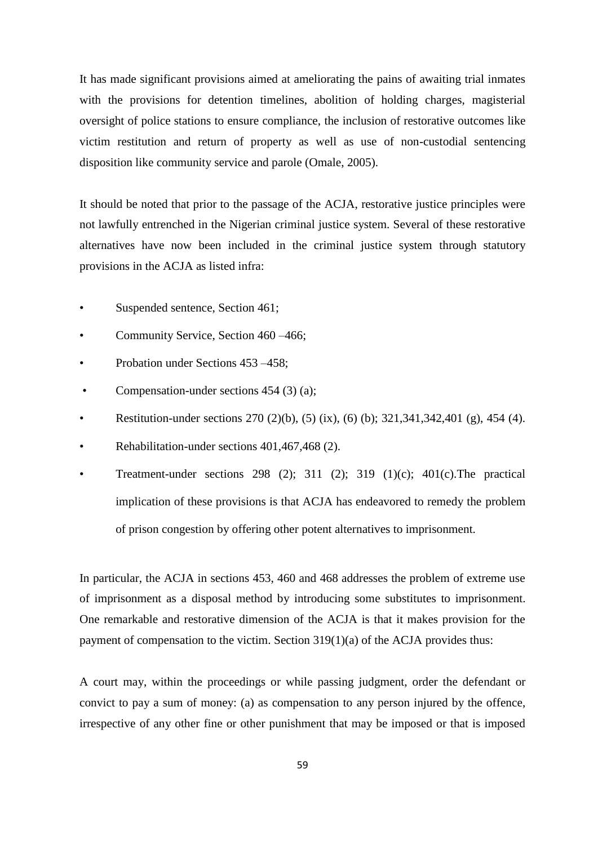It has made significant provisions aimed at ameliorating the pains of awaiting trial inmates with the provisions for detention timelines, abolition of holding charges, magisterial oversight of police stations to ensure compliance, the inclusion of restorative outcomes like victim restitution and return of property as well as use of non-custodial sentencing disposition like community service and parole (Omale, 2005).

It should be noted that prior to the passage of the ACJA, restorative justice principles were not lawfully entrenched in the Nigerian criminal justice system. Several of these restorative alternatives have now been included in the criminal justice system through statutory provisions in the ACJA as listed infra:

- Suspended sentence, Section 461;
- Community Service, Section 460 –466;
- Probation under Sections 453 –458;
- Compensation-under sections 454 (3) (a);
- Restitution-under sections 270 (2)(b), (5) (ix), (6) (b); 321,341,342,401 (g), 454 (4).
- Rehabilitation-under sections 401,467,468 (2).
- Treatment-under sections 298 (2); 311 (2); 319 (1)(c); 401(c).The practical implication of these provisions is that ACJA has endeavored to remedy the problem of prison congestion by offering other potent alternatives to imprisonment.

In particular, the ACJA in sections 453, 460 and 468 addresses the problem of extreme use of imprisonment as a disposal method by introducing some substitutes to imprisonment. One remarkable and restorative dimension of the ACJA is that it makes provision for the payment of compensation to the victim. Section 319(1)(a) of the ACJA provides thus:

A court may, within the proceedings or while passing judgment, order the defendant or convict to pay a sum of money: (a) as compensation to any person injured by the offence, irrespective of any other fine or other punishment that may be imposed or that is imposed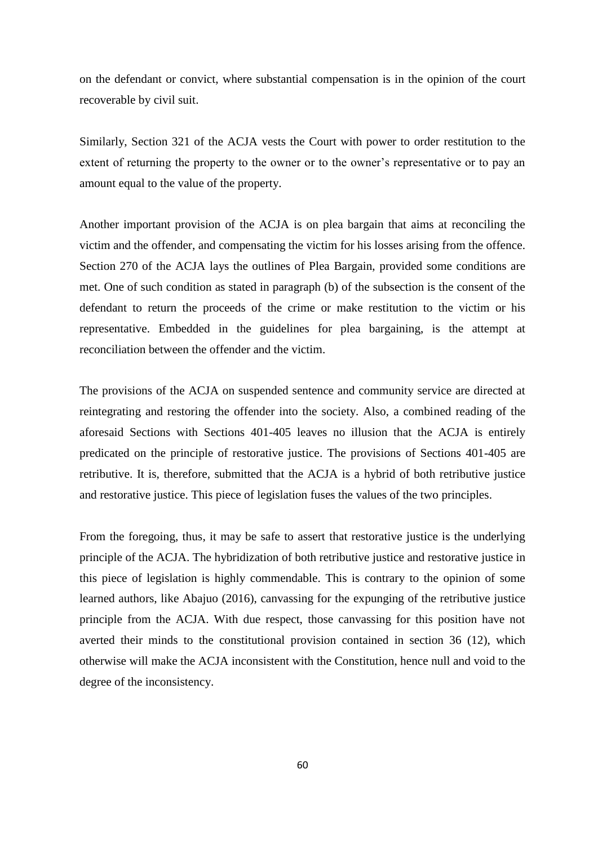on the defendant or convict, where substantial compensation is in the opinion of the court recoverable by civil suit.

Similarly, Section 321 of the ACJA vests the Court with power to order restitution to the extent of returning the property to the owner or to the owner's representative or to pay an amount equal to the value of the property.

Another important provision of the ACJA is on plea bargain that aims at reconciling the victim and the offender, and compensating the victim for his losses arising from the offence. Section 270 of the ACJA lays the outlines of Plea Bargain, provided some conditions are met. One of such condition as stated in paragraph (b) of the subsection is the consent of the defendant to return the proceeds of the crime or make restitution to the victim or his representative. Embedded in the guidelines for plea bargaining, is the attempt at reconciliation between the offender and the victim.

The provisions of the ACJA on suspended sentence and community service are directed at reintegrating and restoring the offender into the society. Also, a combined reading of the aforesaid Sections with Sections 401-405 leaves no illusion that the ACJA is entirely predicated on the principle of restorative justice. The provisions of Sections 401-405 are retributive. It is, therefore, submitted that the ACJA is a hybrid of both retributive justice and restorative justice. This piece of legislation fuses the values of the two principles.

From the foregoing, thus, it may be safe to assert that restorative justice is the underlying principle of the ACJA. The hybridization of both retributive justice and restorative justice in this piece of legislation is highly commendable. This is contrary to the opinion of some learned authors, like Abajuo (2016), canvassing for the expunging of the retributive justice principle from the ACJA. With due respect, those canvassing for this position have not averted their minds to the constitutional provision contained in section 36 (12), which otherwise will make the ACJA inconsistent with the Constitution, hence null and void to the degree of the inconsistency.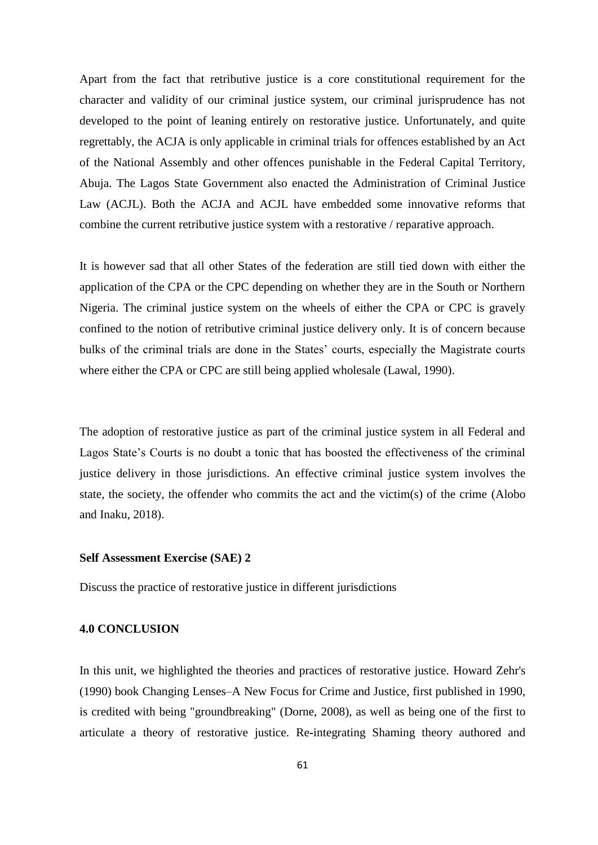Apart from the fact that retributive justice is a core constitutional requirement for the character and validity of our criminal justice system, our criminal jurisprudence has not developed to the point of leaning entirely on restorative justice. Unfortunately, and quite regrettably, the ACJA is only applicable in criminal trials for offences established by an Act of the National Assembly and other offences punishable in the Federal Capital Territory, Abuja. The Lagos State Government also enacted the Administration of Criminal Justice Law (ACJL). Both the ACJA and ACJL have embedded some innovative reforms that combine the current retributive justice system with a restorative / reparative approach.

It is however sad that all other States of the federation are still tied down with either the application of the CPA or the CPC depending on whether they are in the South or Northern Nigeria. The criminal justice system on the wheels of either the CPA or CPC is gravely confined to the notion of retributive criminal justice delivery only. It is of concern because bulks of the criminal trials are done in the States' courts, especially the Magistrate courts where either the CPA or CPC are still being applied wholesale (Lawal, 1990).

The adoption of restorative justice as part of the criminal justice system in all Federal and Lagos State's Courts is no doubt a tonic that has boosted the effectiveness of the criminal justice delivery in those jurisdictions. An effective criminal justice system involves the state, the society, the offender who commits the act and the victim(s) of the crime (Alobo and Inaku, 2018).

#### **Self Assessment Exercise (SAE) 2**

Discuss the practice of restorative justice in different jurisdictions

#### **4.0 CONCLUSION**

In this unit, we highlighted the theories and practices of restorative justice. Howard Zehr's (1990) book Changing Lenses–A New Focus for Crime and Justice, first published in 1990, is credited with being "groundbreaking" (Dorne, 2008), as well as being one of the first to articulate a theory of restorative justice. Re**-**integrating Shaming theory authored and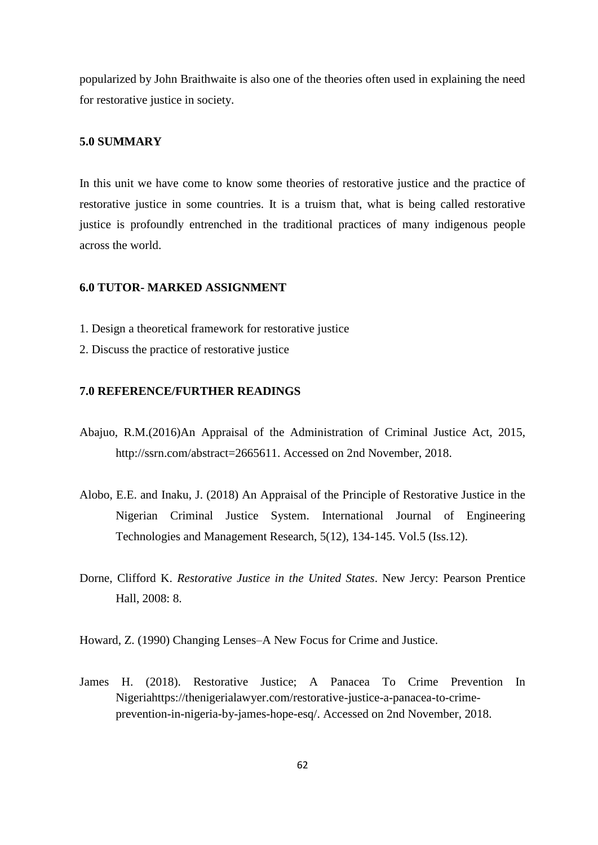popularized by John Braithwaite is also one of the theories often used in explaining the need for restorative justice in society.

# **5.0 SUMMARY**

In this unit we have come to know some theories of restorative justice and the practice of restorative justice in some countries. It is a truism that, what is being called restorative justice is profoundly entrenched in the traditional practices of many indigenous people across the world.

#### **6.0 TUTOR- MARKED ASSIGNMENT**

- 1. Design a theoretical framework for restorative justice
- 2. Discuss the practice of restorative justice

## **7.0 REFERENCE/FURTHER READINGS**

- Abajuo, R.M.(2016)An Appraisal of the Administration of Criminal Justice Act, 2015, http://ssrn.com/abstract=2665611. Accessed on 2nd November, 2018.
- Alobo, E.E. and Inaku, J. (2018) An Appraisal of the Principle of Restorative Justice in the Nigerian Criminal Justice System. International Journal of Engineering Technologies and Management Research, 5(12), 134-145. Vol.5 (Iss.12).
- Dorne, Clifford K. *Restorative Justice in the United States*. New Jercy: Pearson Prentice Hall, 2008: 8.
- Howard, Z. (1990) Changing Lenses–A New Focus for Crime and Justice.
- James H. (2018). Restorative Justice; A Panacea To Crime Prevention In Nigeriahttps://thenigerialawyer.com/restorative-justice-a-panacea-to-crimeprevention-in-nigeria-by-james-hope-esq/. Accessed on 2nd November, 2018.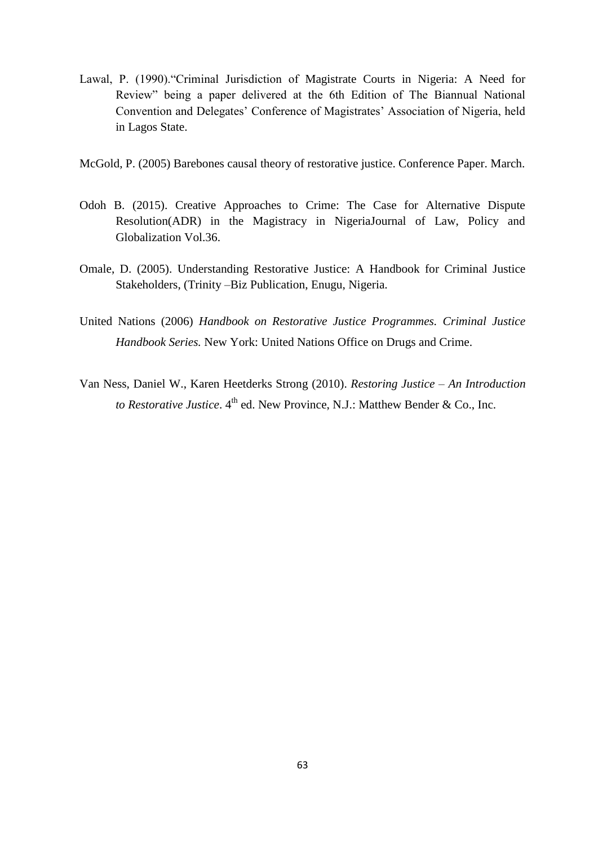- Lawal, P. (1990). "Criminal Jurisdiction of Magistrate Courts in Nigeria: A Need for Review" being a paper delivered at the 6th Edition of The Biannual National Convention and Delegates' Conference of Magistrates' Association of Nigeria, held in Lagos State.
- McGold, P. (2005) Barebones causal theory of restorative justice. Conference Paper. March.
- Odoh B. (2015). Creative Approaches to Crime: The Case for Alternative Dispute Resolution(ADR) in the Magistracy in NigeriaJournal of Law, Policy and Globalization Vol.36.
- Omale, D. (2005). Understanding Restorative Justice: A Handbook for Criminal Justice Stakeholders, (Trinity –Biz Publication, Enugu, Nigeria.
- United Nations (2006) *Handbook on Restorative Justice Programmes. Criminal Justice Handbook Series.* New York: United Nations Office on Drugs and Crime.
- Van Ness, Daniel W., Karen Heetderks Strong (2010). *Restoring Justice – An Introduction*  to Restorative Justice. 4<sup>th</sup> ed. New Province, N.J.: Matthew Bender & Co., Inc.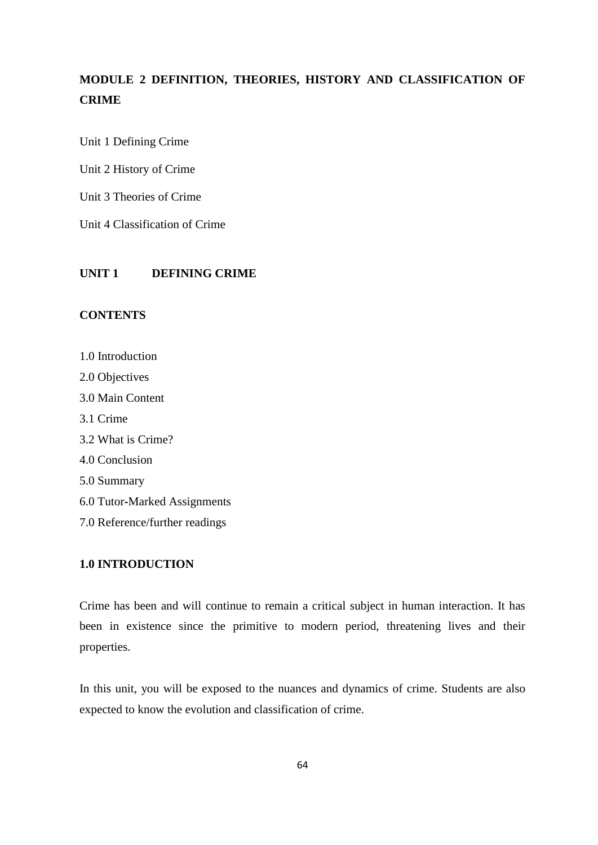# **MODULE 2 DEFINITION, THEORIES, HISTORY AND CLASSIFICATION OF CRIME**

Unit 1 Defining Crime

Unit 2 History of Crime

Unit 3 Theories of Crime

Unit 4 Classification of Crime

# **UNIT 1 DEFINING CRIME**

# **CONTENTS**

- 1.0 Introduction 2.0 Objectives 3.0 Main Content 3.1 Crime 3.2 What is Crime? 4.0 Conclusion 5.0 Summary 6.0 Tutor**-**Marked Assignments
- 7.0 Reference/further readings

# **1.0 INTRODUCTION**

Crime has been and will continue to remain a critical subject in human interaction. It has been in existence since the primitive to modern period, threatening lives and their properties.

In this unit, you will be exposed to the nuances and dynamics of crime. Students are also expected to know the evolution and classification of crime.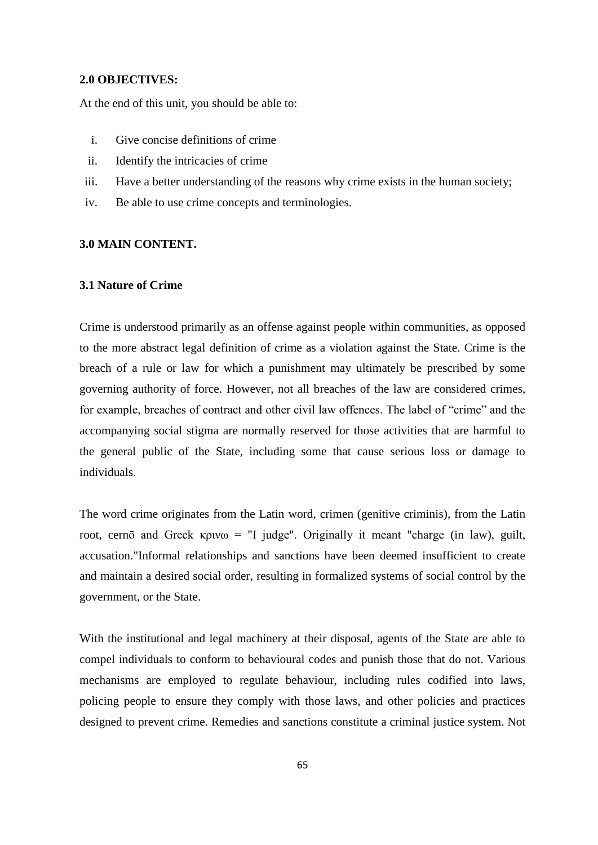#### **2.0 OBJECTIVES:**

At the end of this unit, you should be able to:

- i. Give concise definitions of crime
- ii. Identify the intricacies of crime
- iii. Have a better understanding of the reasons why crime exists in the human society;
- iv. Be able to use crime concepts and terminologies.

## **3.0 MAIN CONTENT.**

# **3.1 Nature of Crime**

Crime is understood primarily as an offense against people within communities, as opposed to the more abstract legal definition of crime as a violation against the State. Crime is the breach of a rule or law for which a punishment may ultimately be prescribed by some governing authority of force. However, not all breaches of the law are considered crimes, for example, breaches of contract and other civil law offences. The label of "crime" and the accompanying social stigma are normally reserved for those activities that are harmful to the general public of the State, including some that cause serious loss or damage to individuals.

The word crime originates from the Latin word, crimen (genitive criminis), from the Latin root, cernō and Greek κρινω = "I judge". Originally it meant "charge (in law), guilt, accusation."Informal relationships and sanctions have been deemed insufficient to create and maintain a desired social order, resulting in formalized systems of social control by the government, or the State.

With the institutional and legal machinery at their disposal, agents of the State are able to compel individuals to conform to behavioural codes and punish those that do not. Various mechanisms are employed to regulate behaviour, including rules codified into laws, policing people to ensure they comply with those laws, and other policies and practices designed to prevent crime. Remedies and sanctions constitute a criminal justice system. Not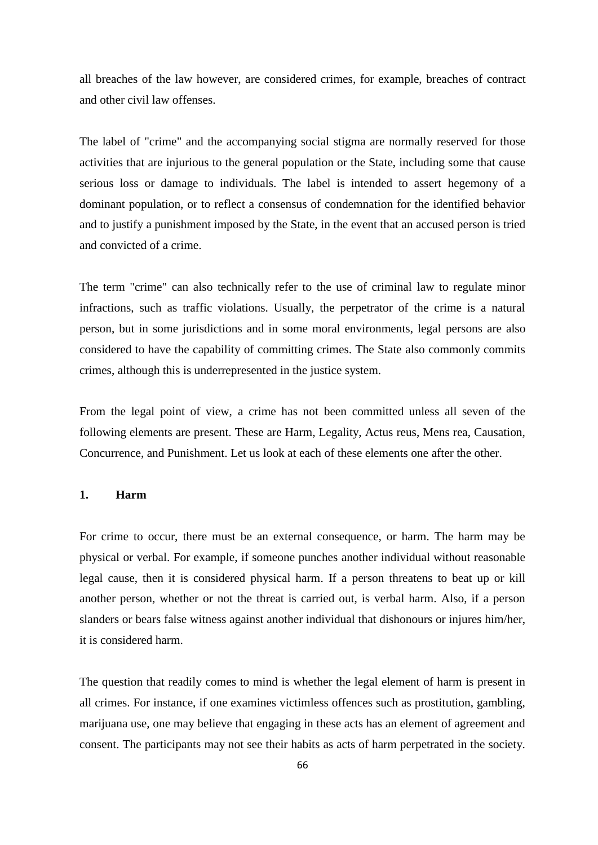all breaches of the law however, are considered crimes, for example, breaches of contract and other civil law offenses.

The label of "crime" and the accompanying social stigma are normally reserved for those activities that are injurious to the general population or the State, including some that cause serious loss or damage to individuals. The label is intended to assert hegemony of a dominant population, or to reflect a consensus of condemnation for the identified behavior and to justify a punishment imposed by the State, in the event that an accused person is tried and convicted of a crime.

The term "crime" can also technically refer to the use of criminal law to regulate minor infractions, such as traffic violations. Usually, the perpetrator of the crime is a natural person, but in some jurisdictions and in some moral environments, legal persons are also considered to have the capability of committing crimes. The State also commonly commits crimes, although this is underrepresented in the justice system.

From the legal point of view, a crime has not been committed unless all seven of the following elements are present. These are Harm, Legality, Actus reus, Mens rea, Causation, Concurrence, and Punishment. Let us look at each of these elements one after the other.

# **1. Harm**

For crime to occur, there must be an external consequence, or harm. The harm may be physical or verbal. For example, if someone punches another individual without reasonable legal cause, then it is considered physical harm. If a person threatens to beat up or kill another person, whether or not the threat is carried out, is verbal harm. Also, if a person slanders or bears false witness against another individual that dishonours or injures him/her, it is considered harm.

The question that readily comes to mind is whether the legal element of harm is present in all crimes. For instance, if one examines victimless offences such as prostitution, gambling, marijuana use, one may believe that engaging in these acts has an element of agreement and consent. The participants may not see their habits as acts of harm perpetrated in the society.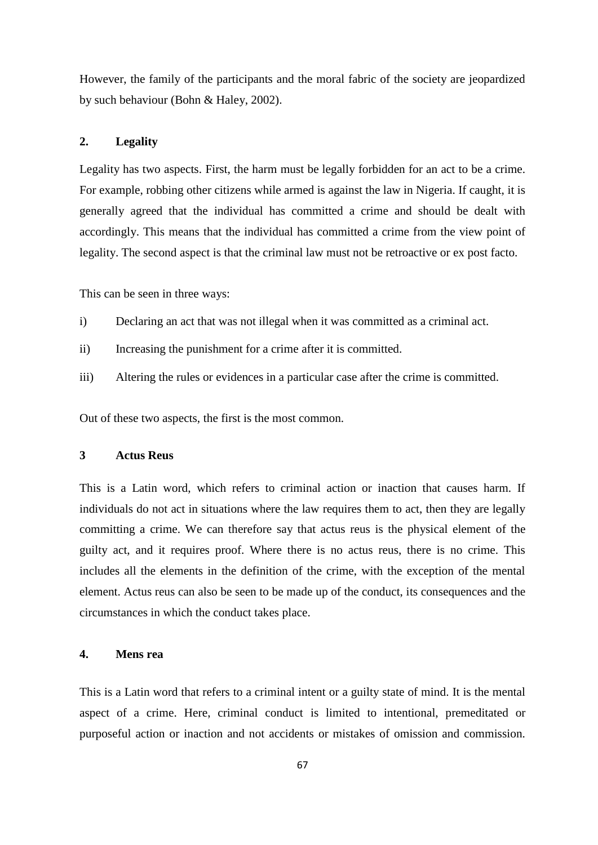However, the family of the participants and the moral fabric of the society are jeopardized by such behaviour (Bohn & Haley, 2002).

# **2. Legality**

Legality has two aspects. First, the harm must be legally forbidden for an act to be a crime. For example, robbing other citizens while armed is against the law in Nigeria. If caught, it is generally agreed that the individual has committed a crime and should be dealt with accordingly. This means that the individual has committed a crime from the view point of legality. The second aspect is that the criminal law must not be retroactive or ex post facto.

This can be seen in three ways:

- i) Declaring an act that was not illegal when it was committed as a criminal act.
- ii) Increasing the punishment for a crime after it is committed.
- iii) Altering the rules or evidences in a particular case after the crime is committed.

Out of these two aspects, the first is the most common.

# **3 Actus Reus**

This is a Latin word, which refers to criminal action or inaction that causes harm. If individuals do not act in situations where the law requires them to act, then they are legally committing a crime. We can therefore say that actus reus is the physical element of the guilty act, and it requires proof. Where there is no actus reus, there is no crime. This includes all the elements in the definition of the crime, with the exception of the mental element. Actus reus can also be seen to be made up of the conduct, its consequences and the circumstances in which the conduct takes place.

# **4. Mens rea**

This is a Latin word that refers to a criminal intent or a guilty state of mind. It is the mental aspect of a crime. Here, criminal conduct is limited to intentional, premeditated or purposeful action or inaction and not accidents or mistakes of omission and commission.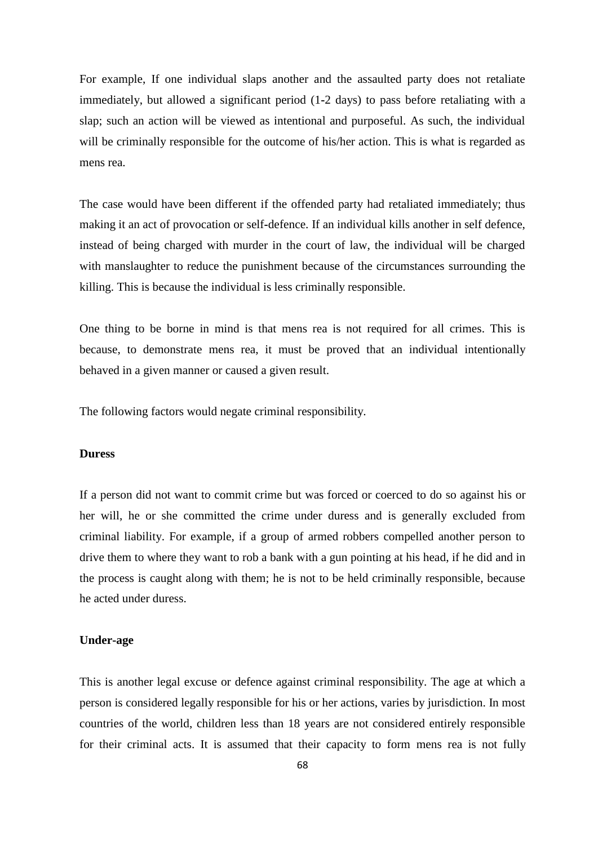For example, If one individual slaps another and the assaulted party does not retaliate immediately, but allowed a significant period (1**-**2 days) to pass before retaliating with a slap; such an action will be viewed as intentional and purposeful. As such, the individual will be criminally responsible for the outcome of his/her action. This is what is regarded as mens rea.

The case would have been different if the offended party had retaliated immediately; thus making it an act of provocation or self**-**defence. If an individual kills another in self defence, instead of being charged with murder in the court of law, the individual will be charged with manslaughter to reduce the punishment because of the circumstances surrounding the killing. This is because the individual is less criminally responsible.

One thing to be borne in mind is that mens rea is not required for all crimes. This is because, to demonstrate mens rea, it must be proved that an individual intentionally behaved in a given manner or caused a given result.

The following factors would negate criminal responsibility.

#### **Duress**

If a person did not want to commit crime but was forced or coerced to do so against his or her will, he or she committed the crime under duress and is generally excluded from criminal liability. For example, if a group of armed robbers compelled another person to drive them to where they want to rob a bank with a gun pointing at his head, if he did and in the process is caught along with them; he is not to be held criminally responsible, because he acted under duress.

## **Under-age**

This is another legal excuse or defence against criminal responsibility. The age at which a person is considered legally responsible for his or her actions, varies by jurisdiction. In most countries of the world, children less than 18 years are not considered entirely responsible for their criminal acts. It is assumed that their capacity to form mens rea is not fully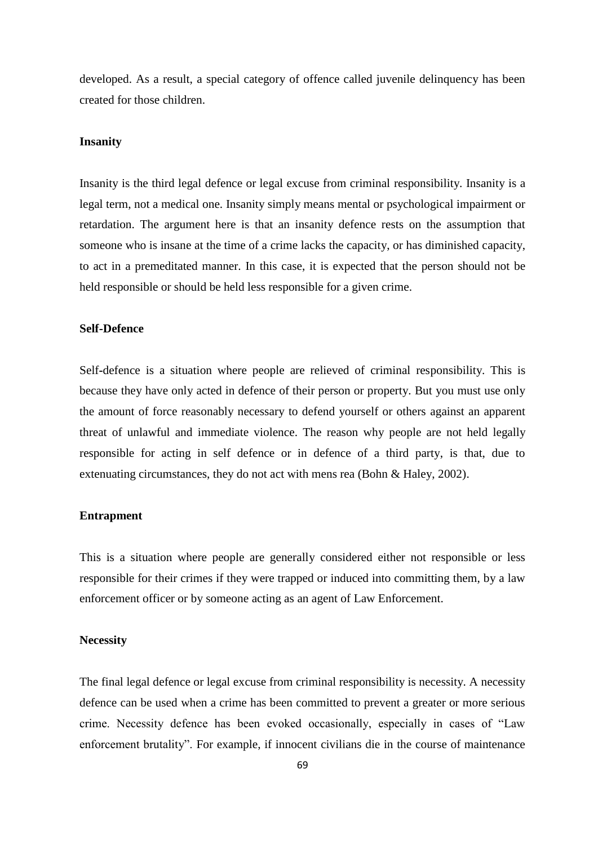developed. As a result, a special category of offence called juvenile delinquency has been created for those children.

## **Insanity**

Insanity is the third legal defence or legal excuse from criminal responsibility. Insanity is a legal term, not a medical one. Insanity simply means mental or psychological impairment or retardation. The argument here is that an insanity defence rests on the assumption that someone who is insane at the time of a crime lacks the capacity, or has diminished capacity, to act in a premeditated manner. In this case, it is expected that the person should not be held responsible or should be held less responsible for a given crime.

## **Self-Defence**

Self**-**defence is a situation where people are relieved of criminal responsibility. This is because they have only acted in defence of their person or property. But you must use only the amount of force reasonably necessary to defend yourself or others against an apparent threat of unlawful and immediate violence. The reason why people are not held legally responsible for acting in self defence or in defence of a third party, is that, due to extenuating circumstances, they do not act with mens rea (Bohn & Haley, 2002).

## **Entrapment**

This is a situation where people are generally considered either not responsible or less responsible for their crimes if they were trapped or induced into committing them, by a law enforcement officer or by someone acting as an agent of Law Enforcement.

#### **Necessity**

The final legal defence or legal excuse from criminal responsibility is necessity. A necessity defence can be used when a crime has been committed to prevent a greater or more serious crime. Necessity defence has been evoked occasionally, especially in cases of "Law enforcement brutality". For example, if innocent civilians die in the course of maintenance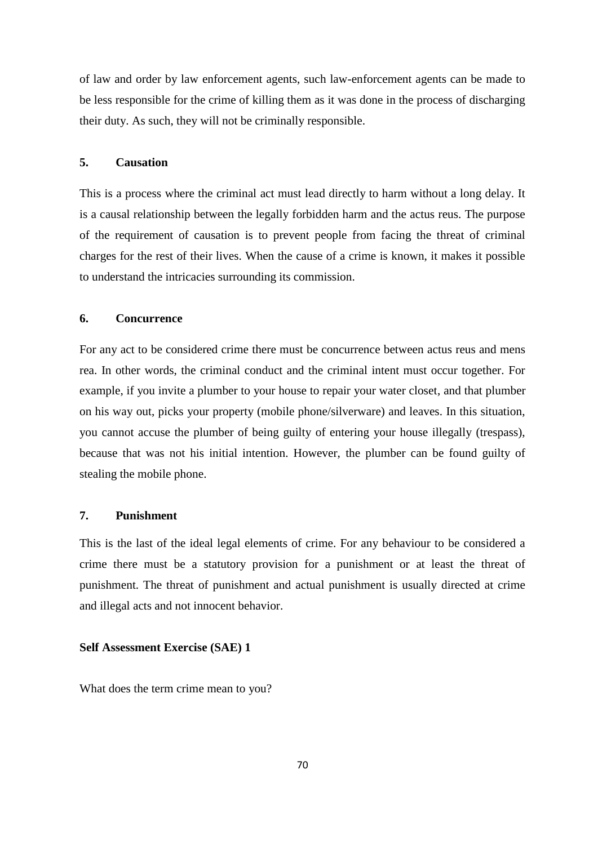of law and order by law enforcement agents, such law-enforcement agents can be made to be less responsible for the crime of killing them as it was done in the process of discharging their duty. As such, they will not be criminally responsible.

## **5. Causation**

This is a process where the criminal act must lead directly to harm without a long delay. It is a causal relationship between the legally forbidden harm and the actus reus. The purpose of the requirement of causation is to prevent people from facing the threat of criminal charges for the rest of their lives. When the cause of a crime is known, it makes it possible to understand the intricacies surrounding its commission.

#### **6. Concurrence**

For any act to be considered crime there must be concurrence between actus reus and mens rea. In other words, the criminal conduct and the criminal intent must occur together. For example, if you invite a plumber to your house to repair your water closet, and that plumber on his way out, picks your property (mobile phone/silverware) and leaves. In this situation, you cannot accuse the plumber of being guilty of entering your house illegally (trespass), because that was not his initial intention. However, the plumber can be found guilty of stealing the mobile phone.

#### **7. Punishment**

This is the last of the ideal legal elements of crime. For any behaviour to be considered a crime there must be a statutory provision for a punishment or at least the threat of punishment. The threat of punishment and actual punishment is usually directed at crime and illegal acts and not innocent behavior.

#### **Self Assessment Exercise (SAE) 1**

What does the term crime mean to you?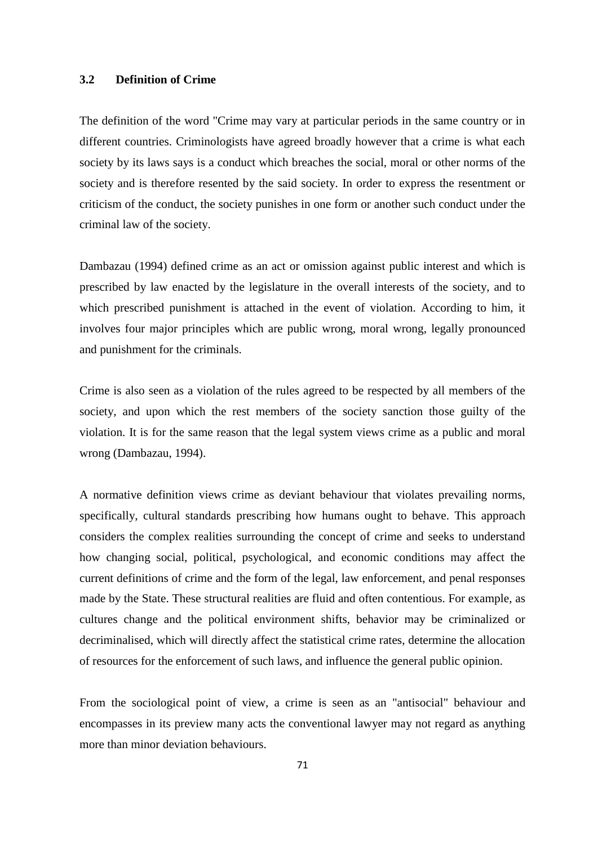#### **3.2 Definition of Crime**

The definition of the word "Crime may vary at particular periods in the same country or in different countries. Criminologists have agreed broadly however that a crime is what each society by its laws says is a conduct which breaches the social, moral or other norms of the society and is therefore resented by the said society. In order to express the resentment or criticism of the conduct, the society punishes in one form or another such conduct under the criminal law of the society.

Dambazau (1994) defined crime as an act or omission against public interest and which is prescribed by law enacted by the legislature in the overall interests of the society, and to which prescribed punishment is attached in the event of violation. According to him, it involves four major principles which are public wrong, moral wrong, legally pronounced and punishment for the criminals.

Crime is also seen as a violation of the rules agreed to be respected by all members of the society, and upon which the rest members of the society sanction those guilty of the violation. It is for the same reason that the legal system views crime as a public and moral wrong (Dambazau, 1994).

A normative definition views crime as deviant behaviour that violates prevailing norms, specifically, cultural standards prescribing how humans ought to behave. This approach considers the complex realities surrounding the concept of crime and seeks to understand how changing social, political, psychological, and economic conditions may affect the current definitions of crime and the form of the legal, law enforcement, and penal responses made by the State. These structural realities are fluid and often contentious. For example, as cultures change and the political environment shifts, behavior may be criminalized or decriminalised, which will directly affect the statistical crime rates, determine the allocation of resources for the enforcement of such laws, and influence the general public opinion.

From the sociological point of view, a crime is seen as an "antisocial" behaviour and encompasses in its preview many acts the conventional lawyer may not regard as anything more than minor deviation behaviours.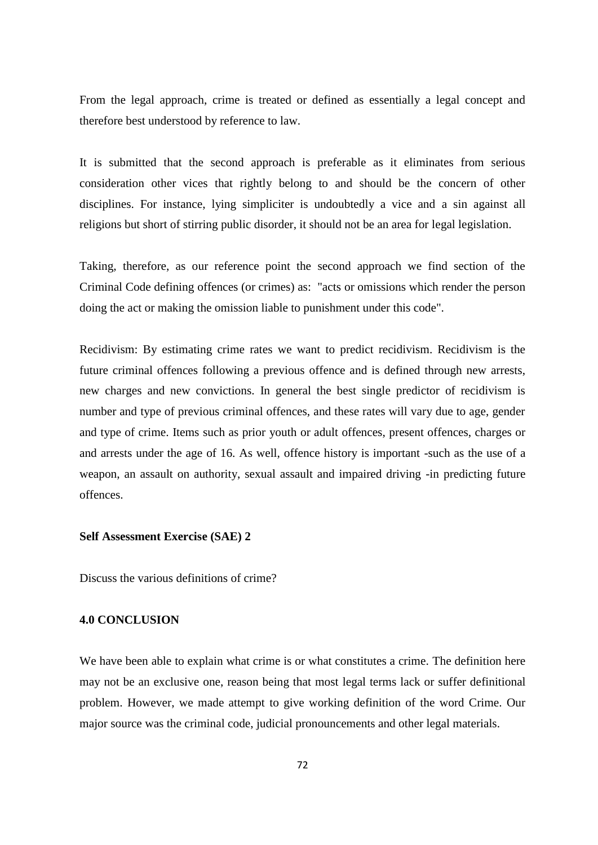From the legal approach, crime is treated or defined as essentially a legal concept and therefore best understood by reference to law.

It is submitted that the second approach is preferable as it eliminates from serious consideration other vices that rightly belong to and should be the concern of other disciplines. For instance, lying simpliciter is undoubtedly a vice and a sin against all religions but short of stirring public disorder, it should not be an area for legal legislation.

Taking, therefore, as our reference point the second approach we find section of the Criminal Code defining offences (or crimes) as: "acts or omissions which render the person doing the act or making the omission liable to punishment under this code".

Recidivism: By estimating crime rates we want to predict recidivism. Recidivism is the future criminal offences following a previous offence and is defined through new arrests, new charges and new convictions. In general the best single predictor of recidivism is number and type of previous criminal offences, and these rates will vary due to age, gender and type of crime. Items such as prior youth or adult offences, present offences, charges or and arrests under the age of 16. As well, offence history is important -such as the use of a weapon, an assault on authority, sexual assault and impaired driving -in predicting future offences.

#### **Self Assessment Exercise (SAE) 2**

Discuss the various definitions of crime?

#### **4.0 CONCLUSION**

We have been able to explain what crime is or what constitutes a crime. The definition here may not be an exclusive one, reason being that most legal terms lack or suffer definitional problem. However, we made attempt to give working definition of the word Crime. Our major source was the criminal code, judicial pronouncements and other legal materials.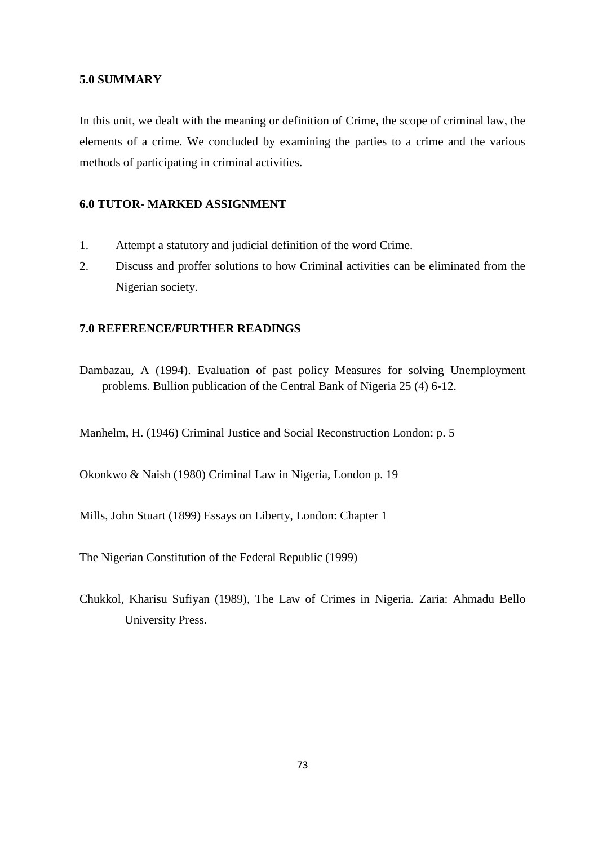### **5.0 SUMMARY**

In this unit, we dealt with the meaning or definition of Crime, the scope of criminal law, the elements of a crime. We concluded by examining the parties to a crime and the various methods of participating in criminal activities.

## **6.0 TUTOR- MARKED ASSIGNMENT**

- 1. Attempt a statutory and judicial definition of the word Crime.
- 2. Discuss and proffer solutions to how Criminal activities can be eliminated from the Nigerian society.

## **7.0 REFERENCE/FURTHER READINGS**

Dambazau, A (1994). Evaluation of past policy Measures for solving Unemployment problems. Bullion publication of the Central Bank of Nigeria 25 (4) 6-12.

Manhelm, H. (1946) Criminal Justice and Social Reconstruction London: p. 5

Okonkwo & Naish (1980) Criminal Law in Nigeria, London p. 19

Mills, John Stuart (1899) Essays on Liberty, London: Chapter 1

The Nigerian Constitution of the Federal Republic (1999)

Chukkol, Kharisu Sufiyan (1989), The Law of Crimes in Nigeria. Zaria: Ahmadu Bello University Press.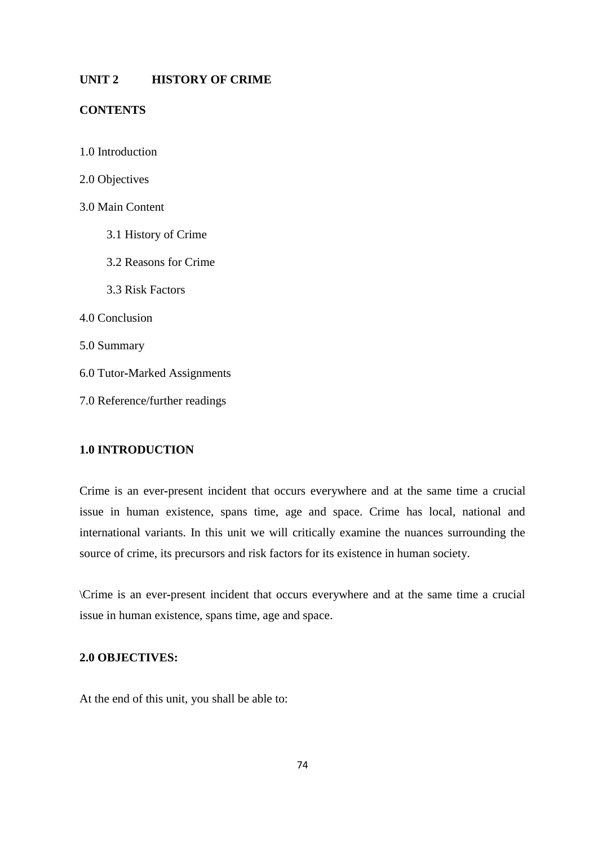### **UNIT 2 HISTORY OF CRIME**

### **CONTENTS**

- 1.0 Introduction
- 2.0 Objectives
- 3.0 Main Content
	- 3.1 History of Crime
	- 3.2 Reasons for Crime
	- 3.3 Risk Factors
- 4.0 Conclusion
- 5.0 Summary
- 6.0 Tutor**-**Marked Assignments
- 7.0 Reference/further readings

## **1.0 INTRODUCTION**

Crime is an ever**-**present incident that occurs everywhere and at the same time a crucial issue in human existence, spans time, age and space. Crime has local, national and international variants. In this unit we will critically examine the nuances surrounding the source of crime, its precursors and risk factors for its existence in human society.

\Crime is an ever**-**present incident that occurs everywhere and at the same time a crucial issue in human existence, spans time, age and space.

## **2.0 OBJECTIVES:**

At the end of this unit, you shall be able to: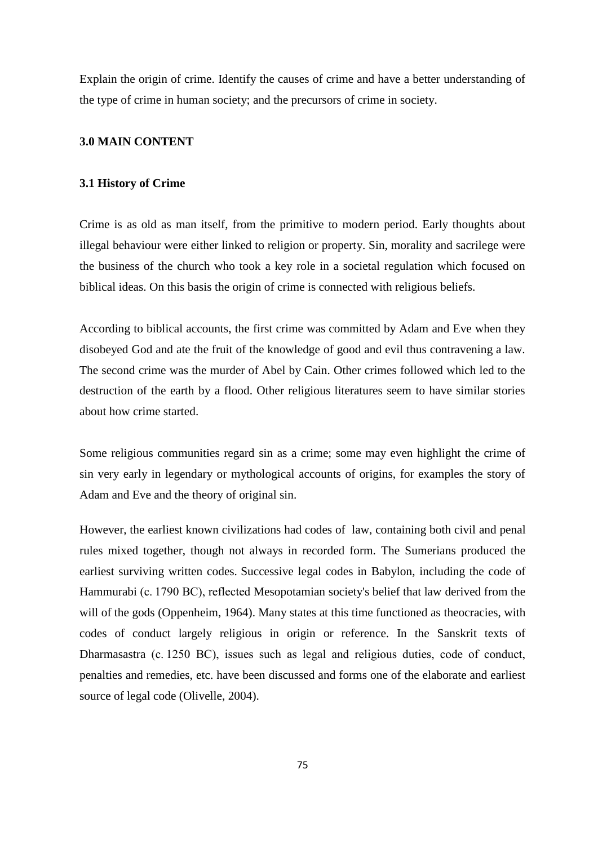Explain the origin of crime. Identify the causes of crime and have a better understanding of the type of crime in human society; and the precursors of crime in society.

## **3.0 MAIN CONTENT**

#### **3.1 History of Crime**

Crime is as old as man itself, from the primitive to modern period. Early thoughts about illegal behaviour were either linked to religion or property. Sin, morality and sacrilege were the business of the church who took a key role in a societal regulation which focused on biblical ideas. On this basis the origin of crime is connected with religious beliefs.

According to biblical accounts, the first crime was committed by Adam and Eve when they disobeyed God and ate the fruit of the knowledge of good and evil thus contravening a law. The second crime was the murder of Abel by Cain. Other crimes followed which led to the destruction of the earth by a flood. Other religious literatures seem to have similar stories about how crime started.

Some religious communities regard sin as a crime; some may even highlight the crime of sin very early in legendary or mythological accounts of origins, for examples the story of Adam and Eve and the theory of original sin.

However, the earliest known civilizations had codes of law, containing both civil and penal rules mixed together, though not always in recorded form. The Sumerians produced the earliest surviving written codes. Successive legal codes in Babylon, including the code of Hammurabi (c. 1790 BC), reflected Mesopotamian society's belief that law derived from the will of the gods (Oppenheim, 1964). Many states at this time functioned as theocracies, with codes of conduct largely religious in origin or reference. In the Sanskrit texts of Dharmasastra (c. 1250 BC), issues such as legal and religious duties, code of conduct, penalties and remedies, etc. have been discussed and forms one of the elaborate and earliest source of legal code (Olivelle, 2004).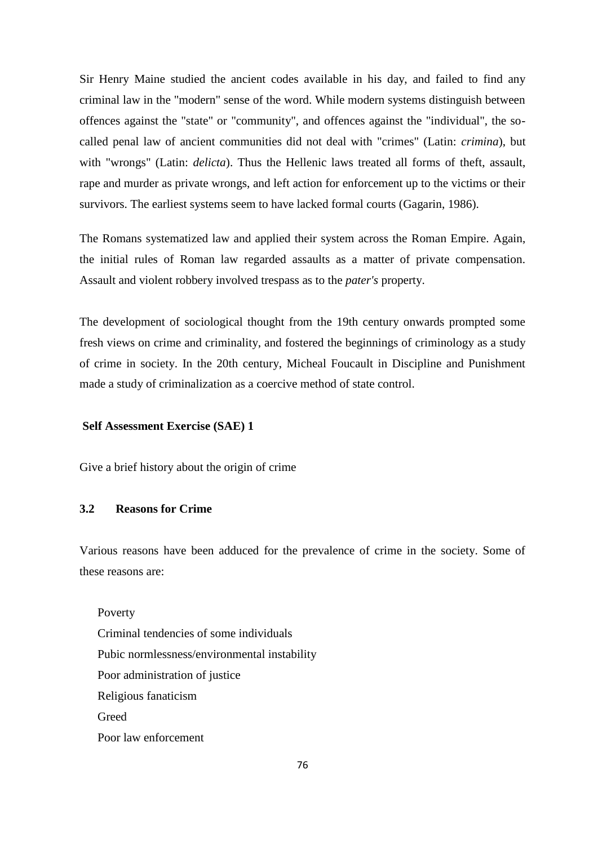Sir Henry Maine studied the ancient codes available in his day, and failed to find any criminal law in the "modern" sense of the word. While modern systems distinguish between offences against the "state" or "community", and offences against the "individual", the socalled penal law of ancient communities did not deal with "crimes" (Latin: *crimina*), but with "wrongs" (Latin: *delicta*). Thus the Hellenic laws treated all forms of theft, assault, rape and murder as private wrongs, and left action for enforcement up to the victims or their survivors. The earliest systems seem to have lacked formal courts (Gagarin, 1986).

The Romans systematized law and applied their system across the Roman Empire. Again, the initial rules of Roman law regarded assaults as a matter of private compensation. Assault and violent robbery involved trespass as to the *pater's* property.

The development of sociological thought from the 19th century onwards prompted some fresh views on crime and criminality, and fostered the beginnings of criminology as a study of crime in society. In the 20th century, Micheal Foucault in Discipline and Punishment made a study of criminalization as a coercive method of state control.

### **Self Assessment Exercise (SAE) 1**

Give a brief history about the origin of crime

#### **3.2 Reasons for Crime**

Various reasons have been adduced for the prevalence of crime in the society. Some of these reasons are:

Poverty Criminal tendencies of some individuals Pubic normlessness/environmental instability Poor administration of justice Religious fanaticism **Greed** Poor law enforcement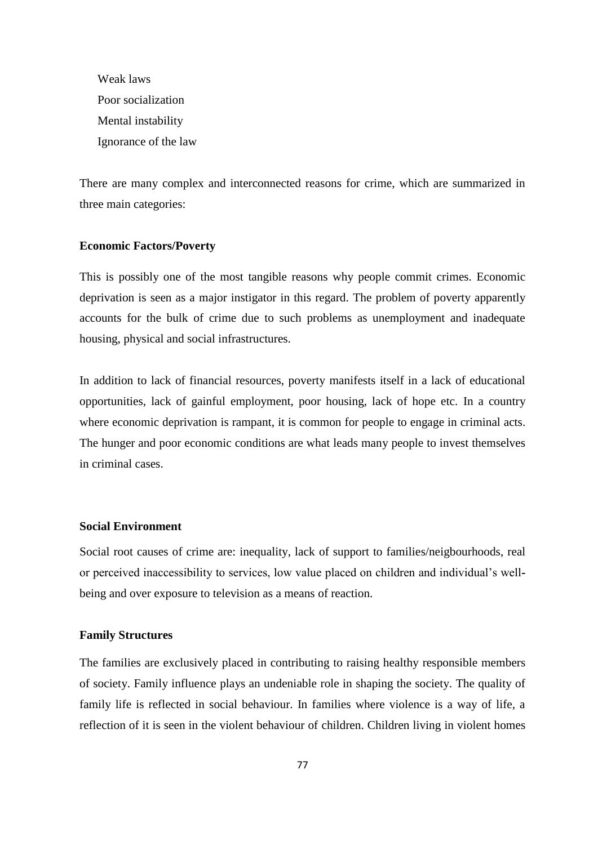Weak laws Poor socialization Mental instability Ignorance of the law

There are many complex and interconnected reasons for crime, which are summarized in three main categories:

### **Economic Factors/Poverty**

This is possibly one of the most tangible reasons why people commit crimes. Economic deprivation is seen as a major instigator in this regard. The problem of poverty apparently accounts for the bulk of crime due to such problems as unemployment and inadequate housing, physical and social infrastructures.

In addition to lack of financial resources, poverty manifests itself in a lack of educational opportunities, lack of gainful employment, poor housing, lack of hope etc. In a country where economic deprivation is rampant, it is common for people to engage in criminal acts. The hunger and poor economic conditions are what leads many people to invest themselves in criminal cases.

## **Social Environment**

Social root causes of crime are: inequality, lack of support to families/neigbourhoods, real or perceived inaccessibility to services, low value placed on children and individual's wellbeing and over exposure to television as a means of reaction.

## **Family Structures**

The families are exclusively placed in contributing to raising healthy responsible members of society. Family influence plays an undeniable role in shaping the society. The quality of family life is reflected in social behaviour. In families where violence is a way of life, a reflection of it is seen in the violent behaviour of children. Children living in violent homes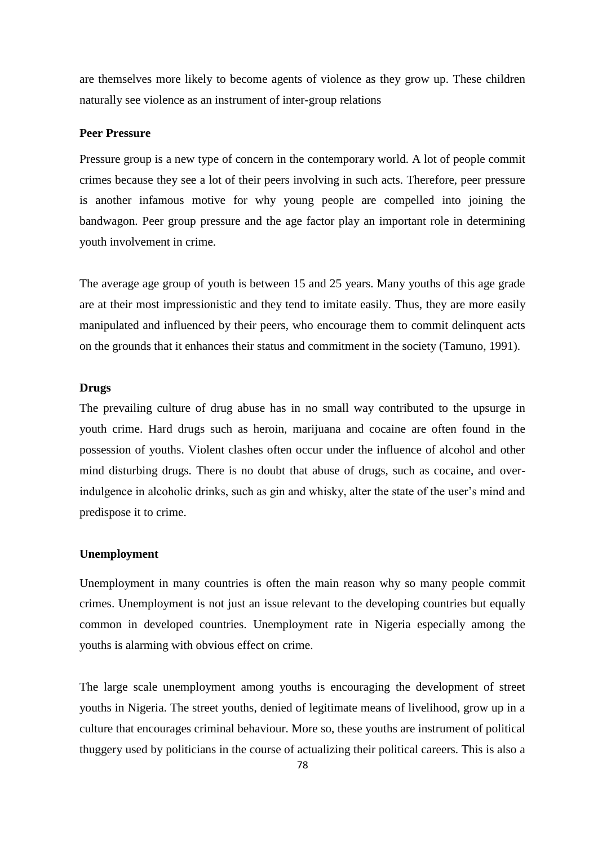are themselves more likely to become agents of violence as they grow up. These children naturally see violence as an instrument of inter**-**group relations

#### **Peer Pressure**

Pressure group is a new type of concern in the contemporary world. A lot of people commit crimes because they see a lot of their peers involving in such acts. Therefore, peer pressure is another infamous motive for why young people are compelled into joining the bandwagon. Peer group pressure and the age factor play an important role in determining youth involvement in crime.

The average age group of youth is between 15 and 25 years. Many youths of this age grade are at their most impressionistic and they tend to imitate easily. Thus, they are more easily manipulated and influenced by their peers, who encourage them to commit delinquent acts on the grounds that it enhances their status and commitment in the society (Tamuno, 1991).

#### **Drugs**

The prevailing culture of drug abuse has in no small way contributed to the upsurge in youth crime. Hard drugs such as heroin, marijuana and cocaine are often found in the possession of youths. Violent clashes often occur under the influence of alcohol and other mind disturbing drugs. There is no doubt that abuse of drugs, such as cocaine, and overindulgence in alcoholic drinks, such as gin and whisky, alter the state of the user's mind and predispose it to crime.

#### **Unemployment**

Unemployment in many countries is often the main reason why so many people commit crimes. Unemployment is not just an issue relevant to the developing countries but equally common in developed countries. Unemployment rate in Nigeria especially among the youths is alarming with obvious effect on crime.

The large scale unemployment among youths is encouraging the development of street youths in Nigeria. The street youths, denied of legitimate means of livelihood, grow up in a culture that encourages criminal behaviour. More so, these youths are instrument of political thuggery used by politicians in the course of actualizing their political careers. This is also a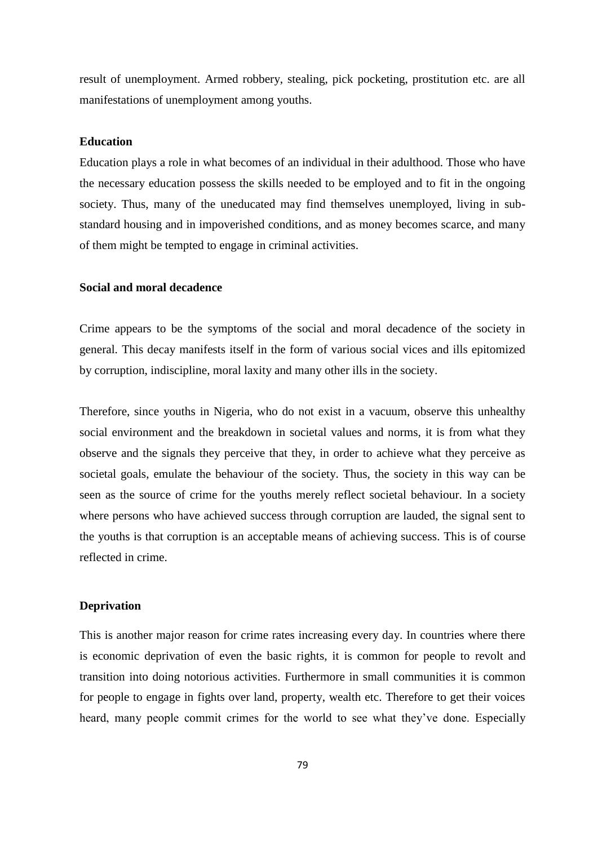result of unemployment. Armed robbery, stealing, pick pocketing, prostitution etc. are all manifestations of unemployment among youths.

### **Education**

Education plays a role in what becomes of an individual in their adulthood. Those who have the necessary education possess the skills needed to be employed and to fit in the ongoing society. Thus, many of the uneducated may find themselves unemployed, living in substandard housing and in impoverished conditions, and as money becomes scarce, and many of them might be tempted to engage in criminal activities.

#### **Social and moral decadence**

Crime appears to be the symptoms of the social and moral decadence of the society in general. This decay manifests itself in the form of various social vices and ills epitomized by corruption, indiscipline, moral laxity and many other ills in the society.

Therefore, since youths in Nigeria, who do not exist in a vacuum, observe this unhealthy social environment and the breakdown in societal values and norms, it is from what they observe and the signals they perceive that they, in order to achieve what they perceive as societal goals, emulate the behaviour of the society. Thus, the society in this way can be seen as the source of crime for the youths merely reflect societal behaviour. In a society where persons who have achieved success through corruption are lauded, the signal sent to the youths is that corruption is an acceptable means of achieving success. This is of course reflected in crime.

### **Deprivation**

This is another major reason for crime rates increasing every day. In countries where there is economic deprivation of even the basic rights, it is common for people to revolt and transition into doing notorious activities. Furthermore in small communities it is common for people to engage in fights over land, property, wealth etc. Therefore to get their voices heard, many people commit crimes for the world to see what they've done. Especially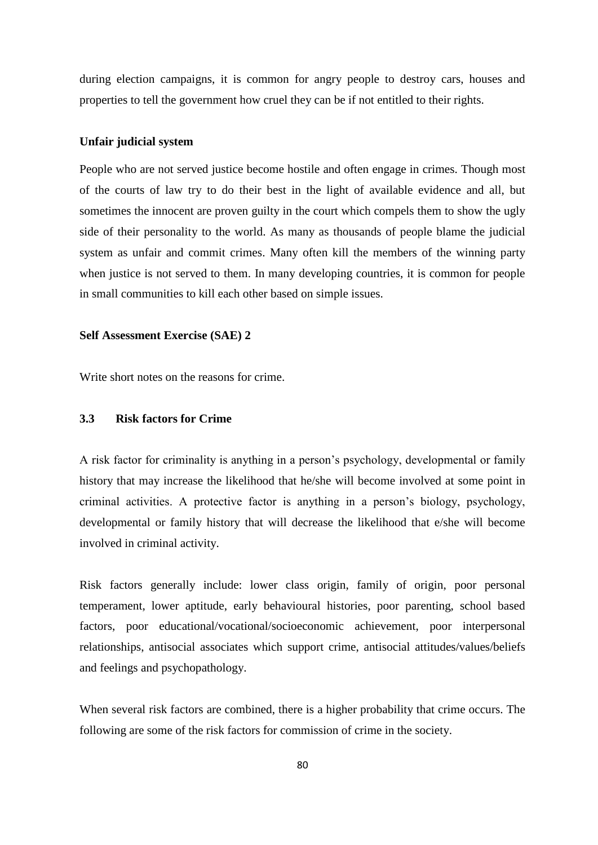during election campaigns, it is common for angry people to destroy cars, houses and properties to tell the government how cruel they can be if not entitled to their rights.

#### **Unfair judicial system**

People who are not served justice become hostile and often engage in crimes. Though most of the courts of law try to do their best in the light of available evidence and all, but sometimes the innocent are proven guilty in the court which compels them to show the ugly side of their personality to the world. As many as thousands of people blame the judicial system as unfair and commit crimes. Many often kill the members of the winning party when justice is not served to them. In many developing countries, it is common for people in small communities to kill each other based on simple issues.

#### **Self Assessment Exercise (SAE) 2**

Write short notes on the reasons for crime.

## **3.3 Risk factors for Crime**

A risk factor for criminality is anything in a person's psychology, developmental or family history that may increase the likelihood that he/she will become involved at some point in criminal activities. A protective factor is anything in a person's biology, psychology, developmental or family history that will decrease the likelihood that e/she will become involved in criminal activity.

Risk factors generally include: lower class origin, family of origin, poor personal temperament, lower aptitude, early behavioural histories, poor parenting, school based factors, poor educational/vocational/socioeconomic achievement, poor interpersonal relationships, antisocial associates which support crime, antisocial attitudes/values/beliefs and feelings and psychopathology.

When several risk factors are combined, there is a higher probability that crime occurs. The following are some of the risk factors for commission of crime in the society.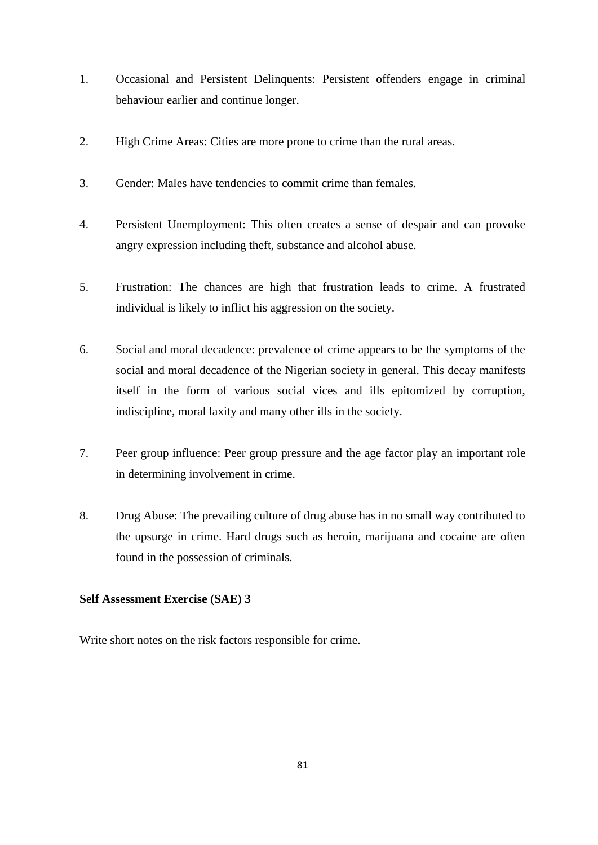- 1. Occasional and Persistent Delinquents: Persistent offenders engage in criminal behaviour earlier and continue longer.
- 2. High Crime Areas: Cities are more prone to crime than the rural areas.
- 3. Gender: Males have tendencies to commit crime than females.
- 4. Persistent Unemployment: This often creates a sense of despair and can provoke angry expression including theft, substance and alcohol abuse.
- 5. Frustration: The chances are high that frustration leads to crime. A frustrated individual is likely to inflict his aggression on the society.
- 6. Social and moral decadence: prevalence of crime appears to be the symptoms of the social and moral decadence of the Nigerian society in general. This decay manifests itself in the form of various social vices and ills epitomized by corruption, indiscipline, moral laxity and many other ills in the society.
- 7. Peer group influence: Peer group pressure and the age factor play an important role in determining involvement in crime.
- 8. Drug Abuse: The prevailing culture of drug abuse has in no small way contributed to the upsurge in crime. Hard drugs such as heroin, marijuana and cocaine are often found in the possession of criminals.

## **Self Assessment Exercise (SAE) 3**

Write short notes on the risk factors responsible for crime.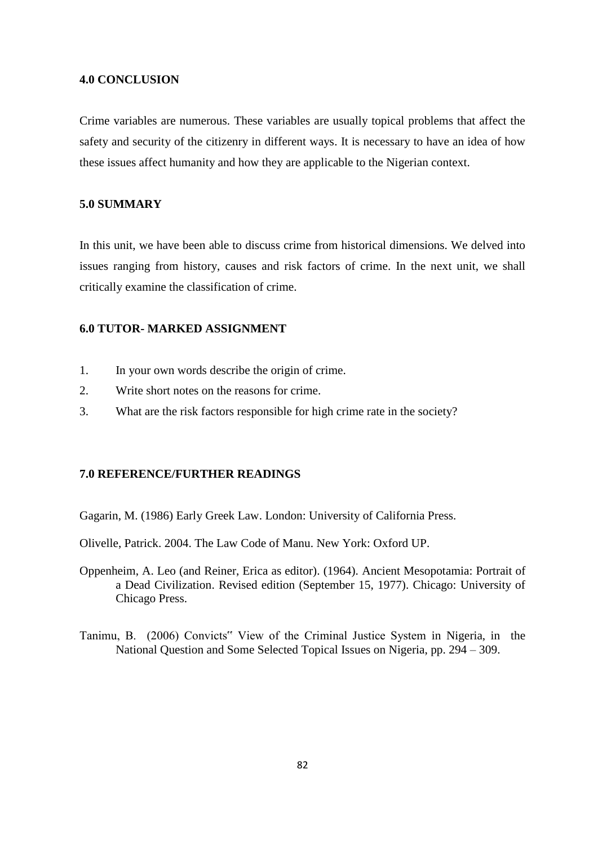### **4.0 CONCLUSION**

Crime variables are numerous. These variables are usually topical problems that affect the safety and security of the citizenry in different ways. It is necessary to have an idea of how these issues affect humanity and how they are applicable to the Nigerian context.

## **5.0 SUMMARY**

In this unit, we have been able to discuss crime from historical dimensions. We delved into issues ranging from history, causes and risk factors of crime. In the next unit, we shall critically examine the classification of crime.

## **6.0 TUTOR- MARKED ASSIGNMENT**

- 1. In your own words describe the origin of crime.
- 2. Write short notes on the reasons for crime.
- 3. What are the risk factors responsible for high crime rate in the society?

#### **7.0 REFERENCE/FURTHER READINGS**

Gagarin, M. (1986) Early Greek Law. London: University of California Press.

Olivelle, Patrick. 2004. The Law Code of Manu. New York: Oxford UP.

- Oppenheim, A. Leo (and Reiner, Erica as editor). (1964). Ancient Mesopotamia: Portrait of a Dead Civilization. Revised edition (September 15, 1977). Chicago: University of Chicago Press.
- Tanimu, B. (2006) Convicts" View of the Criminal Justice System in Nigeria, in the National Question and Some Selected Topical Issues on Nigeria, pp. 294 – 309.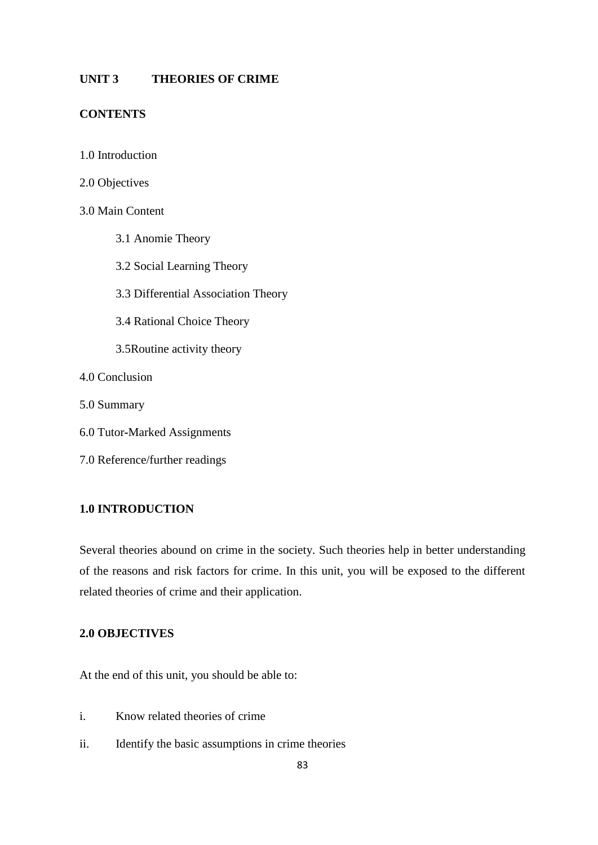## **UNIT 3 THEORIES OF CRIME**

## **CONTENTS**

- 1.0 Introduction
- 2.0 Objectives

## 3.0 Main Content

- 3.1 Anomie Theory
- 3.2 Social Learning Theory
- 3.3 Differential Association Theory
- 3.4 Rational Choice Theory
- 3.5Routine activity theory

#### 4.0 Conclusion

- 5.0 Summary
- 6.0 Tutor**-**Marked Assignments
- 7.0 Reference/further readings

## **1.0 INTRODUCTION**

Several theories abound on crime in the society. Such theories help in better understanding of the reasons and risk factors for crime. In this unit, you will be exposed to the different related theories of crime and their application.

## **2.0 OBJECTIVES**

At the end of this unit, you should be able to:

- i. Know related theories of crime
- ii. Identify the basic assumptions in crime theories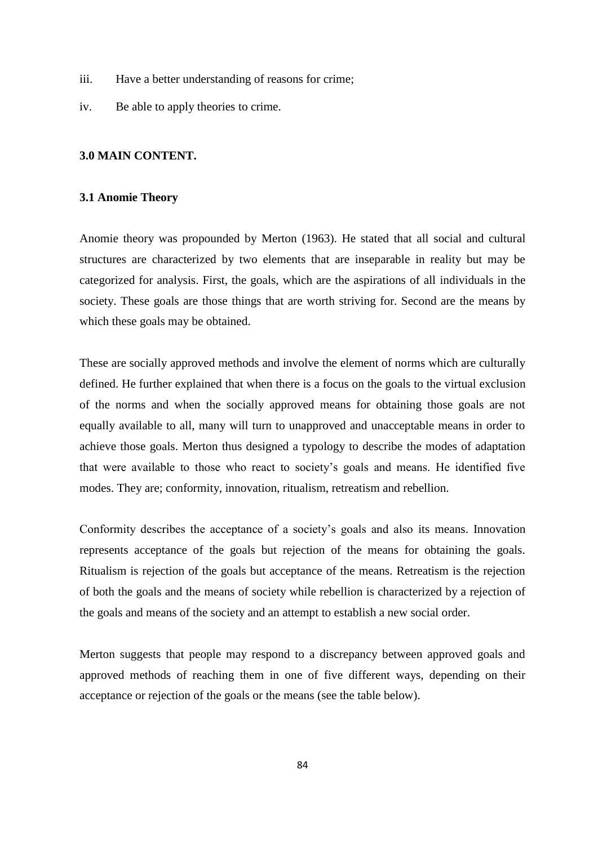- iii. Have a better understanding of reasons for crime;
- iv. Be able to apply theories to crime.

#### **3.0 MAIN CONTENT.**

#### **3.1 Anomie Theory**

Anomie theory was propounded by Merton (1963). He stated that all social and cultural structures are characterized by two elements that are inseparable in reality but may be categorized for analysis. First, the goals, which are the aspirations of all individuals in the society. These goals are those things that are worth striving for. Second are the means by which these goals may be obtained.

These are socially approved methods and involve the element of norms which are culturally defined. He further explained that when there is a focus on the goals to the virtual exclusion of the norms and when the socially approved means for obtaining those goals are not equally available to all, many will turn to unapproved and unacceptable means in order to achieve those goals. Merton thus designed a typology to describe the modes of adaptation that were available to those who react to society's goals and means. He identified five modes. They are; conformity, innovation, ritualism, retreatism and rebellion.

Conformity describes the acceptance of a society's goals and also its means. Innovation represents acceptance of the goals but rejection of the means for obtaining the goals. Ritualism is rejection of the goals but acceptance of the means. Retreatism is the rejection of both the goals and the means of society while rebellion is characterized by a rejection of the goals and means of the society and an attempt to establish a new social order.

Merton suggests that people may respond to a discrepancy between approved goals and approved methods of reaching them in one of five different ways, depending on their acceptance or rejection of the goals or the means (see the table below).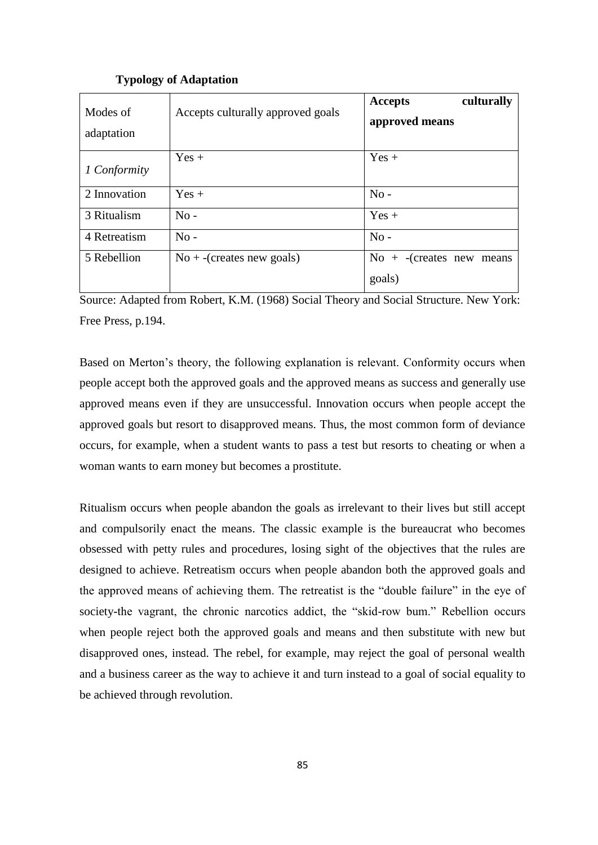| Modes of<br>adaptation | Accepts culturally approved goals | culturally<br>Accepts<br>approved means             |
|------------------------|-----------------------------------|-----------------------------------------------------|
| 1 Conformity           | $Yes +$                           | $Yes +$                                             |
| 2 Innovation           | $Yes +$                           | $No -$                                              |
| 3 Ritualism            | $No -$                            | $Yes +$                                             |
| 4 Retreatism           | $No -$                            | $No -$                                              |
| 5 Rebellion            | $No +$ -(creates new goals)       | $\text{No} + \text{-}$ (creates new means<br>goals) |

### **Typology of Adaptation**

Source: Adapted from Robert, K.M. (1968) Social Theory and Social Structure. New York: Free Press, p.194.

Based on Merton's theory, the following explanation is relevant. Conformity occurs when people accept both the approved goals and the approved means as success and generally use approved means even if they are unsuccessful. Innovation occurs when people accept the approved goals but resort to disapproved means. Thus, the most common form of deviance occurs, for example, when a student wants to pass a test but resorts to cheating or when a woman wants to earn money but becomes a prostitute.

Ritualism occurs when people abandon the goals as irrelevant to their lives but still accept and compulsorily enact the means. The classic example is the bureaucrat who becomes obsessed with petty rules and procedures, losing sight of the objectives that the rules are designed to achieve. Retreatism occurs when people abandon both the approved goals and the approved means of achieving them. The retreatist is the "double failure" in the eye of society-the vagrant, the chronic narcotics addict, the "skid-row bum." Rebellion occurs when people reject both the approved goals and means and then substitute with new but disapproved ones, instead. The rebel, for example, may reject the goal of personal wealth and a business career as the way to achieve it and turn instead to a goal of social equality to be achieved through revolution.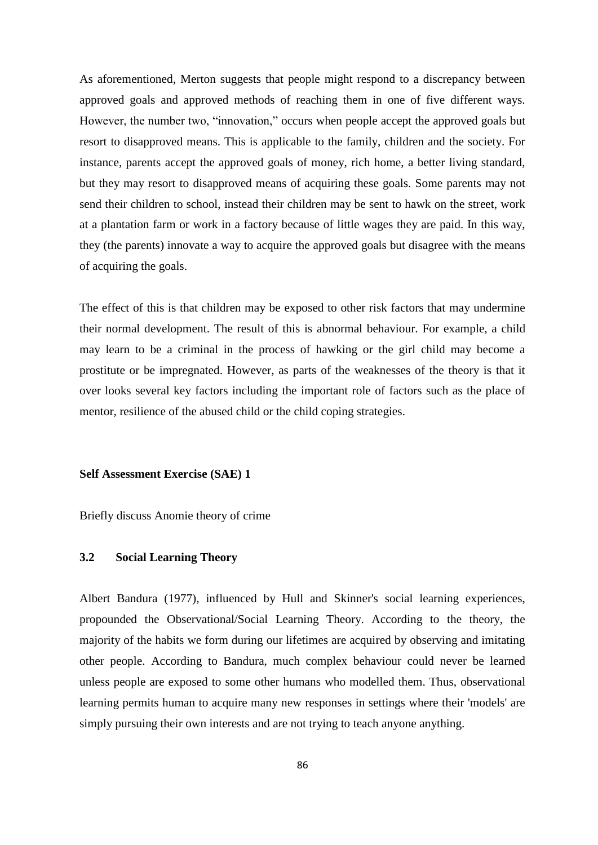As aforementioned, Merton suggests that people might respond to a discrepancy between approved goals and approved methods of reaching them in one of five different ways. However, the number two, "innovation," occurs when people accept the approved goals but resort to disapproved means. This is applicable to the family, children and the society. For instance, parents accept the approved goals of money, rich home, a better living standard, but they may resort to disapproved means of acquiring these goals. Some parents may not send their children to school, instead their children may be sent to hawk on the street, work at a plantation farm or work in a factory because of little wages they are paid. In this way, they (the parents) innovate a way to acquire the approved goals but disagree with the means of acquiring the goals.

The effect of this is that children may be exposed to other risk factors that may undermine their normal development. The result of this is abnormal behaviour. For example, a child may learn to be a criminal in the process of hawking or the girl child may become a prostitute or be impregnated. However, as parts of the weaknesses of the theory is that it over looks several key factors including the important role of factors such as the place of mentor, resilience of the abused child or the child coping strategies.

#### **Self Assessment Exercise (SAE) 1**

Briefly discuss Anomie theory of crime

### **3.2 Social Learning Theory**

Albert Bandura (1977), influenced by Hull and Skinner's social learning experiences, propounded the Observational/Social Learning Theory. According to the theory, the majority of the habits we form during our lifetimes are acquired by observing and imitating other people. According to Bandura, much complex behaviour could never be learned unless people are exposed to some other humans who modelled them. Thus, observational learning permits human to acquire many new responses in settings where their 'models' are simply pursuing their own interests and are not trying to teach anyone anything.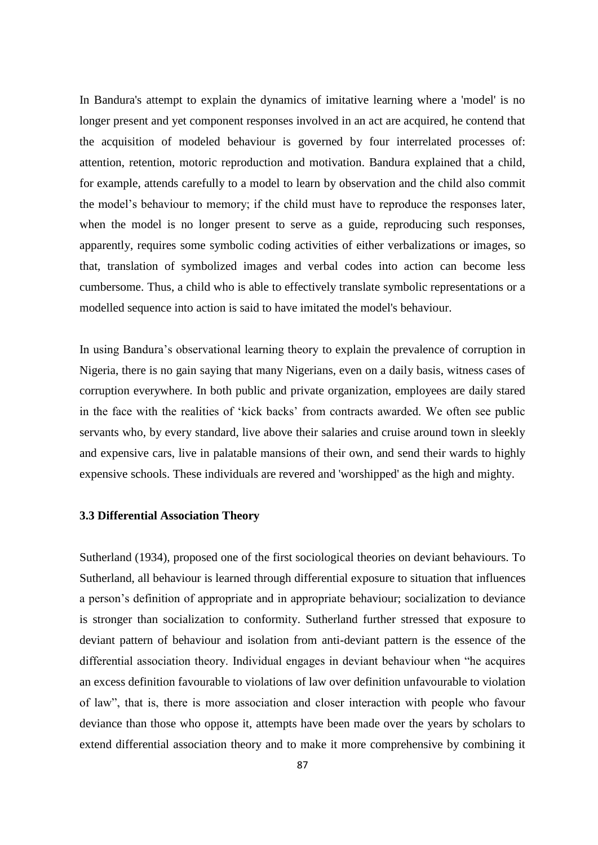In Bandura's attempt to explain the dynamics of imitative learning where a 'model' is no longer present and yet component responses involved in an act are acquired, he contend that the acquisition of modeled behaviour is governed by four interrelated processes of: attention, retention, motoric reproduction and motivation. Bandura explained that a child, for example, attends carefully to a model to learn by observation and the child also commit the model's behaviour to memory; if the child must have to reproduce the responses later, when the model is no longer present to serve as a guide, reproducing such responses, apparently, requires some symbolic coding activities of either verbalizations or images, so that, translation of symbolized images and verbal codes into action can become less cumbersome. Thus, a child who is able to effectively translate symbolic representations or a modelled sequence into action is said to have imitated the model's behaviour.

In using Bandura's observational learning theory to explain the prevalence of corruption in Nigeria, there is no gain saying that many Nigerians, even on a daily basis, witness cases of corruption everywhere. In both public and private organization, employees are daily stared in the face with the realities of 'kick backs' from contracts awarded. We often see public servants who, by every standard, live above their salaries and cruise around town in sleekly and expensive cars, live in palatable mansions of their own, and send their wards to highly expensive schools. These individuals are revered and 'worshipped' as the high and mighty.

### **3.3 Differential Association Theory**

Sutherland (1934), proposed one of the first sociological theories on deviant behaviours. To Sutherland, all behaviour is learned through differential exposure to situation that influences a person's definition of appropriate and in appropriate behaviour; socialization to deviance is stronger than socialization to conformity. Sutherland further stressed that exposure to deviant pattern of behaviour and isolation from anti-deviant pattern is the essence of the differential association theory. Individual engages in deviant behaviour when "he acquires" an excess definition favourable to violations of law over definition unfavourable to violation of law‖, that is, there is more association and closer interaction with people who favour deviance than those who oppose it, attempts have been made over the years by scholars to extend differential association theory and to make it more comprehensive by combining it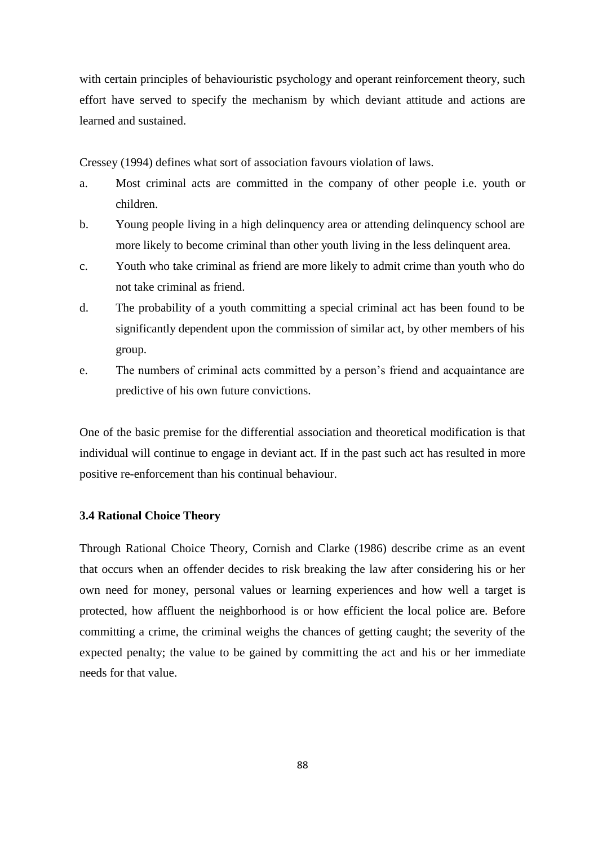with certain principles of behaviouristic psychology and operant reinforcement theory, such effort have served to specify the mechanism by which deviant attitude and actions are learned and sustained.

Cressey (1994) defines what sort of association favours violation of laws.

- a. Most criminal acts are committed in the company of other people i.e. youth or children.
- b. Young people living in a high delinquency area or attending delinquency school are more likely to become criminal than other youth living in the less delinquent area.
- c. Youth who take criminal as friend are more likely to admit crime than youth who do not take criminal as friend.
- d. The probability of a youth committing a special criminal act has been found to be significantly dependent upon the commission of similar act, by other members of his group.
- e. The numbers of criminal acts committed by a person's friend and acquaintance are predictive of his own future convictions.

One of the basic premise for the differential association and theoretical modification is that individual will continue to engage in deviant act. If in the past such act has resulted in more positive re-enforcement than his continual behaviour.

## **3.4 Rational Choice Theory**

Through Rational Choice Theory, Cornish and Clarke (1986) describe crime as an event that occurs when an offender decides to risk breaking the law after considering his or her own need for money, personal values or learning experiences and how well a target is protected, how affluent the neighborhood is or how efficient the local police are. Before committing a crime, the criminal weighs the chances of getting caught; the severity of the expected penalty; the value to be gained by committing the act and his or her immediate needs for that value.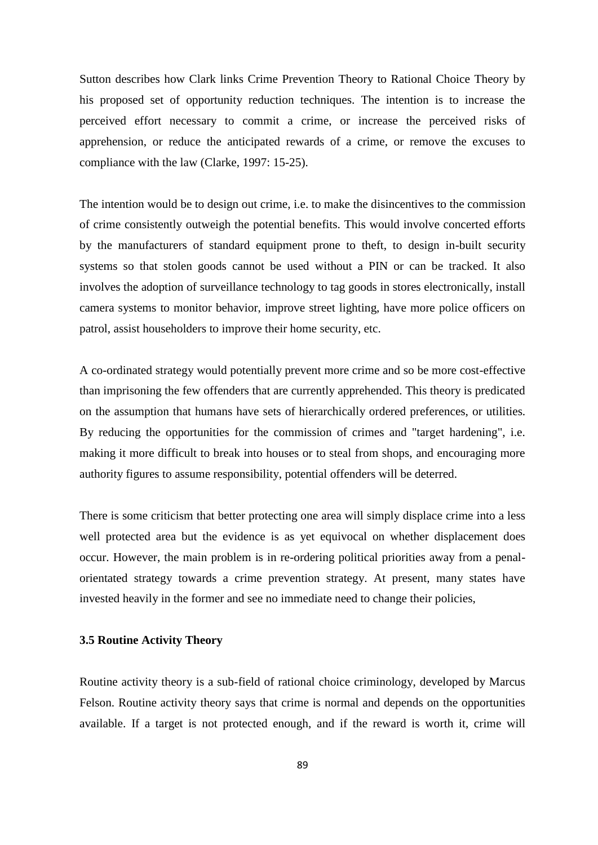Sutton describes how Clark links Crime Prevention Theory to Rational Choice Theory by his proposed set of opportunity reduction techniques. The intention is to increase the perceived effort necessary to commit a crime, or increase the perceived risks of apprehension, or reduce the anticipated rewards of a crime, or remove the excuses to compliance with the law (Clarke, 1997: 15-25).

The intention would be to design out crime, i.e. to make the disincentives to the commission of crime consistently outweigh the potential benefits. This would involve concerted efforts by the manufacturers of standard equipment prone to theft, to design in-built security systems so that stolen goods cannot be used without a PIN or can be tracked. It also involves the adoption of surveillance technology to tag goods in stores electronically, install camera systems to monitor behavior, improve street lighting, have more police officers on patrol, assist householders to improve their home security, etc.

A co-ordinated strategy would potentially prevent more crime and so be more cost-effective than imprisoning the few offenders that are currently apprehended. This theory is predicated on the assumption that humans have sets of hierarchically ordered preferences, or utilities. By reducing the opportunities for the commission of crimes and "target hardening", i.e. making it more difficult to break into houses or to steal from shops, and encouraging more authority figures to assume responsibility, potential offenders will be deterred.

There is some criticism that better protecting one area will simply displace crime into a less well protected area but the evidence is as yet equivocal on whether displacement does occur. However, the main problem is in re-ordering political priorities away from a penalorientated strategy towards a crime prevention strategy. At present, many states have invested heavily in the former and see no immediate need to change their policies,

### **3.5 Routine Activity Theory**

Routine activity theory is a sub-field of rational choice criminology, developed by Marcus Felson. Routine activity theory says that crime is normal and depends on the opportunities available. If a target is not protected enough, and if the reward is worth it, crime will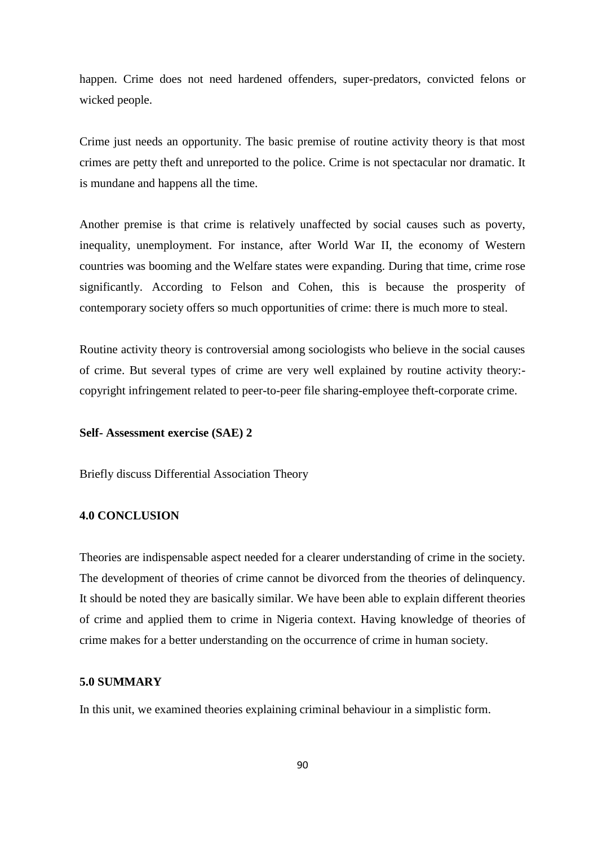happen. Crime does not need hardened offenders, super-predators, convicted felons or wicked people.

Crime just needs an opportunity. The basic premise of routine activity theory is that most crimes are petty theft and unreported to the police. Crime is not spectacular nor dramatic. It is mundane and happens all the time.

Another premise is that crime is relatively unaffected by social causes such as poverty, inequality, unemployment. For instance, after World War II, the economy of Western countries was booming and the Welfare states were expanding. During that time, crime rose significantly. According to Felson and Cohen, this is because the prosperity of contemporary society offers so much opportunities of crime: there is much more to steal.

Routine activity theory is controversial among sociologists who believe in the social causes of crime. But several types of crime are very well explained by routine activity theory: copyright infringement related to peer-to-peer file sharing-employee theft-corporate crime.

#### **Self- Assessment exercise (SAE) 2**

Briefly discuss Differential Association Theory

### **4.0 CONCLUSION**

Theories are indispensable aspect needed for a clearer understanding of crime in the society. The development of theories of crime cannot be divorced from the theories of delinquency. It should be noted they are basically similar. We have been able to explain different theories of crime and applied them to crime in Nigeria context. Having knowledge of theories of crime makes for a better understanding on the occurrence of crime in human society.

### **5.0 SUMMARY**

In this unit, we examined theories explaining criminal behaviour in a simplistic form.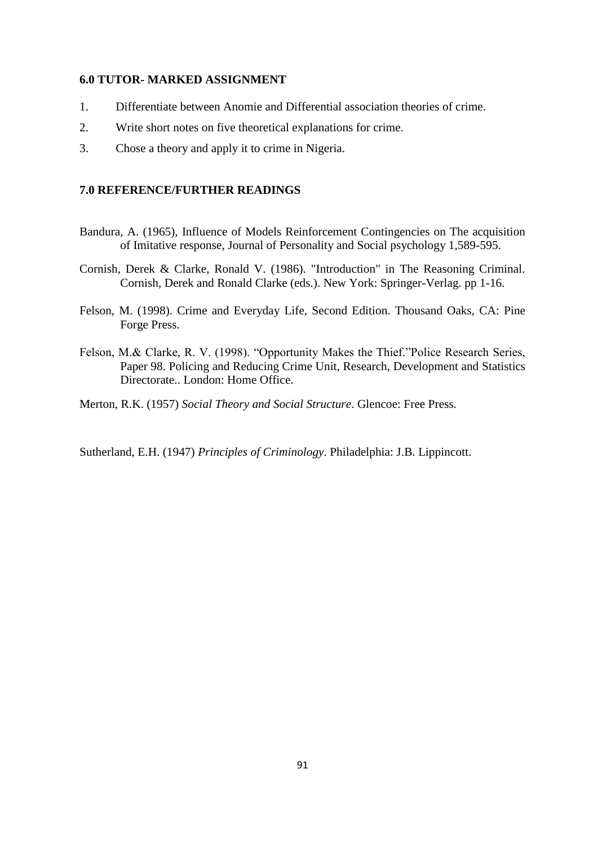### **6.0 TUTOR- MARKED ASSIGNMENT**

- 1. Differentiate between Anomie and Differential association theories of crime.
- 2. Write short notes on five theoretical explanations for crime.
- 3. Chose a theory and apply it to crime in Nigeria.

### **7.0 REFERENCE/FURTHER READINGS**

- Bandura, A. (1965), Influence of Models Reinforcement Contingencies on The acquisition of Imitative response, Journal of Personality and Social psychology 1,589-595.
- Cornish, Derek & Clarke, Ronald V. (1986). "Introduction" in The Reasoning Criminal. Cornish, Derek and Ronald Clarke (eds.). New York: Springer-Verlag. pp 1-16.
- Felson, M. (1998). Crime and Everyday Life, Second Edition. Thousand Oaks, CA: Pine Forge Press.
- Felson, M.& Clarke, R. V. (1998). "Opportunity Makes the Thief."Police Research Series, Paper 98. Policing and Reducing Crime Unit, Research, Development and Statistics Directorate.. London: Home Office.
- Merton, R.K. (1957) *Social Theory and Social Structure*. Glencoe: Free Press.

Sutherland, E.H. (1947) *Principles of Criminology*. Philadelphia: J.B. Lippincott.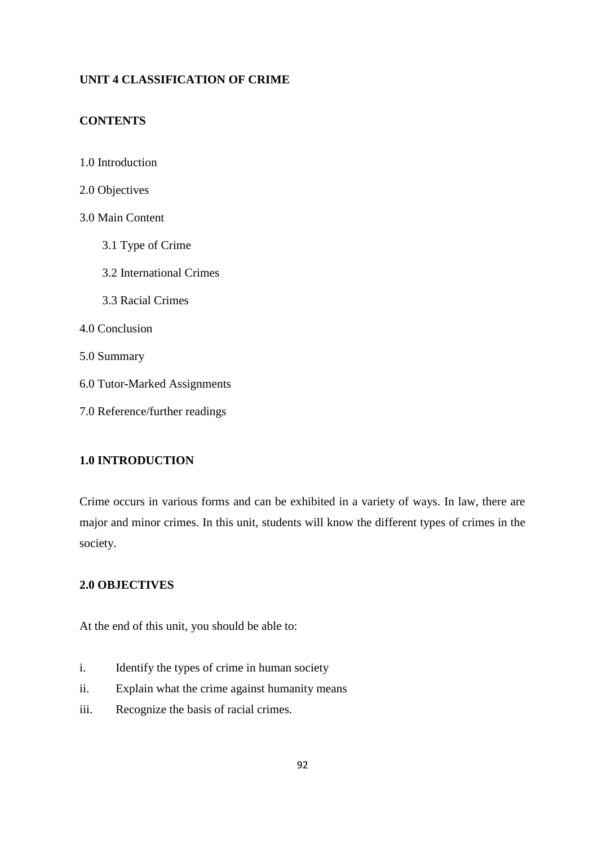## **UNIT 4 CLASSIFICATION OF CRIME**

## **CONTENTS**

- 1.0 Introduction
- 2.0 Objectives
- 3.0 Main Content
	- 3.1 Type of Crime
	- 3.2 International Crimes
	- 3.3 Racial Crimes
- 4.0 Conclusion
- 5.0 Summary
- 6.0 Tutor**-**Marked Assignments
- 7.0 Reference/further readings

## **1.0 INTRODUCTION**

Crime occurs in various forms and can be exhibited in a variety of ways. In law, there are major and minor crimes. In this unit, students will know the different types of crimes in the society.

## **2.0 OBJECTIVES**

At the end of this unit, you should be able to:

- i. Identify the types of crime in human society
- ii. Explain what the crime against humanity means
- iii. Recognize the basis of racial crimes.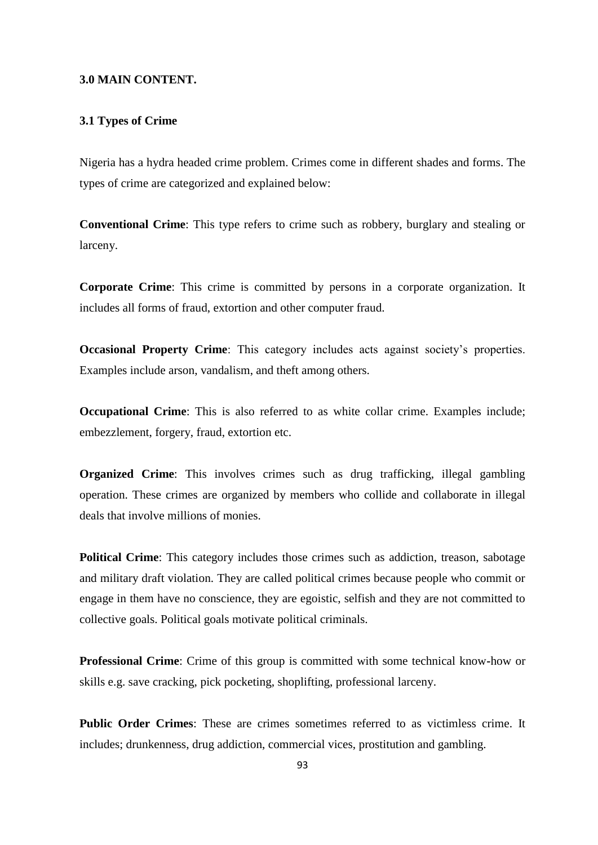#### **3.0 MAIN CONTENT.**

#### **3.1 Types of Crime**

Nigeria has a hydra headed crime problem. Crimes come in different shades and forms. The types of crime are categorized and explained below:

**Conventional Crime**: This type refers to crime such as robbery, burglary and stealing or larceny.

**Corporate Crime**: This crime is committed by persons in a corporate organization. It includes all forms of fraud, extortion and other computer fraud.

**Occasional Property Crime**: This category includes acts against society's properties. Examples include arson, vandalism, and theft among others.

**Occupational Crime**: This is also referred to as white collar crime. Examples include; embezzlement, forgery, fraud, extortion etc.

**Organized** Crime: This involves crimes such as drug trafficking, illegal gambling operation. These crimes are organized by members who collide and collaborate in illegal deals that involve millions of monies.

**Political Crime**: This category includes those crimes such as addiction, treason, sabotage and military draft violation. They are called political crimes because people who commit or engage in them have no conscience, they are egoistic, selfish and they are not committed to collective goals. Political goals motivate political criminals.

**Professional Crime**: Crime of this group is committed with some technical know**-**how or skills e.g. save cracking, pick pocketing, shoplifting, professional larceny.

**Public Order Crimes**: These are crimes sometimes referred to as victimless crime. It includes; drunkenness, drug addiction, commercial vices, prostitution and gambling.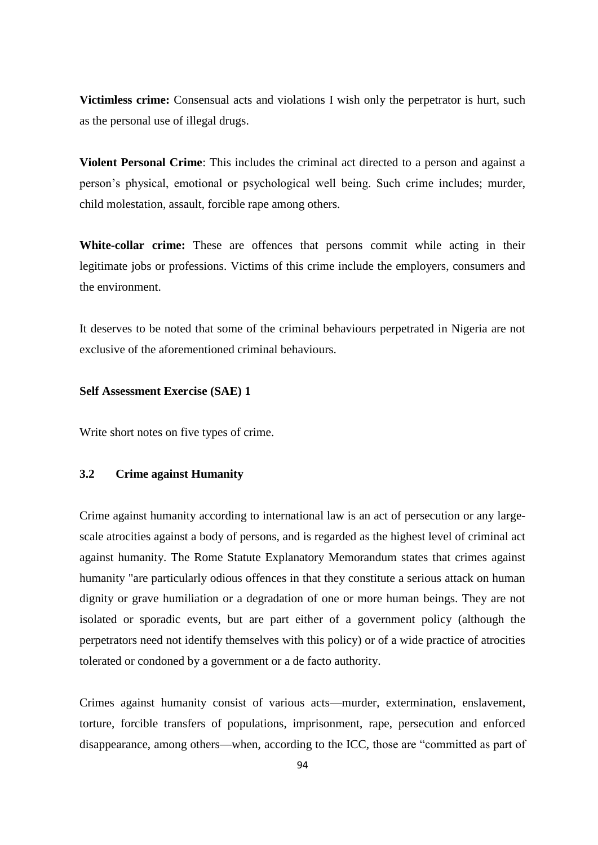**Victimless crime:** Consensual acts and violations I wish only the perpetrator is hurt, such as the personal use of illegal drugs.

**Violent Personal Crime**: This includes the criminal act directed to a person and against a person's physical, emotional or psychological well being. Such crime includes; murder, child molestation, assault, forcible rape among others.

**White-collar crime:** These are offences that persons commit while acting in their legitimate jobs or professions. Victims of this crime include the employers, consumers and the environment.

It deserves to be noted that some of the criminal behaviours perpetrated in Nigeria are not exclusive of the aforementioned criminal behaviours.

#### **Self Assessment Exercise (SAE) 1**

Write short notes on five types of crime.

### **3.2 Crime against Humanity**

Crime against humanity according to international law is an act of persecution or any largescale atrocities against a body of persons, and is regarded as the highest level of criminal act against humanity. The Rome Statute Explanatory Memorandum states that crimes against humanity "are particularly odious offences in that they constitute a serious attack on human dignity or grave humiliation or a degradation of one or more human beings. They are not isolated or sporadic events, but are part either of a government policy (although the perpetrators need not identify themselves with this policy) or of a wide practice of atrocities tolerated or condoned by a government or a de facto authority.

Crimes against humanity consist of various acts—murder, extermination, enslavement, torture, forcible transfers of populations, imprisonment, rape, persecution and enforced disappearance, among others—when, according to the ICC, those are "committed as part of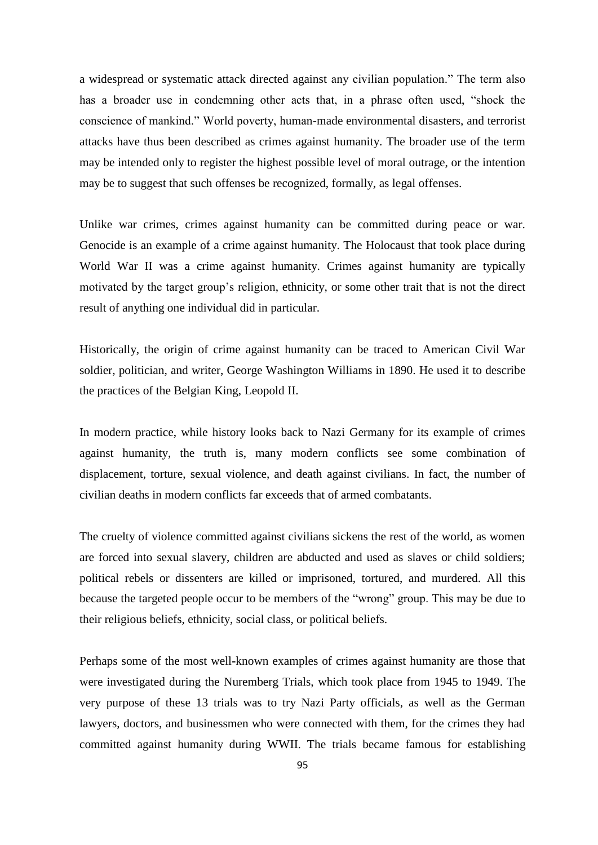a widespread or systematic attack directed against any civilian population." The term also has a broader use in condemning other acts that, in a phrase often used, "shock the conscience of mankind." World poverty, human-made environmental disasters, and terrorist attacks have thus been described as crimes against humanity. The broader use of the term may be intended only to register the highest possible level of moral outrage, or the intention may be to suggest that such offenses be recognized, formally, as legal offenses.

Unlike war crimes, crimes against humanity can be committed during peace or war. Genocide is an example of a crime against humanity. The Holocaust that took place during World War II was a crime against humanity. Crimes against humanity are typically motivated by the target group's religion, ethnicity, or some other trait that is not the direct result of anything one individual did in particular.

Historically, the origin of crime against humanity can be traced to American Civil War soldier, politician, and writer, George Washington Williams in 1890. He used it to describe the practices of the Belgian King, Leopold II.

In modern practice, while history looks back to Nazi Germany for its example of crimes against humanity, the truth is, many modern conflicts see some combination of displacement, torture, sexual violence, and death against civilians. In fact, the number of civilian deaths in modern conflicts far exceeds that of armed combatants.

The cruelty of violence committed against civilians sickens the rest of the world, as women are forced into sexual slavery, children are abducted and used as slaves or child soldiers; political rebels or dissenters are killed or imprisoned, tortured, and murdered. All this because the targeted people occur to be members of the "wrong" group. This may be due to their religious beliefs, ethnicity, social class, or political beliefs.

Perhaps some of the most well**-**known examples of crimes against humanity are those that were investigated during the Nuremberg Trials, which took place from 1945 to 1949. The very purpose of these 13 trials was to try Nazi Party officials, as well as the German lawyers, doctors, and businessmen who were connected with them, for the crimes they had committed against humanity during WWII. The trials became famous for establishing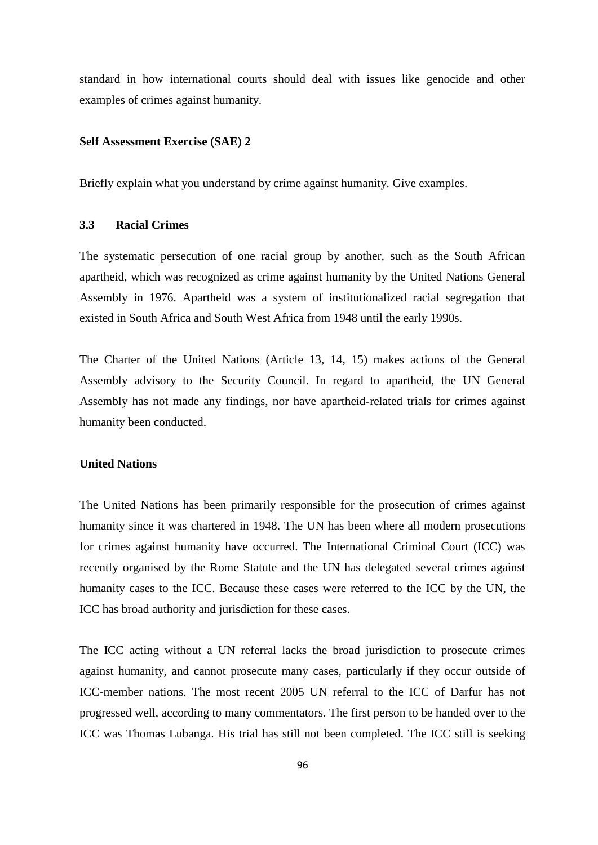standard in how international courts should deal with issues like genocide and other examples of crimes against humanity.

## **Self Assessment Exercise (SAE) 2**

Briefly explain what you understand by crime against humanity. Give examples.

### **3.3 Racial Crimes**

The systematic persecution of one racial group by another, such as the South African apartheid, which was recognized as crime against humanity by the United Nations General Assembly in 1976. Apartheid was a system of institutionalized racial segregation that existed in South Africa and South West Africa from 1948 until the early 1990s.

The Charter of the United Nations (Article 13, 14, 15) makes actions of the General Assembly advisory to the Security Council. In regard to apartheid, the UN General Assembly has not made any findings, nor have apartheid-related trials for crimes against humanity been conducted.

#### **United Nations**

The United Nations has been primarily responsible for the prosecution of crimes against humanity since it was chartered in 1948. The UN has been where all modern prosecutions for crimes against humanity have occurred. The International Criminal Court (ICC) was recently organised by the Rome Statute and the UN has delegated several crimes against humanity cases to the ICC. Because these cases were referred to the ICC by the UN, the ICC has broad authority and jurisdiction for these cases.

The ICC acting without a UN referral lacks the broad jurisdiction to prosecute crimes against humanity, and cannot prosecute many cases, particularly if they occur outside of ICC-member nations. The most recent 2005 UN referral to the ICC of Darfur has not progressed well, according to many commentators. The first person to be handed over to the ICC was Thomas Lubanga. His trial has still not been completed. The ICC still is seeking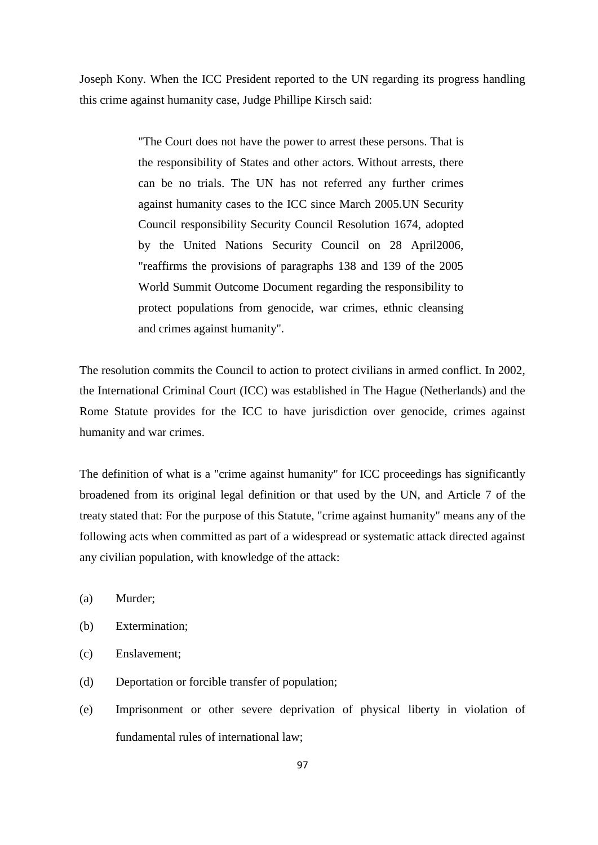Joseph Kony. When the ICC President reported to the UN regarding its progress handling this crime against humanity case, Judge Phillipe Kirsch said:

> "The Court does not have the power to arrest these persons. That is the responsibility of States and other actors. Without arrests, there can be no trials. The UN has not referred any further crimes against humanity cases to the ICC since March 2005.UN Security Council responsibility Security Council Resolution 1674, adopted by the United Nations Security Council on 28 April2006, "reaffirms the provisions of paragraphs 138 and 139 of the 2005 World Summit Outcome Document regarding the responsibility to protect populations from genocide, war crimes, ethnic cleansing and crimes against humanity".

The resolution commits the Council to action to protect civilians in armed conflict. In 2002, the International Criminal Court (ICC) was established in The Hague (Netherlands) and the Rome Statute provides for the ICC to have jurisdiction over genocide, crimes against humanity and war crimes.

The definition of what is a "crime against humanity" for ICC proceedings has significantly broadened from its original legal definition or that used by the UN, and Article 7 of the treaty stated that: For the purpose of this Statute, "crime against humanity" means any of the following acts when committed as part of a widespread or systematic attack directed against any civilian population, with knowledge of the attack:

- (a) Murder;
- (b) Extermination;
- (c) Enslavement;
- (d) Deportation or forcible transfer of population;
- (e) Imprisonment or other severe deprivation of physical liberty in violation of fundamental rules of international law;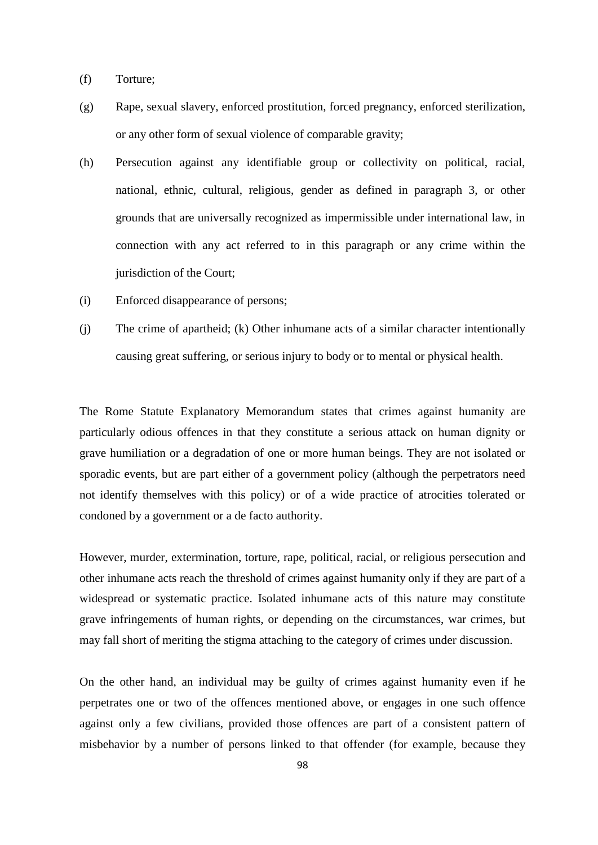- (f) Torture;
- (g) Rape, sexual slavery, enforced prostitution, forced pregnancy, enforced sterilization, or any other form of sexual violence of comparable gravity;
- (h) Persecution against any identifiable group or collectivity on political, racial, national, ethnic, cultural, religious, gender as defined in paragraph 3, or other grounds that are universally recognized as impermissible under international law, in connection with any act referred to in this paragraph or any crime within the jurisdiction of the Court;
- (i) Enforced disappearance of persons;
- (j) The crime of apartheid; (k) Other inhumane acts of a similar character intentionally causing great suffering, or serious injury to body or to mental or physical health.

The Rome Statute Explanatory Memorandum states that crimes against humanity are particularly odious offences in that they constitute a serious attack on human dignity or grave humiliation or a degradation of one or more human beings. They are not isolated or sporadic events, but are part either of a government policy (although the perpetrators need not identify themselves with this policy) or of a wide practice of atrocities tolerated or condoned by a government or a de facto authority.

However, murder, extermination, torture, rape, political, racial, or religious persecution and other inhumane acts reach the threshold of crimes against humanity only if they are part of a widespread or systematic practice. Isolated inhumane acts of this nature may constitute grave infringements of human rights, or depending on the circumstances, war crimes, but may fall short of meriting the stigma attaching to the category of crimes under discussion.

On the other hand, an individual may be guilty of crimes against humanity even if he perpetrates one or two of the offences mentioned above, or engages in one such offence against only a few civilians, provided those offences are part of a consistent pattern of misbehavior by a number of persons linked to that offender (for example, because they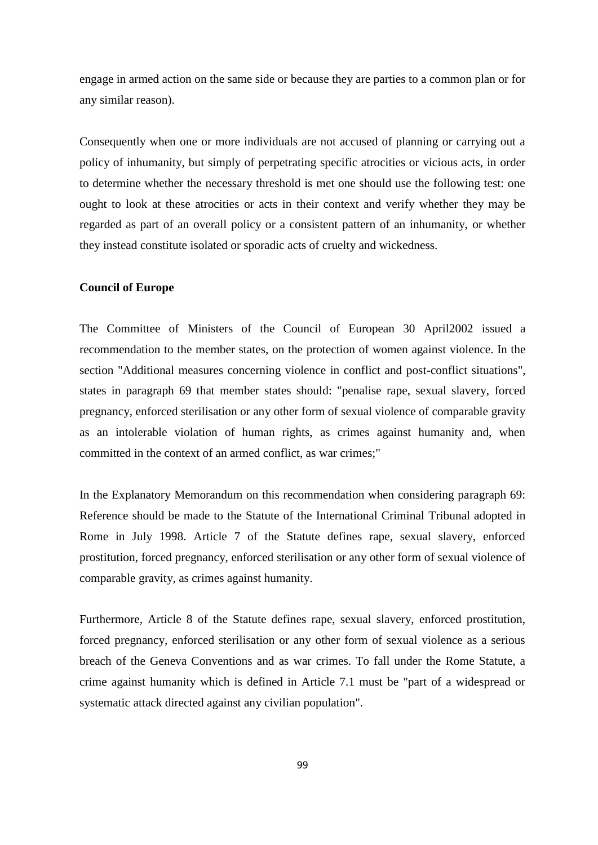engage in armed action on the same side or because they are parties to a common plan or for any similar reason).

Consequently when one or more individuals are not accused of planning or carrying out a policy of inhumanity, but simply of perpetrating specific atrocities or vicious acts, in order to determine whether the necessary threshold is met one should use the following test: one ought to look at these atrocities or acts in their context and verify whether they may be regarded as part of an overall policy or a consistent pattern of an inhumanity, or whether they instead constitute isolated or sporadic acts of cruelty and wickedness.

#### **Council of Europe**

The Committee of Ministers of the Council of European 30 April2002 issued a recommendation to the member states, on the protection of women against violence. In the section "Additional measures concerning violence in conflict and post-conflict situations", states in paragraph 69 that member states should: "penalise rape, sexual slavery, forced pregnancy, enforced sterilisation or any other form of sexual violence of comparable gravity as an intolerable violation of human rights, as crimes against humanity and, when committed in the context of an armed conflict, as war crimes;"

In the Explanatory Memorandum on this recommendation when considering paragraph 69: Reference should be made to the Statute of the International Criminal Tribunal adopted in Rome in July 1998. Article 7 of the Statute defines rape, sexual slavery, enforced prostitution, forced pregnancy, enforced sterilisation or any other form of sexual violence of comparable gravity, as crimes against humanity.

Furthermore, Article 8 of the Statute defines rape, sexual slavery, enforced prostitution, forced pregnancy, enforced sterilisation or any other form of sexual violence as a serious breach of the Geneva Conventions and as war crimes. To fall under the Rome Statute, a crime against humanity which is defined in Article 7.1 must be "part of a widespread or systematic attack directed against any civilian population".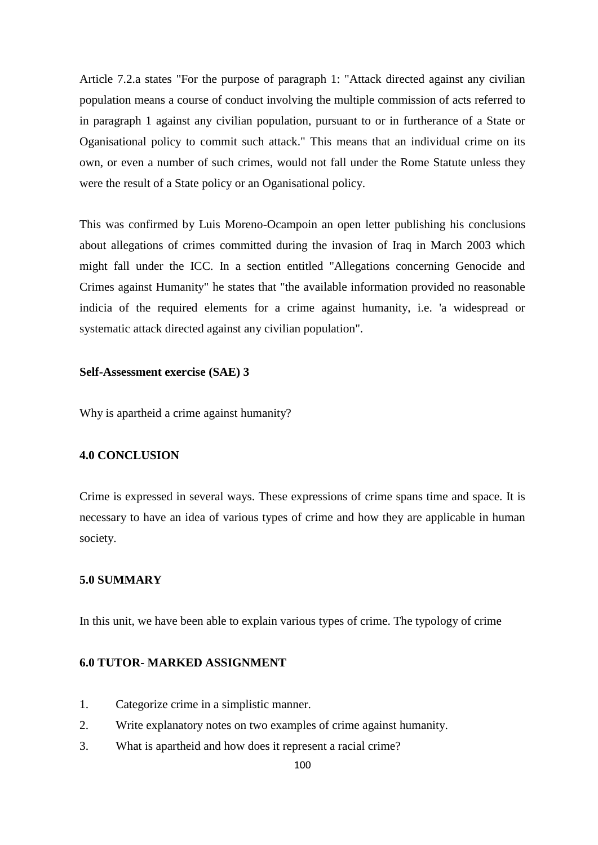Article 7.2.a states "For the purpose of paragraph 1: "Attack directed against any civilian population means a course of conduct involving the multiple commission of acts referred to in paragraph 1 against any civilian population, pursuant to or in furtherance of a State or Oganisational policy to commit such attack." This means that an individual crime on its own, or even a number of such crimes, would not fall under the Rome Statute unless they were the result of a State policy or an Oganisational policy.

This was confirmed by Luis Moreno-Ocampoin an open letter publishing his conclusions about allegations of crimes committed during the invasion of Iraq in March 2003 which might fall under the ICC. In a section entitled "Allegations concerning Genocide and Crimes against Humanity" he states that "the available information provided no reasonable indicia of the required elements for a crime against humanity, i.e. 'a widespread or systematic attack directed against any civilian population".

### **Self-Assessment exercise (SAE) 3**

Why is apartheid a crime against humanity?

## **4.0 CONCLUSION**

Crime is expressed in several ways. These expressions of crime spans time and space. It is necessary to have an idea of various types of crime and how they are applicable in human society.

## **5.0 SUMMARY**

In this unit, we have been able to explain various types of crime. The typology of crime

#### **6.0 TUTOR- MARKED ASSIGNMENT**

- 1. Categorize crime in a simplistic manner.
- 2. Write explanatory notes on two examples of crime against humanity.
- 3. What is apartheid and how does it represent a racial crime?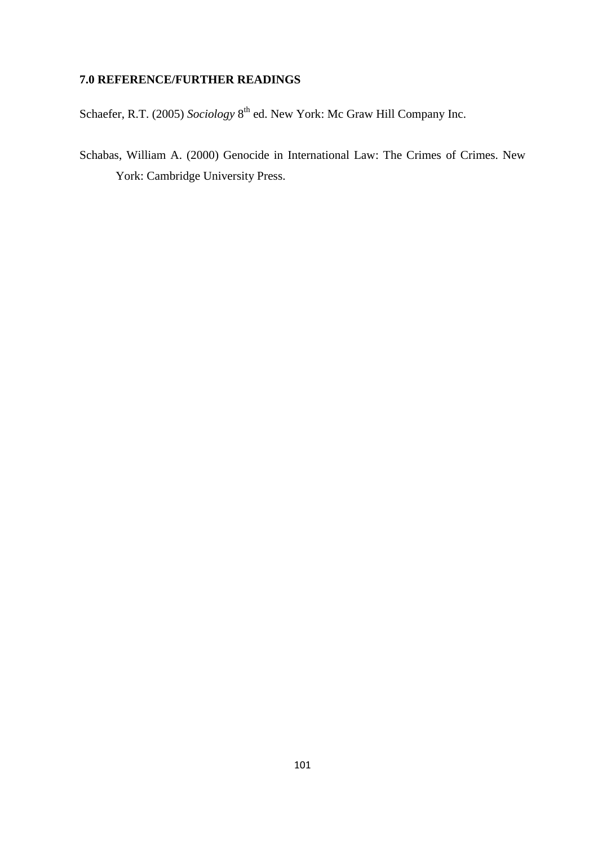# **7.0 REFERENCE/FURTHER READINGS**

Schaefer, R.T. (2005) *Sociology* 8<sup>th</sup> ed. New York: Mc Graw Hill Company Inc.

Schabas, William A. (2000) Genocide in International Law: The Crimes of Crimes. New York: Cambridge University Press.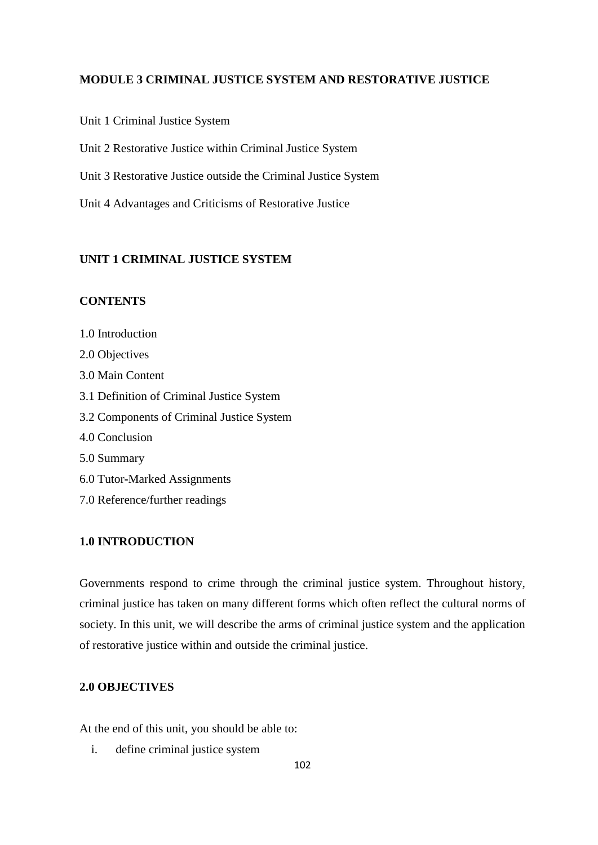### **MODULE 3 CRIMINAL JUSTICE SYSTEM AND RESTORATIVE JUSTICE**

Unit 1 Criminal Justice System

Unit 2 Restorative Justice within Criminal Justice System

Unit 3 Restorative Justice outside the Criminal Justice System

Unit 4 Advantages and Criticisms of Restorative Justice

## **UNIT 1 CRIMINAL JUSTICE SYSTEM**

## **CONTENTS**

1.0 Introduction 2.0 Objectives 3.0 Main Content 3.1 Definition of Criminal Justice System 3.2 Components of Criminal Justice System 4.0 Conclusion 5.0 Summary 6.0 Tutor**-**Marked Assignments 7.0 Reference/further readings

### **1.0 INTRODUCTION**

Governments respond to crime through the criminal justice system. Throughout history, criminal justice has taken on many different forms which often reflect the cultural norms of society. In this unit, we will describe the arms of criminal justice system and the application of restorative justice within and outside the criminal justice.

## **2.0 OBJECTIVES**

At the end of this unit, you should be able to:

i. define criminal justice system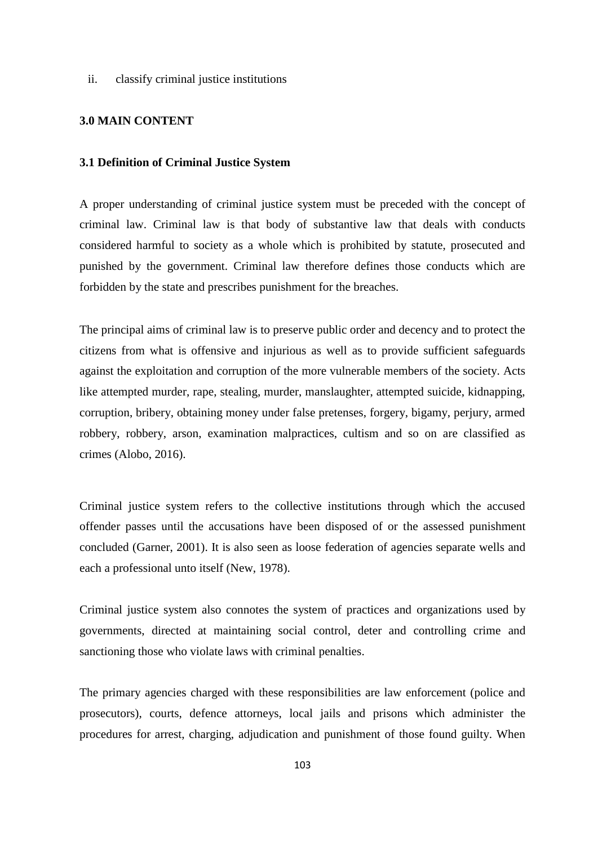ii. classify criminal justice institutions

#### **3.0 MAIN CONTENT**

#### **3.1 Definition of Criminal Justice System**

A proper understanding of criminal justice system must be preceded with the concept of criminal law. Criminal law is that body of substantive law that deals with conducts considered harmful to society as a whole which is prohibited by statute, prosecuted and punished by the government. Criminal law therefore defines those conducts which are forbidden by the state and prescribes punishment for the breaches.

The principal aims of criminal law is to preserve public order and decency and to protect the citizens from what is offensive and injurious as well as to provide sufficient safeguards against the exploitation and corruption of the more vulnerable members of the society. Acts like attempted murder, rape, stealing, murder, manslaughter, attempted suicide, kidnapping, corruption, bribery, obtaining money under false pretenses, forgery, bigamy, perjury, armed robbery, robbery, arson, examination malpractices, cultism and so on are classified as crimes (Alobo, 2016).

Criminal justice system refers to the collective institutions through which the accused offender passes until the accusations have been disposed of or the assessed punishment concluded (Garner, 2001). It is also seen as loose federation of agencies separate wells and each a professional unto itself (New, 1978).

Criminal justice system also connotes the system of practices and organizations used by governments, directed at maintaining social control, deter and controlling crime and sanctioning those who violate laws with criminal penalties.

The primary agencies charged with these responsibilities are law enforcement (police and prosecutors), courts, defence attorneys, local jails and prisons which administer the procedures for arrest, charging, adjudication and punishment of those found guilty. When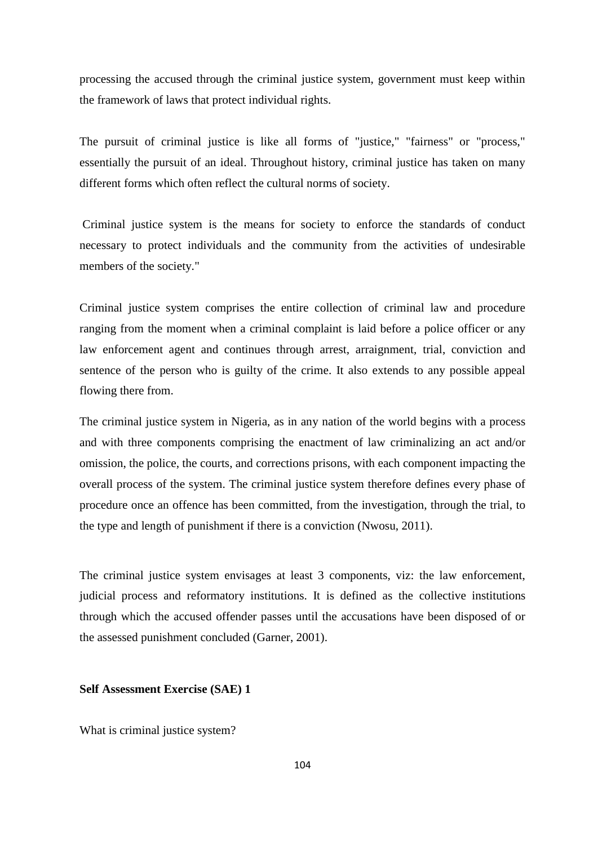processing the accused through the criminal justice system, government must keep within the framework of laws that protect individual rights.

The pursuit of criminal justice is like all forms of "justice," "fairness" or "process," essentially the pursuit of an ideal. Throughout history, criminal justice has taken on many different forms which often reflect the cultural norms of society.

Criminal justice system is the means for society to enforce the standards of conduct necessary to protect individuals and the community from the activities of undesirable members of the society."

Criminal justice system comprises the entire collection of criminal law and procedure ranging from the moment when a criminal complaint is laid before a police officer or any law enforcement agent and continues through arrest, arraignment, trial, conviction and sentence of the person who is guilty of the crime. It also extends to any possible appeal flowing there from.

The criminal justice system in Nigeria, as in any nation of the world begins with a process and with three components comprising the enactment of law criminalizing an act and/or omission, the police, the courts, and corrections prisons, with each component impacting the overall process of the system. The criminal justice system therefore defines every phase of procedure once an offence has been committed, from the investigation, through the trial, to the type and length of punishment if there is a conviction (Nwosu, 2011).

The criminal justice system envisages at least 3 components, viz: the law enforcement, judicial process and reformatory institutions. It is defined as the collective institutions through which the accused offender passes until the accusations have been disposed of or the assessed punishment concluded (Garner, 2001).

### **Self Assessment Exercise (SAE) 1**

What is criminal justice system?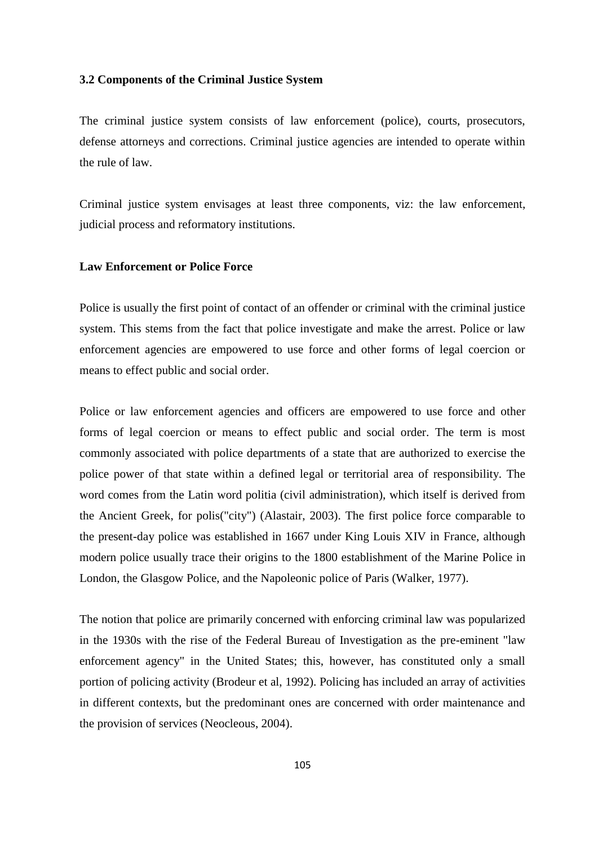#### **3.2 Components of the Criminal Justice System**

The criminal justice system consists of law enforcement (police), courts, prosecutors, defense attorneys and corrections. Criminal justice agencies are intended to operate within the rule of law.

Criminal justice system envisages at least three components, viz: the law enforcement, judicial process and reformatory institutions.

#### **Law Enforcement or Police Force**

Police is usually the first point of contact of an offender or criminal with the criminal justice system. This stems from the fact that police investigate and make the arrest. Police or law enforcement agencies are empowered to use force and other forms of legal coercion or means to effect public and social order.

Police or law enforcement agencies and officers are empowered to use force and other forms of legal coercion or means to effect public and social order. The term is most commonly associated with police departments of a state that are authorized to exercise the police power of that state within a defined legal or territorial area of responsibility. The word comes from the Latin word politia (civil administration), which itself is derived from the Ancient Greek, for polis("city") (Alastair, 2003). The first police force comparable to the present-day police was established in 1667 under King Louis XIV in France, although modern police usually trace their origins to the 1800 establishment of the Marine Police in London, the Glasgow Police, and the Napoleonic police of Paris (Walker, 1977).

The notion that police are primarily concerned with enforcing criminal law was popularized in the 1930s with the rise of the Federal Bureau of Investigation as the pre-eminent "law enforcement agency" in the United States; this, however, has constituted only a small portion of policing activity (Brodeur et al, 1992). Policing has included an array of activities in different contexts, but the predominant ones are concerned with order maintenance and the provision of services (Neocleous, 2004).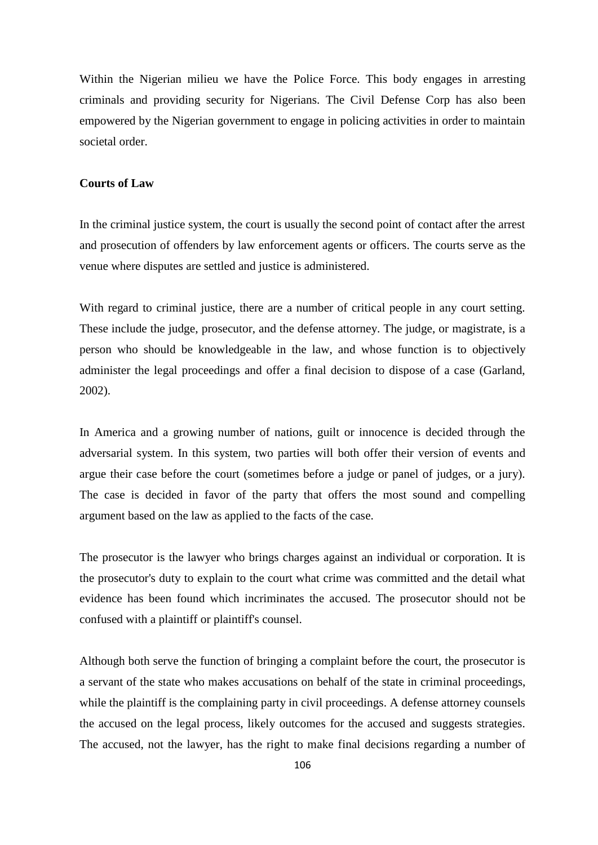Within the Nigerian milieu we have the Police Force. This body engages in arresting criminals and providing security for Nigerians. The Civil Defense Corp has also been empowered by the Nigerian government to engage in policing activities in order to maintain societal order.

#### **Courts of Law**

In the criminal justice system, the court is usually the second point of contact after the arrest and prosecution of offenders by law enforcement agents or officers. The courts serve as the venue where disputes are settled and justice is administered.

With regard to criminal justice, there are a number of critical people in any court setting. These include the judge, prosecutor, and the defense attorney. The judge, or magistrate, is a person who should be knowledgeable in the law, and whose function is to objectively administer the legal proceedings and offer a final decision to dispose of a case (Garland, 2002).

In America and a growing number of nations, guilt or innocence is decided through the adversarial system. In this system, two parties will both offer their version of events and argue their case before the court (sometimes before a judge or panel of judges, or a jury). The case is decided in favor of the party that offers the most sound and compelling argument based on the law as applied to the facts of the case.

The prosecutor is the lawyer who brings charges against an individual or corporation. It is the prosecutor's duty to explain to the court what crime was committed and the detail what evidence has been found which incriminates the accused. The prosecutor should not be confused with a plaintiff or plaintiff's counsel.

Although both serve the function of bringing a complaint before the court, the prosecutor is a servant of the state who makes accusations on behalf of the state in criminal proceedings, while the plaintiff is the complaining party in civil proceedings. A defense attorney counsels the accused on the legal process, likely outcomes for the accused and suggests strategies. The accused, not the lawyer, has the right to make final decisions regarding a number of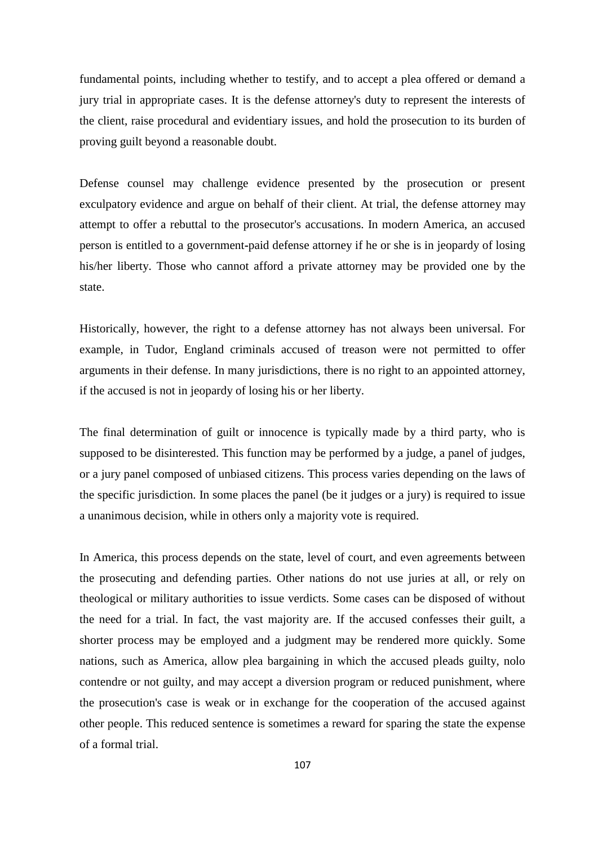fundamental points, including whether to testify, and to accept a plea offered or demand a jury trial in appropriate cases. It is the defense attorney's duty to represent the interests of the client, raise procedural and evidentiary issues, and hold the prosecution to its burden of proving guilt beyond a reasonable doubt.

Defense counsel may challenge evidence presented by the prosecution or present exculpatory evidence and argue on behalf of their client. At trial, the defense attorney may attempt to offer a rebuttal to the prosecutor's accusations. In modern America, an accused person is entitled to a government**-**paid defense attorney if he or she is in jeopardy of losing his/her liberty. Those who cannot afford a private attorney may be provided one by the state.

Historically, however, the right to a defense attorney has not always been universal. For example, in Tudor, England criminals accused of treason were not permitted to offer arguments in their defense. In many jurisdictions, there is no right to an appointed attorney, if the accused is not in jeopardy of losing his or her liberty.

The final determination of guilt or innocence is typically made by a third party, who is supposed to be disinterested. This function may be performed by a judge, a panel of judges, or a jury panel composed of unbiased citizens. This process varies depending on the laws of the specific jurisdiction. In some places the panel (be it judges or a jury) is required to issue a unanimous decision, while in others only a majority vote is required.

In America, this process depends on the state, level of court, and even agreements between the prosecuting and defending parties. Other nations do not use juries at all, or rely on theological or military authorities to issue verdicts. Some cases can be disposed of without the need for a trial. In fact, the vast majority are. If the accused confesses their guilt, a shorter process may be employed and a judgment may be rendered more quickly. Some nations, such as America, allow plea bargaining in which the accused pleads guilty, nolo contendre or not guilty, and may accept a diversion program or reduced punishment, where the prosecution's case is weak or in exchange for the cooperation of the accused against other people. This reduced sentence is sometimes a reward for sparing the state the expense of a formal trial.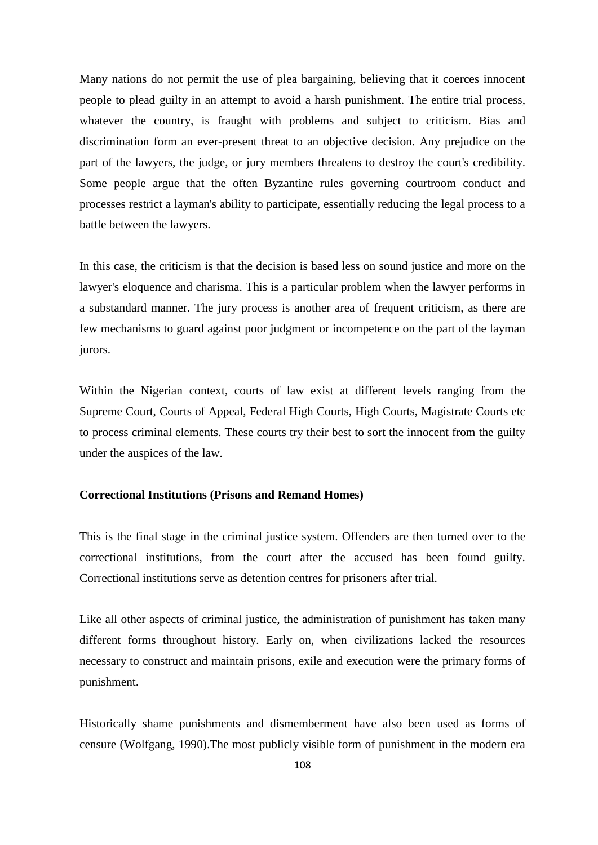Many nations do not permit the use of plea bargaining, believing that it coerces innocent people to plead guilty in an attempt to avoid a harsh punishment. The entire trial process, whatever the country, is fraught with problems and subject to criticism. Bias and discrimination form an ever-present threat to an objective decision. Any prejudice on the part of the lawyers, the judge, or jury members threatens to destroy the court's credibility. Some people argue that the often Byzantine rules governing courtroom conduct and processes restrict a layman's ability to participate, essentially reducing the legal process to a battle between the lawyers.

In this case, the criticism is that the decision is based less on sound justice and more on the lawyer's eloquence and charisma. This is a particular problem when the lawyer performs in a substandard manner. The jury process is another area of frequent criticism, as there are few mechanisms to guard against poor judgment or incompetence on the part of the layman jurors.

Within the Nigerian context, courts of law exist at different levels ranging from the Supreme Court, Courts of Appeal, Federal High Courts, High Courts, Magistrate Courts etc to process criminal elements. These courts try their best to sort the innocent from the guilty under the auspices of the law.

### **Correctional Institutions (Prisons and Remand Homes)**

This is the final stage in the criminal justice system. Offenders are then turned over to the correctional institutions, from the court after the accused has been found guilty. Correctional institutions serve as detention centres for prisoners after trial.

Like all other aspects of criminal justice, the administration of punishment has taken many different forms throughout history. Early on, when civilizations lacked the resources necessary to construct and maintain prisons, exile and execution were the primary forms of punishment.

Historically shame punishments and dismemberment have also been used as forms of censure (Wolfgang, 1990).The most publicly visible form of punishment in the modern era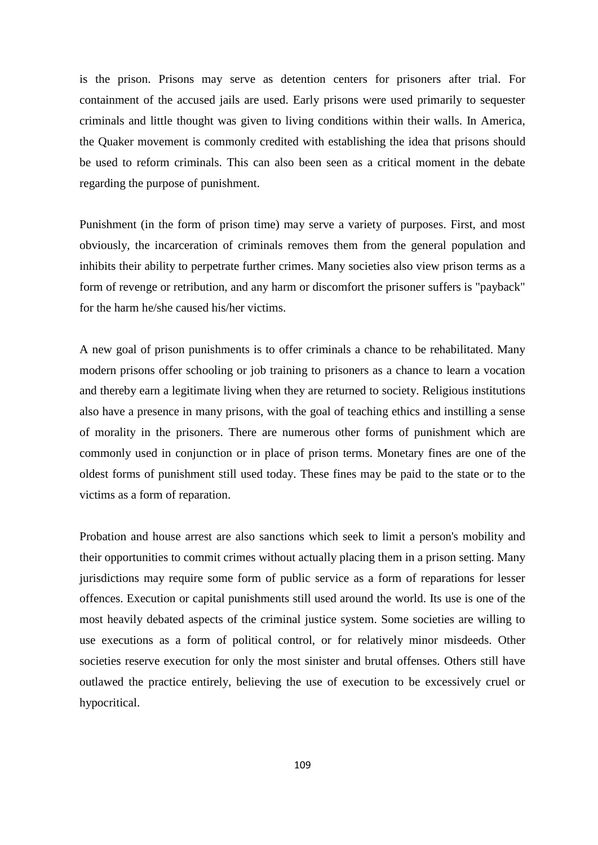is the prison. Prisons may serve as detention centers for prisoners after trial. For containment of the accused jails are used. Early prisons were used primarily to sequester criminals and little thought was given to living conditions within their walls. In America, the Quaker movement is commonly credited with establishing the idea that prisons should be used to reform criminals. This can also been seen as a critical moment in the debate regarding the purpose of punishment.

Punishment (in the form of prison time) may serve a variety of purposes. First, and most obviously, the incarceration of criminals removes them from the general population and inhibits their ability to perpetrate further crimes. Many societies also view prison terms as a form of revenge or retribution, and any harm or discomfort the prisoner suffers is "payback" for the harm he/she caused his/her victims.

A new goal of prison punishments is to offer criminals a chance to be rehabilitated. Many modern prisons offer schooling or job training to prisoners as a chance to learn a vocation and thereby earn a legitimate living when they are returned to society. Religious institutions also have a presence in many prisons, with the goal of teaching ethics and instilling a sense of morality in the prisoners. There are numerous other forms of punishment which are commonly used in conjunction or in place of prison terms. Monetary fines are one of the oldest forms of punishment still used today. These fines may be paid to the state or to the victims as a form of reparation.

Probation and house arrest are also sanctions which seek to limit a person's mobility and their opportunities to commit crimes without actually placing them in a prison setting. Many jurisdictions may require some form of public service as a form of reparations for lesser offences. Execution or capital punishments still used around the world. Its use is one of the most heavily debated aspects of the criminal justice system. Some societies are willing to use executions as a form of political control, or for relatively minor misdeeds. Other societies reserve execution for only the most sinister and brutal offenses. Others still have outlawed the practice entirely, believing the use of execution to be excessively cruel or hypocritical.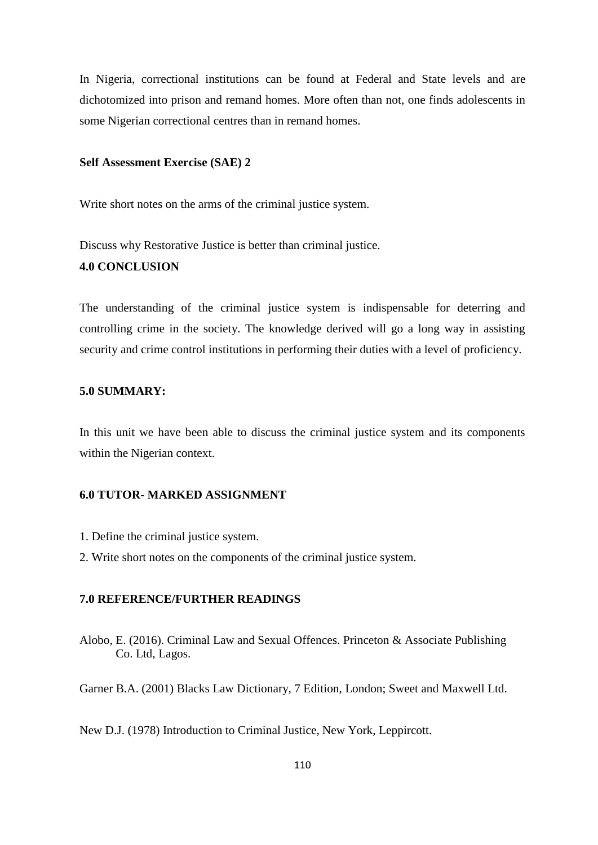In Nigeria, correctional institutions can be found at Federal and State levels and are dichotomized into prison and remand homes. More often than not, one finds adolescents in some Nigerian correctional centres than in remand homes.

### **Self Assessment Exercise (SAE) 2**

Write short notes on the arms of the criminal justice system.

Discuss why Restorative Justice is better than criminal justice. **4.0 CONCLUSION**

The understanding of the criminal justice system is indispensable for deterring and controlling crime in the society. The knowledge derived will go a long way in assisting security and crime control institutions in performing their duties with a level of proficiency.

## **5.0 SUMMARY:**

In this unit we have been able to discuss the criminal justice system and its components within the Nigerian context.

# **6.0 TUTOR- MARKED ASSIGNMENT**

- 1. Define the criminal justice system.
- 2. Write short notes on the components of the criminal justice system.

# **7.0 REFERENCE/FURTHER READINGS**

Alobo, E. (2016). Criminal Law and Sexual Offences. Princeton & Associate Publishing Co. Ltd, Lagos.

Garner B.A. (2001) Blacks Law Dictionary, 7 Edition, London; Sweet and Maxwell Ltd.

New D.J. (1978) Introduction to Criminal Justice, New York, Leppircott.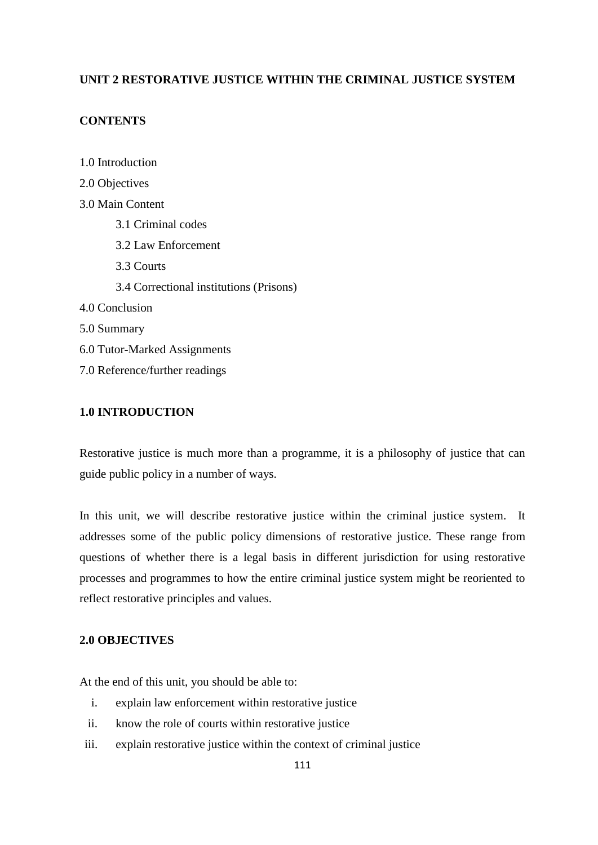# **UNIT 2 RESTORATIVE JUSTICE WITHIN THE CRIMINAL JUSTICE SYSTEM**

# **CONTENTS**

1.0 Introduction 2.0 Objectives 3.0 Main Content 3.1 Criminal codes 3.2 Law Enforcement 3.3 Courts 3.4 Correctional institutions (Prisons) 4.0 Conclusion 5.0 Summary 6.0 Tutor**-**Marked Assignments 7.0 Reference/further readings

# **1.0 INTRODUCTION**

Restorative justice is much more than a programme, it is a philosophy of justice that can guide public policy in a number of ways.

In this unit, we will describe restorative justice within the criminal justice system. It addresses some of the public policy dimensions of restorative justice. These range from questions of whether there is a legal basis in different jurisdiction for using restorative processes and programmes to how the entire criminal justice system might be reoriented to reflect restorative principles and values.

## **2.0 OBJECTIVES**

At the end of this unit, you should be able to:

- i. explain law enforcement within restorative justice
- ii. know the role of courts within restorative justice
- iii. explain restorative justice within the context of criminal justice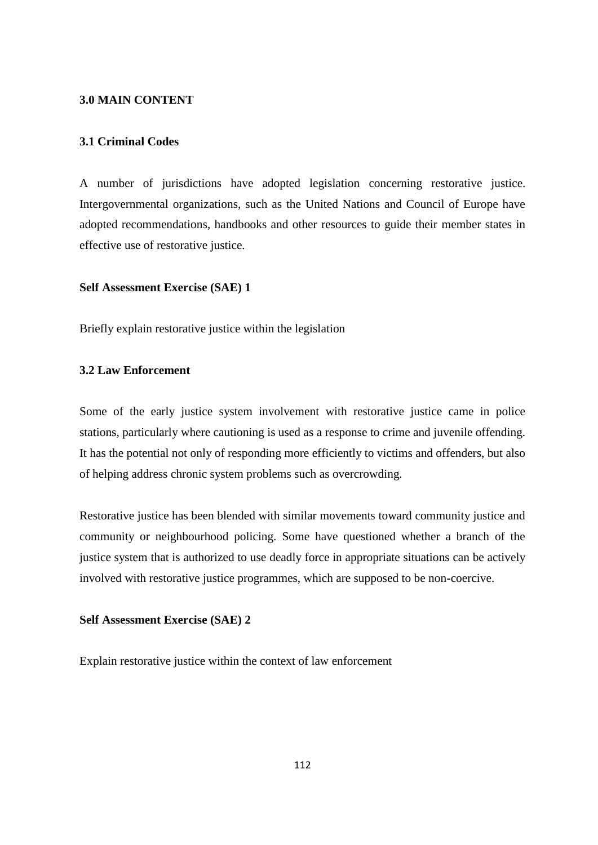#### **3.0 MAIN CONTENT**

## **3.1 Criminal Codes**

A number of jurisdictions have adopted legislation concerning restorative justice. Intergovernmental organizations, such as the United Nations and Council of Europe have adopted recommendations, handbooks and other resources to guide their member states in effective use of restorative justice.

## **Self Assessment Exercise (SAE) 1**

Briefly explain restorative justice within the legislation

# **3.2 Law Enforcement**

Some of the early justice system involvement with restorative justice came in police stations, particularly where cautioning is used as a response to crime and juvenile offending. It has the potential not only of responding more efficiently to victims and offenders, but also of helping address chronic system problems such as overcrowding.

Restorative justice has been blended with similar movements toward community justice and community or neighbourhood policing. Some have questioned whether a branch of the justice system that is authorized to use deadly force in appropriate situations can be actively involved with restorative justice programmes, which are supposed to be non**-**coercive.

## **Self Assessment Exercise (SAE) 2**

Explain restorative justice within the context of law enforcement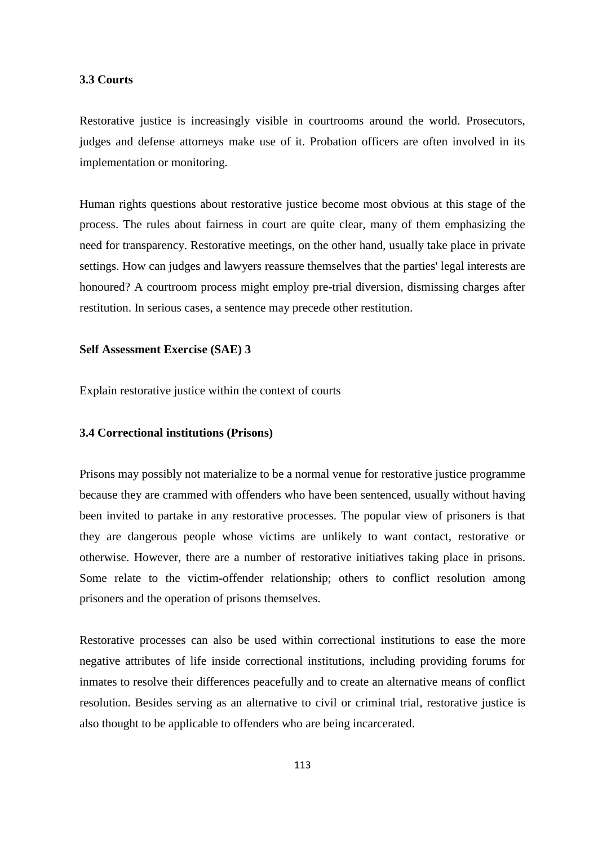## **3.3 Courts**

Restorative justice is increasingly visible in courtrooms around the world. Prosecutors, judges and defense attorneys make use of it. Probation officers are often involved in its implementation or monitoring.

Human rights questions about restorative justice become most obvious at this stage of the process. The rules about fairness in court are quite clear, many of them emphasizing the need for transparency. Restorative meetings, on the other hand, usually take place in private settings. How can judges and lawyers reassure themselves that the parties' legal interests are honoured? A courtroom process might employ pre**-**trial diversion, dismissing charges after restitution. In serious cases, a sentence may precede other restitution.

## **Self Assessment Exercise (SAE) 3**

Explain restorative justice within the context of courts

#### **3.4 Correctional institutions (Prisons)**

Prisons may possibly not materialize to be a normal venue for restorative justice programme because they are crammed with offenders who have been sentenced, usually without having been invited to partake in any restorative processes. The popular view of prisoners is that they are dangerous people whose victims are unlikely to want contact, restorative or otherwise. However, there are a number of restorative initiatives taking place in prisons. Some relate to the victim**-**offender relationship; others to conflict resolution among prisoners and the operation of prisons themselves.

Restorative processes can also be used within correctional institutions to ease the more negative attributes of life inside correctional institutions, including providing forums for inmates to resolve their differences peacefully and to create an alternative means of conflict resolution. Besides serving as an alternative to civil or criminal trial, restorative justice is also thought to be applicable to offenders who are being incarcerated.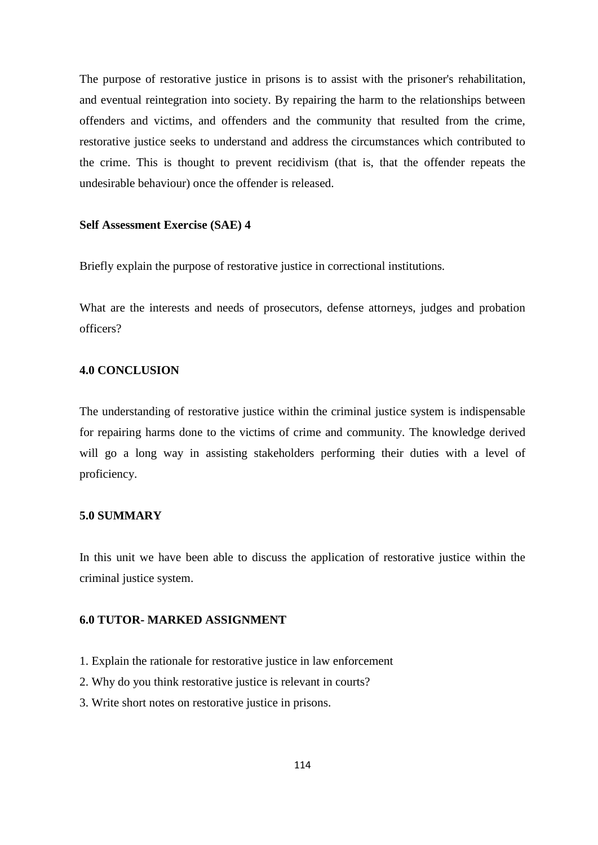The purpose of restorative justice in prisons is to assist with the prisoner's [rehabilitation,](https://en.wikipedia.org/wiki/Rehabilitation_(penology)) and eventual [reintegration](https://en.wikipedia.org/wiki/Social_integration) into society. By repairing the harm to the relationships between offenders and victims, and offenders and the community that resulted from the crime, restorative justice seeks to understand and address the circumstances which contributed to the crime. This is thought to prevent [recidivism](https://en.wikipedia.org/wiki/Recidivism) (that is, that the offender repeats the undesirable behaviour) once the offender is released.

#### **Self Assessment Exercise (SAE) 4**

Briefly explain the purpose of restorative justice in correctional institutions.

What are the interests and needs of prosecutors, defense attorneys, judges and probation officers?

# **4.0 CONCLUSION**

The understanding of restorative justice within the criminal justice system is indispensable for repairing harms done to the victims of crime and community. The knowledge derived will go a long way in assisting stakeholders performing their duties with a level of proficiency.

#### **5.0 SUMMARY**

In this unit we have been able to discuss the application of restorative justice within the criminal justice system.

# **6.0 TUTOR- MARKED ASSIGNMENT**

- 1. Explain the rationale for restorative justice in law enforcement
- 2. Why do you think restorative justice is relevant in courts?
- 3. Write short notes on restorative justice in prisons.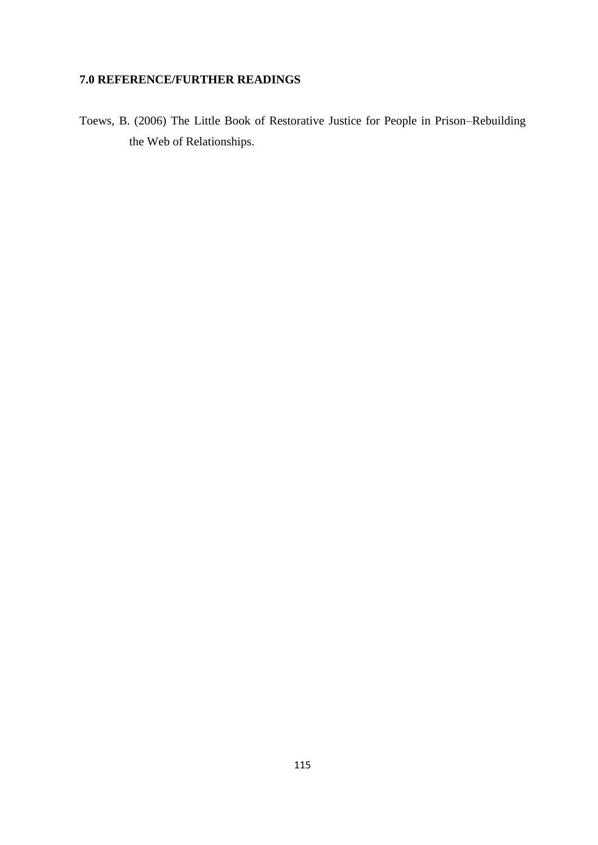# **7.0 REFERENCE/FURTHER READINGS**

Toews, B. (2006) The Little Book of Restorative Justice for People in Prison–Rebuilding the Web of Relationships.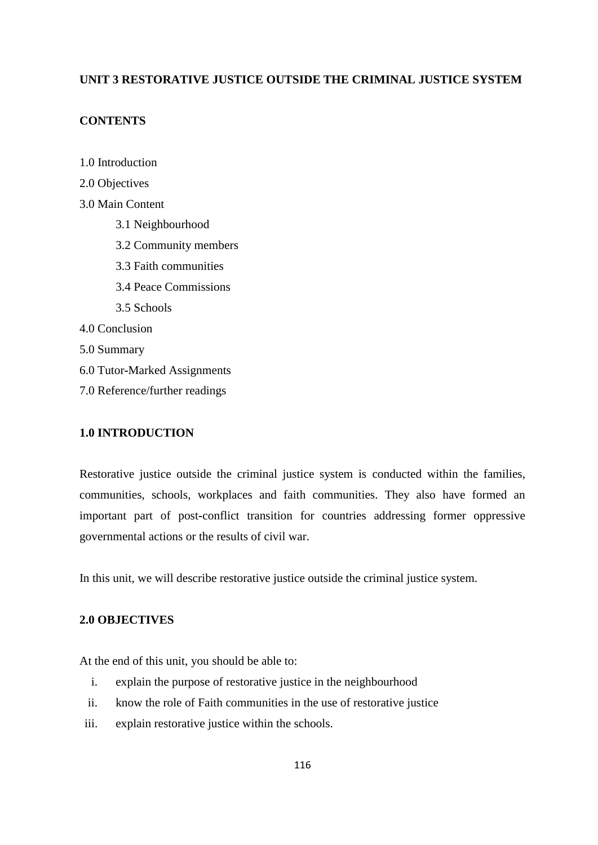# **UNIT 3 RESTORATIVE JUSTICE OUTSIDE THE CRIMINAL JUSTICE SYSTEM**

# **CONTENTS**

1.0 Introduction

- 2.0 Objectives
- 3.0 Main Content
	- 3.1 Neighbourhood
	- 3.2 Community members
	- 3.3 Faith communities
	- 3.4 Peace Commissions
	- 3.5 Schools
- 4.0 Conclusion
- 5.0 Summary
- 6.0 Tutor**-**Marked Assignments
- 7.0 Reference/further readings

# **1.0 INTRODUCTION**

Restorative justice outside the criminal justice system is conducted within the families, communities, schools, workplaces and faith communities. They also have formed an important part of post**-**conflict transition for countries addressing former oppressive governmental actions or the results of civil war.

In this unit, we will describe restorative justice outside the criminal justice system.

# **2.0 OBJECTIVES**

At the end of this unit, you should be able to:

- i. explain the purpose of restorative justice in the neighbourhood
- ii. know the role of Faith communities in the use of restorative justice
- iii. explain restorative justice within the schools.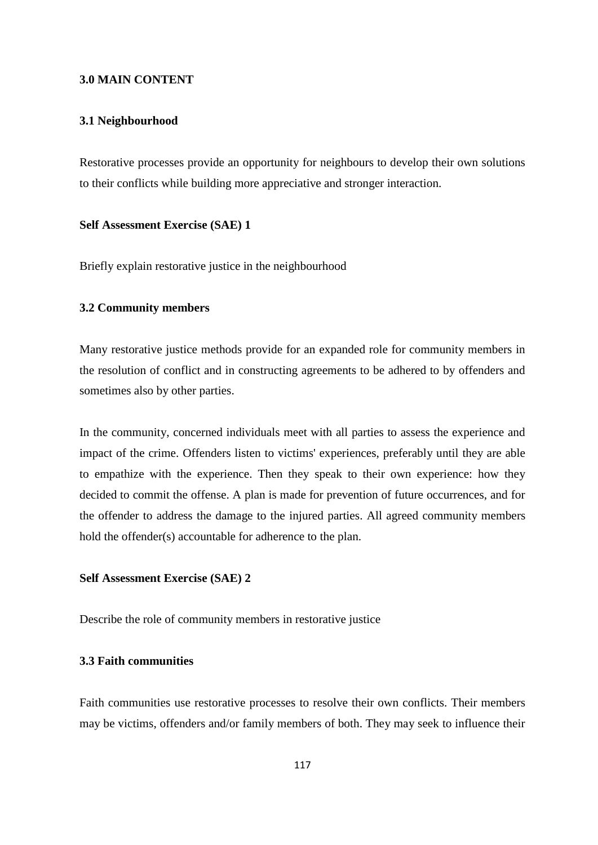## **3.0 MAIN CONTENT**

## **3.1 Neighbourhood**

Restorative processes provide an opportunity for neighbours to develop their own solutions to their conflicts while building more appreciative and stronger interaction.

### **Self Assessment Exercise (SAE) 1**

Briefly explain restorative justice in the neighbourhood

## **3.2 Community members**

Many restorative justice methods provide for an expanded role for community members in the resolution of conflict and in constructing agreements to be adhered to by offenders and sometimes also by other parties.

In the community, concerned individuals meet with all parties to assess the experience and impact of the crime. Offenders listen to victims' experiences, preferably until they are able to empathize with the experience. Then they speak to their own experience: how they decided to commit the offense. A plan is made for prevention of future occurrences, and for the offender to address the damage to the injured parties. All agreed community members hold the offender(s) accountable for adherence to the plan.

## **Self Assessment Exercise (SAE) 2**

Describe the role of community members in restorative justice

# **3.3 Faith communities**

Faith communities use restorative processes to resolve their own conflicts. Their members may be victims, offenders and/or family members of both. They may seek to influence their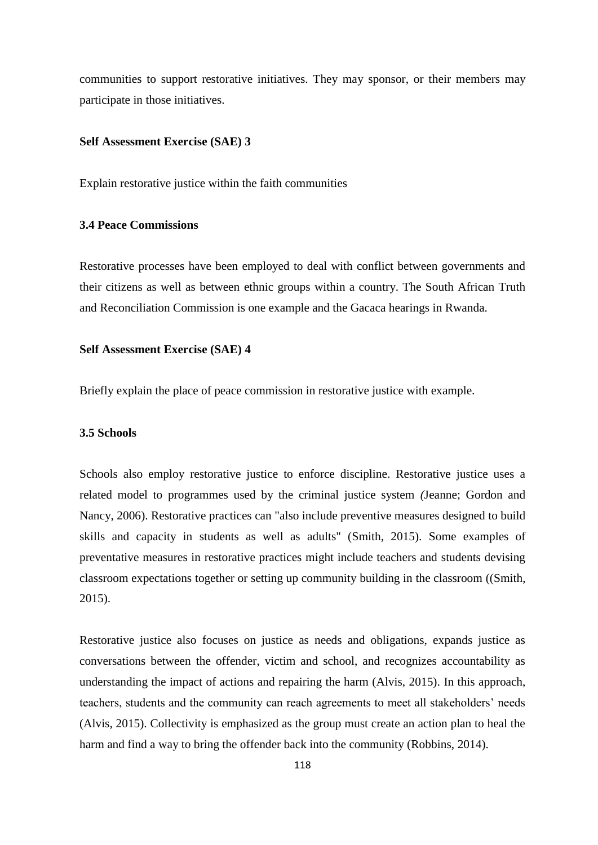communities to support restorative initiatives. They may sponsor, or their members may participate in those initiatives.

#### **Self Assessment Exercise (SAE) 3**

Explain restorative justice within the faith communities

# **3.4 Peace Commissions**

Restorative processes have been employed to deal with conflict between governments and their citizens as well as between ethnic groups within a country. The South African Truth and Reconciliation Commission is one example and the Gacaca hearings in Rwanda.

#### **Self Assessment Exercise (SAE) 4**

Briefly explain the place of peace commission in restorative justice with example.

#### **3.5 Schools**

Schools also employ restorative justice to enforce discipline. Restorative justice uses a related model to programmes used by the criminal justice system *(*Jeanne; Gordon and Nancy, 2006). Restorative practices can "also include preventive measures designed to build skills and capacity in students as well as adults" (Smith, 2015). Some examples of preventative measures in restorative practices might include teachers and students devising classroom expectations together or setting up community building in the classroom ((Smith, 2015).

Restorative justice also focuses on justice as needs and obligations, expands justice as conversations between the offender, victim and school, and recognizes accountability as understanding the impact of actions and repairing the harm (Alvis, 2015). In this approach, teachers, students and the community can reach agreements to meet all stakeholders' needs (Alvis, 2015). Collectivity is emphasized as the group must create an action plan to heal the harm and find a way to bring the offender back into the community (Robbins, 2014).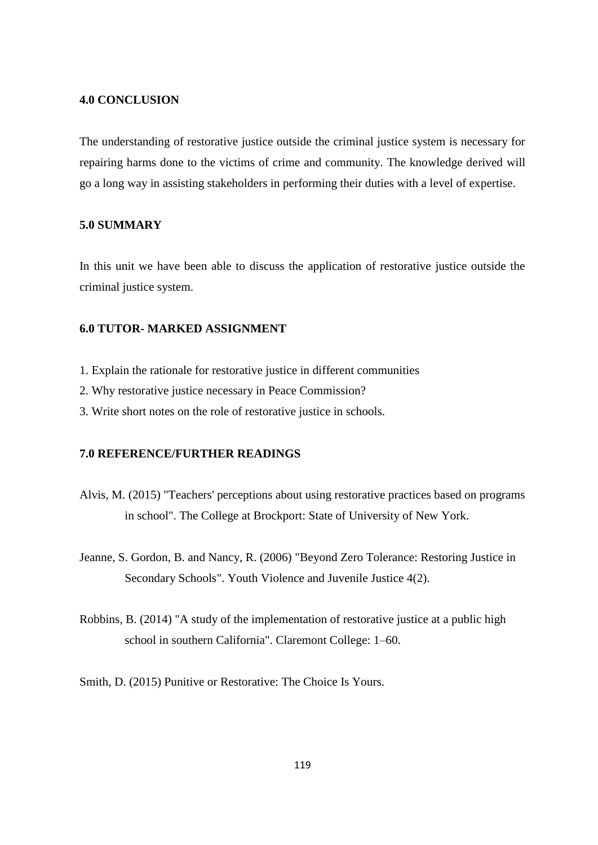## **4.0 CONCLUSION**

The understanding of restorative justice outside the criminal justice system is necessary for repairing harms done to the victims of crime and community. The knowledge derived will go a long way in assisting stakeholders in performing their duties with a level of expertise.

## **5.0 SUMMARY**

In this unit we have been able to discuss the application of restorative justice outside the criminal justice system.

# **6.0 TUTOR- MARKED ASSIGNMENT**

- 1. Explain the rationale for restorative justice in different communities
- 2. Why restorative justice necessary in Peace Commission?
- 3. Write short notes on the role of restorative justice in schools.

### **7.0 REFERENCE/FURTHER READINGS**

- Alvis, M. (2015) "Teachers' perceptions about using restorative practices based on programs in school". The College at Brockport: State of University of New York.
- Jeanne, S. Gordon, B. and Nancy, R. (2006) ["Beyond Zero Tolerance: Restoring Justice in](https://www.ncjrs.gov/App/Publications/abstract.aspx?ID=234985)  [Secondary Schools".](https://www.ncjrs.gov/App/Publications/abstract.aspx?ID=234985) Youth Violence and Juvenile Justice 4(2).
- Robbins, B. (2014) "A study of the implementation of restorative justice at a public high school in southern California". Claremont College: 1–60.
- Smith, D. (2015) Punitive or Restorative: The Choice Is Yours.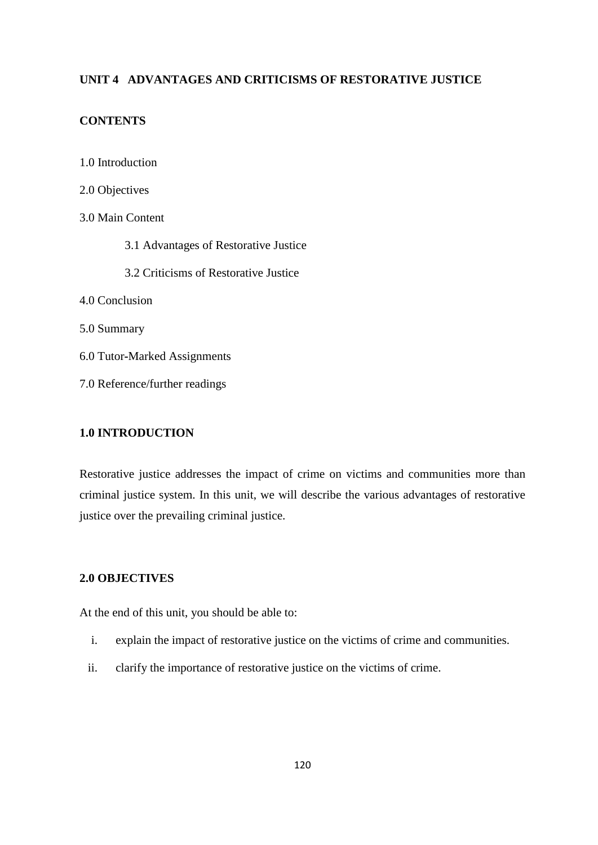# **UNIT 4 ADVANTAGES AND CRITICISMS OF RESTORATIVE JUSTICE**

# **CONTENTS**

1.0 Introduction 2.0 Objectives 3.0 Main Content 3.1 Advantages of Restorative Justice 3.2 Criticisms of Restorative Justice 4.0 Conclusion 5.0 Summary 6.0 Tutor**-**Marked Assignments 7.0 Reference/further readings

# **1.0 INTRODUCTION**

Restorative justice addresses the impact of crime on victims and communities more than criminal justice system. In this unit, we will describe the various advantages of restorative justice over the prevailing criminal justice.

# **2.0 OBJECTIVES**

At the end of this unit, you should be able to:

- i. explain the impact of restorative justice on the victims of crime and communities.
- ii. clarify the importance of restorative justice on the victims of crime.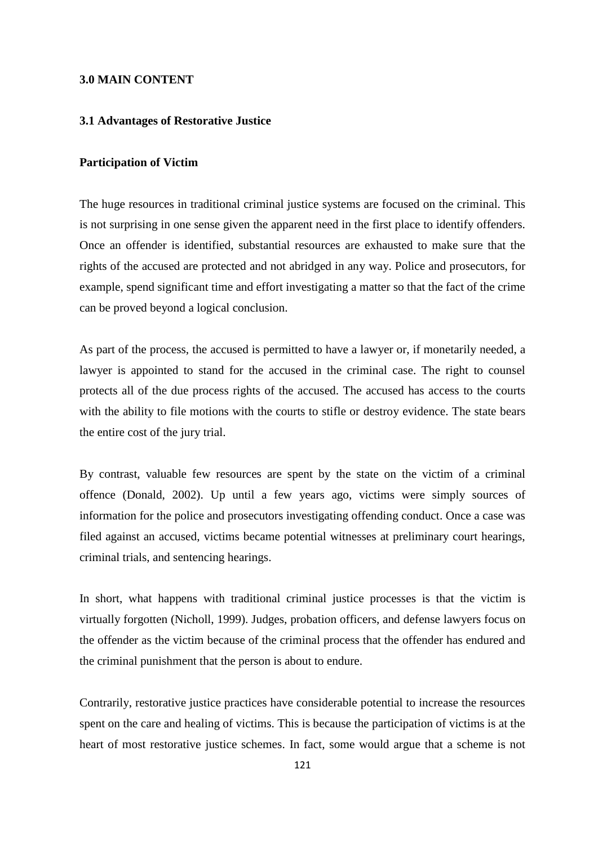## **3.0 MAIN CONTENT**

## **3.1 Advantages of Restorative Justice**

#### **Participation of Victim**

The huge resources in traditional criminal justice systems are focused on the criminal. This is not surprising in one sense given the apparent need in the first place to identify offenders. Once an offender is identified, substantial resources are exhausted to make sure that the rights of the accused are protected and not abridged in any way. Police and prosecutors, for example, spend significant time and effort investigating a matter so that the fact of the crime can be proved beyond a logical conclusion.

As part of the process, the accused is permitted to have a lawyer or, if monetarily needed, a lawyer is appointed to stand for the accused in the criminal case. The right to counsel protects all of the due process rights of the accused. The accused has access to the courts with the ability to file motions with the courts to stifle or destroy evidence. The state bears the entire cost of the jury trial.

By contrast, valuable few resources are spent by the state on the victim of a criminal offence (Donald, 2002). Up until a few years ago, victims were simply sources of information for the police and prosecutors investigating offending conduct. Once a case was filed against an accused, victims became potential witnesses at preliminary court hearings, criminal trials, and sentencing hearings.

In short, what happens with traditional criminal justice processes is that the victim is virtually forgotten (Nicholl, 1999). Judges, probation officers, and defense lawyers focus on the offender as the victim because of the criminal process that the offender has endured and the criminal punishment that the person is about to endure.

Contrarily, restorative justice practices have considerable potential to increase the resources spent on the care and healing of victims. This is because the participation of victims is at the heart of most restorative justice schemes. In fact, some would argue that a scheme is not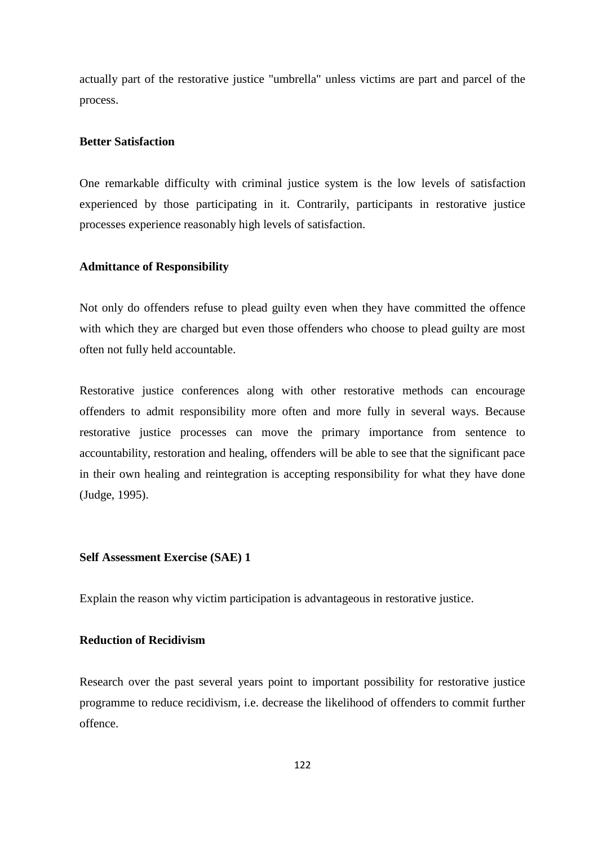actually part of the restorative justice "umbrella" unless victims are part and parcel of the process.

## **Better Satisfaction**

One remarkable difficulty with criminal justice system is the low levels of satisfaction experienced by those participating in it. Contrarily, participants in restorative justice processes experience reasonably high levels of satisfaction.

## **Admittance of Responsibility**

Not only do offenders refuse to plead guilty even when they have committed the offence with which they are charged but even those offenders who choose to plead guilty are most often not fully held accountable.

Restorative justice conferences along with other restorative methods can encourage offenders to admit responsibility more often and more fully in several ways. Because restorative justice processes can move the primary importance from sentence to accountability, restoration and healing, offenders will be able to see that the significant pace in their own healing and reintegration is accepting responsibility for what they have done (Judge, 1995).

## **Self Assessment Exercise (SAE) 1**

Explain the reason why victim participation is advantageous in restorative justice.

## **Reduction of Recidivism**

Research over the past several years point to important possibility for restorative justice programme to reduce recidivism, i.e. decrease the likelihood of offenders to commit further offence.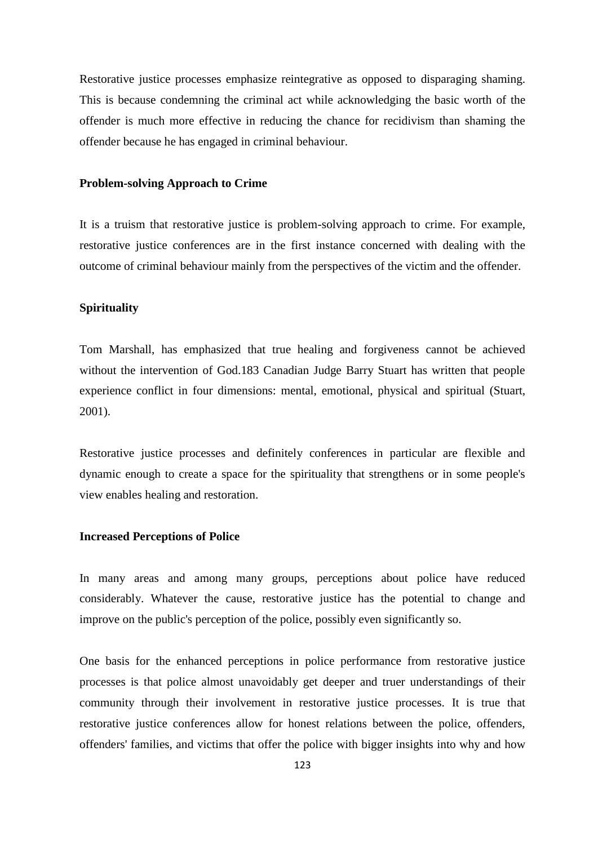Restorative justice processes emphasize reintegrative as opposed to disparaging shaming. This is because condemning the criminal act while acknowledging the basic worth of the offender is much more effective in reducing the chance for recidivism than shaming the offender because he has engaged in criminal behaviour.

#### **Problem-solving Approach to Crime**

It is a truism that restorative justice is problem-solving approach to crime. For example, restorative justice conferences are in the first instance concerned with dealing with the outcome of criminal behaviour mainly from the perspectives of the victim and the offender.

# **Spirituality**

Tom Marshall, has emphasized that true healing and forgiveness cannot be achieved without the intervention of God.183 Canadian Judge Barry Stuart has written that people experience conflict in four dimensions: mental, emotional, physical and spiritual (Stuart, 2001).

Restorative justice processes and definitely conferences in particular are flexible and dynamic enough to create a space for the spirituality that strengthens or in some people's view enables healing and restoration.

## **Increased Perceptions of Police**

In many areas and among many groups, perceptions about police have reduced considerably. Whatever the cause, restorative justice has the potential to change and improve on the public's perception of the police, possibly even significantly so.

One basis for the enhanced perceptions in police performance from restorative justice processes is that police almost unavoidably get deeper and truer understandings of their community through their involvement in restorative justice processes. It is true that restorative justice conferences allow for honest relations between the police, offenders, offenders' families, and victims that offer the police with bigger insights into why and how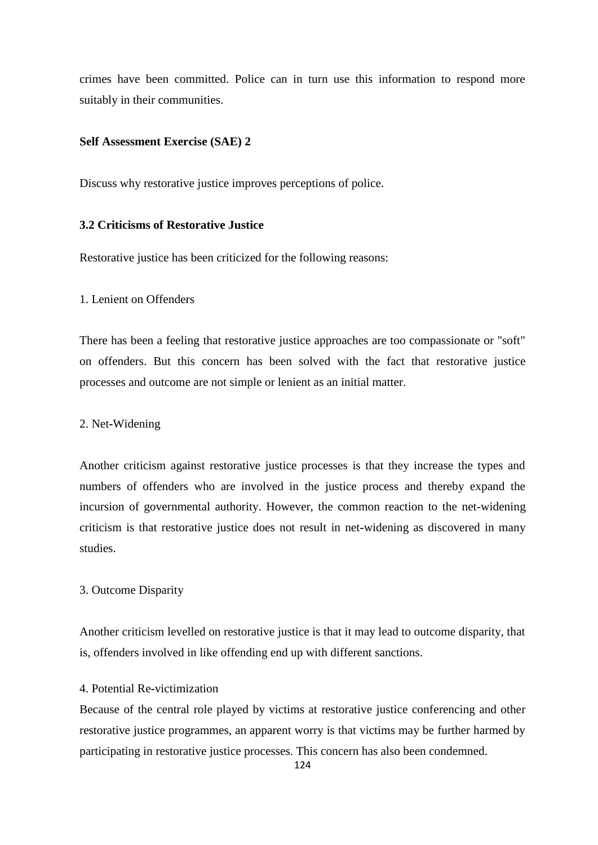crimes have been committed. Police can in turn use this information to respond more suitably in their communities.

## **Self Assessment Exercise (SAE) 2**

Discuss why restorative justice improves perceptions of police.

## **3.2 Criticisms of Restorative Justice**

Restorative justice has been criticized for the following reasons:

## 1. Lenient on Offenders

There has been a feeling that restorative justice approaches are too compassionate or "soft" on offenders. But this concern has been solved with the fact that restorative justice processes and outcome are not simple or lenient as an initial matter.

# 2. Net**-**Widening

Another criticism against restorative justice processes is that they increase the types and numbers of offenders who are involved in the justice process and thereby expand the incursion of governmental authority. However, the common reaction to the net-widening criticism is that restorative justice does not result in net**-**widening as discovered in many studies.

### 3. Outcome Disparity

Another criticism levelled on restorative justice is that it may lead to outcome disparity, that is, offenders involved in like offending end up with different sanctions.

# 4. Potential Re**-**victimization

Because of the central role played by victims at restorative justice conferencing and other restorative justice programmes, an apparent worry is that victims may be further harmed by participating in restorative justice processes. This concern has also been condemned.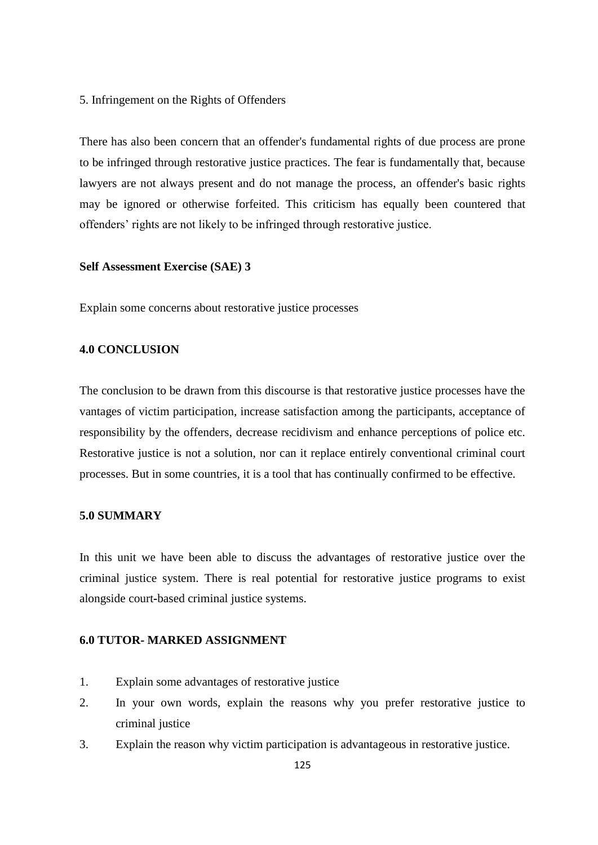5. Infringement on the Rights of Offenders

There has also been concern that an offender's fundamental rights of due process are prone to be infringed through restorative justice practices. The fear is fundamentally that, because lawyers are not always present and do not manage the process, an offender's basic rights may be ignored or otherwise forfeited. This criticism has equally been countered that offenders' rights are not likely to be infringed through restorative justice.

#### **Self Assessment Exercise (SAE) 3**

Explain some concerns about restorative justice processes

## **4.0 CONCLUSION**

The conclusion to be drawn from this discourse is that restorative justice processes have the vantages of victim participation, increase satisfaction among the participants, acceptance of responsibility by the offenders, decrease recidivism and enhance perceptions of police etc. Restorative justice is not a solution, nor can it replace entirely conventional criminal court processes. But in some countries, it is a tool that has continually confirmed to be effective.

#### **5.0 SUMMARY**

In this unit we have been able to discuss the advantages of restorative justice over the criminal justice system. There is real potential for restorative justice programs to exist alongside court**-**based criminal justice systems.

#### **6.0 TUTOR- MARKED ASSIGNMENT**

- 1. Explain some advantages of restorative justice
- 2. In your own words, explain the reasons why you prefer restorative justice to criminal justice
- 3. Explain the reason why victim participation is advantageous in restorative justice.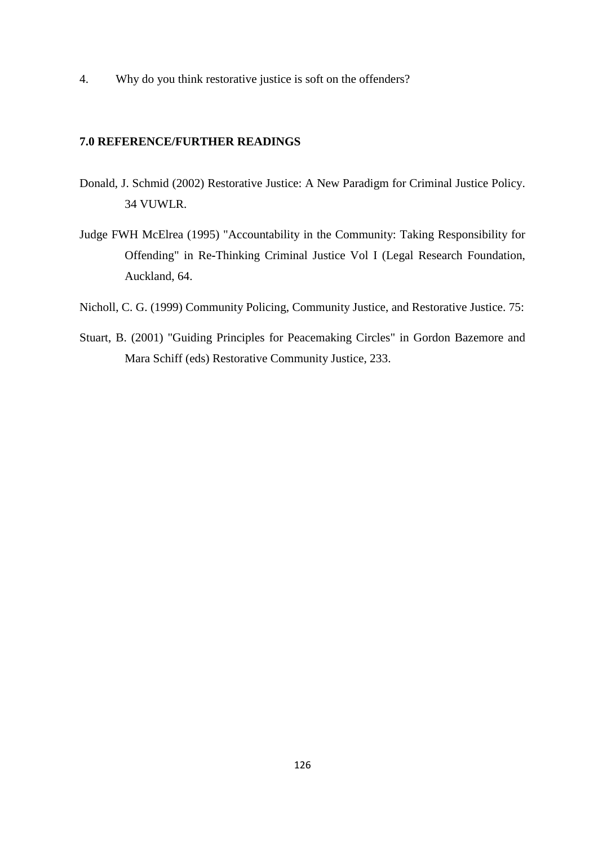4. Why do you think restorative justice is soft on the offenders?

# **7.0 REFERENCE/FURTHER READINGS**

- Donald, J. Schmid (2002) Restorative Justice: A New Paradigm for Criminal Justice Policy. 34 VUWLR.
- Judge FWH McElrea (1995) "Accountability in the Community: Taking Responsibility for Offending" in Re**-**Thinking Criminal Justice Vol I (Legal Research Foundation, Auckland, 64.
- Nicholl, C. G. (1999) Community Policing, Community Justice, and Restorative Justice. 75:
- Stuart, B. (2001) "Guiding Principles for Peacemaking Circles" in Gordon Bazemore and Mara Schiff (eds) Restorative Community Justice, 233.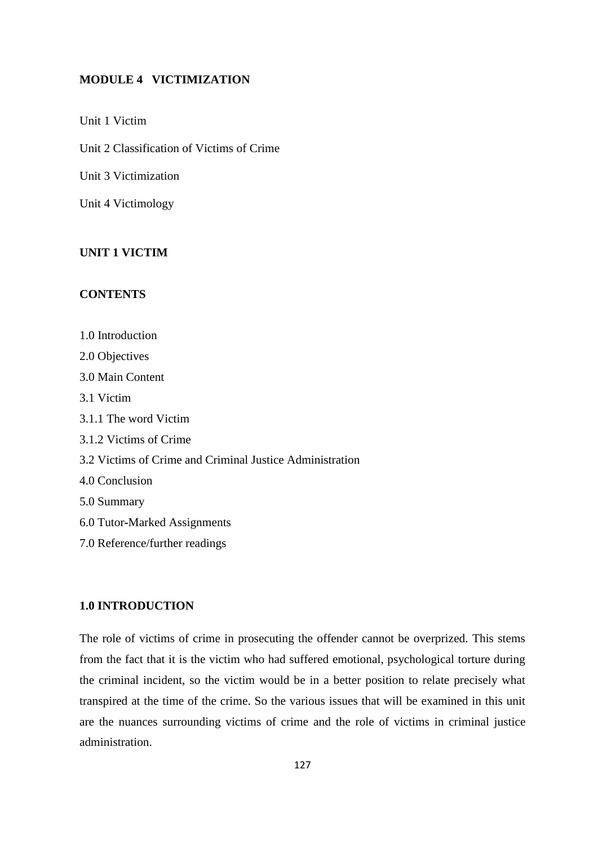## **MODULE 4 VICTIMIZATION**

Unit 1 Victim

Unit 2 Classification of Victims of Crime

Unit 3 Victimization

Unit 4 Victimology

# **UNIT 1 VICTIM**

# **CONTENTS**

1.0 Introduction 2.0 Objectives 3.0 Main Content 3.1 Victim 3.1.1 The word Victim 3.1.2 Victims of Crime 3.2 Victims of Crime and Criminal Justice Administration 4.0 Conclusion 5.0 Summary 6.0 Tutor**-**Marked Assignments 7.0 Reference/further readings

# **1.0 INTRODUCTION**

The role of victims of crime in prosecuting the offender cannot be overprized. This stems from the fact that it is the victim who had suffered emotional, psychological torture during the criminal incident, so the victim would be in a better position to relate precisely what transpired at the time of the crime. So the various issues that will be examined in this unit are the nuances surrounding victims of crime and the role of victims in criminal justice administration.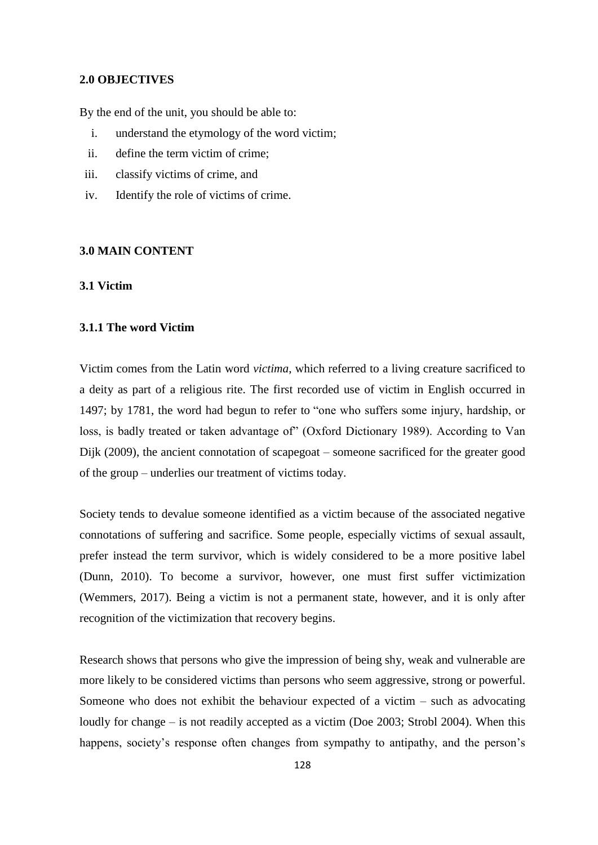### **2.0 OBJECTIVES**

By the end of the unit, you should be able to:

- i. understand the etymology of the word victim;
- ii. define the term victim of crime;
- iii. classify victims of crime, and
- iv. Identify the role of victims of crime.

## **3.0 MAIN CONTENT**

#### **3.1 Victim**

## **3.1.1 The word Victim**

Victim comes from the Latin word *victima*, which referred to a living creature sacrificed to a deity as part of a religious rite. The first recorded use of victim in English occurred in 1497; by 1781, the word had begun to refer to "one who suffers some injury, hardship, or loss, is badly treated or taken advantage of" (Oxford Dictionary 1989). According to Van Dijk (2009), the ancient connotation of scapegoat – someone sacrificed for the greater good of the group – underlies our treatment of victims today.

Society tends to devalue someone identified as a victim because of the associated negative connotations of suffering and sacrifice. Some people, especially victims of sexual assault, prefer instead the term survivor, which is widely considered to be a more positive label (Dunn, 2010). To become a survivor, however, one must first suffer victimization (Wemmers, 2017). Being a victim is not a permanent state, however, and it is only after recognition of the victimization that recovery begins.

Research shows that persons who give the impression of being shy, weak and vulnerable are more likely to be considered victims than persons who seem aggressive, strong or powerful. Someone who does not exhibit the behaviour expected of a victim – such as advocating loudly for change – is not readily accepted as a victim (Doe 2003; Strobl 2004). When this happens, society's response often changes from sympathy to antipathy, and the person's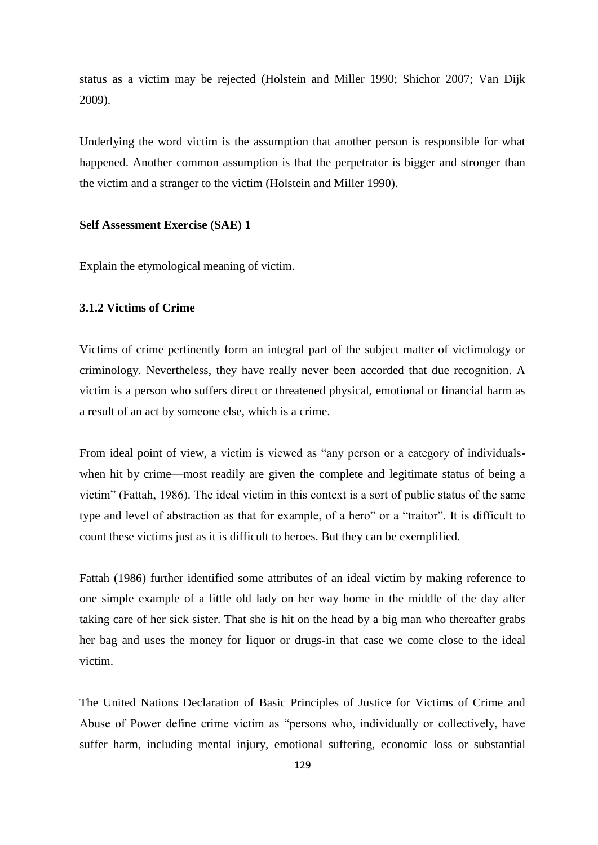status as a victim may be rejected (Holstein and Miller 1990; Shichor 2007; Van Dijk 2009).

Underlying the word victim is the assumption that another person is responsible for what happened. Another common assumption is that the perpetrator is bigger and stronger than the victim and a stranger to the victim (Holstein and Miller 1990).

#### **Self Assessment Exercise (SAE) 1**

Explain the etymological meaning of victim.

# **3.1.2 Victims of Crime**

Victims of crime pertinently form an integral part of the subject matter of victimology or criminology. Nevertheless, they have really never been accorded that due recognition. A victim is a person who suffers direct or threatened physical, emotional or financial harm as a result of an act by someone else, which is a crime.

From ideal point of view, a victim is viewed as "any person or a category of individualswhen hit by crime—most readily are given the complete and legitimate status of being a victim‖ (Fattah, 1986). The ideal victim in this context is a sort of public status of the same type and level of abstraction as that for example, of a hero" or a "traitor". It is difficult to count these victims just as it is difficult to heroes. But they can be exemplified.

Fattah (1986) further identified some attributes of an ideal victim by making reference to one simple example of a little old lady on her way home in the middle of the day after taking care of her sick sister. That she is hit on the head by a big man who thereafter grabs her bag and uses the money for liquor or drugs**-**in that case we come close to the ideal victim.

The United Nations Declaration of Basic Principles of Justice for Victims of Crime and Abuse of Power define crime victim as "persons who, individually or collectively, have suffer harm, including mental injury, emotional suffering, economic loss or substantial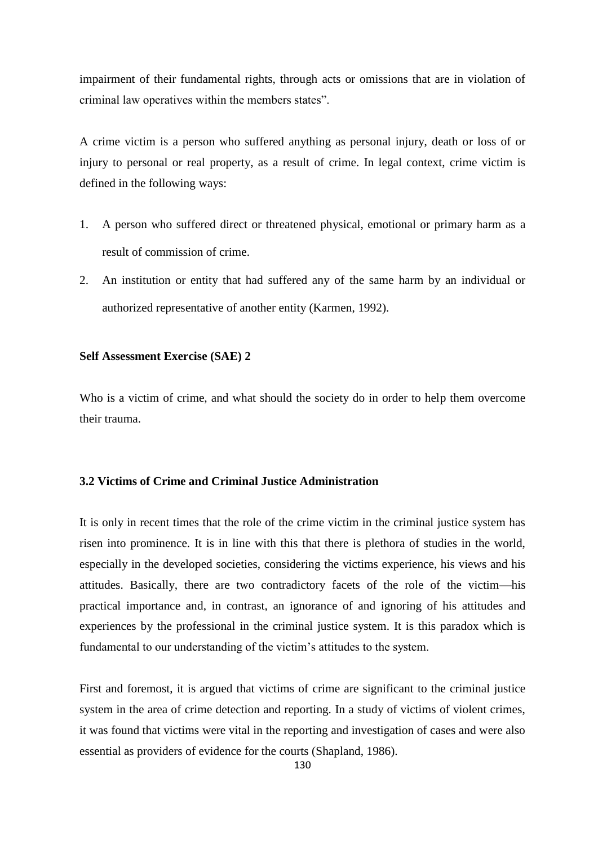impairment of their fundamental rights, through acts or omissions that are in violation of criminal law operatives within the members states".

A crime victim is a person who suffered anything as personal injury, death or loss of or injury to personal or real property, as a result of crime. In legal context, crime victim is defined in the following ways:

- 1. A person who suffered direct or threatened physical, emotional or primary harm as a result of commission of crime.
- 2. An institution or entity that had suffered any of the same harm by an individual or authorized representative of another entity (Karmen, 1992).

# **Self Assessment Exercise (SAE) 2**

Who is a victim of crime, and what should the society do in order to help them overcome their trauma.

# **3.2 Victims of Crime and Criminal Justice Administration**

It is only in recent times that the role of the crime victim in the criminal justice system has risen into prominence. It is in line with this that there is plethora of studies in the world, especially in the developed societies, considering the victims experience, his views and his attitudes. Basically, there are two contradictory facets of the role of the victim—his practical importance and, in contrast, an ignorance of and ignoring of his attitudes and experiences by the professional in the criminal justice system. It is this paradox which is fundamental to our understanding of the victim's attitudes to the system.

First and foremost, it is argued that victims of crime are significant to the criminal justice system in the area of crime detection and reporting. In a study of victims of violent crimes, it was found that victims were vital in the reporting and investigation of cases and were also essential as providers of evidence for the courts (Shapland, 1986).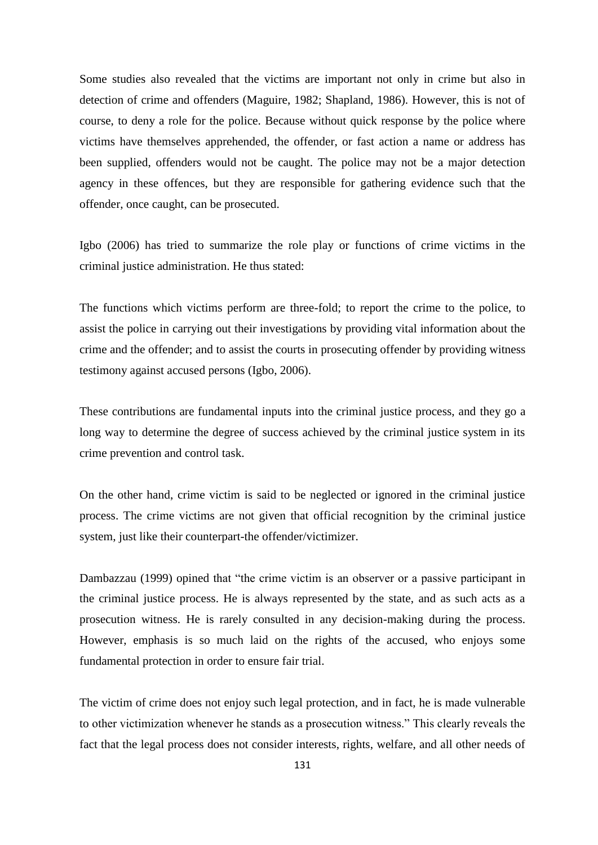Some studies also revealed that the victims are important not only in crime but also in detection of crime and offenders (Maguire, 1982; Shapland, 1986). However, this is not of course, to deny a role for the police. Because without quick response by the police where victims have themselves apprehended, the offender, or fast action a name or address has been supplied, offenders would not be caught. The police may not be a major detection agency in these offences, but they are responsible for gathering evidence such that the offender, once caught, can be prosecuted.

Igbo (2006) has tried to summarize the role play or functions of crime victims in the criminal justice administration. He thus stated:

The functions which victims perform are three-fold; to report the crime to the police, to assist the police in carrying out their investigations by providing vital information about the crime and the offender; and to assist the courts in prosecuting offender by providing witness testimony against accused persons (Igbo, 2006).

These contributions are fundamental inputs into the criminal justice process, and they go a long way to determine the degree of success achieved by the criminal justice system in its crime prevention and control task.

On the other hand, crime victim is said to be neglected or ignored in the criminal justice process. The crime victims are not given that official recognition by the criminal justice system, just like their counterpart-the offender/victimizer.

Dambazzau (1999) opined that "the crime victim is an observer or a passive participant in the criminal justice process. He is always represented by the state, and as such acts as a prosecution witness. He is rarely consulted in any decision-making during the process. However, emphasis is so much laid on the rights of the accused, who enjoys some fundamental protection in order to ensure fair trial.

The victim of crime does not enjoy such legal protection, and in fact, he is made vulnerable to other victimization whenever he stands as a prosecution witness." This clearly reveals the fact that the legal process does not consider interests, rights, welfare, and all other needs of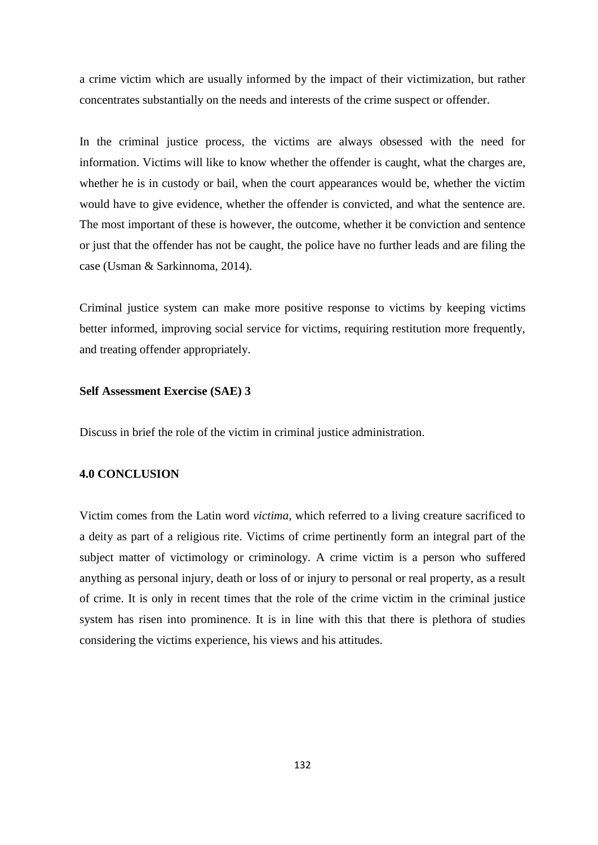a crime victim which are usually informed by the impact of their victimization, but rather concentrates substantially on the needs and interests of the crime suspect or offender.

In the criminal justice process, the victims are always obsessed with the need for information. Victims will like to know whether the offender is caught, what the charges are, whether he is in custody or bail, when the court appearances would be, whether the victim would have to give evidence, whether the offender is convicted, and what the sentence are. The most important of these is however, the outcome, whether it be conviction and sentence or just that the offender has not be caught, the police have no further leads and are filing the case (Usman & Sarkinnoma, 2014).

Criminal justice system can make more positive response to victims by keeping victims better informed, improving social service for victims, requiring restitution more frequently, and treating offender appropriately.

### **Self Assessment Exercise (SAE) 3**

Discuss in brief the role of the victim in criminal justice administration.

### **4.0 CONCLUSION**

Victim comes from the Latin word *victima*, which referred to a living creature sacrificed to a deity as part of a religious rite. Victims of crime pertinently form an integral part of the subject matter of victimology or criminology. A crime victim is a person who suffered anything as personal injury, death or loss of or injury to personal or real property, as a result of crime. It is only in recent times that the role of the crime victim in the criminal justice system has risen into prominence. It is in line with this that there is plethora of studies considering the victims experience, his views and his attitudes.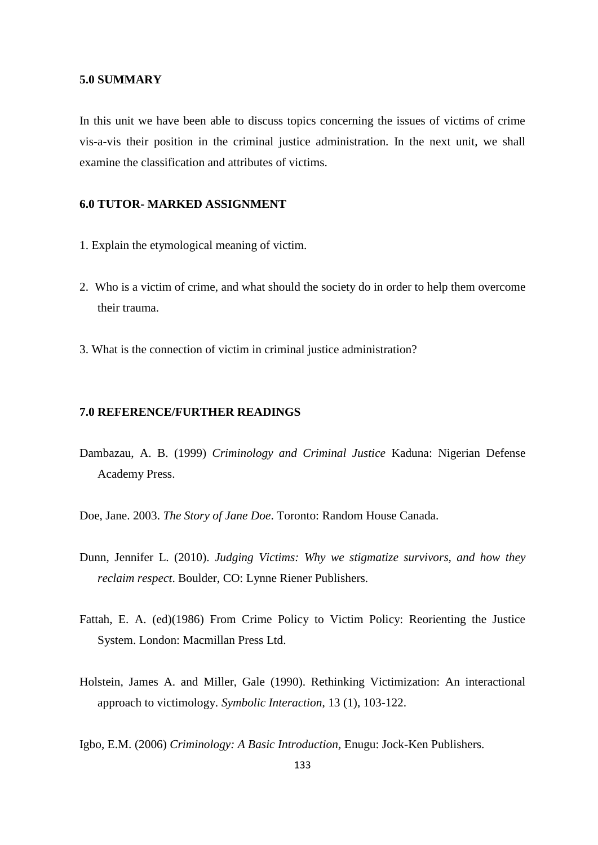### **5.0 SUMMARY**

In this unit we have been able to discuss topics concerning the issues of victims of crime vis**-**a**-**vis their position in the criminal justice administration. In the next unit, we shall examine the classification and attributes of victims.

# **6.0 TUTOR- MARKED ASSIGNMENT**

- 1. Explain the etymological meaning of victim.
- 2. Who is a victim of crime, and what should the society do in order to help them overcome their trauma.
- 3. What is the connection of victim in criminal justice administration?

## **7.0 REFERENCE/FURTHER READINGS**

- Dambazau, A. B. (1999) *Criminology and Criminal Justice* Kaduna: Nigerian Defense Academy Press.
- Doe, Jane. 2003. *The Story of Jane Doe*. Toronto: Random House Canada.
- Dunn, Jennifer L. (2010). *Judging Victims: Why we stigmatize survivors, and how they reclaim respect*. Boulder, CO: Lynne Riener Publishers.
- Fattah, E. A. (ed)(1986) From Crime Policy to Victim Policy: Reorienting the Justice System. London: Macmillan Press Ltd.
- Holstein, James A. and Miller, Gale (1990). Rethinking Victimization: An interactional approach to victimology. *Symbolic Interaction*, 13 (1), 103-122.

Igbo, E.M. (2006) *Criminology: A Basic Introduction,* Enugu: Jock-Ken Publishers.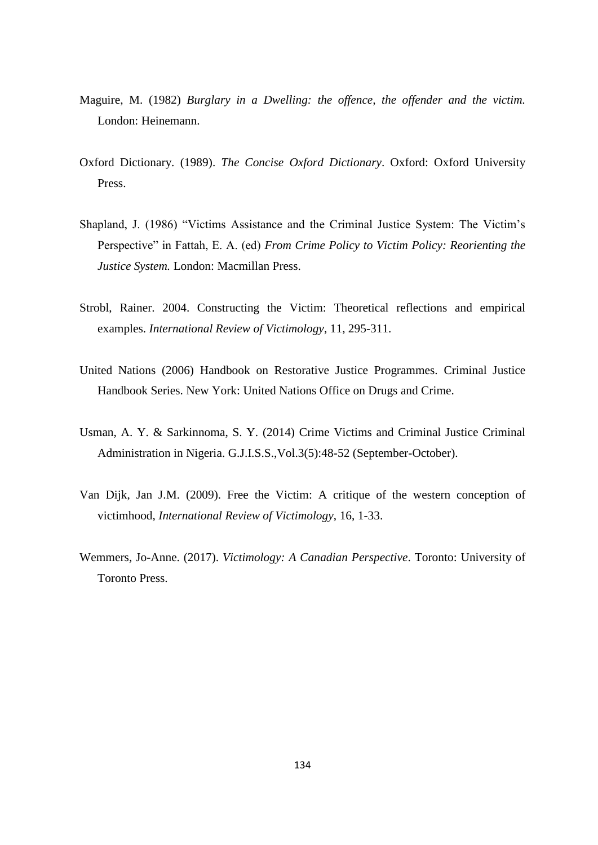- Maguire, M. (1982) *Burglary in a Dwelling: the offence, the offender and the victim.*  London: Heinemann.
- Oxford Dictionary. (1989). *The Concise Oxford Dictionary*. Oxford: Oxford University Press.
- Shapland, J. (1986) "Victims Assistance and the Criminal Justice System: The Victim's Perspective" in Fattah, E. A. (ed) *From Crime Policy to Victim Policy: Reorienting the Justice System.* London: Macmillan Press.
- Strobl, Rainer. 2004. Constructing the Victim: Theoretical reflections and empirical examples. *International Review of Victimology*, 11, 295-311.
- United Nations (2006) Handbook on Restorative Justice Programmes. Criminal Justice Handbook Series. New York: United Nations Office on Drugs and Crime.
- Usman, A. Y. & Sarkinnoma, S. Y. (2014) Crime Victims and Criminal Justice Criminal Administration in Nigeria. G.J.I.S.S.,Vol.3(5):48-52 (September-October).
- Van Dijk, Jan J.M. (2009). Free the Victim: A critique of the western conception of victimhood, *International Review of Victimology*, 16, 1-33.
- Wemmers, Jo-Anne. (2017). *Victimology: A Canadian Perspective*. Toronto: University of Toronto Press.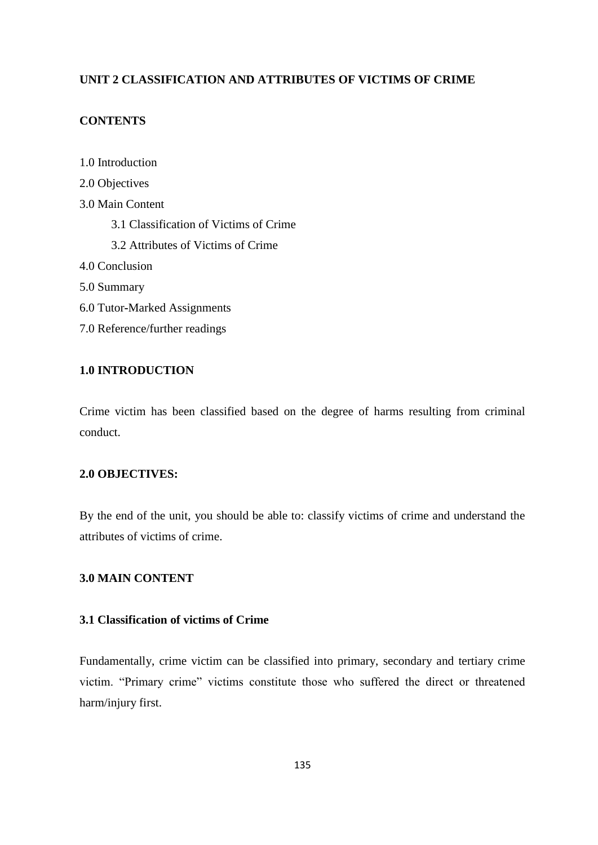# **UNIT 2 CLASSIFICATION AND ATTRIBUTES OF VICTIMS OF CRIME**

# **CONTENTS**

1.0 Introduction

- 2.0 Objectives
- 3.0 Main Content
	- 3.1 Classification of Victims of Crime
	- 3.2 Attributes of Victims of Crime

4.0 Conclusion

- 5.0 Summary
- 6.0 Tutor**-**Marked Assignments
- 7.0 Reference/further readings

# **1.0 INTRODUCTION**

Crime victim has been classified based on the degree of harms resulting from criminal conduct.

# **2.0 OBJECTIVES:**

By the end of the unit, you should be able to: classify victims of crime and understand the attributes of victims of crime.

# **3.0 MAIN CONTENT**

# **3.1 Classification of victims of Crime**

Fundamentally, crime victim can be classified into primary, secondary and tertiary crime victim. "Primary crime" victims constitute those who suffered the direct or threatened harm/injury first.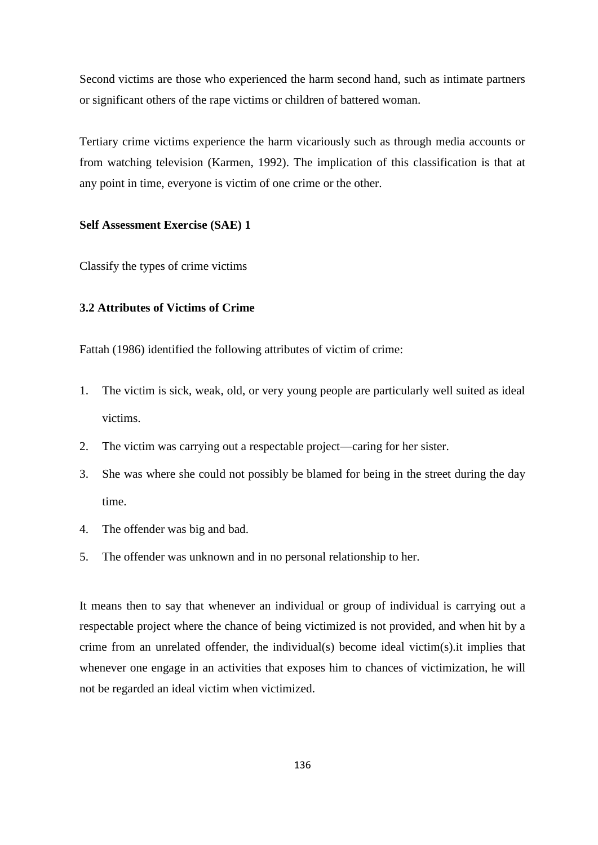Second victims are those who experienced the harm second hand, such as intimate partners or significant others of the rape victims or children of battered woman.

Tertiary crime victims experience the harm vicariously such as through media accounts or from watching television (Karmen, 1992). The implication of this classification is that at any point in time, everyone is victim of one crime or the other.

## **Self Assessment Exercise (SAE) 1**

Classify the types of crime victims

# **3.2 Attributes of Victims of Crime**

Fattah (1986) identified the following attributes of victim of crime:

- 1. The victim is sick, weak, old, or very young people are particularly well suited as ideal victims.
- 2. The victim was carrying out a respectable project—caring for her sister.
- 3. She was where she could not possibly be blamed for being in the street during the day time.
- 4. The offender was big and bad.
- 5. The offender was unknown and in no personal relationship to her.

It means then to say that whenever an individual or group of individual is carrying out a respectable project where the chance of being victimized is not provided, and when hit by a crime from an unrelated offender, the individual(s) become ideal victim(s).it implies that whenever one engage in an activities that exposes him to chances of victimization, he will not be regarded an ideal victim when victimized.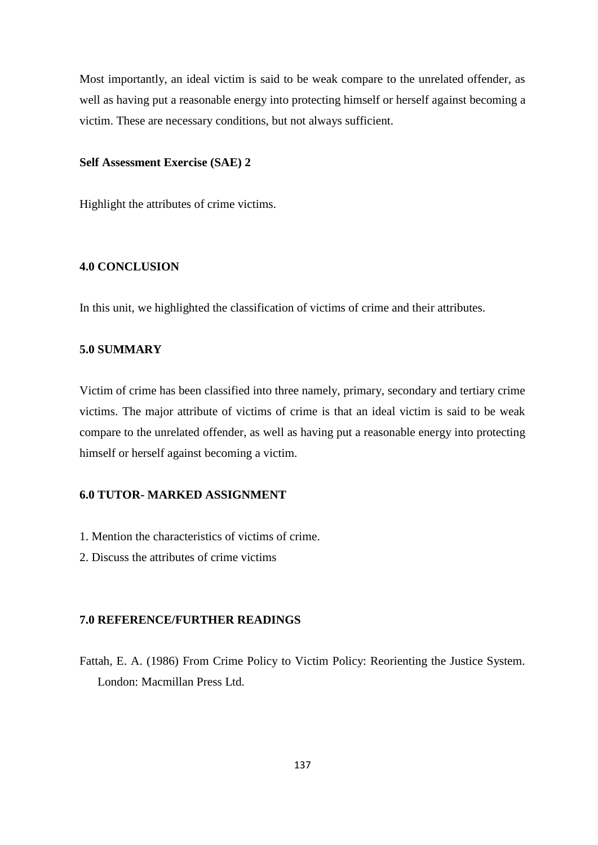Most importantly, an ideal victim is said to be weak compare to the unrelated offender, as well as having put a reasonable energy into protecting himself or herself against becoming a victim. These are necessary conditions, but not always sufficient.

## **Self Assessment Exercise (SAE) 2**

Highlight the attributes of crime victims.

## **4.0 CONCLUSION**

In this unit, we highlighted the classification of victims of crime and their attributes.

# **5.0 SUMMARY**

Victim of crime has been classified into three namely, primary, secondary and tertiary crime victims. The major attribute of victims of crime is that an ideal victim is said to be weak compare to the unrelated offender, as well as having put a reasonable energy into protecting himself or herself against becoming a victim.

# **6.0 TUTOR- MARKED ASSIGNMENT**

- 1. Mention the characteristics of victims of crime.
- 2. Discuss the attributes of crime victims

# **7.0 REFERENCE/FURTHER READINGS**

Fattah, E. A. (1986) From Crime Policy to Victim Policy: Reorienting the Justice System. London: Macmillan Press Ltd.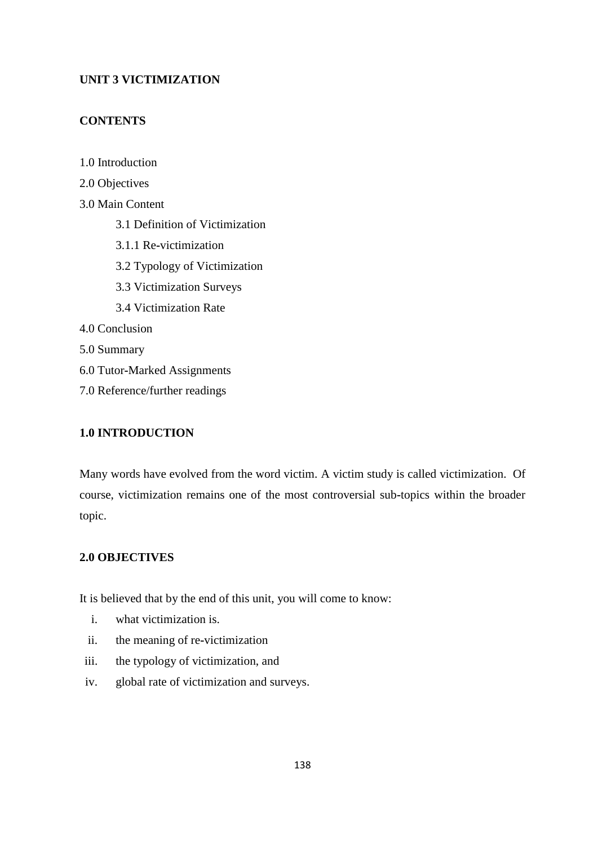# **UNIT 3 VICTIMIZATION**

# **CONTENTS**

1.0 Introduction

2.0 Objectives 3.0 Main Content 3.1 Definition of Victimization 3.1.1 Re**-**victimization 3.2 Typology of Victimization 3.3 Victimization Surveys 3.4 Victimization Rate 4.0 Conclusion 5.0 Summary 6.0 Tutor**-**Marked Assignments 7.0 Reference/further readings

# **1.0 INTRODUCTION**

Many words have evolved from the word victim. A victim study is called victimization. Of course, victimization remains one of the most controversial sub**-**topics within the broader topic.

# **2.0 OBJECTIVES**

It is believed that by the end of this unit, you will come to know:

- i. what victimization is.
- ii. the meaning of re**-**victimization
- iii. the typology of victimization, and
- iv. global rate of victimization and surveys.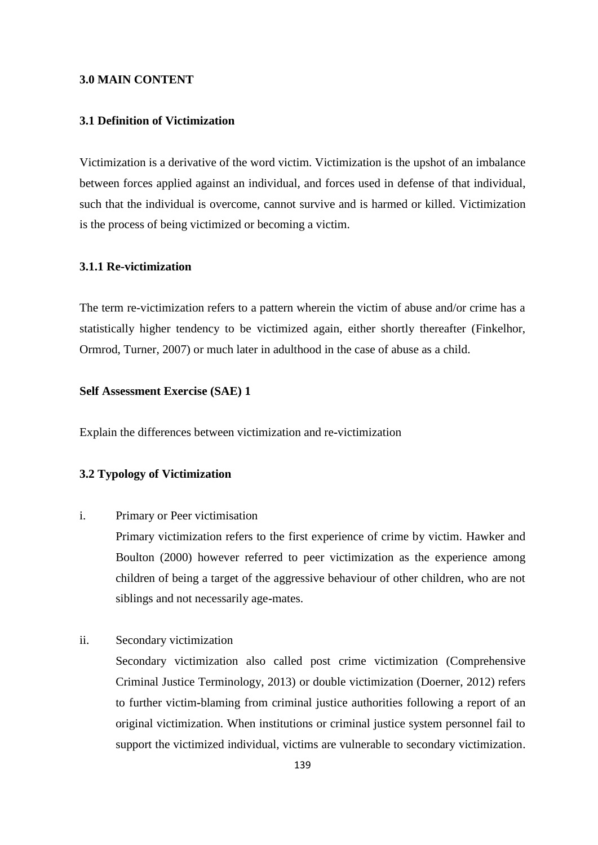### **3.0 MAIN CONTENT**

## **3.1 Definition of Victimization**

Victimization is a derivative of the word victim. Victimization is the upshot of an imbalance between forces applied against an individual, and forces used in defense of that individual, such that the individual is overcome, cannot survive and is harmed or killed. Victimization is the process of being victimized or becoming a victim.

## **3.1.1 Re-victimization**

The term re-victimization refers to a pattern wherein the victim of abuse and/or crime has a statistically higher tendency to be victimized again, either shortly thereafter (Finkelhor, Ormrod, Turner, 2007) or much later in adulthood in the case of abuse as a child.

### **Self Assessment Exercise (SAE) 1**

Explain the differences between victimization and re**-**victimization

## **3.2 Typology of Victimization**

i. Primary or Peer victimisation

Primary victimization refers to the first experience of crime by victim. Hawker and Boulton (2000) however referred to peer victimization as the experience among children of being a target of the aggressive behaviour of other children, who are not siblings and not necessarily age**-**mates.

ii. Secondary victimization

Secondary victimization also called post crime victimization (Comprehensive Criminal Justice Terminology, 2013) or double victimization (Doerner, 2012) refers to further victim**-**blaming from criminal justice authorities following a report of an original victimization. When institutions or criminal justice system personnel fail to support the victimized individual, victims are vulnerable to secondary victimization.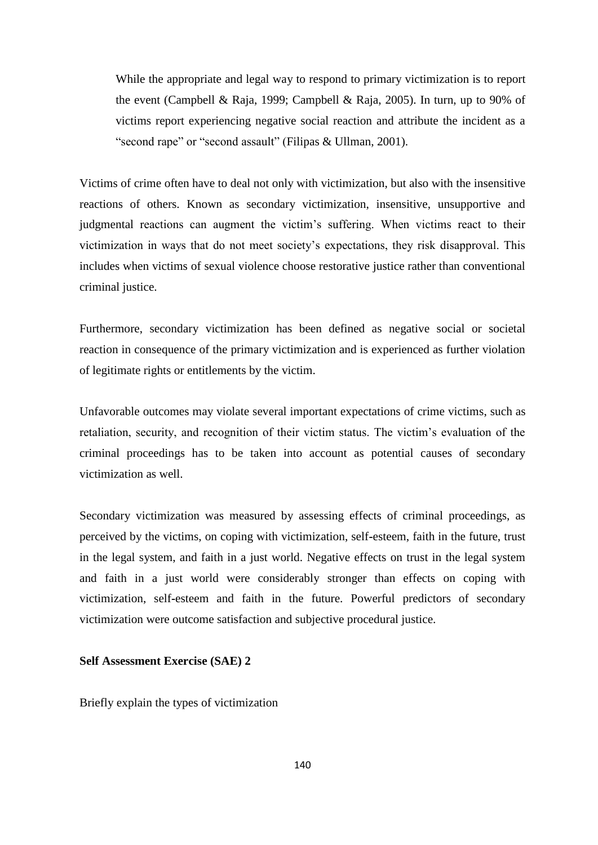While the appropriate and legal way to respond to primary victimization is to report the event (Campbell & Raja, 1999; Campbell & Raja, 2005). In turn, up to 90% of victims report experiencing negative social reaction and attribute the incident as a "second rape" or "second assault" (Filipas & Ullman, 2001).

Victims of crime often have to deal not only with victimization, but also with the insensitive reactions of others. Known as secondary victimization, insensitive, unsupportive and judgmental reactions can augment the victim's suffering. When victims react to their victimization in ways that do not meet society's expectations, they risk disapproval. This includes when victims of sexual violence choose restorative justice rather than conventional criminal justice.

Furthermore, secondary victimization has been defined as negative social or societal reaction in consequence of the primary victimization and is experienced as further violation of legitimate rights or entitlements by the victim.

Unfavorable outcomes may violate several important expectations of crime victims, such as retaliation, security, and recognition of their victim status. The victim's evaluation of the criminal proceedings has to be taken into account as potential causes of secondary victimization as well.

Secondary victimization was measured by assessing effects of criminal proceedings, as perceived by the victims, on coping with victimization, self**-**esteem, faith in the future, trust in the legal system, and faith in a just world. Negative effects on trust in the legal system and faith in a just world were considerably stronger than effects on coping with victimization, self**-**esteem and faith in the future. Powerful predictors of secondary victimization were outcome satisfaction and subjective procedural justice.

## **Self Assessment Exercise (SAE) 2**

Briefly explain the types of victimization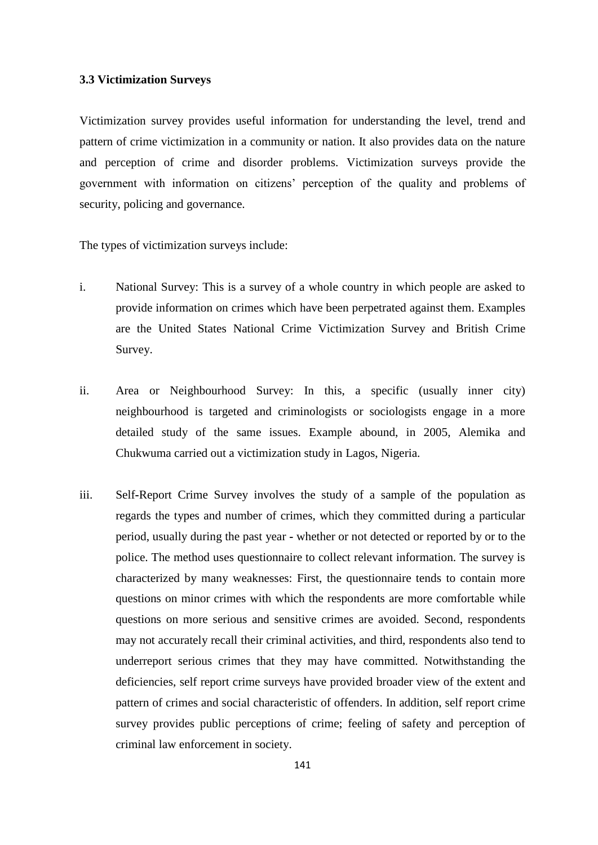### **3.3 Victimization Surveys**

Victimization survey provides useful information for understanding the level, trend and pattern of crime victimization in a community or nation. It also provides data on the nature and perception of crime and disorder problems. Victimization surveys provide the government with information on citizens' perception of the quality and problems of security, policing and governance.

The types of victimization surveys include:

- i. National Survey: This is a survey of a whole country in which people are asked to provide information on crimes which have been perpetrated against them. Examples are the United States National Crime Victimization Survey and British Crime Survey.
- ii. Area or Neighbourhood Survey: In this, a specific (usually inner city) neighbourhood is targeted and criminologists or sociologists engage in a more detailed study of the same issues. Example abound, in 2005, Alemika and Chukwuma carried out a victimization study in Lagos, Nigeria.
- iii. Self**-**Report Crime Survey involves the study of a sample of the population as regards the types and number of crimes, which they committed during a particular period, usually during the past year **-** whether or not detected or reported by or to the police. The method uses questionnaire to collect relevant information. The survey is characterized by many weaknesses: First, the questionnaire tends to contain more questions on minor crimes with which the respondents are more comfortable while questions on more serious and sensitive crimes are avoided. Second, respondents may not accurately recall their criminal activities, and third, respondents also tend to underreport serious crimes that they may have committed. Notwithstanding the deficiencies, self report crime surveys have provided broader view of the extent and pattern of crimes and social characteristic of offenders. In addition, self report crime survey provides public perceptions of crime; feeling of safety and perception of criminal law enforcement in society.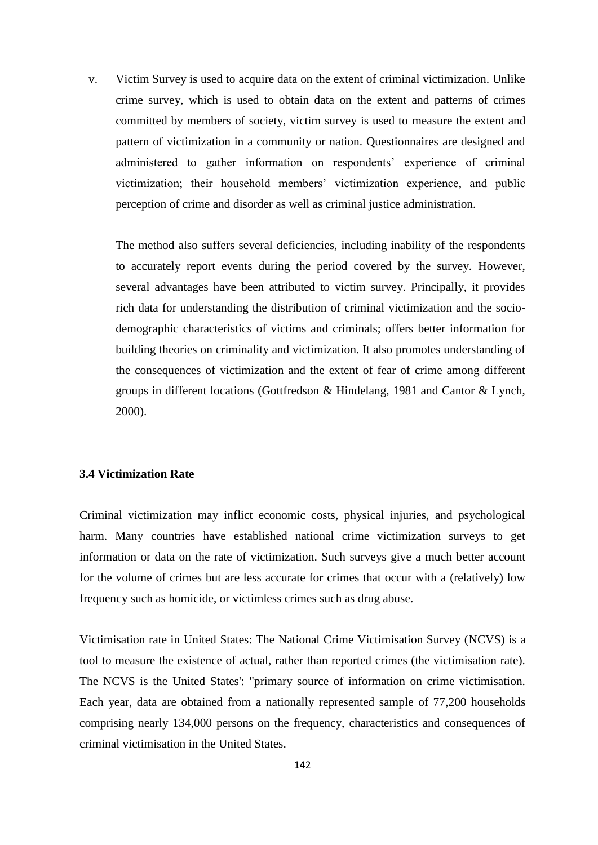v. Victim Survey is used to acquire data on the extent of criminal victimization. Unlike crime survey, which is used to obtain data on the extent and patterns of crimes committed by members of society, victim survey is used to measure the extent and pattern of victimization in a community or nation. Questionnaires are designed and administered to gather information on respondents' experience of criminal victimization; their household members' victimization experience, and public perception of crime and disorder as well as criminal justice administration.

The method also suffers several deficiencies, including inability of the respondents to accurately report events during the period covered by the survey. However, several advantages have been attributed to victim survey. Principally, it provides rich data for understanding the distribution of criminal victimization and the sociodemographic characteristics of victims and criminals; offers better information for building theories on criminality and victimization. It also promotes understanding of the consequences of victimization and the extent of fear of crime among different groups in different locations (Gottfredson & Hindelang, 1981 and Cantor & Lynch, 2000).

## **3.4 Victimization Rate**

Criminal victimization may inflict economic costs, physical injuries, and psychological harm. Many countries have established national crime victimization surveys to get information or data on the rate of victimization. Such surveys give a much better account for the volume of crimes but are less accurate for crimes that occur with a (relatively) low frequency such as homicide, or victimless crimes such as drug abuse.

Victimisation rate in United States: The National Crime Victimisation Survey (NCVS) is a tool to measure the existence of actual, rather than reported crimes (the victimisation rate). The NCVS is the United States': "primary source of information on crime victimisation. Each year, data are obtained from a nationally represented sample of 77,200 households comprising nearly 134,000 persons on the frequency, characteristics and consequences of criminal victimisation in the United States.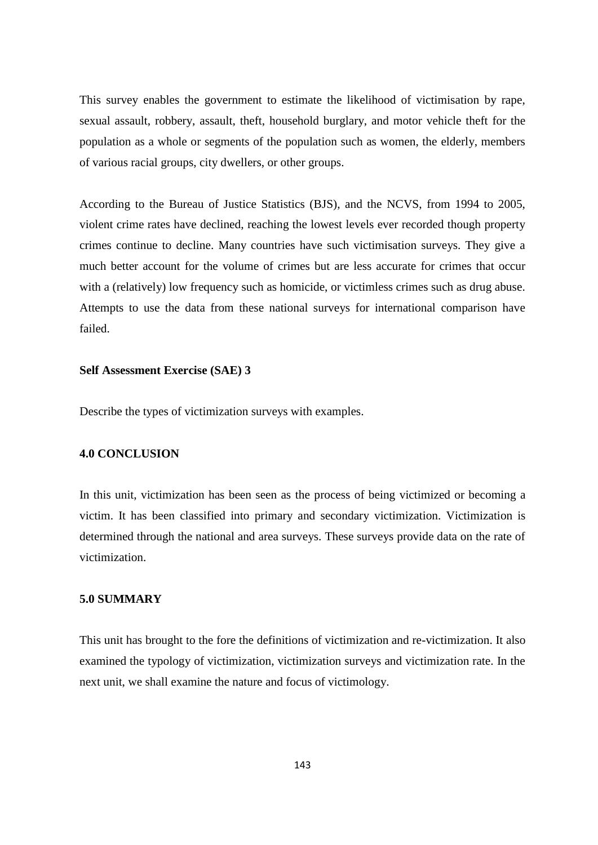This survey enables the government to estimate the likelihood of victimisation by rape, sexual assault, robbery, assault, theft, household burglary, and motor vehicle theft for the population as a whole or segments of the population such as women, the elderly, members of various racial groups, city dwellers, or other groups.

According to the Bureau of Justice Statistics (BJS), and the NCVS, from 1994 to 2005, violent crime rates have declined, reaching the lowest levels ever recorded though property crimes continue to decline. Many countries have such victimisation surveys. They give a much better account for the volume of crimes but are less accurate for crimes that occur with a (relatively) low frequency such as homicide, or victimless crimes such as drug abuse. Attempts to use the data from these national surveys for international comparison have failed.

## **Self Assessment Exercise (SAE) 3**

Describe the types of victimization surveys with examples.

## **4.0 CONCLUSION**

In this unit, victimization has been seen as the process of being victimized or becoming a victim. It has been classified into primary and secondary victimization. Victimization is determined through the national and area surveys. These surveys provide data on the rate of victimization.

# **5.0 SUMMARY**

This unit has brought to the fore the definitions of victimization and re-victimization. It also examined the typology of victimization, victimization surveys and victimization rate. In the next unit, we shall examine the nature and focus of victimology.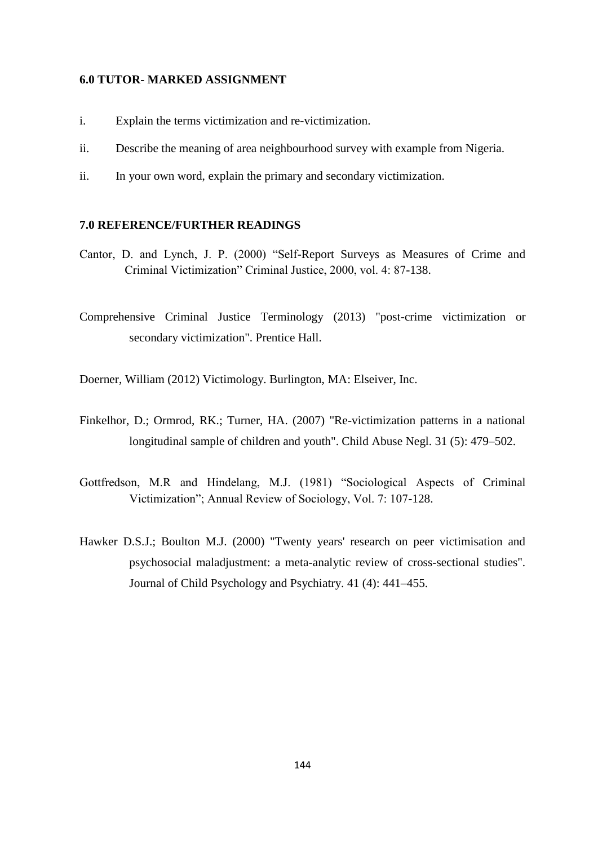#### **6.0 TUTOR- MARKED ASSIGNMENT**

- i. Explain the terms victimization and re-victimization.
- ii. Describe the meaning of area neighbourhood survey with example from Nigeria.
- ii. In your own word, explain the primary and secondary victimization.

## **7.0 REFERENCE/FURTHER READINGS**

- Cantor, D. and Lynch, J. P. (2000) "Self-Report Surveys as Measures of Crime and Criminal Victimization" Criminal Justice, 2000, vol. 4: 87-138.
- Comprehensive Criminal Justice Terminology (2013) "post-crime victimization or secondary victimization". Prentice Hall.

Doerner, William (2012) Victimology. Burlington, MA: Elseiver, Inc.

- Finkelhor, D.; Ormrod, RK.; Turner, HA. (2007) "Re-victimization patterns in a national longitudinal sample of children and youth". Child Abuse Negl. 31 (5): 479–502.
- Gottfredson, M.R and Hindelang, M.J. (1981) "Sociological Aspects of Criminal Victimization‖; Annual Review of Sociology, Vol. 7: 107**-**128.
- Hawker D.S.J.; Boulton M.J. (2000) "Twenty years' research on peer victimisation and psychosocial maladjustment: a meta-analytic review of cross-sectional studies". Journal of Child Psychology and Psychiatry. 41 (4): 441–455.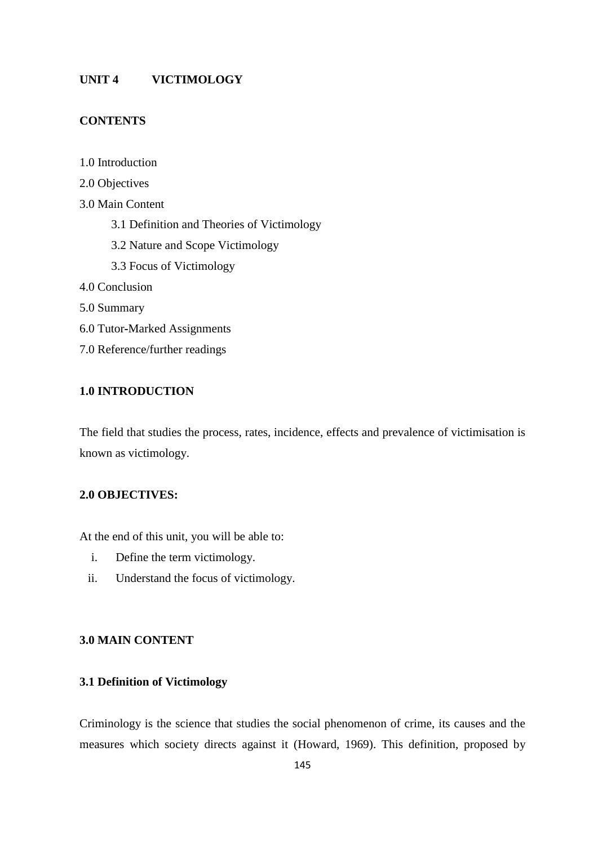# **UNIT 4 VICTIMOLOGY**

# **CONTENTS**

1.0 Introduction

- 2.0 Objectives
- 3.0 Main Content
	- 3.1 Definition and Theories of Victimology
	- 3.2 Nature and Scope Victimology
	- 3.3 Focus of Victimology
- 4.0 Conclusion
- 5.0 Summary
- 6.0 Tutor**-**Marked Assignments
- 7.0 Reference/further readings

# **1.0 INTRODUCTION**

The field that studies the process, rates, incidence, effects and prevalence of victimisation is known as victimology.

# **2.0 OBJECTIVES:**

At the end of this unit, you will be able to:

- i. Define the term victimology.
- ii. Understand the focus of victimology.

### **3.0 MAIN CONTENT**

# **3.1 Definition of Victimology**

Criminology is the science that studies the social phenomenon of crime, its causes and the measures which society directs against it (Howard, 1969). This definition, proposed by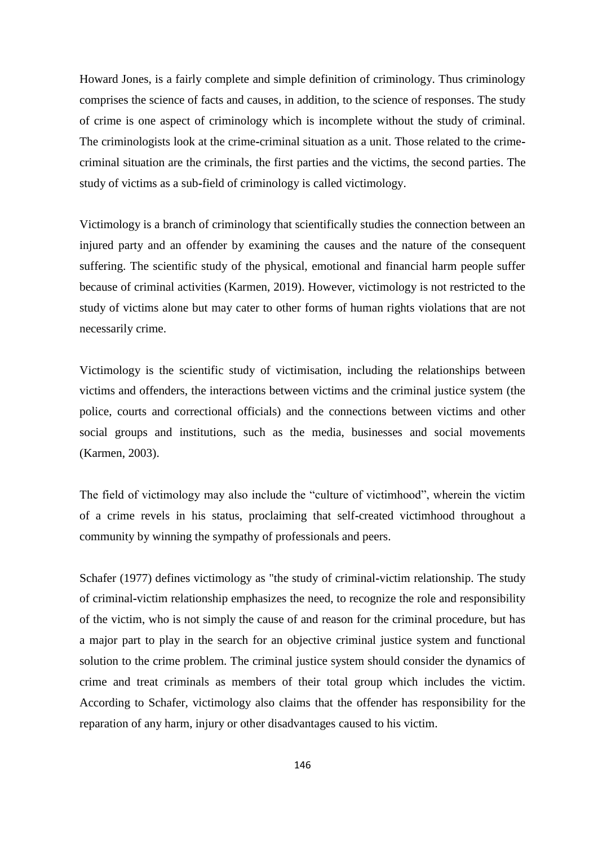Howard Jones, is a fairly complete and simple definition of criminology. Thus criminology comprises the science of facts and causes, in addition, to the science of responses. The study of crime is one aspect of criminology which is incomplete without the study of criminal. The criminologists look at the crime**-**criminal situation as a unit. Those related to the crimecriminal situation are the criminals, the first parties and the victims, the second parties. The study of victims as a sub**-**field of criminology is called victimology.

Victimology is a branch of criminology that scientifically studies the connection between an injured party and an offender by examining the causes and the nature of the consequent suffering. The scientific study of the physical, emotional and financial harm people suffer because of criminal activities (Karmen, 2019). However, victimology is not restricted to the study of victims alone but may cater to other forms of human rights violations that are not necessarily crime.

Victimology is the scientific study of victimisation, including the relationships between victims and offenders, the interactions between victims and the criminal justice system (the police, courts and correctional officials) and the connections between victims and other social groups and institutions, such as the media, businesses and social movements (Karmen, 2003).

The field of victimology may also include the "culture of victimhood", wherein the victim of a crime revels in his status, proclaiming that self**-**created victimhood throughout a community by winning the sympathy of professionals and peers.

Schafer (1977) defines victimology as "the study of criminal**-**victim relationship. The study of criminal**-**victim relationship emphasizes the need, to recognize the role and responsibility of the victim, who is not simply the cause of and reason for the criminal procedure, but has a major part to play in the search for an objective criminal justice system and functional solution to the crime problem. The criminal justice system should consider the dynamics of crime and treat criminals as members of their total group which includes the victim. According to Schafer, victimology also claims that the offender has responsibility for the reparation of any harm, injury or other disadvantages caused to his victim.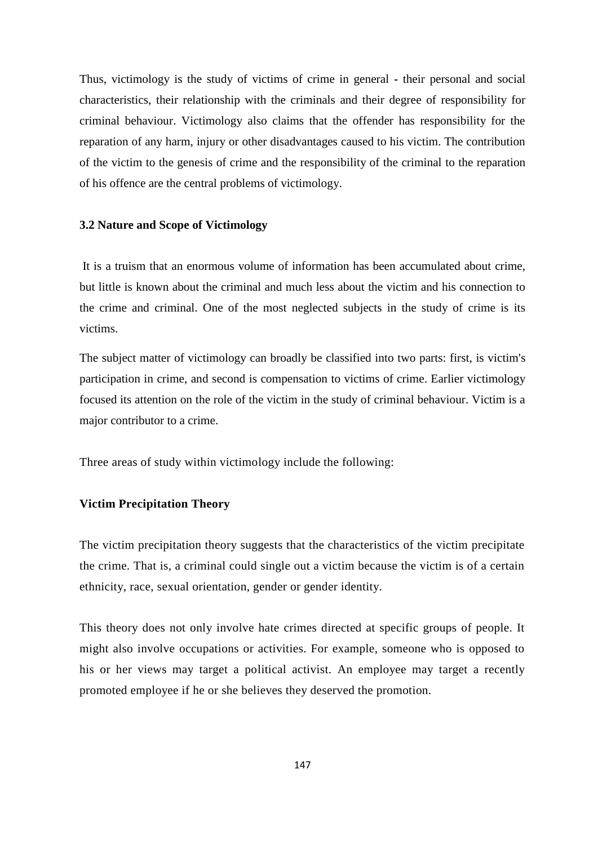Thus, victimology is the study of victims of crime in general **-** their personal and social characteristics, their relationship with the criminals and their degree of responsibility for criminal behaviour. Victimology also claims that the offender has responsibility for the reparation of any harm, injury or other disadvantages caused to his victim. The contribution of the victim to the genesis of crime and the responsibility of the criminal to the reparation of his offence are the central problems of victimology.

#### **3.2 Nature and Scope of Victimology**

It is a truism that an enormous volume of information has been accumulated about crime, but little is known about the criminal and much less about the victim and his connection to the crime and criminal. One of the most neglected subjects in the study of crime is its victims.

The subject matter of victimology can broadly be classified into two parts: first, is victim's participation in crime, and second is compensation to victims of crime. Earlier victimology focused its attention on the role of the victim in the study of criminal behaviour. Victim is a major contributor to a crime.

Three areas of study within victimology include the following:

# **Victim Precipitation Theory**

The victim precipitation theory suggests that the characteristics of the victim precipitate the crime. That is, a criminal could single out a victim because the victim is of a certain ethnicity, race, sexual orientation, gender or gender identity.

This theory does not only involve hate crimes directed at specific groups of people. It might also involve occupations or activities. For example, someone who is opposed to his or her views may target a political activist. An employee may target a recently promoted employee if he or she believes they deserved the promotion.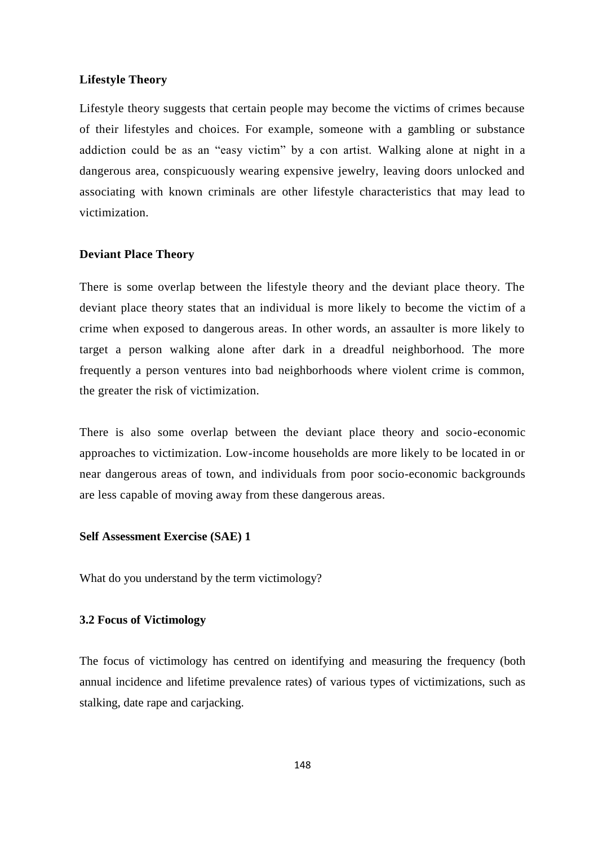#### **Lifestyle Theory**

Lifestyle theory suggests that certain people may become the victims of crimes because of their lifestyles and choices. For example, someone with a gambling or substance addiction could be as an "easy victim" by a con artist. Walking alone at night in a dangerous area, conspicuously wearing expensive jewelry, leaving doors unlocked and associating with known criminals are other lifestyle characteristics that may lead to victimization.

### **Deviant Place Theory**

There is some overlap between the lifestyle theory and the deviant place theory. The deviant place theory states that an individual is more likely to become the victim of a crime when exposed to dangerous areas. In other words, an assaulter is more likely to target a person walking alone after dark in a dreadful neighborhood. The more frequently a person ventures into bad neighborhoods where violent crime is common, the greater the risk of victimization.

There is also some overlap between the deviant place theory and socio-economic approaches to victimization. Low-income households are more likely to be located in or near dangerous areas of town, and individuals from poor socio-economic backgrounds are less capable of moving away from these dangerous areas.

### **Self Assessment Exercise (SAE) 1**

What do you understand by the term victimology?

# **3.2 Focus of Victimology**

The focus of victimology has centred on identifying and measuring the frequency (both annual incidence and lifetime prevalence rates) of various types of victimizations, such as stalking, date rape and carjacking.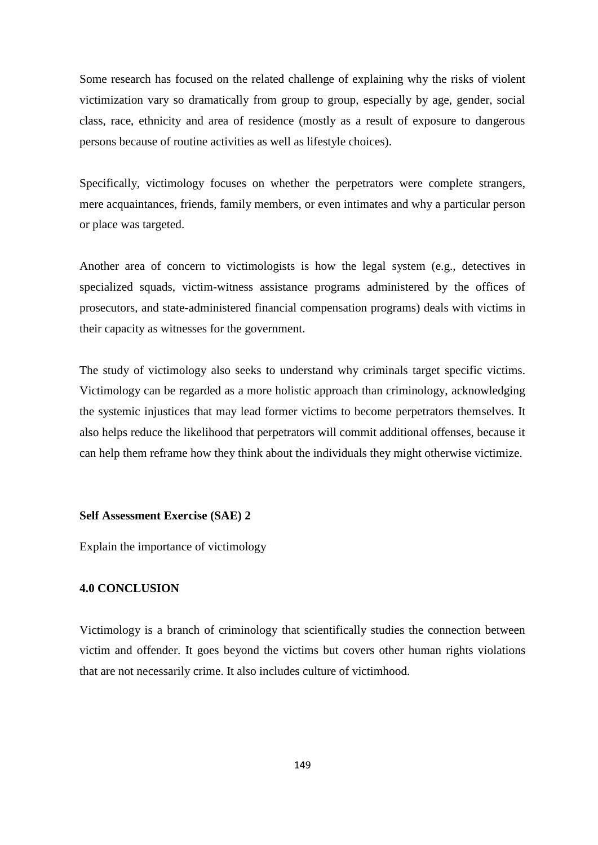Some research has focused on the related challenge of explaining why the risks of violent victimization vary so dramatically from group to group, especially by age, gender, social class, race, ethnicity and area of residence (mostly as a result of exposure to dangerous persons because of routine activities as well as lifestyle choices).

Specifically, victimology focuses on whether the perpetrators were complete strangers, mere acquaintances, friends, family members, or even intimates and why a particular person or place was targeted.

Another area of concern to victimologists is how the legal system (e.g., detectives in specialized squads, victim-witness assistance programs administered by the offices of prosecutors, and state**-**administered financial compensation programs) deals with victims in their capacity as witnesses for the government.

The study of victimology also seeks to understand why criminals target specific victims. Victimology can be regarded as a more holistic approach than criminology, acknowledging the systemic injustices that may lead former victims to become perpetrators themselves. It also helps reduce the likelihood that perpetrators will commit additional offenses, because it can help them reframe how they think about the individuals they might otherwise victimize.

#### **Self Assessment Exercise (SAE) 2**

Explain the importance of victimology

### **4.0 CONCLUSION**

Victimology is a branch of criminology that scientifically studies the connection between victim and offender. It goes beyond the victims but covers other human rights violations that are not necessarily crime. It also includes culture of victimhood.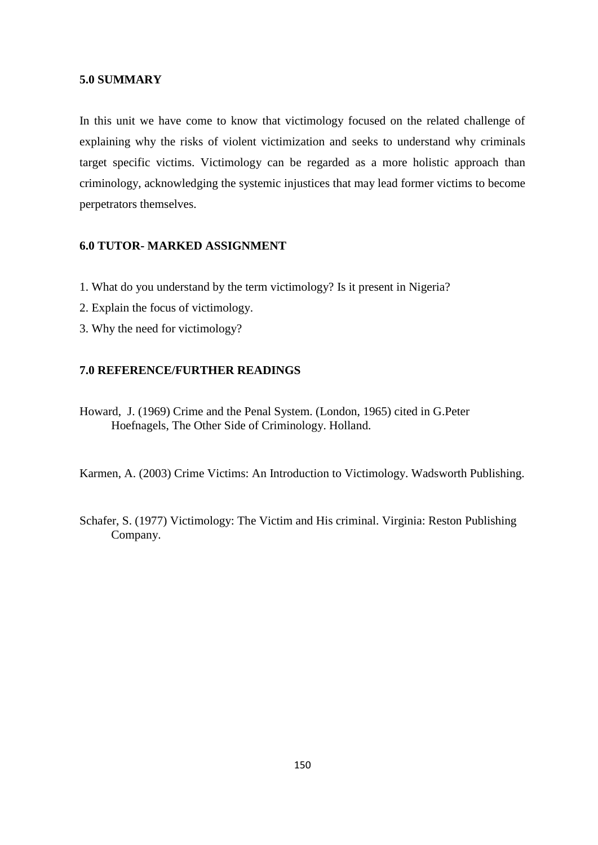#### **5.0 SUMMARY**

In this unit we have come to know that victimology focused on the related challenge of explaining why the risks of violent victimization and seeks to understand why criminals target specific victims. Victimology can be regarded as a more holistic approach than criminology, acknowledging the systemic injustices that may lead former victims to become perpetrators themselves.

### **6.0 TUTOR- MARKED ASSIGNMENT**

- 1. What do you understand by the term victimology? Is it present in Nigeria?
- 2. Explain the focus of victimology.
- 3. Why the need for victimology?

# **7.0 REFERENCE/FURTHER READINGS**

Howard, J. (1969) Crime and the Penal System. (London, 1965) cited in G.Peter Hoefnagels, The Other Side of Criminology. Holland.

Karmen, A. (2003) Crime Victims: An Introduction to Victimology. Wadsworth Publishing.

Schafer, S. (1977) Victimology: The Victim and His criminal. Virginia: Reston Publishing Company.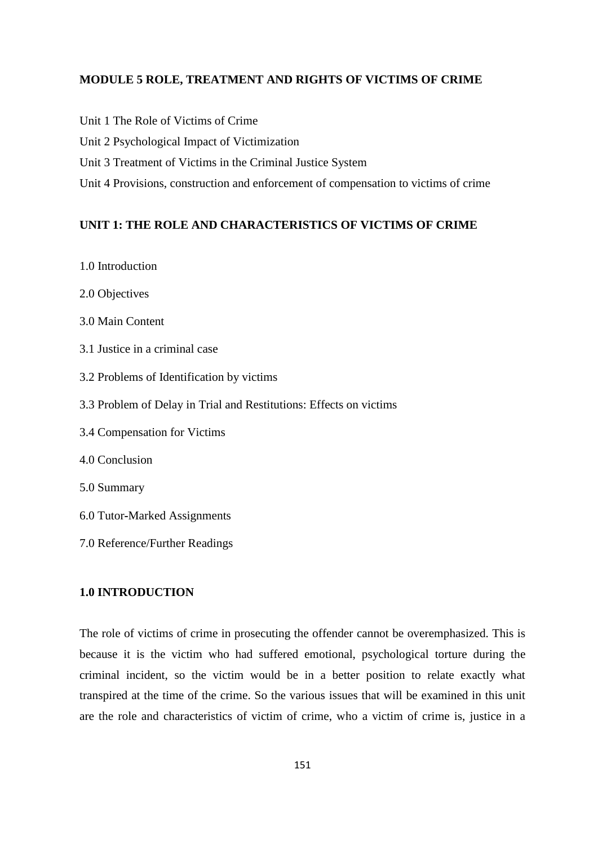# **MODULE 5 ROLE, TREATMENT AND RIGHTS OF VICTIMS OF CRIME**

- Unit 1 The Role of Victims of Crime
- Unit 2 Psychological Impact of Victimization
- Unit 3 Treatment of Victims in the Criminal Justice System
- Unit 4 Provisions, construction and enforcement of compensation to victims of crime

### **UNIT 1: THE ROLE AND CHARACTERISTICS OF VICTIMS OF CRIME**

- 1.0 Introduction
- 2.0 Objectives
- 3.0 Main Content
- 3.1 Justice in a criminal case
- 3.2 Problems of Identification by victims
- 3.3 Problem of Delay in Trial and Restitutions: Effects on victims
- 3.4 Compensation for Victims
- 4.0 Conclusion
- 5.0 Summary
- 6.0 Tutor**-**Marked Assignments
- 7.0 Reference/Further Readings

# **1.0 INTRODUCTION**

The role of victims of crime in prosecuting the offender cannot be overemphasized. This is because it is the victim who had suffered emotional, psychological torture during the criminal incident, so the victim would be in a better position to relate exactly what transpired at the time of the crime. So the various issues that will be examined in this unit are the role and characteristics of victim of crime, who a victim of crime is, justice in a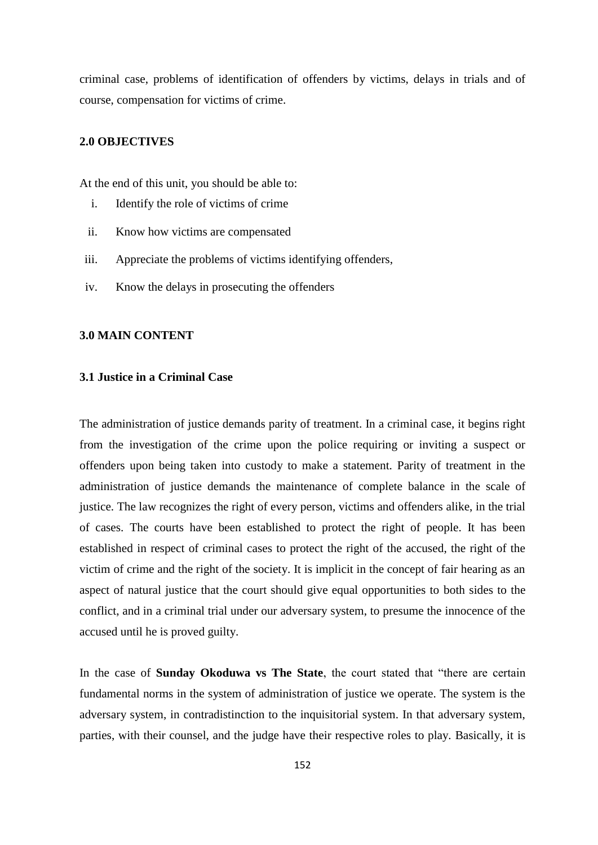criminal case, problems of identification of offenders by victims, delays in trials and of course, compensation for victims of crime.

# **2.0 OBJECTIVES**

At the end of this unit, you should be able to:

- i. Identify the role of victims of crime
- ii. Know how victims are compensated
- iii. Appreciate the problems of victims identifying offenders,
- iv. Know the delays in prosecuting the offenders

#### **3.0 MAIN CONTENT**

#### **3.1 Justice in a Criminal Case**

The administration of justice demands parity of treatment. In a criminal case, it begins right from the investigation of the crime upon the police requiring or inviting a suspect or offenders upon being taken into custody to make a statement. Parity of treatment in the administration of justice demands the maintenance of complete balance in the scale of justice. The law recognizes the right of every person, victims and offenders alike, in the trial of cases. The courts have been established to protect the right of people. It has been established in respect of criminal cases to protect the right of the accused, the right of the victim of crime and the right of the society. It is implicit in the concept of fair hearing as an aspect of natural justice that the court should give equal opportunities to both sides to the conflict, and in a criminal trial under our adversary system, to presume the innocence of the accused until he is proved guilty.

In the case of **Sunday Okoduwa vs The State**, the court stated that "there are certain fundamental norms in the system of administration of justice we operate. The system is the adversary system, in contradistinction to the inquisitorial system. In that adversary system, parties, with their counsel, and the judge have their respective roles to play. Basically, it is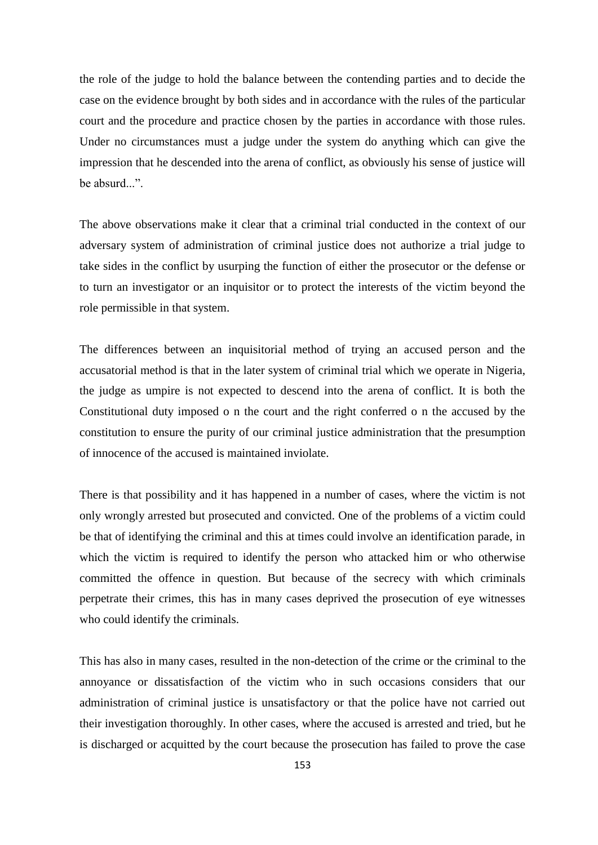the role of the judge to hold the balance between the contending parties and to decide the case on the evidence brought by both sides and in accordance with the rules of the particular court and the procedure and practice chosen by the parties in accordance with those rules. Under no circumstances must a judge under the system do anything which can give the impression that he descended into the arena of conflict, as obviously his sense of justice will be absurd...

The above observations make it clear that a criminal trial conducted in the context of our adversary system of administration of criminal justice does not authorize a trial judge to take sides in the conflict by usurping the function of either the prosecutor or the defense or to turn an investigator or an inquisitor or to protect the interests of the victim beyond the role permissible in that system.

The differences between an inquisitorial method of trying an accused person and the accusatorial method is that in the later system of criminal trial which we operate in Nigeria, the judge as umpire is not expected to descend into the arena of conflict. It is both the Constitutional duty imposed o n the court and the right conferred o n the accused by the constitution to ensure the purity of our criminal justice administration that the presumption of innocence of the accused is maintained inviolate.

There is that possibility and it has happened in a number of cases, where the victim is not only wrongly arrested but prosecuted and convicted. One of the problems of a victim could be that of identifying the criminal and this at times could involve an identification parade, in which the victim is required to identify the person who attacked him or who otherwise committed the offence in question. But because of the secrecy with which criminals perpetrate their crimes, this has in many cases deprived the prosecution of eye witnesses who could identify the criminals.

This has also in many cases, resulted in the non-detection of the crime or the criminal to the annoyance or dissatisfaction of the victim who in such occasions considers that our administration of criminal justice is unsatisfactory or that the police have not carried out their investigation thoroughly. In other cases, where the accused is arrested and tried, but he is discharged or acquitted by the court because the prosecution has failed to prove the case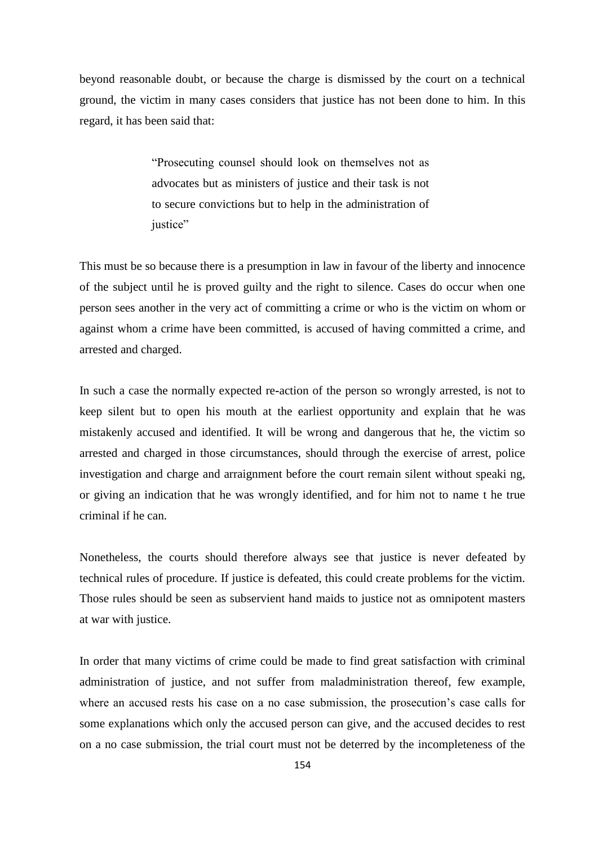beyond reasonable doubt, or because the charge is dismissed by the court on a technical ground, the victim in many cases considers that justice has not been done to him. In this regard, it has been said that:

> ―Prosecuting counsel should look on themselves not as advocates but as ministers of justice and their task is not to secure convictions but to help in the administration of justice"

This must be so because there is a presumption in law in favour of the liberty and innocence of the subject until he is proved guilty and the right to silence. Cases do occur when one person sees another in the very act of committing a crime or who is the victim on whom or against whom a crime have been committed, is accused of having committed a crime, and arrested and charged.

In such a case the normally expected re**-**action of the person so wrongly arrested, is not to keep silent but to open his mouth at the earliest opportunity and explain that he was mistakenly accused and identified. It will be wrong and dangerous that he, the victim so arrested and charged in those circumstances, should through the exercise of arrest, police investigation and charge and arraignment before the court remain silent without speaki ng, or giving an indication that he was wrongly identified, and for him not to name t he true criminal if he can.

Nonetheless, the courts should therefore always see that justice is never defeated by technical rules of procedure. If justice is defeated, this could create problems for the victim. Those rules should be seen as subservient hand maids to justice not as omnipotent masters at war with justice.

In order that many victims of crime could be made to find great satisfaction with criminal administration of justice, and not suffer from maladministration thereof, few example, where an accused rests his case on a no case submission, the prosecution's case calls for some explanations which only the accused person can give, and the accused decides to rest on a no case submission, the trial court must not be deterred by the incompleteness of the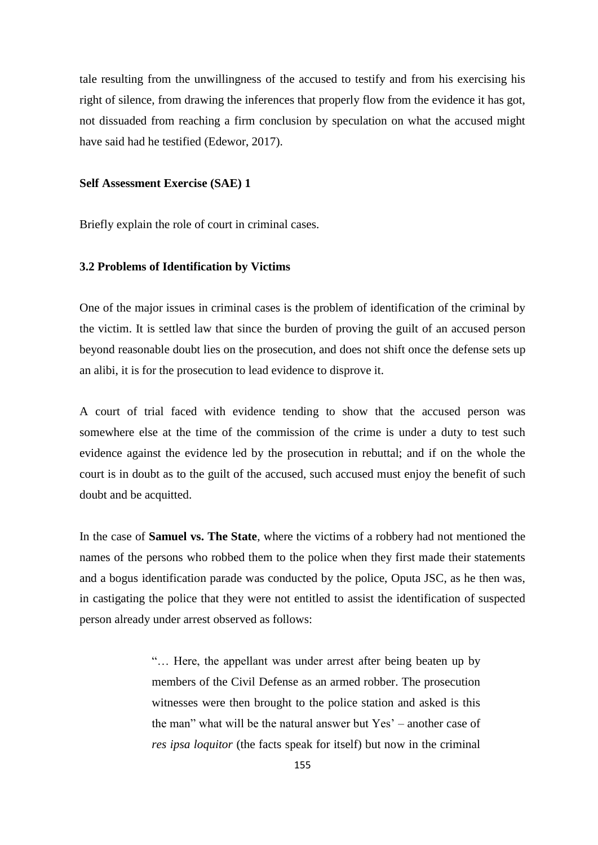tale resulting from the unwillingness of the accused to testify and from his exercising his right of silence, from drawing the inferences that properly flow from the evidence it has got, not dissuaded from reaching a firm conclusion by speculation on what the accused might have said had he testified (Edewor, 2017).

#### **Self Assessment Exercise (SAE) 1**

Briefly explain the role of court in criminal cases.

#### **3.2 Problems of Identification by Victims**

One of the major issues in criminal cases is the problem of identification of the criminal by the victim. It is settled law that since the burden of proving the guilt of an accused person beyond reasonable doubt lies on the prosecution, and does not shift once the defense sets up an alibi, it is for the prosecution to lead evidence to disprove it.

A court of trial faced with evidence tending to show that the accused person was somewhere else at the time of the commission of the crime is under a duty to test such evidence against the evidence led by the prosecution in rebuttal; and if on the whole the court is in doubt as to the guilt of the accused, such accused must enjoy the benefit of such doubt and be acquitted.

In the case of **Samuel vs. The State**, where the victims of a robbery had not mentioned the names of the persons who robbed them to the police when they first made their statements and a bogus identification parade was conducted by the police, Oputa JSC, as he then was, in castigating the police that they were not entitled to assist the identification of suspected person already under arrest observed as follows:

> ―… Here, the appellant was under arrest after being beaten up by members of the Civil Defense as an armed robber. The prosecution witnesses were then brought to the police station and asked is this the man" what will be the natural answer but  $Yes'$  – another case of *res ipsa loquitor* (the facts speak for itself) but now in the criminal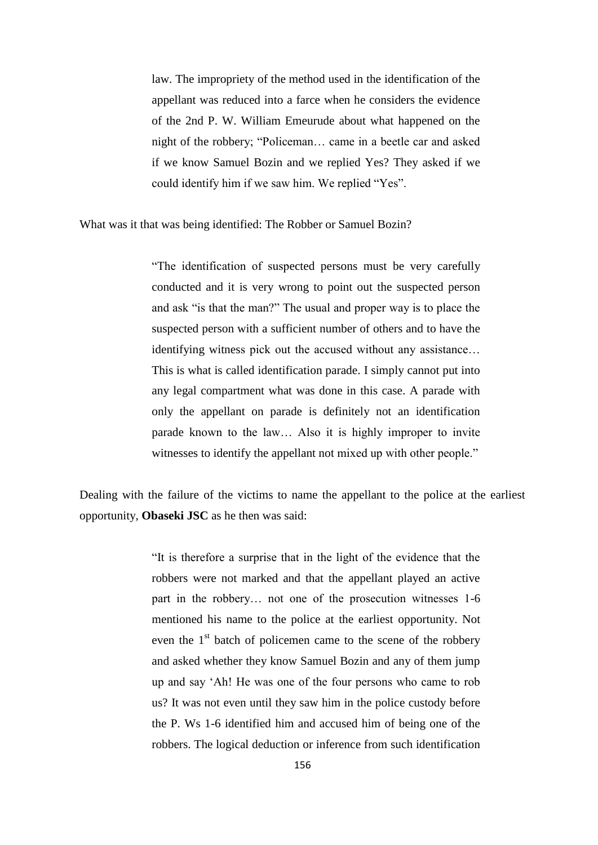law. The impropriety of the method used in the identification of the appellant was reduced into a farce when he considers the evidence of the 2nd P. W. William Emeurude about what happened on the night of the robbery; "Policeman... came in a beetle car and asked if we know Samuel Bozin and we replied Yes? They asked if we could identify him if we saw him. We replied "Yes".

What was it that was being identified: The Robber or Samuel Bozin?

―The identification of suspected persons must be very carefully conducted and it is very wrong to point out the suspected person and ask "is that the man?" The usual and proper way is to place the suspected person with a sufficient number of others and to have the identifying witness pick out the accused without any assistance… This is what is called identification parade. I simply cannot put into any legal compartment what was done in this case. A parade with only the appellant on parade is definitely not an identification parade known to the law… Also it is highly improper to invite witnesses to identify the appellant not mixed up with other people."

Dealing with the failure of the victims to name the appellant to the police at the earliest opportunity, **Obaseki JSC** as he then was said:

> ―It is therefore a surprise that in the light of the evidence that the robbers were not marked and that the appellant played an active part in the robbery… not one of the prosecution witnesses 1-6 mentioned his name to the police at the earliest opportunity. Not even the  $1<sup>st</sup>$  batch of policemen came to the scene of the robbery and asked whether they know Samuel Bozin and any of them jump up and say ‗Ah! He was one of the four persons who came to rob us? It was not even until they saw him in the police custody before the P. Ws 1-6 identified him and accused him of being one of the robbers. The logical deduction or inference from such identification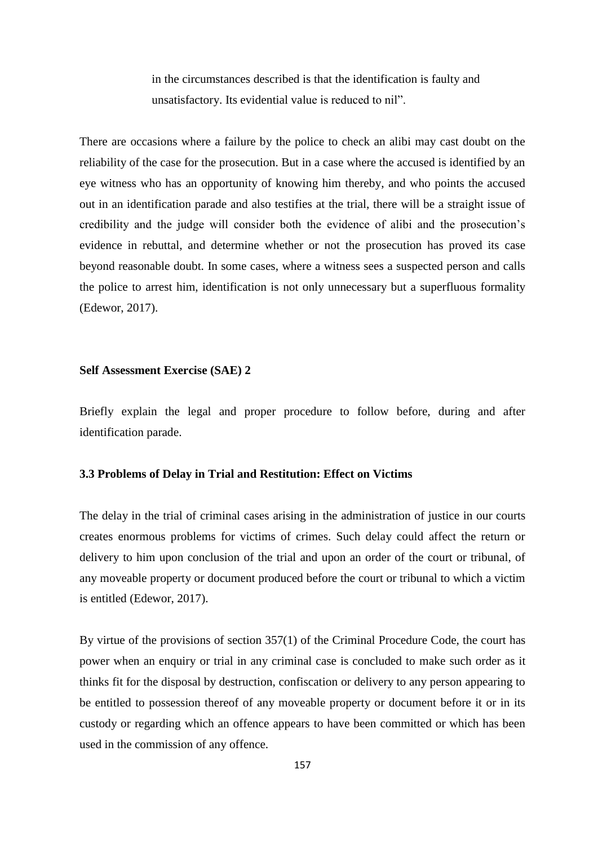in the circumstances described is that the identification is faulty and unsatisfactory. Its evidential value is reduced to nil".

There are occasions where a failure by the police to check an alibi may cast doubt on the reliability of the case for the prosecution. But in a case where the accused is identified by an eye witness who has an opportunity of knowing him thereby, and who points the accused out in an identification parade and also testifies at the trial, there will be a straight issue of credibility and the judge will consider both the evidence of alibi and the prosecution's evidence in rebuttal, and determine whether or not the prosecution has proved its case beyond reasonable doubt. In some cases, where a witness sees a suspected person and calls the police to arrest him, identification is not only unnecessary but a superfluous formality (Edewor, 2017).

### **Self Assessment Exercise (SAE) 2**

Briefly explain the legal and proper procedure to follow before, during and after identification parade.

#### **3.3 Problems of Delay in Trial and Restitution: Effect on Victims**

The delay in the trial of criminal cases arising in the administration of justice in our courts creates enormous problems for victims of crimes. Such delay could affect the return or delivery to him upon conclusion of the trial and upon an order of the court or tribunal, of any moveable property or document produced before the court or tribunal to which a victim is entitled (Edewor, 2017).

By virtue of the provisions of section 357(1) of the Criminal Procedure Code, the court has power when an enquiry or trial in any criminal case is concluded to make such order as it thinks fit for the disposal by destruction, confiscation or delivery to any person appearing to be entitled to possession thereof of any moveable property or document before it or in its custody or regarding which an offence appears to have been committed or which has been used in the commission of any offence.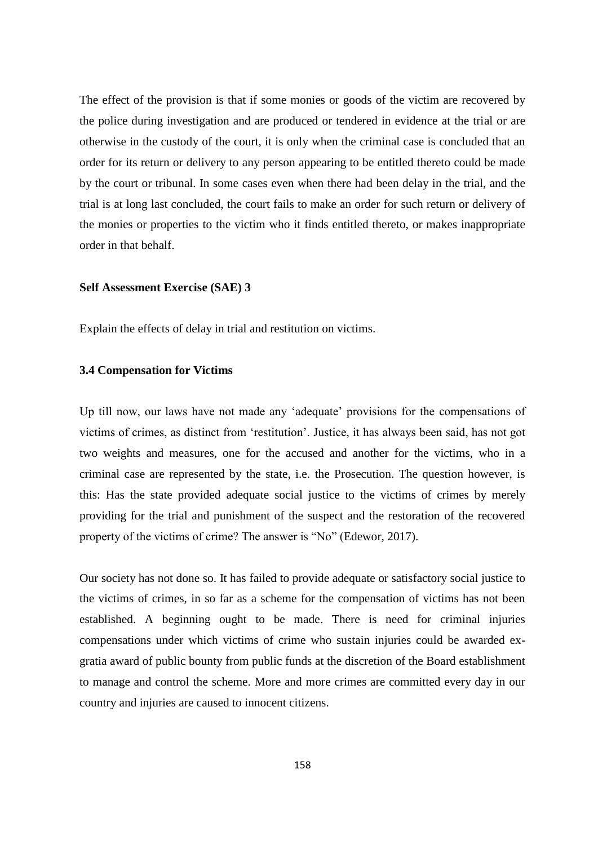The effect of the provision is that if some monies or goods of the victim are recovered by the police during investigation and are produced or tendered in evidence at the trial or are otherwise in the custody of the court, it is only when the criminal case is concluded that an order for its return or delivery to any person appearing to be entitled thereto could be made by the court or tribunal. In some cases even when there had been delay in the trial, and the trial is at long last concluded, the court fails to make an order for such return or delivery of the monies or properties to the victim who it finds entitled thereto, or makes inappropriate order in that behalf.

#### **Self Assessment Exercise (SAE) 3**

Explain the effects of delay in trial and restitution on victims.

# **3.4 Compensation for Victims**

Up till now, our laws have not made any 'adequate' provisions for the compensations of victims of crimes, as distinct from 'restitution'. Justice, it has always been said, has not got two weights and measures, one for the accused and another for the victims, who in a criminal case are represented by the state, i.e. the Prosecution. The question however, is this: Has the state provided adequate social justice to the victims of crimes by merely providing for the trial and punishment of the suspect and the restoration of the recovered property of the victims of crime? The answer is "No" (Edewor, 2017).

Our society has not done so. It has failed to provide adequate or satisfactory social justice to the victims of crimes, in so far as a scheme for the compensation of victims has not been established. A beginning ought to be made. There is need for criminal injuries compensations under which victims of crime who sustain injuries could be awarded exgratia award of public bounty from public funds at the discretion of the Board establishment to manage and control the scheme. More and more crimes are committed every day in our country and injuries are caused to innocent citizens.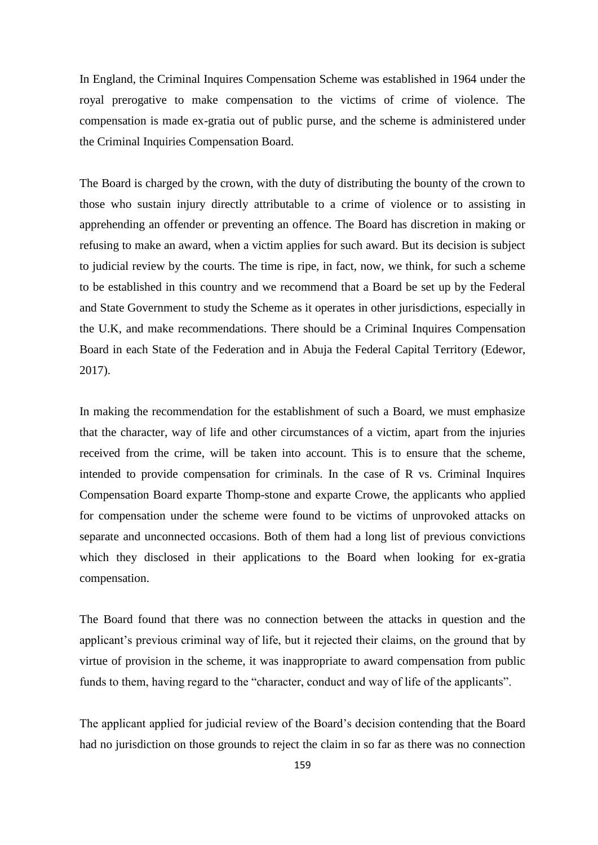In England, the Criminal Inquires Compensation Scheme was established in 1964 under the royal prerogative to make compensation to the victims of crime of violence. The compensation is made ex-gratia out of public purse, and the scheme is administered under the Criminal Inquiries Compensation Board.

The Board is charged by the crown, with the duty of distributing the bounty of the crown to those who sustain injury directly attributable to a crime of violence or to assisting in apprehending an offender or preventing an offence. The Board has discretion in making or refusing to make an award, when a victim applies for such award. But its decision is subject to judicial review by the courts. The time is ripe, in fact, now, we think, for such a scheme to be established in this country and we recommend that a Board be set up by the Federal and State Government to study the Scheme as it operates in other jurisdictions, especially in the U.K, and make recommendations. There should be a Criminal Inquires Compensation Board in each State of the Federation and in Abuja the Federal Capital Territory (Edewor, 2017).

In making the recommendation for the establishment of such a Board, we must emphasize that the character, way of life and other circumstances of a victim, apart from the injuries received from the crime, will be taken into account. This is to ensure that the scheme, intended to provide compensation for criminals. In the case of R vs. Criminal Inquires Compensation Board exparte Thomp-stone and exparte Crowe, the applicants who applied for compensation under the scheme were found to be victims of unprovoked attacks on separate and unconnected occasions. Both of them had a long list of previous convictions which they disclosed in their applications to the Board when looking for ex-gratia compensation.

The Board found that there was no connection between the attacks in question and the applicant's previous criminal way of life, but it rejected their claims, on the ground that by virtue of provision in the scheme, it was inappropriate to award compensation from public funds to them, having regard to the "character, conduct and way of life of the applicants".

The applicant applied for judicial review of the Board's decision contending that the Board had no jurisdiction on those grounds to reject the claim in so far as there was no connection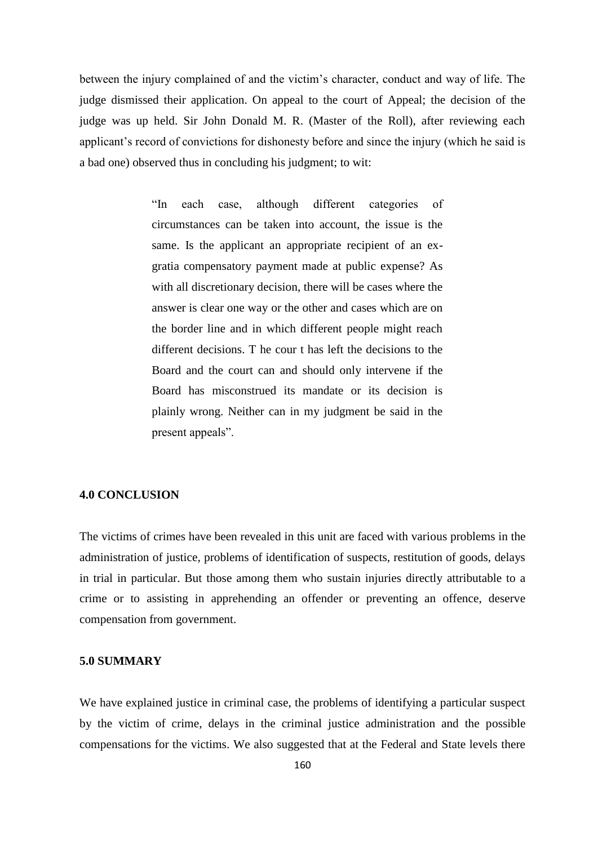between the injury complained of and the victim's character, conduct and way of life. The judge dismissed their application. On appeal to the court of Appeal; the decision of the judge was up held. Sir John Donald M. R. (Master of the Roll), after reviewing each applicant's record of convictions for dishonesty before and since the injury (which he said is a bad one) observed thus in concluding his judgment; to wit:

> ―In each case, although different categories of circumstances can be taken into account, the issue is the same. Is the applicant an appropriate recipient of an exgratia compensatory payment made at public expense? As with all discretionary decision, there will be cases where the answer is clear one way or the other and cases which are on the border line and in which different people might reach different decisions. T he cour t has left the decisions to the Board and the court can and should only intervene if the Board has misconstrued its mandate or its decision is plainly wrong. Neither can in my judgment be said in the present appeals".

### **4.0 CONCLUSION**

The victims of crimes have been revealed in this unit are faced with various problems in the administration of justice, problems of identification of suspects, restitution of goods, delays in trial in particular. But those among them who sustain injuries directly attributable to a crime or to assisting in apprehending an offender or preventing an offence, deserve compensation from government.

#### **5.0 SUMMARY**

We have explained justice in criminal case, the problems of identifying a particular suspect by the victim of crime, delays in the criminal justice administration and the possible compensations for the victims. We also suggested that at the Federal and State levels there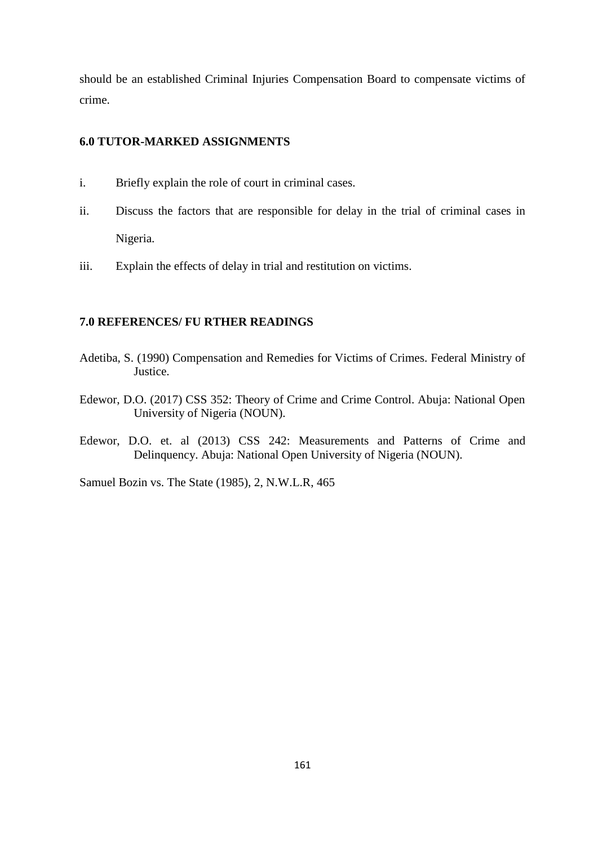should be an established Criminal Injuries Compensation Board to compensate victims of crime.

# **6.0 TUTOR-MARKED ASSIGNMENTS**

- i. Briefly explain the role of court in criminal cases.
- ii. Discuss the factors that are responsible for delay in the trial of criminal cases in Nigeria.
- iii. Explain the effects of delay in trial and restitution on victims.

#### **7.0 REFERENCES/ FU RTHER READINGS**

- Adetiba, S. (1990) Compensation and Remedies for Victims of Crimes. Federal Ministry of Justice.
- Edewor, D.O. (2017) CSS 352: Theory of Crime and Crime Control. Abuja: National Open University of Nigeria (NOUN).
- Edewor, D.O. et. al (2013) CSS 242: Measurements and Patterns of Crime and Delinquency. Abuja: National Open University of Nigeria (NOUN).

Samuel Bozin vs. The State (1985), 2, N.W.L.R, 465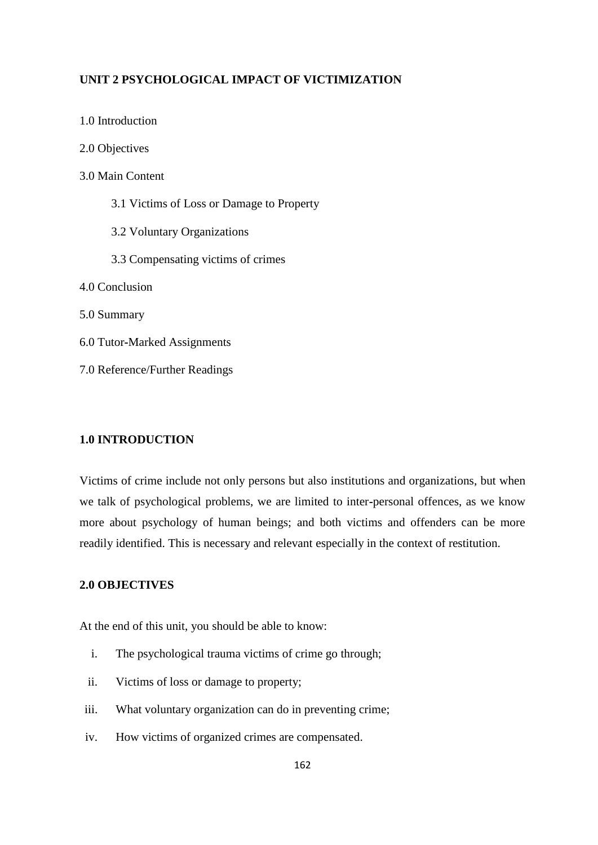# **UNIT 2 PSYCHOLOGICAL IMPACT OF VICTIMIZATION**

| 2.0 Objectives                            |
|-------------------------------------------|
| 3.0 Main Content                          |
| 3.1 Victims of Loss or Damage to Property |
| 3.2 Voluntary Organizations               |
| 3.3 Compensating victims of crimes        |
| 4.0 Conclusion                            |
| 5.0 Summary                               |
| 6.0 Tutor-Marked Assignments              |
| 7.0 Reference/Further Readings            |

# **1.0 INTRODUCTION**

1.0 Introduction

Victims of crime include not only persons but also institutions and organizations, but when we talk of psychological problems, we are limited to inter**-**personal offences, as we know more about psychology of human beings; and both victims and offenders can be more readily identified. This is necessary and relevant especially in the context of restitution.

# **2.0 OBJECTIVES**

At the end of this unit, you should be able to know:

- i. The psychological trauma victims of crime go through;
- ii. Victims of loss or damage to property;
- iii. What voluntary organization can do in preventing crime;
- iv. How victims of organized crimes are compensated.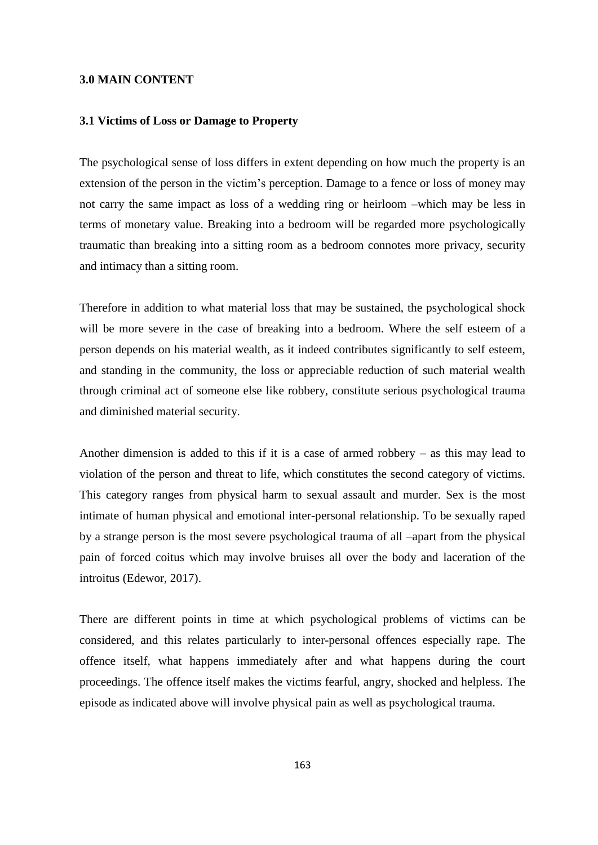#### **3.0 MAIN CONTENT**

#### **3.1 Victims of Loss or Damage to Property**

The psychological sense of loss differs in extent depending on how much the property is an extension of the person in the victim's perception. Damage to a fence or loss of money may not carry the same impact as loss of a wedding ring or heirloom –which may be less in terms of monetary value. Breaking into a bedroom will be regarded more psychologically traumatic than breaking into a sitting room as a bedroom connotes more privacy, security and intimacy than a sitting room.

Therefore in addition to what material loss that may be sustained, the psychological shock will be more severe in the case of breaking into a bedroom. Where the self esteem of a person depends on his material wealth, as it indeed contributes significantly to self esteem, and standing in the community, the loss or appreciable reduction of such material wealth through criminal act of someone else like robbery, constitute serious psychological trauma and diminished material security.

Another dimension is added to this if it is a case of armed robbery – as this may lead to violation of the person and threat to life, which constitutes the second category of victims. This category ranges from physical harm to sexual assault and murder. Sex is the most intimate of human physical and emotional inter-personal relationship. To be sexually raped by a strange person is the most severe psychological trauma of all –apart from the physical pain of forced coitus which may involve bruises all over the body and laceration of the introitus (Edewor, 2017).

There are different points in time at which psychological problems of victims can be considered, and this relates particularly to inter-personal offences especially rape. The offence itself, what happens immediately after and what happens during the court proceedings. The offence itself makes the victims fearful, angry, shocked and helpless. The episode as indicated above will involve physical pain as well as psychological trauma.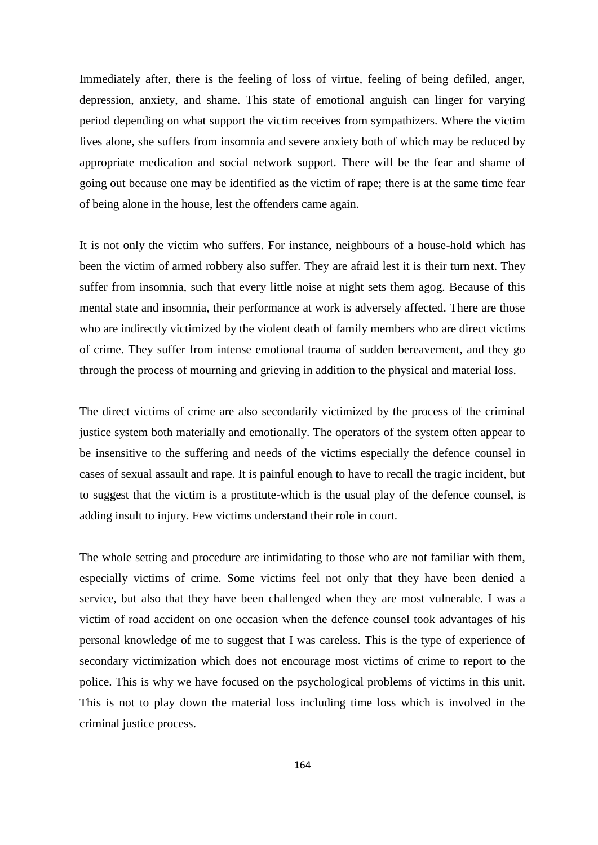Immediately after, there is the feeling of loss of virtue, feeling of being defiled, anger, depression, anxiety, and shame. This state of emotional anguish can linger for varying period depending on what support the victim receives from sympathizers. Where the victim lives alone, she suffers from insomnia and severe anxiety both of which may be reduced by appropriate medication and social network support. There will be the fear and shame of going out because one may be identified as the victim of rape; there is at the same time fear of being alone in the house, lest the offenders came again.

It is not only the victim who suffers. For instance, neighbours of a house-hold which has been the victim of armed robbery also suffer. They are afraid lest it is their turn next. They suffer from insomnia, such that every little noise at night sets them agog. Because of this mental state and insomnia, their performance at work is adversely affected. There are those who are indirectly victimized by the violent death of family members who are direct victims of crime. They suffer from intense emotional trauma of sudden bereavement, and they go through the process of mourning and grieving in addition to the physical and material loss.

The direct victims of crime are also secondarily victimized by the process of the criminal justice system both materially and emotionally. The operators of the system often appear to be insensitive to the suffering and needs of the victims especially the defence counsel in cases of sexual assault and rape. It is painful enough to have to recall the tragic incident, but to suggest that the victim is a prostitute-which is the usual play of the defence counsel, is adding insult to injury. Few victims understand their role in court.

The whole setting and procedure are intimidating to those who are not familiar with them, especially victims of crime. Some victims feel not only that they have been denied a service, but also that they have been challenged when they are most vulnerable. I was a victim of road accident on one occasion when the defence counsel took advantages of his personal knowledge of me to suggest that I was careless. This is the type of experience of secondary victimization which does not encourage most victims of crime to report to the police. This is why we have focused on the psychological problems of victims in this unit. This is not to play down the material loss including time loss which is involved in the criminal justice process.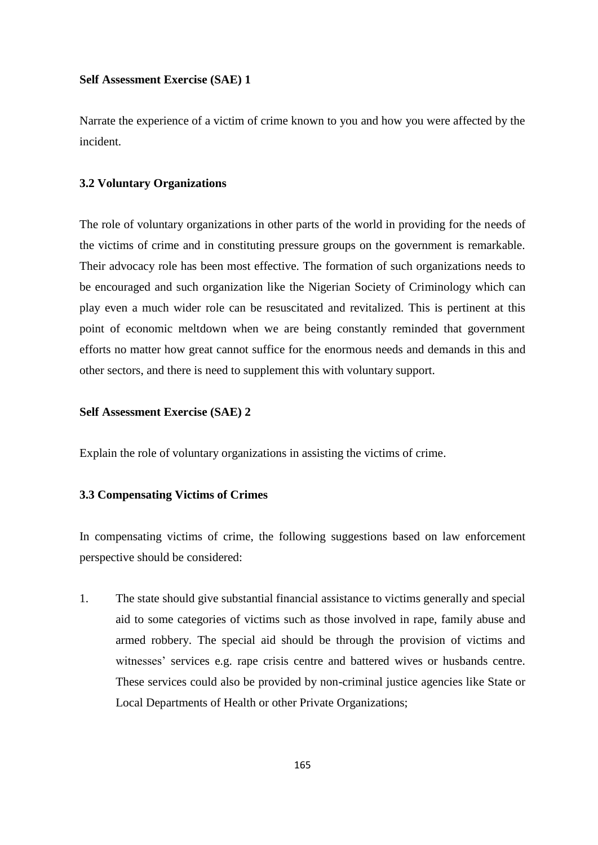#### **Self Assessment Exercise (SAE) 1**

Narrate the experience of a victim of crime known to you and how you were affected by the incident.

#### **3.2 Voluntary Organizations**

The role of voluntary organizations in other parts of the world in providing for the needs of the victims of crime and in constituting pressure groups on the government is remarkable. Their advocacy role has been most effective. The formation of such organizations needs to be encouraged and such organization like the Nigerian Society of Criminology which can play even a much wider role can be resuscitated and revitalized. This is pertinent at this point of economic meltdown when we are being constantly reminded that government efforts no matter how great cannot suffice for the enormous needs and demands in this and other sectors, and there is need to supplement this with voluntary support.

### **Self Assessment Exercise (SAE) 2**

Explain the role of voluntary organizations in assisting the victims of crime.

### **3.3 Compensating Victims of Crimes**

In compensating victims of crime, the following suggestions based on law enforcement perspective should be considered:

1. The state should give substantial financial assistance to victims generally and special aid to some categories of victims such as those involved in rape, family abuse and armed robbery. The special aid should be through the provision of victims and witnesses' services e.g. rape crisis centre and battered wives or husbands centre. These services could also be provided by non-criminal justice agencies like State or Local Departments of Health or other Private Organizations;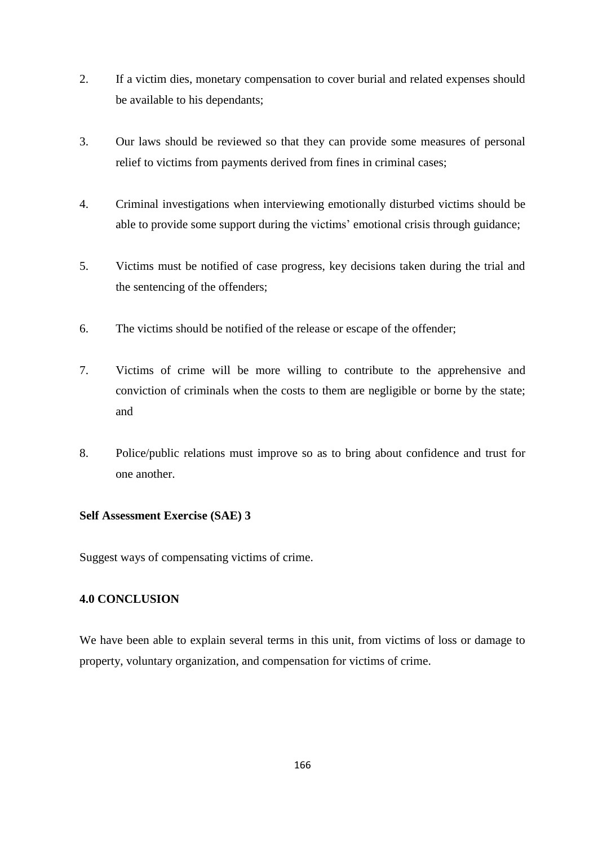- 2. If a victim dies, monetary compensation to cover burial and related expenses should be available to his dependants;
- 3. Our laws should be reviewed so that they can provide some measures of personal relief to victims from payments derived from fines in criminal cases;
- 4. Criminal investigations when interviewing emotionally disturbed victims should be able to provide some support during the victims' emotional crisis through guidance;
- 5. Victims must be notified of case progress, key decisions taken during the trial and the sentencing of the offenders;
- 6. The victims should be notified of the release or escape of the offender;
- 7. Victims of crime will be more willing to contribute to the apprehensive and conviction of criminals when the costs to them are negligible or borne by the state; and
- 8. Police/public relations must improve so as to bring about confidence and trust for one another.

# **Self Assessment Exercise (SAE) 3**

Suggest ways of compensating victims of crime.

# **4.0 CONCLUSION**

We have been able to explain several terms in this unit, from victims of loss or damage to property, voluntary organization, and compensation for victims of crime.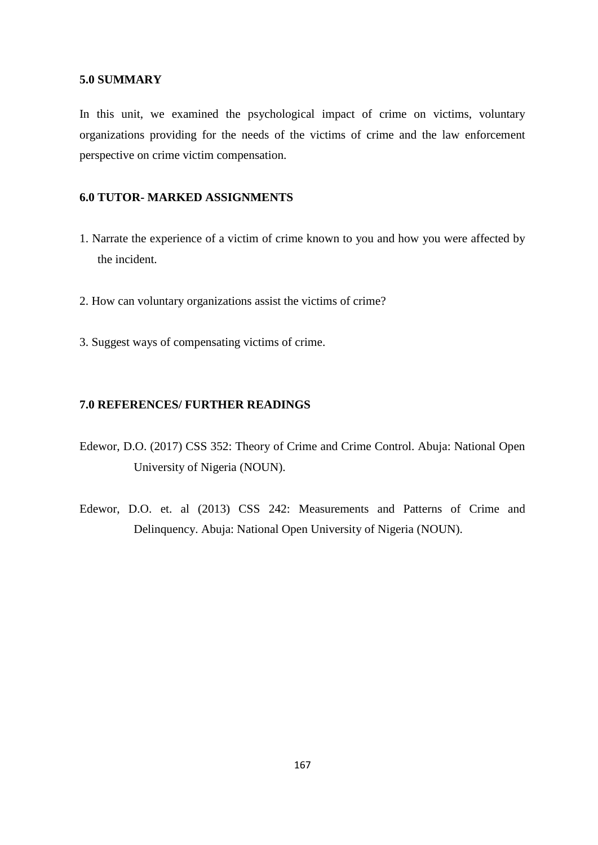#### **5.0 SUMMARY**

In this unit, we examined the psychological impact of crime on victims, voluntary organizations providing for the needs of the victims of crime and the law enforcement perspective on crime victim compensation.

# **6.0 TUTOR- MARKED ASSIGNMENTS**

- 1. Narrate the experience of a victim of crime known to you and how you were affected by the incident.
- 2. How can voluntary organizations assist the victims of crime?
- 3. Suggest ways of compensating victims of crime.

# **7.0 REFERENCES/ FURTHER READINGS**

- Edewor, D.O. (2017) CSS 352: Theory of Crime and Crime Control. Abuja: National Open University of Nigeria (NOUN).
- Edewor, D.O. et. al (2013) CSS 242: Measurements and Patterns of Crime and Delinquency. Abuja: National Open University of Nigeria (NOUN).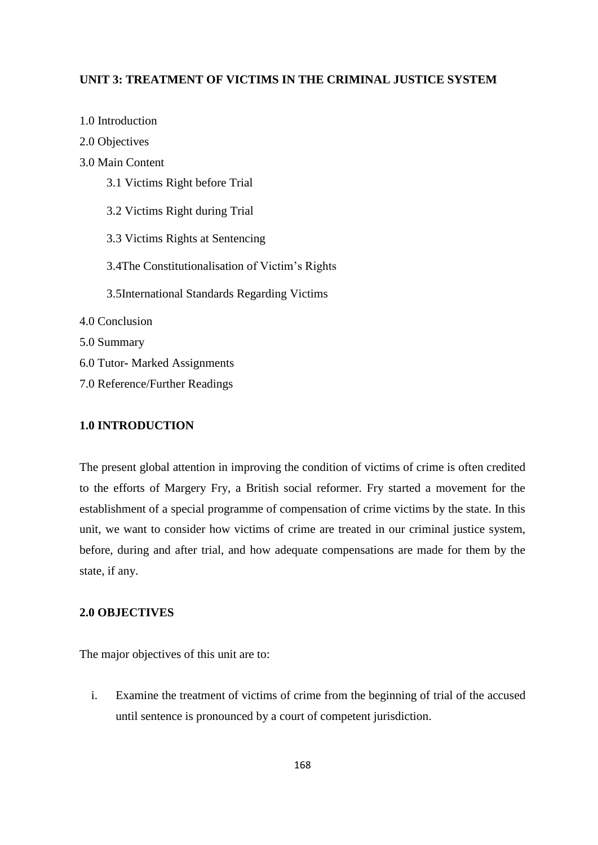# **UNIT 3: TREATMENT OF VICTIMS IN THE CRIMINAL JUSTICE SYSTEM**

| 2.0 Objectives                                  |
|-------------------------------------------------|
| 3.0 Main Content                                |
| 3.1 Victims Right before Trial                  |
| 3.2 Victims Right during Trial                  |
| 3.3 Victims Rights at Sentencing                |
| 3.4The Constitutionalisation of Victim's Rights |
| 3.5International Standards Regarding Victims    |
| 4.0 Conclusion                                  |
| 5.0 Summary                                     |
| 6.0 Tutor- Marked Assignments                   |
| 7.0 Reference/Further Readings                  |

# **1.0 INTRODUCTION**

1.0 Introduction

The present global attention in improving the condition of victims of crime is often credited to the efforts of Margery Fry, a British social reformer. Fry started a movement for the establishment of a special programme of compensation of crime victims by the state. In this unit, we want to consider how victims of crime are treated in our criminal justice system, before, during and after trial, and how adequate compensations are made for them by the state, if any.

# **2.0 OBJECTIVES**

The major objectives of this unit are to:

i. Examine the treatment of victims of crime from the beginning of trial of the accused until sentence is pronounced by a court of competent jurisdiction.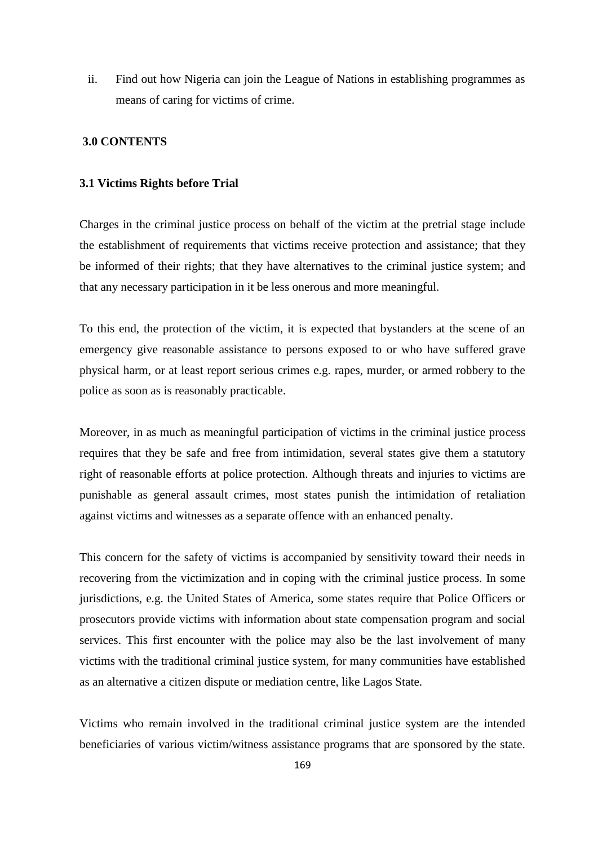ii. Find out how Nigeria can join the League of Nations in establishing programmes as means of caring for victims of crime.

# **3.0 CONTENTS**

#### **3.1 Victims Rights before Trial**

Charges in the criminal justice process on behalf of the victim at the pretrial stage include the establishment of requirements that victims receive protection and assistance; that they be informed of their rights; that they have alternatives to the criminal justice system; and that any necessary participation in it be less onerous and more meaningful.

To this end, the protection of the victim, it is expected that bystanders at the scene of an emergency give reasonable assistance to persons exposed to or who have suffered grave physical harm, or at least report serious crimes e.g. rapes, murder, or armed robbery to the police as soon as is reasonably practicable.

Moreover, in as much as meaningful participation of victims in the criminal justice process requires that they be safe and free from intimidation, several states give them a statutory right of reasonable efforts at police protection. Although threats and injuries to victims are punishable as general assault crimes, most states punish the intimidation of retaliation against victims and witnesses as a separate offence with an enhanced penalty.

This concern for the safety of victims is accompanied by sensitivity toward their needs in recovering from the victimization and in coping with the criminal justice process. In some jurisdictions, e.g. the United States of America, some states require that Police Officers or prosecutors provide victims with information about state compensation program and social services. This first encounter with the police may also be the last involvement of many victims with the traditional criminal justice system, for many communities have established as an alternative a citizen dispute or mediation centre, like Lagos State.

Victims who remain involved in the traditional criminal justice system are the intended beneficiaries of various victim/witness assistance programs that are sponsored by the state.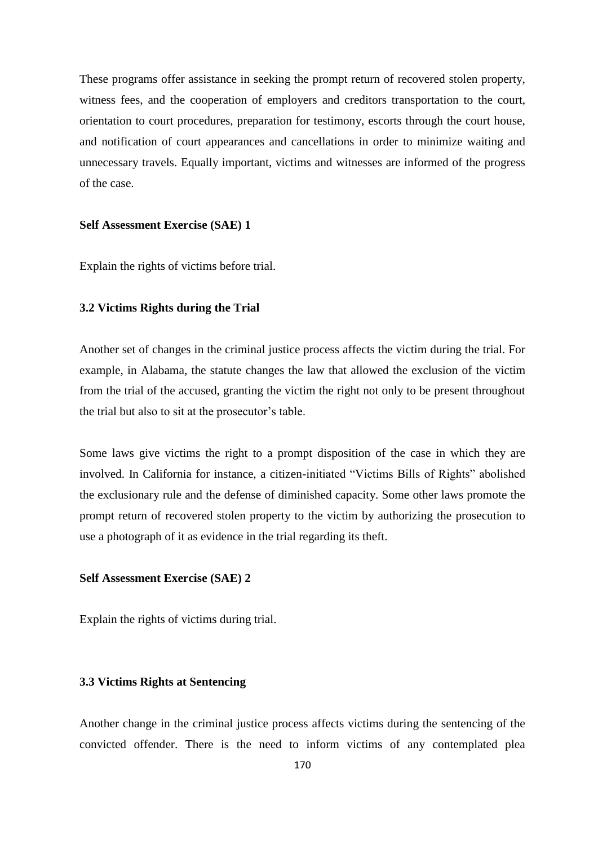These programs offer assistance in seeking the prompt return of recovered stolen property, witness fees, and the cooperation of employers and creditors transportation to the court, orientation to court procedures, preparation for testimony, escorts through the court house, and notification of court appearances and cancellations in order to minimize waiting and unnecessary travels. Equally important, victims and witnesses are informed of the progress of the case.

#### **Self Assessment Exercise (SAE) 1**

Explain the rights of victims before trial.

## **3.2 Victims Rights during the Trial**

Another set of changes in the criminal justice process affects the victim during the trial. For example, in Alabama, the statute changes the law that allowed the exclusion of the victim from the trial of the accused, granting the victim the right not only to be present throughout the trial but also to sit at the prosecutor's table.

Some laws give victims the right to a prompt disposition of the case in which they are involved. In California for instance, a citizen-initiated "Victims Bills of Rights" abolished the exclusionary rule and the defense of diminished capacity. Some other laws promote the prompt return of recovered stolen property to the victim by authorizing the prosecution to use a photograph of it as evidence in the trial regarding its theft.

### **Self Assessment Exercise (SAE) 2**

Explain the rights of victims during trial.

### **3.3 Victims Rights at Sentencing**

Another change in the criminal justice process affects victims during the sentencing of the convicted offender. There is the need to inform victims of any contemplated plea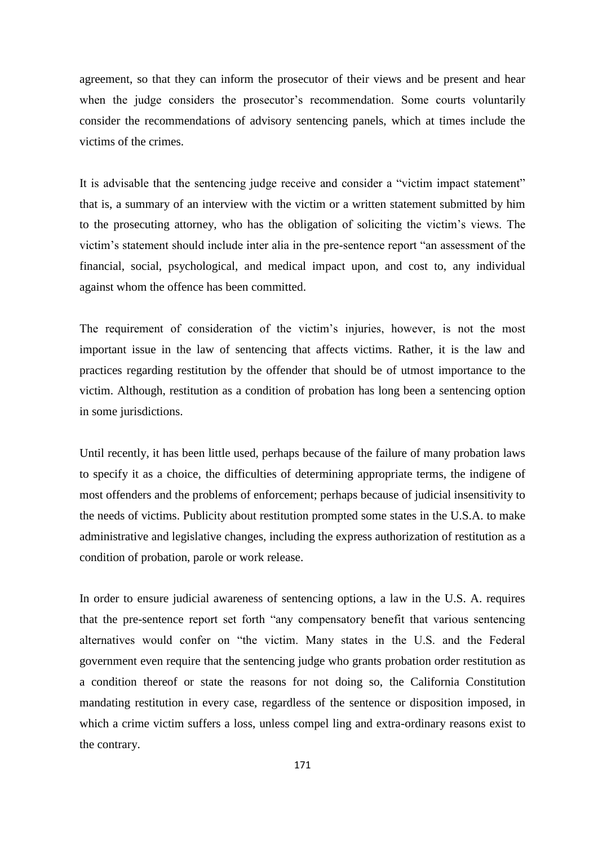agreement, so that they can inform the prosecutor of their views and be present and hear when the judge considers the prosecutor's recommendation. Some courts voluntarily consider the recommendations of advisory sentencing panels, which at times include the victims of the crimes.

It is advisable that the sentencing judge receive and consider a "victim impact statement" that is, a summary of an interview with the victim or a written statement submitted by him to the prosecuting attorney, who has the obligation of soliciting the victim's views. The victim's statement should include inter alia in the pre-sentence report "an assessment of the financial, social, psychological, and medical impact upon, and cost to, any individual against whom the offence has been committed.

The requirement of consideration of the victim's injuries, however, is not the most important issue in the law of sentencing that affects victims. Rather, it is the law and practices regarding restitution by the offender that should be of utmost importance to the victim. Although, restitution as a condition of probation has long been a sentencing option in some jurisdictions.

Until recently, it has been little used, perhaps because of the failure of many probation laws to specify it as a choice, the difficulties of determining appropriate terms, the indigene of most offenders and the problems of enforcement; perhaps because of judicial insensitivity to the needs of victims. Publicity about restitution prompted some states in the U.S.A. to make administrative and legislative changes, including the express authorization of restitution as a condition of probation, parole or work release.

In order to ensure judicial awareness of sentencing options, a law in the U.S. A. requires that the pre-sentence report set forth "any compensatory benefit that various sentencing alternatives would confer on "the victim. Many states in the U.S. and the Federal government even require that the sentencing judge who grants probation order restitution as a condition thereof or state the reasons for not doing so, the California Constitution mandating restitution in every case, regardless of the sentence or disposition imposed, in which a crime victim suffers a loss, unless compel ling and extra-ordinary reasons exist to the contrary.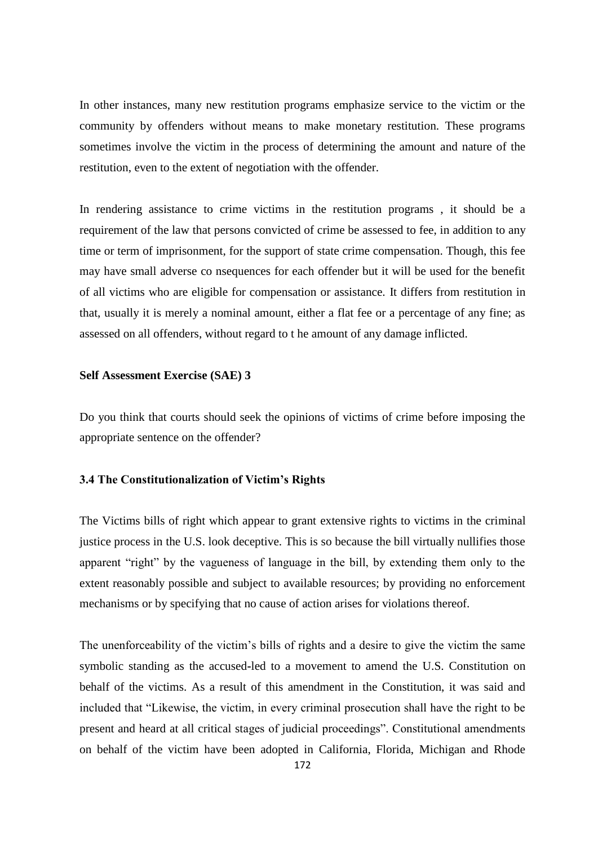In other instances, many new restitution programs emphasize service to the victim or the community by offenders without means to make monetary restitution. These programs sometimes involve the victim in the process of determining the amount and nature of the restitution, even to the extent of negotiation with the offender.

In rendering assistance to crime victims in the restitution programs , it should be a requirement of the law that persons convicted of crime be assessed to fee, in addition to any time or term of imprisonment, for the support of state crime compensation. Though, this fee may have small adverse co nsequences for each offender but it will be used for the benefit of all victims who are eligible for compensation or assistance. It differs from restitution in that, usually it is merely a nominal amount, either a flat fee or a percentage of any fine; as assessed on all offenders, without regard to t he amount of any damage inflicted.

#### **Self Assessment Exercise (SAE) 3**

Do you think that courts should seek the opinions of victims of crime before imposing the appropriate sentence on the offender?

### **3.4 The Constitutionalization of Victim's Rights**

The Victims bills of right which appear to grant extensive rights to victims in the criminal justice process in the U.S. look deceptive. This is so because the bill virtually nullifies those apparent "right" by the vagueness of language in the bill, by extending them only to the extent reasonably possible and subject to available resources; by providing no enforcement mechanisms or by specifying that no cause of action arises for violations thereof.

The unenforceability of the victim's bills of rights and a desire to give the victim the same symbolic standing as the accused**-**led to a movement to amend the U.S. Constitution on behalf of the victims. As a result of this amendment in the Constitution, it was said and included that "Likewise, the victim, in every criminal prosecution shall have the right to be present and heard at all critical stages of judicial proceedings". Constitutional amendments on behalf of the victim have been adopted in California, Florida, Michigan and Rhode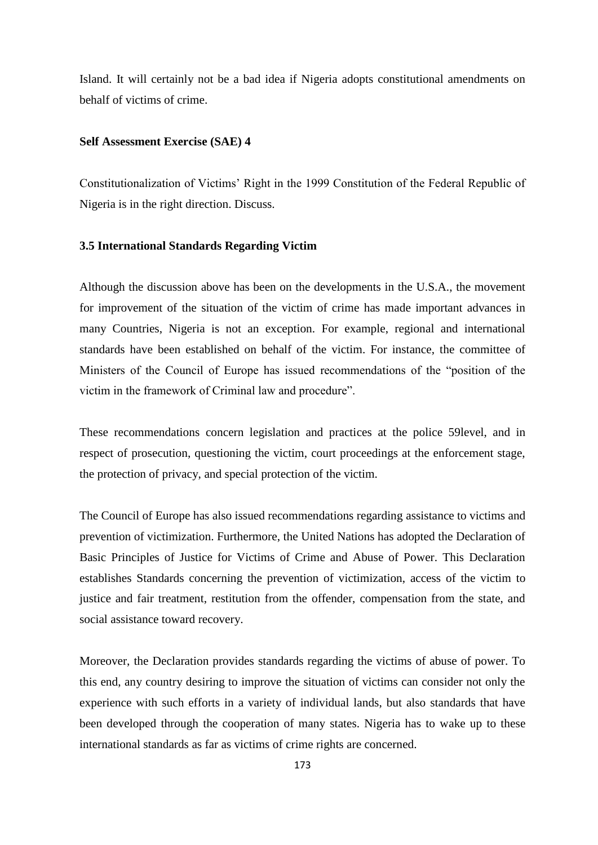Island. It will certainly not be a bad idea if Nigeria adopts constitutional amendments on behalf of victims of crime.

#### **Self Assessment Exercise (SAE) 4**

Constitutionalization of Victims' Right in the 1999 Constitution of the Federal Republic of Nigeria is in the right direction. Discuss.

#### **3.5 International Standards Regarding Victim**

Although the discussion above has been on the developments in the U.S.A., the movement for improvement of the situation of the victim of crime has made important advances in many Countries, Nigeria is not an exception. For example, regional and international standards have been established on behalf of the victim. For instance, the committee of Ministers of the Council of Europe has issued recommendations of the "position of the victim in the framework of Criminal law and procedure".

These recommendations concern legislation and practices at the police 59level, and in respect of prosecution, questioning the victim, court proceedings at the enforcement stage, the protection of privacy, and special protection of the victim.

The Council of Europe has also issued recommendations regarding assistance to victims and prevention of victimization. Furthermore, the United Nations has adopted the Declaration of Basic Principles of Justice for Victims of Crime and Abuse of Power. This Declaration establishes Standards concerning the prevention of victimization, access of the victim to justice and fair treatment, restitution from the offender, compensation from the state, and social assistance toward recovery.

Moreover, the Declaration provides standards regarding the victims of abuse of power. To this end, any country desiring to improve the situation of victims can consider not only the experience with such efforts in a variety of individual lands, but also standards that have been developed through the cooperation of many states. Nigeria has to wake up to these international standards as far as victims of crime rights are concerned.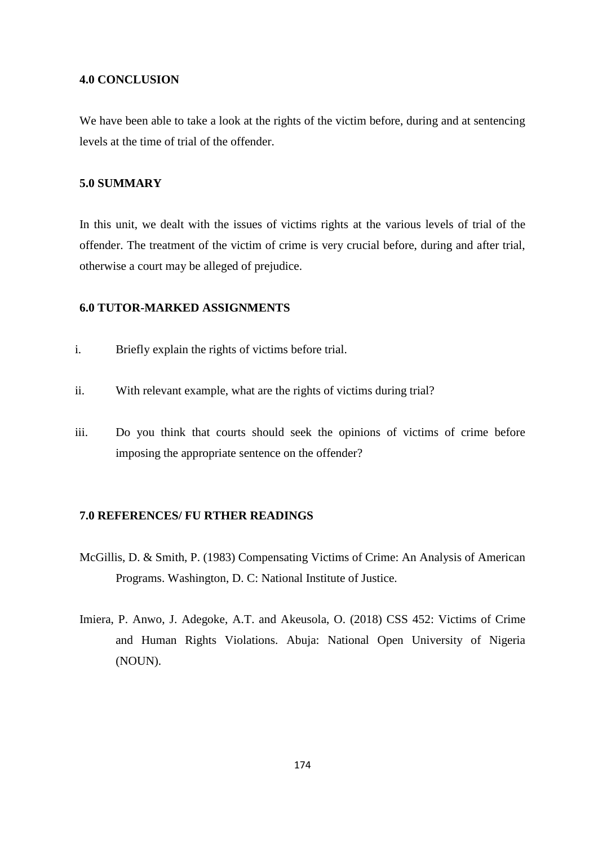### **4.0 CONCLUSION**

We have been able to take a look at the rights of the victim before, during and at sentencing levels at the time of trial of the offender.

# **5.0 SUMMARY**

In this unit, we dealt with the issues of victims rights at the various levels of trial of the offender. The treatment of the victim of crime is very crucial before, during and after trial, otherwise a court may be alleged of prejudice.

# **6.0 TUTOR-MARKED ASSIGNMENTS**

- i. Briefly explain the rights of victims before trial.
- ii. With relevant example, what are the rights of victims during trial?
- iii. Do you think that courts should seek the opinions of victims of crime before imposing the appropriate sentence on the offender?

#### **7.0 REFERENCES/ FU RTHER READINGS**

- McGillis, D. & Smith, P. (1983) Compensating Victims of Crime: An Analysis of American Programs. Washington, D. C: National Institute of Justice.
- Imiera, P. Anwo, J. Adegoke, A.T. and Akeusola, O. (2018) CSS 452: Victims of Crime and Human Rights Violations. Abuja: National Open University of Nigeria (NOUN).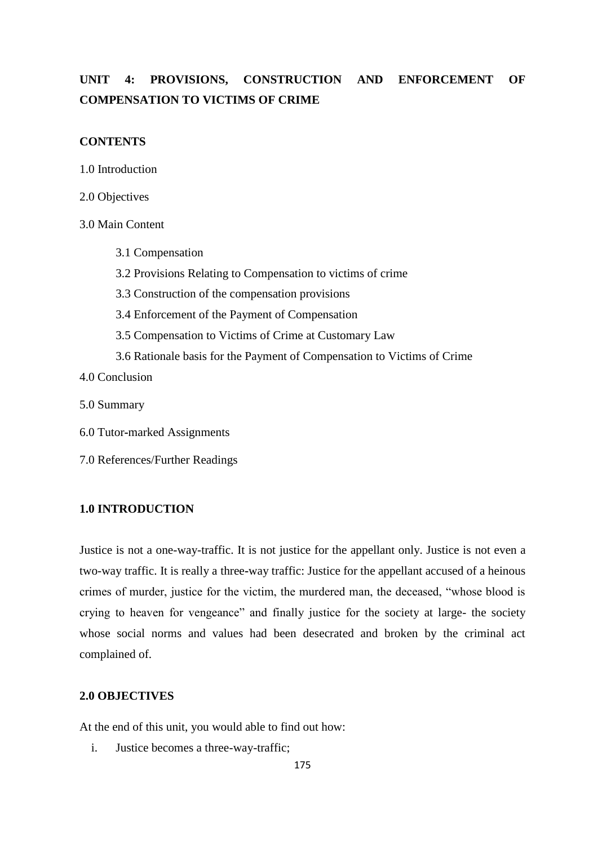# **UNIT 4: PROVISIONS, CONSTRUCTION AND ENFORCEMENT OF COMPENSATION TO VICTIMS OF CRIME**

# **CONTENTS**

1.0 Introduction

2.0 Objectives

3.0 Main Content

- 3.1 Compensation
- 3.2 Provisions Relating to Compensation to victims of crime
- 3.3 Construction of the compensation provisions
- 3.4 Enforcement of the Payment of Compensation
- 3.5 Compensation to Victims of Crime at Customary Law
- 3.6 Rationale basis for the Payment of Compensation to Victims of Crime

4.0 Conclusion

5.0 Summary

6.0 Tutor**-**marked Assignments

7.0 References/Further Readings

### **1.0 INTRODUCTION**

Justice is not a one-way-traffic. It is not justice for the appellant only. Justice is not even a two-way traffic. It is really a three**-**way traffic: Justice for the appellant accused of a heinous crimes of murder, justice for the victim, the murdered man, the deceased, "whose blood is crying to heaven for vengeance" and finally justice for the society at large- the society whose social norms and values had been desecrated and broken by the criminal act complained of.

#### **2.0 OBJECTIVES**

At the end of this unit, you would able to find out how:

i. Justice becomes a three-way-traffic;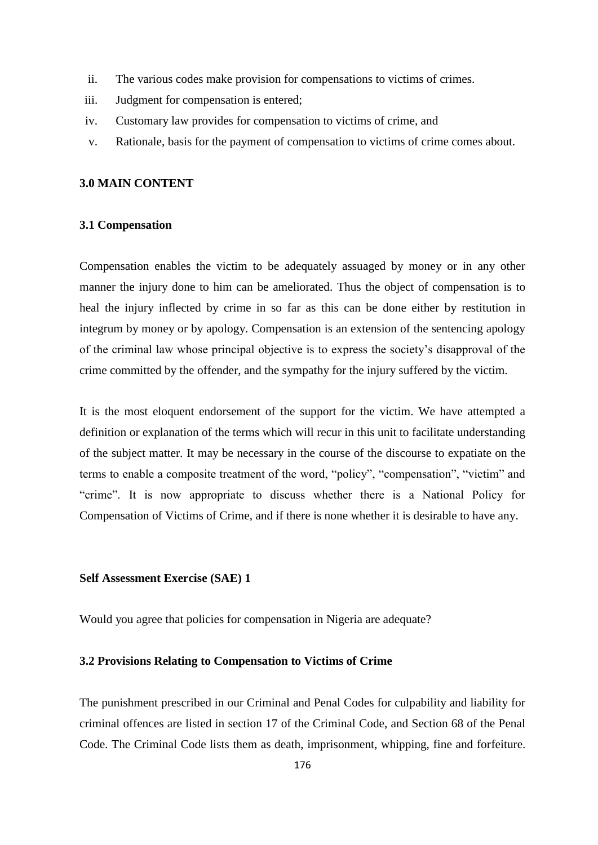- ii. The various codes make provision for compensations to victims of crimes.
- iii. Judgment for compensation is entered;
- iv. Customary law provides for compensation to victims of crime, and
- v. Rationale, basis for the payment of compensation to victims of crime comes about.

### **3.0 MAIN CONTENT**

#### **3.1 Compensation**

Compensation enables the victim to be adequately assuaged by money or in any other manner the injury done to him can be ameliorated. Thus the object of compensation is to heal the injury inflected by crime in so far as this can be done either by restitution in integrum by money or by apology. Compensation is an extension of the sentencing apology of the criminal law whose principal objective is to express the society's disapproval of the crime committed by the offender, and the sympathy for the injury suffered by the victim.

It is the most eloquent endorsement of the support for the victim. We have attempted a definition or explanation of the terms which will recur in this unit to facilitate understanding of the subject matter. It may be necessary in the course of the discourse to expatiate on the terms to enable a composite treatment of the word, "policy", "compensation", "victim" and "crime". It is now appropriate to discuss whether there is a National Policy for Compensation of Victims of Crime, and if there is none whether it is desirable to have any.

# **Self Assessment Exercise (SAE) 1**

Would you agree that policies for compensation in Nigeria are adequate?

### **3.2 Provisions Relating to Compensation to Victims of Crime**

The punishment prescribed in our Criminal and Penal Codes for culpability and liability for criminal offences are listed in section 17 of the Criminal Code, and Section 68 of the Penal Code. The Criminal Code lists them as death, imprisonment, whipping, fine and forfeiture.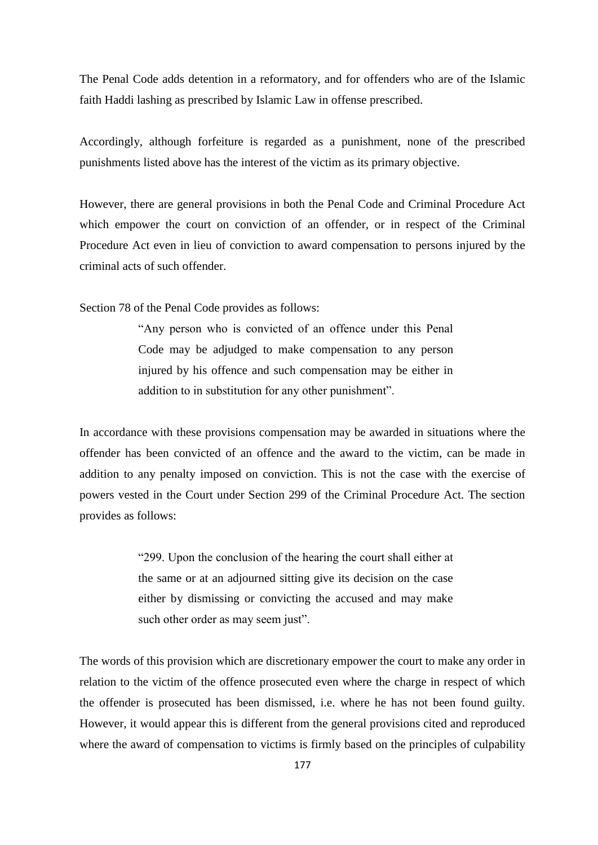The Penal Code adds detention in a reformatory, and for offenders who are of the Islamic faith Haddi lashing as prescribed by Islamic Law in offense prescribed.

Accordingly, although forfeiture is regarded as a punishment, none of the prescribed punishments listed above has the interest of the victim as its primary objective.

However, there are general provisions in both the Penal Code and Criminal Procedure Act which empower the court on conviction of an offender, or in respect of the Criminal Procedure Act even in lieu of conviction to award compensation to persons injured by the criminal acts of such offender.

Section 78 of the Penal Code provides as follows:

―Any person who is convicted of an offence under this Penal Code may be adjudged to make compensation to any person injured by his offence and such compensation may be either in addition to in substitution for any other punishment".

In accordance with these provisions compensation may be awarded in situations where the offender has been convicted of an offence and the award to the victim, can be made in addition to any penalty imposed on conviction. This is not the case with the exercise of powers vested in the Court under Section 299 of the Criminal Procedure Act. The section provides as follows:

> ―299. Upon the conclusion of the hearing the court shall either at the same or at an adjourned sitting give its decision on the case either by dismissing or convicting the accused and may make such other order as may seem just".

The words of this provision which are discretionary empower the court to make any order in relation to the victim of the offence prosecuted even where the charge in respect of which the offender is prosecuted has been dismissed, i.e. where he has not been found guilty. However, it would appear this is different from the general provisions cited and reproduced where the award of compensation to victims is firmly based on the principles of culpability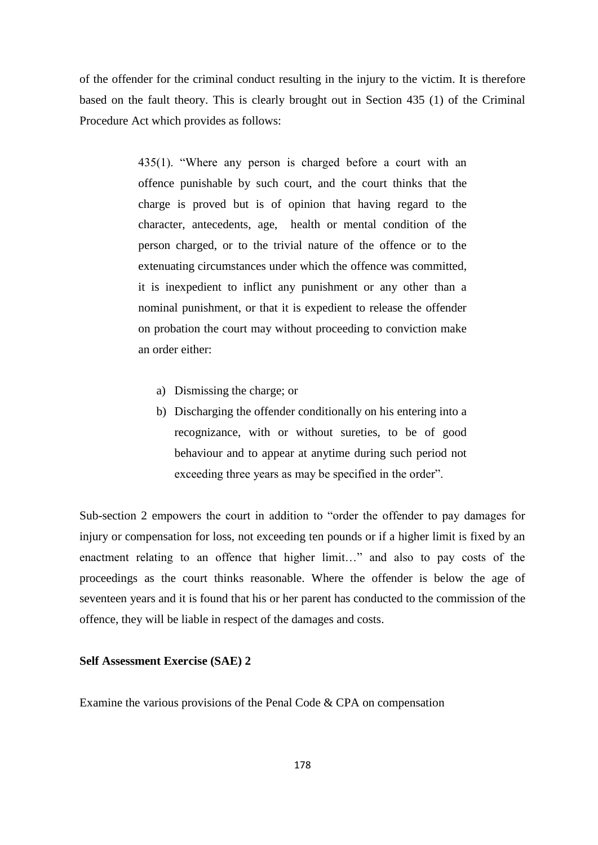of the offender for the criminal conduct resulting in the injury to the victim. It is therefore based on the fault theory. This is clearly brought out in Section 435 (1) of the Criminal Procedure Act which provides as follows:

> $435(1)$ . "Where any person is charged before a court with an offence punishable by such court, and the court thinks that the charge is proved but is of opinion that having regard to the character, antecedents, age, health or mental condition of the person charged, or to the trivial nature of the offence or to the extenuating circumstances under which the offence was committed, it is inexpedient to inflict any punishment or any other than a nominal punishment, or that it is expedient to release the offender on probation the court may without proceeding to conviction make an order either:

- a) Dismissing the charge; or
- b) Discharging the offender conditionally on his entering into a recognizance, with or without sureties, to be of good behaviour and to appear at anytime during such period not exceeding three years as may be specified in the order".

Sub-section 2 empowers the court in addition to "order the offender to pay damages for injury or compensation for loss, not exceeding ten pounds or if a higher limit is fixed by an enactment relating to an offence that higher limit..." and also to pay costs of the proceedings as the court thinks reasonable. Where the offender is below the age of seventeen years and it is found that his or her parent has conducted to the commission of the offence, they will be liable in respect of the damages and costs.

### **Self Assessment Exercise (SAE) 2**

Examine the various provisions of the Penal Code & CPA on compensation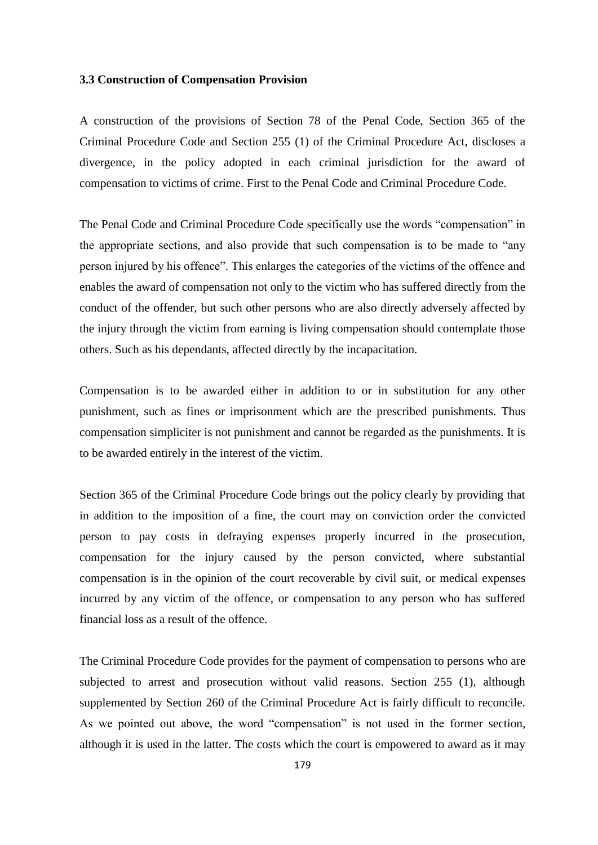#### **3.3 Construction of Compensation Provision**

A construction of the provisions of Section 78 of the Penal Code, Section 365 of the Criminal Procedure Code and Section 255 (1) of the Criminal Procedure Act, discloses a divergence, in the policy adopted in each criminal jurisdiction for the award of compensation to victims of crime. First to the Penal Code and Criminal Procedure Code.

The Penal Code and Criminal Procedure Code specifically use the words "compensation" in the appropriate sections, and also provide that such compensation is to be made to "any person injured by his offence". This enlarges the categories of the victims of the offence and enables the award of compensation not only to the victim who has suffered directly from the conduct of the offender, but such other persons who are also directly adversely affected by the injury through the victim from earning is living compensation should contemplate those others. Such as his dependants, affected directly by the incapacitation.

Compensation is to be awarded either in addition to or in substitution for any other punishment, such as fines or imprisonment which are the prescribed punishments. Thus compensation simpliciter is not punishment and cannot be regarded as the punishments. It is to be awarded entirely in the interest of the victim.

Section 365 of the Criminal Procedure Code brings out the policy clearly by providing that in addition to the imposition of a fine, the court may on conviction order the convicted person to pay costs in defraying expenses properly incurred in the prosecution, compensation for the injury caused by the person convicted, where substantial compensation is in the opinion of the court recoverable by civil suit, or medical expenses incurred by any victim of the offence, or compensation to any person who has suffered financial loss as a result of the offence.

The Criminal Procedure Code provides for the payment of compensation to persons who are subjected to arrest and prosecution without valid reasons. Section 255 (1), although supplemented by Section 260 of the Criminal Procedure Act is fairly difficult to reconcile. As we pointed out above, the word "compensation" is not used in the former section, although it is used in the latter. The costs which the court is empowered to award as it may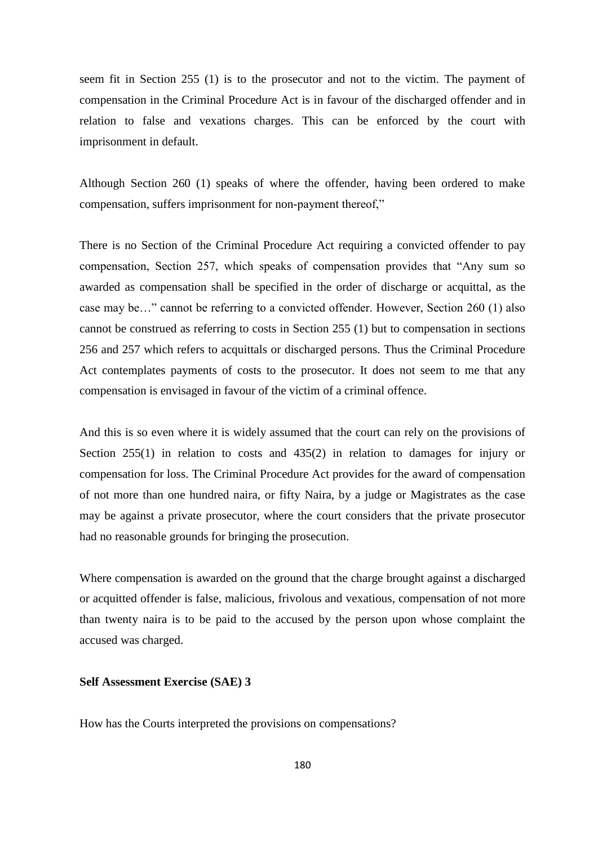seem fit in Section 255 (1) is to the prosecutor and not to the victim. The payment of compensation in the Criminal Procedure Act is in favour of the discharged offender and in relation to false and vexations charges. This can be enforced by the court with imprisonment in default.

Although Section 260 (1) speaks of where the offender, having been ordered to make compensation, suffers imprisonment for non-payment thereof."

There is no Section of the Criminal Procedure Act requiring a convicted offender to pay compensation, Section 257, which speaks of compensation provides that "Any sum so awarded as compensation shall be specified in the order of discharge or acquittal, as the case may be…" cannot be referring to a convicted offender. However, Section 260 (1) also cannot be construed as referring to costs in Section 255 (1) but to compensation in sections 256 and 257 which refers to acquittals or discharged persons. Thus the Criminal Procedure Act contemplates payments of costs to the prosecutor. It does not seem to me that any compensation is envisaged in favour of the victim of a criminal offence.

And this is so even where it is widely assumed that the court can rely on the provisions of Section 255(1) in relation to costs and 435(2) in relation to damages for injury or compensation for loss. The Criminal Procedure Act provides for the award of compensation of not more than one hundred naira, or fifty Naira, by a judge or Magistrates as the case may be against a private prosecutor, where the court considers that the private prosecutor had no reasonable grounds for bringing the prosecution.

Where compensation is awarded on the ground that the charge brought against a discharged or acquitted offender is false, malicious, frivolous and vexatious, compensation of not more than twenty naira is to be paid to the accused by the person upon whose complaint the accused was charged.

# **Self Assessment Exercise (SAE) 3**

How has the Courts interpreted the provisions on compensations?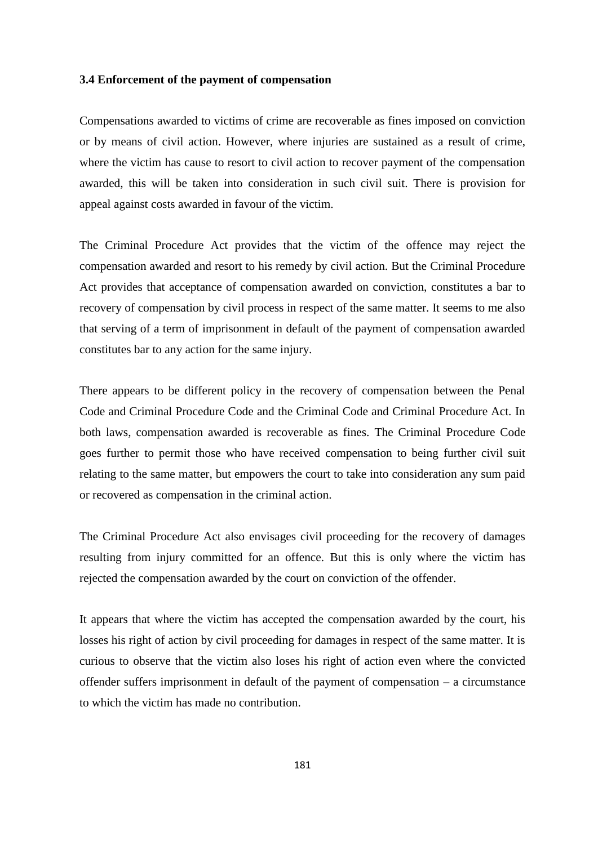### **3.4 Enforcement of the payment of compensation**

Compensations awarded to victims of crime are recoverable as fines imposed on conviction or by means of civil action. However, where injuries are sustained as a result of crime, where the victim has cause to resort to civil action to recover payment of the compensation awarded, this will be taken into consideration in such civil suit. There is provision for appeal against costs awarded in favour of the victim.

The Criminal Procedure Act provides that the victim of the offence may reject the compensation awarded and resort to his remedy by civil action. But the Criminal Procedure Act provides that acceptance of compensation awarded on conviction, constitutes a bar to recovery of compensation by civil process in respect of the same matter. It seems to me also that serving of a term of imprisonment in default of the payment of compensation awarded constitutes bar to any action for the same injury.

There appears to be different policy in the recovery of compensation between the Penal Code and Criminal Procedure Code and the Criminal Code and Criminal Procedure Act. In both laws, compensation awarded is recoverable as fines. The Criminal Procedure Code goes further to permit those who have received compensation to being further civil suit relating to the same matter, but empowers the court to take into consideration any sum paid or recovered as compensation in the criminal action.

The Criminal Procedure Act also envisages civil proceeding for the recovery of damages resulting from injury committed for an offence. But this is only where the victim has rejected the compensation awarded by the court on conviction of the offender.

It appears that where the victim has accepted the compensation awarded by the court, his losses his right of action by civil proceeding for damages in respect of the same matter. It is curious to observe that the victim also loses his right of action even where the convicted offender suffers imprisonment in default of the payment of compensation – a circumstance to which the victim has made no contribution.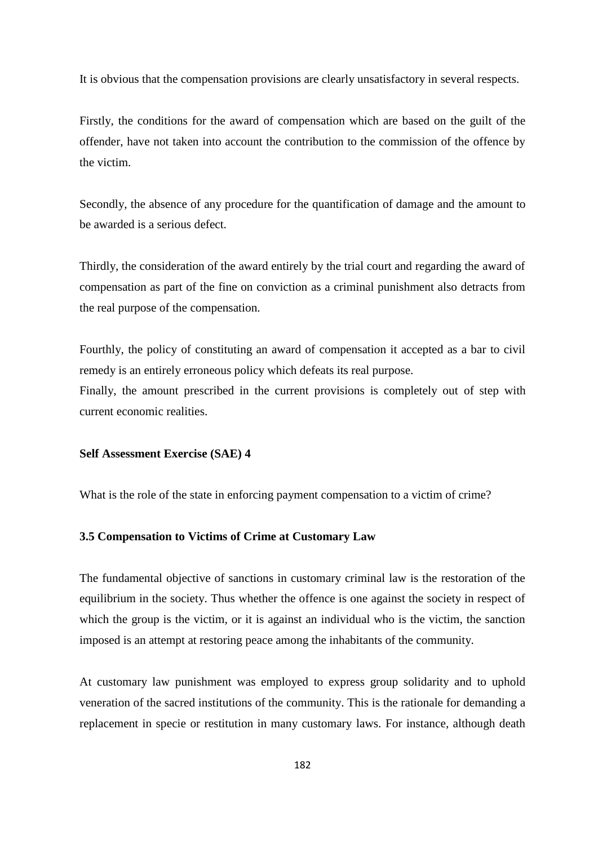It is obvious that the compensation provisions are clearly unsatisfactory in several respects.

Firstly, the conditions for the award of compensation which are based on the guilt of the offender, have not taken into account the contribution to the commission of the offence by the victim.

Secondly, the absence of any procedure for the quantification of damage and the amount to be awarded is a serious defect.

Thirdly, the consideration of the award entirely by the trial court and regarding the award of compensation as part of the fine on conviction as a criminal punishment also detracts from the real purpose of the compensation.

Fourthly, the policy of constituting an award of compensation it accepted as a bar to civil remedy is an entirely erroneous policy which defeats its real purpose.

Finally, the amount prescribed in the current provisions is completely out of step with current economic realities.

## **Self Assessment Exercise (SAE) 4**

What is the role of the state in enforcing payment compensation to a victim of crime?

## **3.5 Compensation to Victims of Crime at Customary Law**

The fundamental objective of sanctions in customary criminal law is the restoration of the equilibrium in the society. Thus whether the offence is one against the society in respect of which the group is the victim, or it is against an individual who is the victim, the sanction imposed is an attempt at restoring peace among the inhabitants of the community.

At customary law punishment was employed to express group solidarity and to uphold veneration of the sacred institutions of the community. This is the rationale for demanding a replacement in specie or restitution in many customary laws. For instance, although death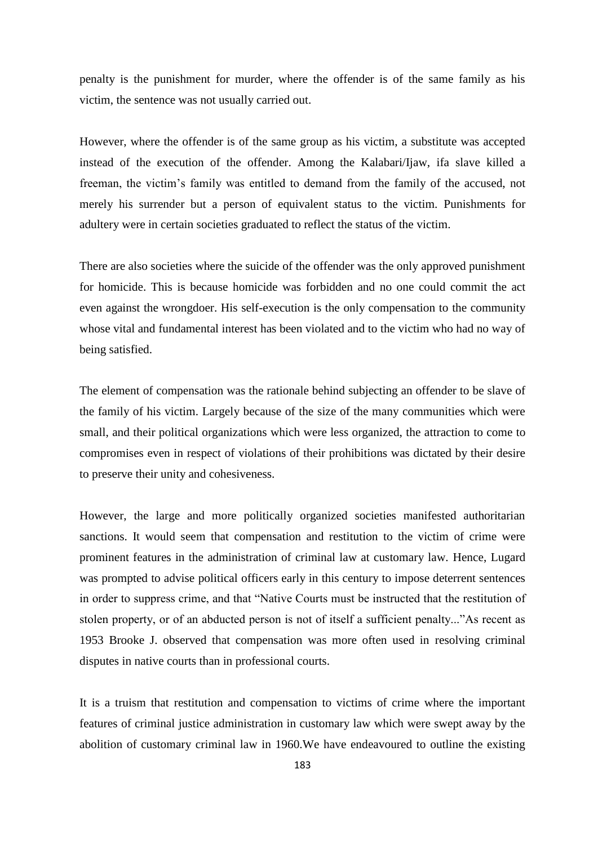penalty is the punishment for murder, where the offender is of the same family as his victim, the sentence was not usually carried out.

However, where the offender is of the same group as his victim, a substitute was accepted instead of the execution of the offender. Among the Kalabari/Ijaw, ifa slave killed a freeman, the victim's family was entitled to demand from the family of the accused, not merely his surrender but a person of equivalent status to the victim. Punishments for adultery were in certain societies graduated to reflect the status of the victim.

There are also societies where the suicide of the offender was the only approved punishment for homicide. This is because homicide was forbidden and no one could commit the act even against the wrongdoer. His self-execution is the only compensation to the community whose vital and fundamental interest has been violated and to the victim who had no way of being satisfied.

The element of compensation was the rationale behind subjecting an offender to be slave of the family of his victim. Largely because of the size of the many communities which were small, and their political organizations which were less organized, the attraction to come to compromises even in respect of violations of their prohibitions was dictated by their desire to preserve their unity and cohesiveness.

However, the large and more politically organized societies manifested authoritarian sanctions. It would seem that compensation and restitution to the victim of crime were prominent features in the administration of criminal law at customary law. Hence, Lugard was prompted to advise political officers early in this century to impose deterrent sentences in order to suppress crime, and that "Native Courts must be instructed that the restitution of stolen property, or of an abducted person is not of itself a sufficient penalty..."As recent as 1953 Brooke J. observed that compensation was more often used in resolving criminal disputes in native courts than in professional courts.

It is a truism that restitution and compensation to victims of crime where the important features of criminal justice administration in customary law which were swept away by the abolition of customary criminal law in 1960.We have endeavoured to outline the existing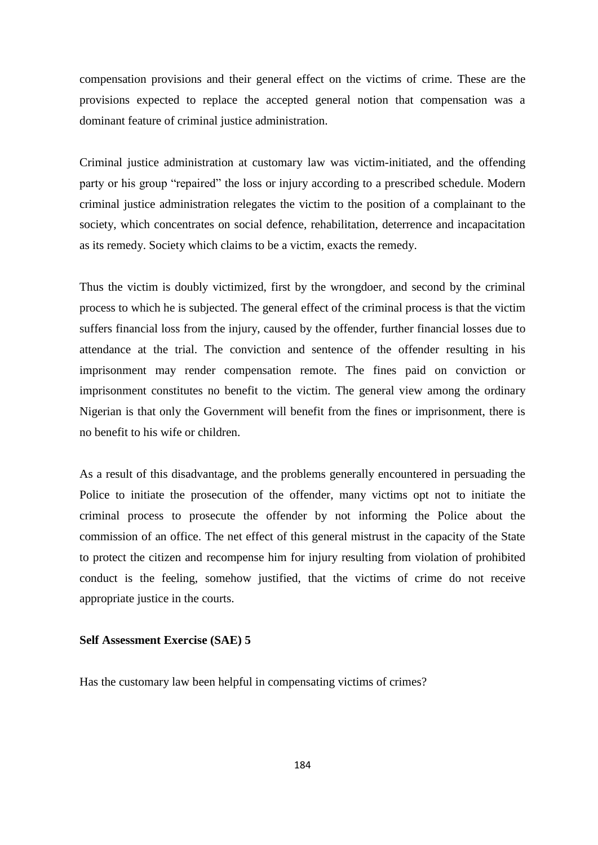compensation provisions and their general effect on the victims of crime. These are the provisions expected to replace the accepted general notion that compensation was a dominant feature of criminal justice administration.

Criminal justice administration at customary law was victim-initiated, and the offending party or his group "repaired" the loss or injury according to a prescribed schedule. Modern criminal justice administration relegates the victim to the position of a complainant to the society, which concentrates on social defence, rehabilitation, deterrence and incapacitation as its remedy. Society which claims to be a victim, exacts the remedy.

Thus the victim is doubly victimized, first by the wrongdoer, and second by the criminal process to which he is subjected. The general effect of the criminal process is that the victim suffers financial loss from the injury, caused by the offender, further financial losses due to attendance at the trial. The conviction and sentence of the offender resulting in his imprisonment may render compensation remote. The fines paid on conviction or imprisonment constitutes no benefit to the victim. The general view among the ordinary Nigerian is that only the Government will benefit from the fines or imprisonment, there is no benefit to his wife or children.

As a result of this disadvantage, and the problems generally encountered in persuading the Police to initiate the prosecution of the offender, many victims opt not to initiate the criminal process to prosecute the offender by not informing the Police about the commission of an office. The net effect of this general mistrust in the capacity of the State to protect the citizen and recompense him for injury resulting from violation of prohibited conduct is the feeling, somehow justified, that the victims of crime do not receive appropriate justice in the courts.

### **Self Assessment Exercise (SAE) 5**

Has the customary law been helpful in compensating victims of crimes?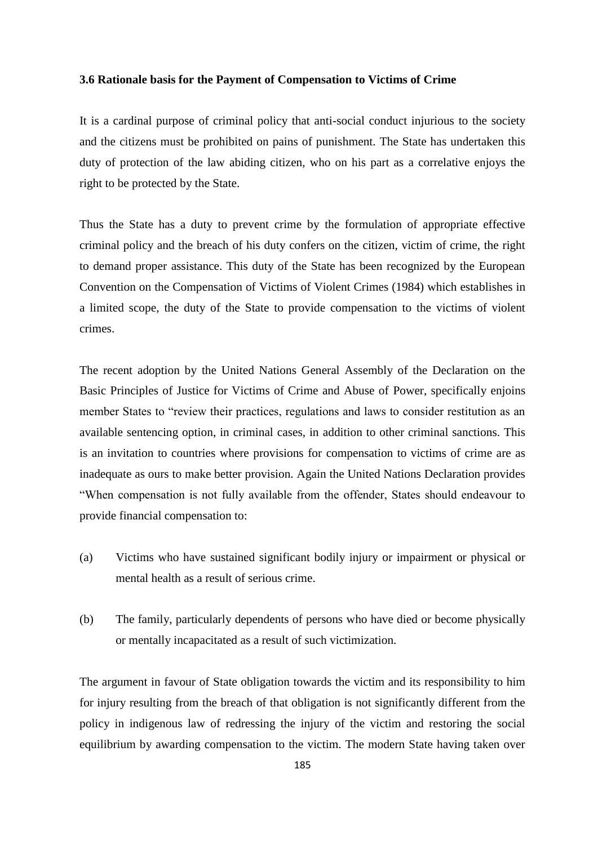## **3.6 Rationale basis for the Payment of Compensation to Victims of Crime**

It is a cardinal purpose of criminal policy that anti-social conduct injurious to the society and the citizens must be prohibited on pains of punishment. The State has undertaken this duty of protection of the law abiding citizen, who on his part as a correlative enjoys the right to be protected by the State.

Thus the State has a duty to prevent crime by the formulation of appropriate effective criminal policy and the breach of his duty confers on the citizen, victim of crime, the right to demand proper assistance. This duty of the State has been recognized by the European Convention on the Compensation of Victims of Violent Crimes (1984) which establishes in a limited scope, the duty of the State to provide compensation to the victims of violent crimes.

The recent adoption by the United Nations General Assembly of the Declaration on the Basic Principles of Justice for Victims of Crime and Abuse of Power, specifically enjoins member States to "review their practices, regulations and laws to consider restitution as an available sentencing option, in criminal cases, in addition to other criminal sanctions. This is an invitation to countries where provisions for compensation to victims of crime are as inadequate as ours to make better provision. Again the United Nations Declaration provides ―When compensation is not fully available from the offender, States should endeavour to provide financial compensation to:

- (a) Victims who have sustained significant bodily injury or impairment or physical or mental health as a result of serious crime.
- (b) The family, particularly dependents of persons who have died or become physically or mentally incapacitated as a result of such victimization.

The argument in favour of State obligation towards the victim and its responsibility to him for injury resulting from the breach of that obligation is not significantly different from the policy in indigenous law of redressing the injury of the victim and restoring the social equilibrium by awarding compensation to the victim. The modern State having taken over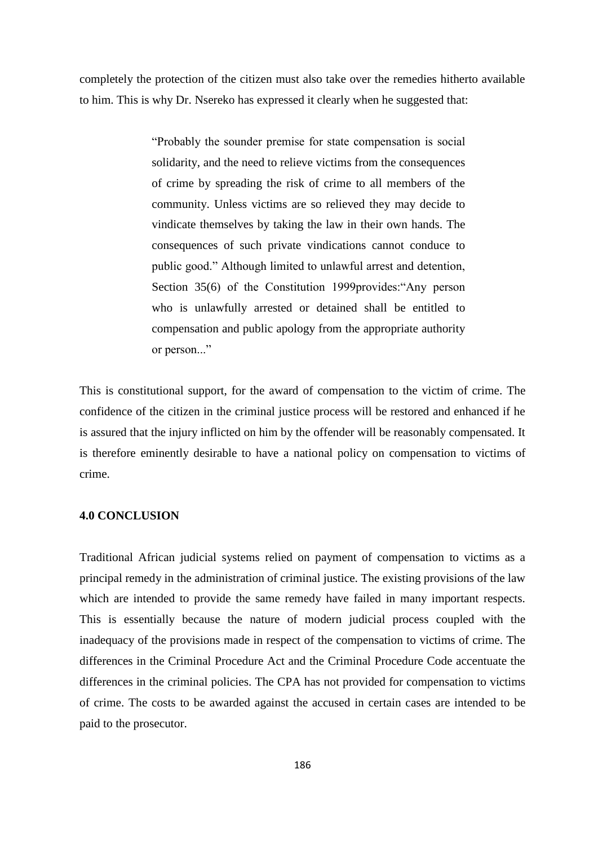completely the protection of the citizen must also take over the remedies hitherto available to him. This is why Dr. Nsereko has expressed it clearly when he suggested that:

> ―Probably the sounder premise for state compensation is social solidarity, and the need to relieve victims from the consequences of crime by spreading the risk of crime to all members of the community. Unless victims are so relieved they may decide to vindicate themselves by taking the law in their own hands. The consequences of such private vindications cannot conduce to public good." Although limited to unlawful arrest and detention, Section 35(6) of the Constitution 1999provides: "Any person who is unlawfully arrested or detained shall be entitled to compensation and public apology from the appropriate authority or person..."

This is constitutional support, for the award of compensation to the victim of crime. The confidence of the citizen in the criminal justice process will be restored and enhanced if he is assured that the injury inflicted on him by the offender will be reasonably compensated. It is therefore eminently desirable to have a national policy on compensation to victims of crime.

### **4.0 CONCLUSION**

Traditional African judicial systems relied on payment of compensation to victims as a principal remedy in the administration of criminal justice. The existing provisions of the law which are intended to provide the same remedy have failed in many important respects. This is essentially because the nature of modern judicial process coupled with the inadequacy of the provisions made in respect of the compensation to victims of crime. The differences in the Criminal Procedure Act and the Criminal Procedure Code accentuate the differences in the criminal policies. The CPA has not provided for compensation to victims of crime. The costs to be awarded against the accused in certain cases are intended to be paid to the prosecutor.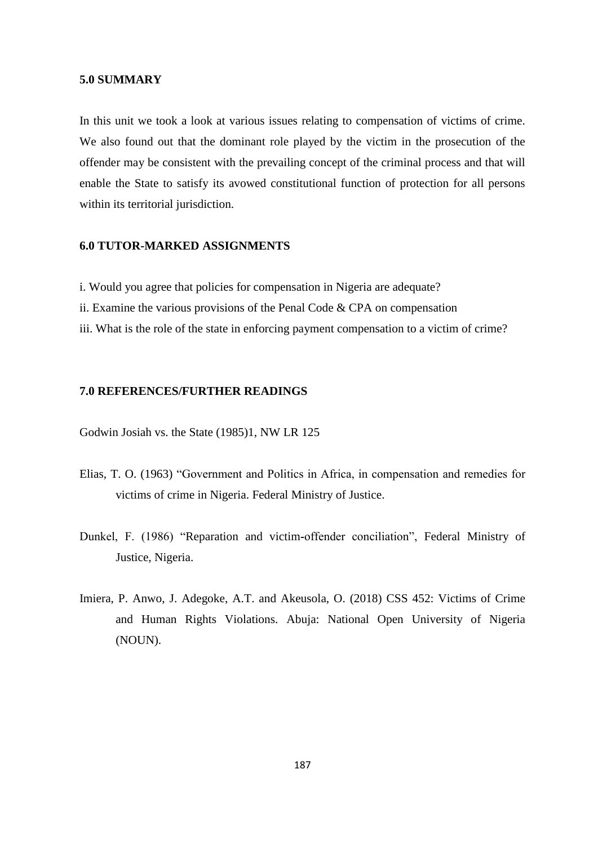## **5.0 SUMMARY**

In this unit we took a look at various issues relating to compensation of victims of crime. We also found out that the dominant role played by the victim in the prosecution of the offender may be consistent with the prevailing concept of the criminal process and that will enable the State to satisfy its avowed constitutional function of protection for all persons within its territorial jurisdiction.

## **6.0 TUTOR-MARKED ASSIGNMENTS**

- i. Would you agree that policies for compensation in Nigeria are adequate?
- ii. Examine the various provisions of the Penal Code & CPA on compensation
- iii. What is the role of the state in enforcing payment compensation to a victim of crime?

# **7.0 REFERENCES/FURTHER READINGS**

Godwin Josiah vs. the State (1985)1, NW LR 125

- Elias, T. O. (1963) "Government and Politics in Africa, in compensation and remedies for victims of crime in Nigeria. Federal Ministry of Justice.
- Dunkel, F. (1986) "Reparation and victim-offender conciliation", Federal Ministry of Justice, Nigeria.
- Imiera, P. Anwo, J. Adegoke, A.T. and Akeusola, O. (2018) CSS 452: Victims of Crime and Human Rights Violations. Abuja: National Open University of Nigeria (NOUN).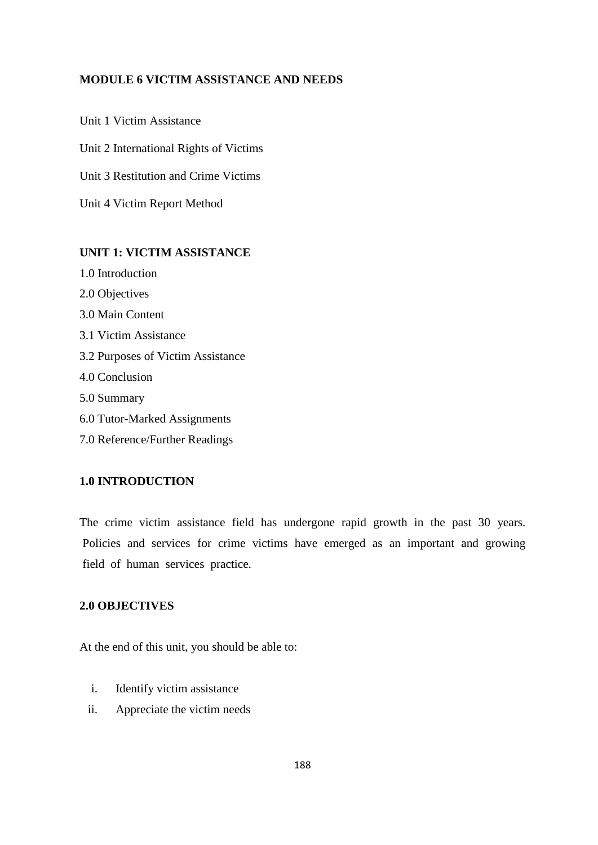# **MODULE 6 VICTIM ASSISTANCE AND NEEDS**

Unit 1 Victim Assistance Unit 2 International Rights of Victims Unit 3 Restitution and Crime Victims Unit 4 Victim Report Method

# **UNIT 1: VICTIM ASSISTANCE**

- 1.0 Introduction
- 2.0 Objectives
- 3.0 Main Content
- 3.1 Victim Assistance
- 3.2 Purposes of Victim Assistance
- 4.0 Conclusion
- 5.0 Summary
- 6.0 Tutor**-**Marked Assignments
- 7.0 Reference/Further Readings

# **1.0 INTRODUCTION**

The crime victim assistance field has undergone rapid growth in the past 30 years. Policies and services for crime victims have emerged as an important and growing field of human services practice.

# **2.0 OBJECTIVES**

At the end of this unit, you should be able to:

- i. Identify victim assistance
- ii. Appreciate the victim needs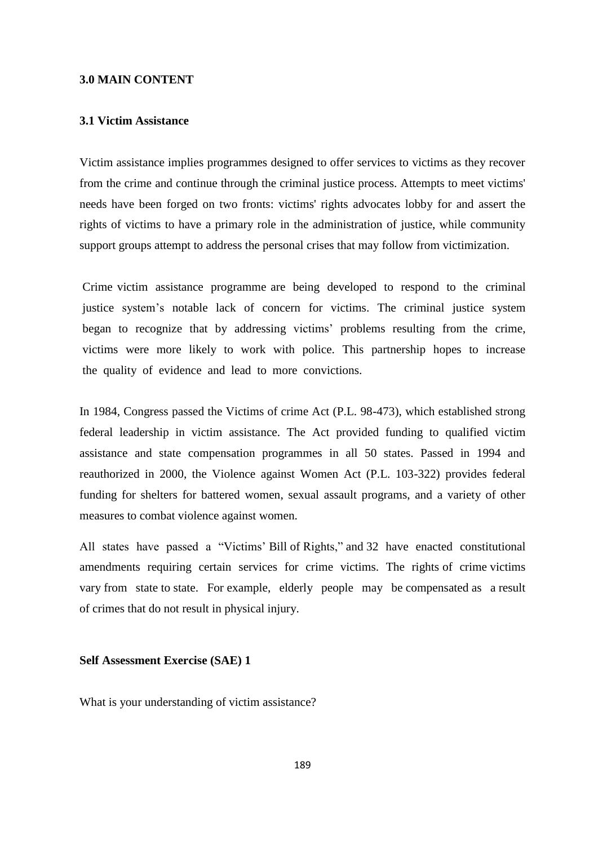## **3.0 MAIN CONTENT**

### **3.1 Victim Assistance**

Victim assistance implies programmes designed to offer services to victims as they recover from the crime and continue through the criminal justice process. Attempts to meet victims' needs have been forged on two fronts: victims' rights advocates lobby for and assert the rights of victims to have a primary role in the administration of justice, while community support groups attempt to address the personal crises that may follow from victimization.

Crime victim assistance programme are being developed to respond to the criminal justice system's notable lack of concern for victims. The criminal justice system began to recognize that by addressing victims' problems resulting from the crime, victims were more likely to work with police. This partnership hopes to increase the quality of evidence and lead to more convictions.

In 1984, Congress passed the Victims of crime Act (P.L. 98-473), which established strong federal leadership in victim assistance. The Act provided funding to qualified victim assistance and state compensation programmes in all 50 states. Passed in 1994 and reauthorized in 2000, the Violence against Women Act (P.L. 103-322) provides federal funding for shelters for battered women, sexual assault programs, and a variety of other measures to combat violence against women.

All states have passed a "Victims' Bill of Rights," and 32 have enacted constitutional amendments requiring certain services for crime victims. The rights of crime victims vary from state to state. For example, elderly people may be compensated as a result of crimes that do not result in physical injury.

### **Self Assessment Exercise (SAE) 1**

What is your understanding of victim assistance?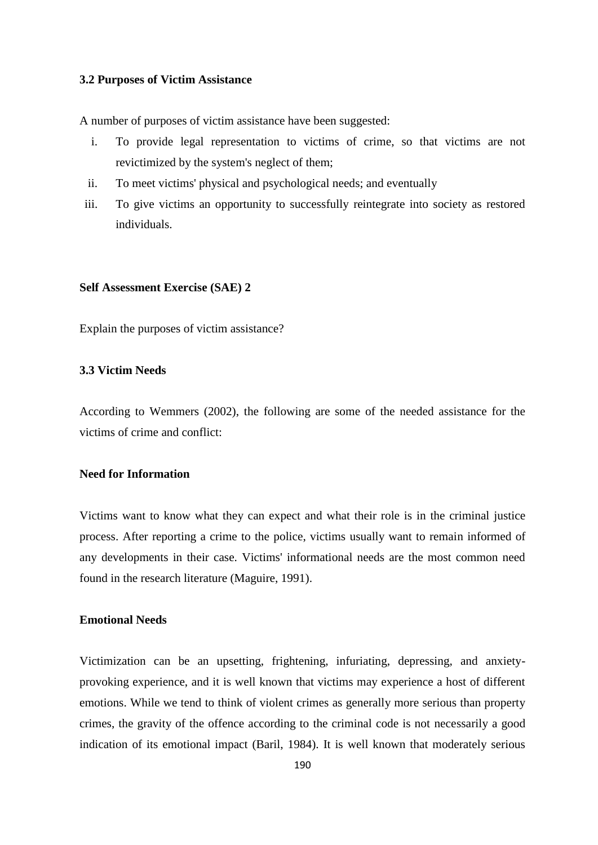## **3.2 Purposes of Victim Assistance**

A number of purposes of victim assistance have been suggested:

- i. To provide legal representation to victims of crime, so that victims are not revictimized by the system's neglect of them;
- ii. To meet victims' physical and psychological needs; and eventually
- iii. To give victims an opportunity to successfully reintegrate into society as restored individuals.

### **Self Assessment Exercise (SAE) 2**

Explain the purposes of victim assistance?

# **3.3 Victim Needs**

According to Wemmers (2002), the following are some of the needed assistance for the victims of crime and conflict:

# **Need for Information**

Victims want to know what they can expect and what their role is in the criminal justice process. After reporting a crime to the police, victims usually want to remain informed of any developments in their case. Victims' informational needs are the most common need found in the research literature (Maguire, 1991).

# **Emotional Needs**

Victimization can be an upsetting, frightening, infuriating, depressing, and anxietyprovoking experience, and it is well known that victims may experience a host of different emotions. While we tend to think of violent crimes as generally more serious than property crimes, the gravity of the offence according to the criminal code is not necessarily a good indication of its emotional impact (Baril, 1984). It is well known that moderately serious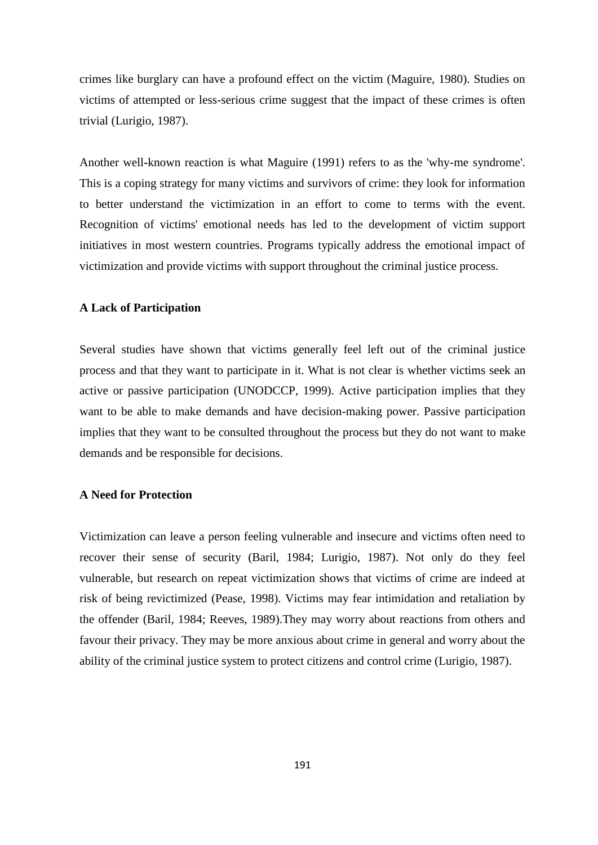crimes like burglary can have a profound effect on the victim (Maguire, 1980). Studies on victims of attempted or less-serious crime suggest that the impact of these crimes is often trivial (Lurigio, 1987).

Another well**-**known reaction is what Maguire (1991) refers to as the 'why-me syndrome'. This is a coping strategy for many victims and survivors of crime: they look for information to better understand the victimization in an effort to come to terms with the event. Recognition of victims' emotional needs has led to the development of victim support initiatives in most western countries. Programs typically address the emotional impact of victimization and provide victims with support throughout the criminal justice process.

# **A Lack of Participation**

Several studies have shown that victims generally feel left out of the criminal justice process and that they want to participate in it. What is not clear is whether victims seek an active or passive participation (UNODCCP, 1999). Active participation implies that they want to be able to make demands and have decision-making power. Passive participation implies that they want to be consulted throughout the process but they do not want to make demands and be responsible for decisions.

### **A Need for Protection**

Victimization can leave a person feeling vulnerable and insecure and victims often need to recover their sense of security (Baril, 1984; Lurigio, 1987). Not only do they feel vulnerable, but research on repeat victimization shows that victims of crime are indeed at risk of being revictimized (Pease, 1998). Victims may fear intimidation and retaliation by the offender (Baril, 1984; Reeves, 1989).They may worry about reactions from others and favour their privacy. They may be more anxious about crime in general and worry about the ability of the criminal justice system to protect citizens and control crime (Lurigio, 1987).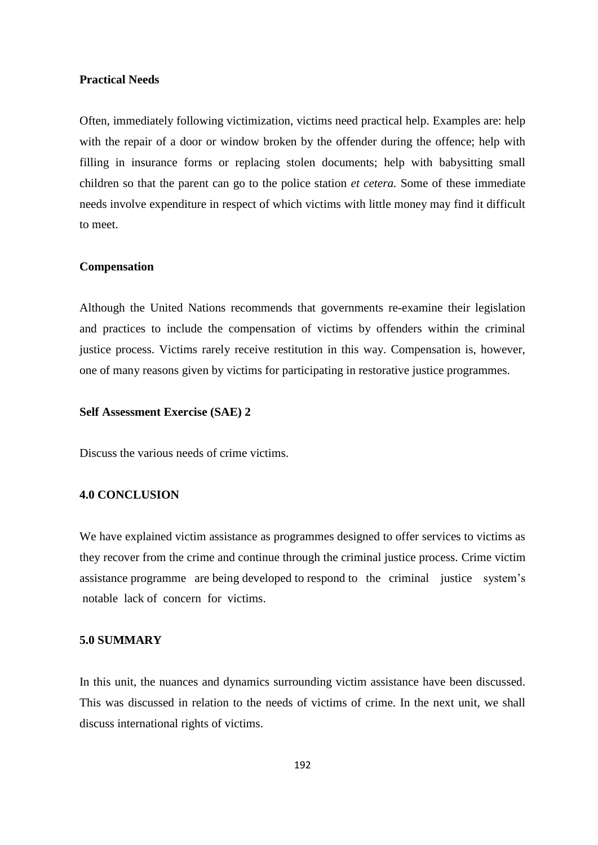### **Practical Needs**

Often, immediately following victimization, victims need practical help. Examples are: help with the repair of a door or window broken by the offender during the offence; help with filling in insurance forms or replacing stolen documents; help with babysitting small children so that the parent can go to the police station *et cetera.* Some of these immediate needs involve expenditure in respect of which victims with little money may find it difficult to meet.

### **Compensation**

Although the United Nations recommends that governments re-examine their legislation and practices to include the compensation of victims by offenders within the criminal justice process. Victims rarely receive restitution in this way. Compensation is, however, one of many reasons given by victims for participating in restorative justice programmes.

## **Self Assessment Exercise (SAE) 2**

Discuss the various needs of crime victims.

# **4.0 CONCLUSION**

We have explained victim assistance as programmes designed to offer services to victims as they recover from the crime and continue through the criminal justice process. Crime victim assistance programme are being developed to respond to the criminal justice system's notable lack of concern for victims.

## **5.0 SUMMARY**

In this unit, the nuances and dynamics surrounding victim assistance have been discussed. This was discussed in relation to the needs of victims of crime. In the next unit, we shall discuss international rights of victims.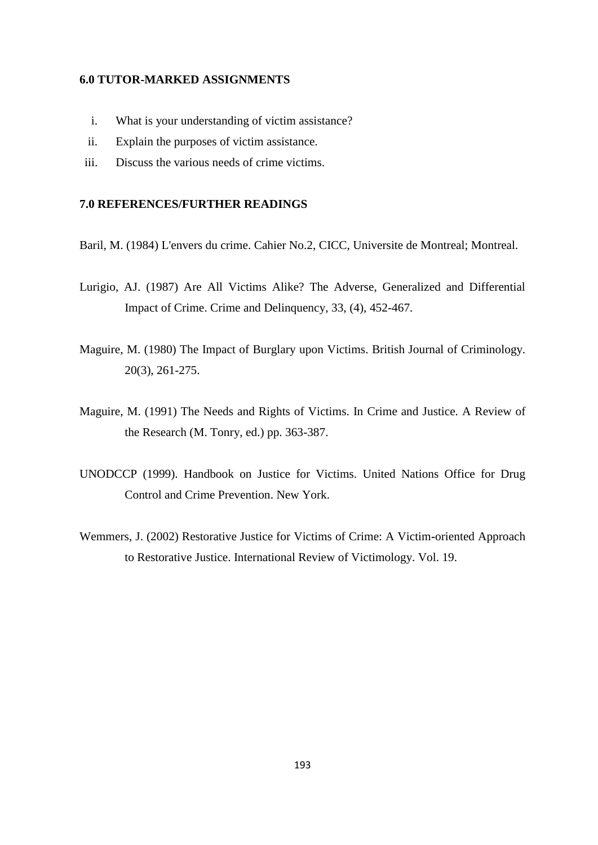### **6.0 TUTOR-MARKED ASSIGNMENTS**

- i. What is your understanding of victim assistance?
- ii. Explain the purposes of victim assistance.
- iii. Discuss the various needs of crime victims.

# **7.0 REFERENCES/FURTHER READINGS**

- Baril, M. (1984) L'envers du crime. Cahier No.2, CICC, Universite de Montreal; Montreal.
- Lurigio, AJ. (1987) Are All Victims Alike? The Adverse, Generalized and Differential Impact of Crime. Crime and Delinquency, 33, (4), 452-467.
- Maguire, M. (1980) The Impact of Burglary upon Victims. British Journal of Criminology. 20(3), 261-275.
- Maguire, M. (1991) The Needs and Rights of Victims. In Crime and Justice. A Review of the Research (M. Tonry, ed.) pp. 363-387.
- UNODCCP (1999). Handbook on Justice for Victims. United Nations Office for Drug Control and Crime Prevention. New York.
- Wemmers, J. (2002) Restorative Justice for Victims of Crime: A Victim**-**oriented Approach to Restorative Justice. International Review of Victimology. Vol. 19.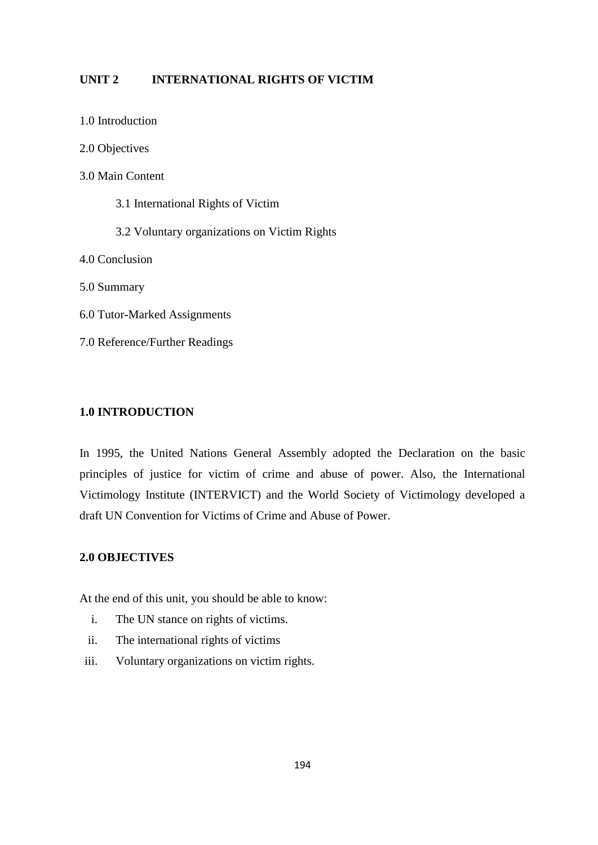# **UNIT 2 INTERNATIONAL RIGHTS OF VICTIM**

- 1.0 Introduction
- 2.0 Objectives
- 3.0 Main Content
	- 3.1 International Rights of Victim
	- 3.2 Voluntary organizations on Victim Rights
- 4.0 Conclusion
- 5.0 Summary
- 6.0 Tutor**-**Marked Assignments
- 7.0 Reference/Further Readings

# **1.0 INTRODUCTION**

In 1995, the United Nations General Assembly adopted the Declaration on the basic principles of justice for victim of crime and abuse of power. Also, the International Victimology Institute (INTERVICT) and the World Society of Victimology developed a draft UN Convention for Victims of Crime and Abuse of Power.

# **2.0 OBJECTIVES**

At the end of this unit, you should be able to know:

- i. The UN stance on rights of victims.
- ii. The international rights of victims
- iii. Voluntary organizations on victim rights.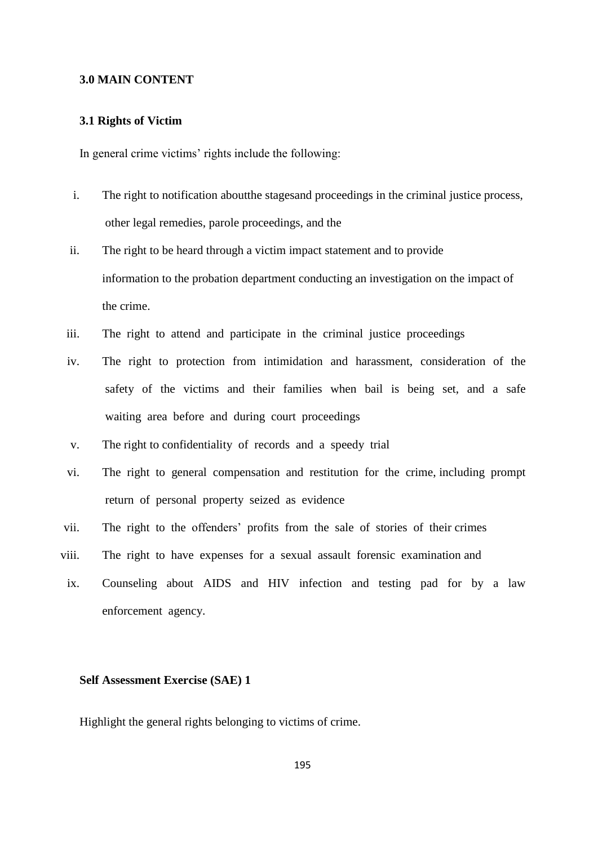### **3.0 MAIN CONTENT**

## **3.1 Rights of Victim**

In general crime victims' rights include the following:

- i. The right to notification aboutthe stagesand proceedings in the criminal justice process, other legal remedies, parole proceedings, and the
- ii. The right to be heard through a victim impact statement and to provide information to the probation department conducting an investigation on the impact of the crime.
- iii. The right to attend and participate in the criminal justice proceedings
- iv. The right to protection from intimidation and harassment, consideration of the safety of the victims and their families when bail is being set, and a safe waiting area before and during court proceedings
- v. The right to confidentiality of records and a speedy trial
- vi. The right to general compensation and restitution for the crime, including prompt return of personal property seized as evidence
- vii. The right to the offenders' profits from the sale of stories of their crimes
- viii. The right to have expenses for a sexual assault forensic examination and
- ix. Counseling about AIDS and HIV infection and testing pad for by a law enforcement agency.

# **Self Assessment Exercise (SAE) 1**

Highlight the general rights belonging to victims of crime.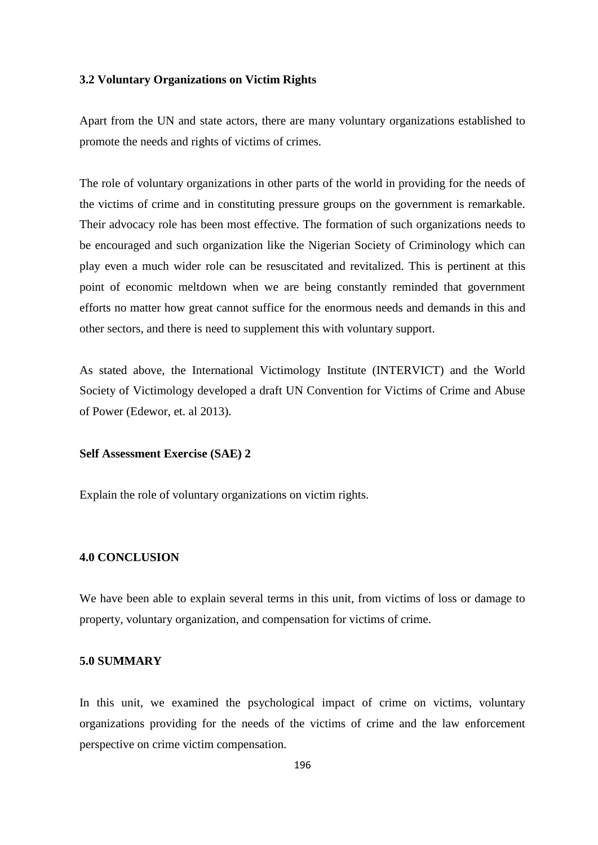## **3.2 Voluntary Organizations on Victim Rights**

Apart from the UN and state actors, there are many voluntary organizations established to promote the needs and rights of victims of crimes.

The role of voluntary organizations in other parts of the world in providing for the needs of the victims of crime and in constituting pressure groups on the government is remarkable. Their advocacy role has been most effective. The formation of such organizations needs to be encouraged and such organization like the Nigerian Society of Criminology which can play even a much wider role can be resuscitated and revitalized. This is pertinent at this point of economic meltdown when we are being constantly reminded that government efforts no matter how great cannot suffice for the enormous needs and demands in this and other sectors, and there is need to supplement this with voluntary support.

As stated above, the International Victimology Institute (INTERVICT) and the World Society of Victimology developed a draft UN Convention for Victims of Crime and Abuse of Power (Edewor, et. al 2013).

#### **Self Assessment Exercise (SAE) 2**

Explain the role of voluntary organizations on victim rights.

# **4.0 CONCLUSION**

We have been able to explain several terms in this unit, from victims of loss or damage to property, voluntary organization, and compensation for victims of crime.

### **5.0 SUMMARY**

In this unit, we examined the psychological impact of crime on victims, voluntary organizations providing for the needs of the victims of crime and the law enforcement perspective on crime victim compensation.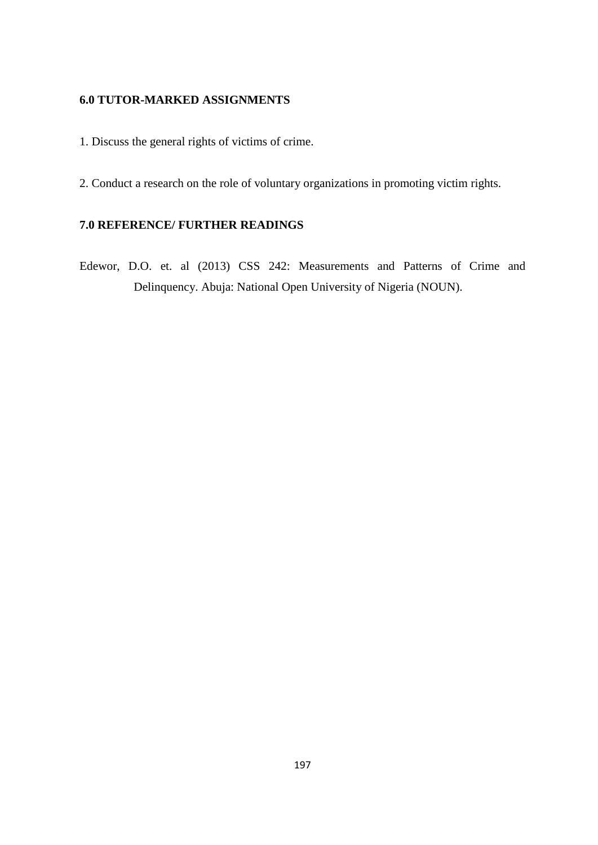# **6.0 TUTOR-MARKED ASSIGNMENTS**

- 1. Discuss the general rights of victims of crime.
- 2. Conduct a research on the role of voluntary organizations in promoting victim rights.

# **7.0 REFERENCE/ FURTHER READINGS**

Edewor, D.O. et. al (2013) CSS 242: Measurements and Patterns of Crime and Delinquency. Abuja: National Open University of Nigeria (NOUN).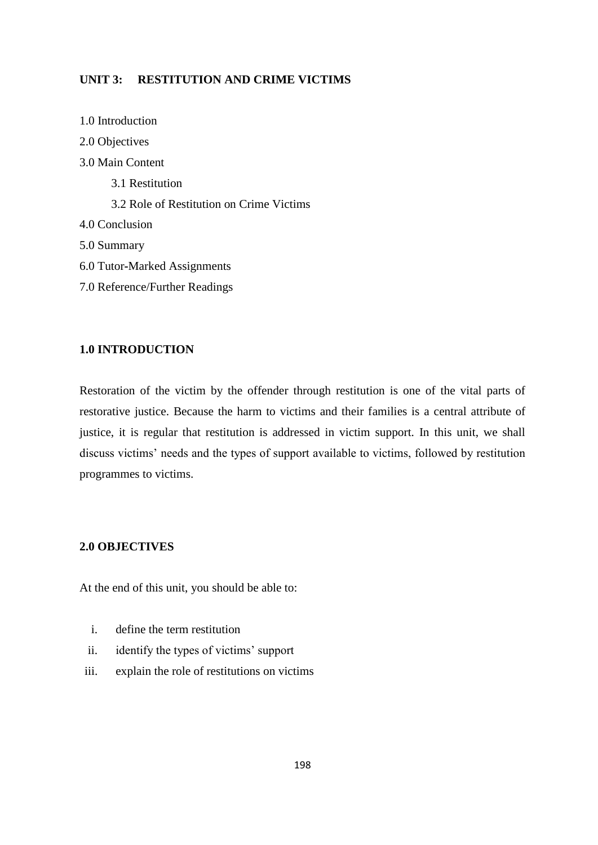# **UNIT 3: RESTITUTION AND CRIME VICTIMS**

1.0 Introduction 2.0 Objectives 3.0 Main Content 3.1 Restitution 3.2 Role of Restitution on Crime Victims 4.0 Conclusion 5.0 Summary 6.0 Tutor**-**Marked Assignments 7.0 Reference/Further Readings

# **1.0 INTRODUCTION**

Restoration of the victim by the offender through restitution is one of the vital parts of restorative justice. Because the harm to victims and their families is a central attribute of justice, it is regular that restitution is addressed in victim support. In this unit, we shall discuss victims' needs and the types of support available to victims, followed by restitution programmes to victims.

# **2.0 OBJECTIVES**

At the end of this unit, you should be able to:

- i. define the term restitution
- ii. identify the types of victims' support
- iii. explain the role of restitutions on victims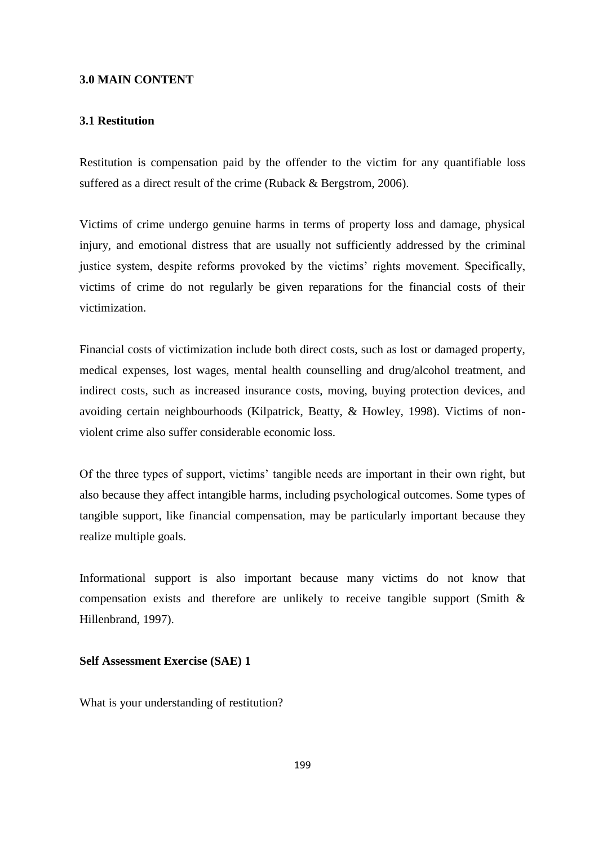### **3.0 MAIN CONTENT**

## **3.1 Restitution**

Restitution is compensation paid by the offender to the victim for any quantifiable loss suffered as a direct result of the crime (Ruback & Bergstrom, 2006).

Victims of crime undergo genuine harms in terms of property loss and damage, physical injury, and emotional distress that are usually not sufficiently addressed by the criminal justice system, despite reforms provoked by the victims' rights movement. Specifically, victims of crime do not regularly be given reparations for the financial costs of their victimization.

Financial costs of victimization include both direct costs, such as lost or damaged property, medical expenses, lost wages, mental health counselling and drug/alcohol treatment, and indirect costs, such as increased insurance costs, moving, buying protection devices, and avoiding certain neighbourhoods (Kilpatrick, Beatty, & Howley, 1998). Victims of nonviolent crime also suffer considerable economic loss.

Of the three types of support, victims' tangible needs are important in their own right, but also because they affect intangible harms, including psychological outcomes. Some types of tangible support, like financial compensation, may be particularly important because they realize multiple goals.

Informational support is also important because many victims do not know that compensation exists and therefore are unlikely to receive tangible support (Smith & Hillenbrand, 1997).

## **Self Assessment Exercise (SAE) 1**

What is your understanding of restitution?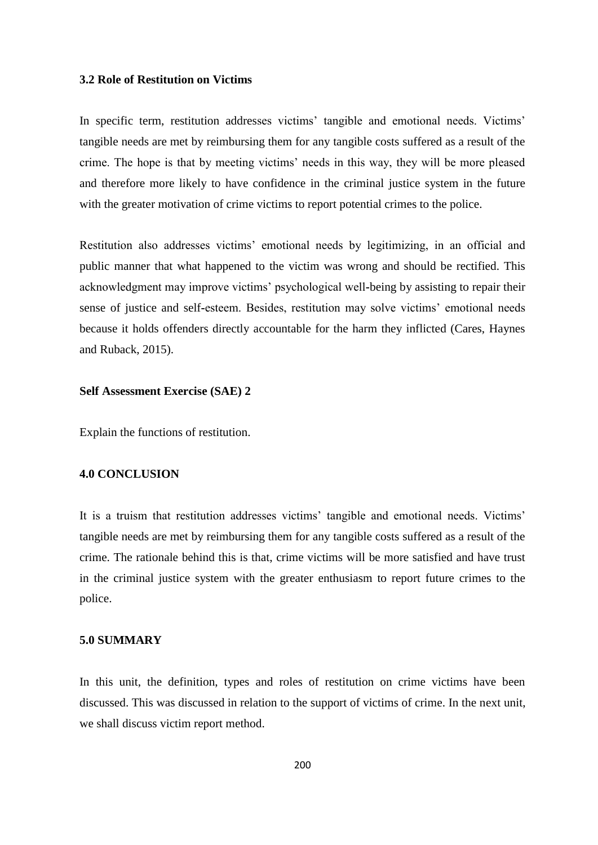### **3.2 Role of Restitution on Victims**

In specific term, restitution addresses victims' tangible and emotional needs. Victims' tangible needs are met by reimbursing them for any tangible costs suffered as a result of the crime. The hope is that by meeting victims' needs in this way, they will be more pleased and therefore more likely to have confidence in the criminal justice system in the future with the greater motivation of crime victims to report potential crimes to the police.

Restitution also addresses victims' emotional needs by legitimizing, in an official and public manner that what happened to the victim was wrong and should be rectified. This acknowledgment may improve victims' psychological well**-**being by assisting to repair their sense of justice and self**-**esteem. Besides, restitution may solve victims' emotional needs because it holds offenders directly accountable for the harm they inflicted (Cares, Haynes and Ruback, 2015).

## **Self Assessment Exercise (SAE) 2**

Explain the functions of restitution.

# **4.0 CONCLUSION**

It is a truism that restitution addresses victims' tangible and emotional needs. Victims' tangible needs are met by reimbursing them for any tangible costs suffered as a result of the crime. The rationale behind this is that, crime victims will be more satisfied and have trust in the criminal justice system with the greater enthusiasm to report future crimes to the police.

## **5.0 SUMMARY**

In this unit, the definition, types and roles of restitution on crime victims have been discussed. This was discussed in relation to the support of victims of crime. In the next unit, we shall discuss victim report method.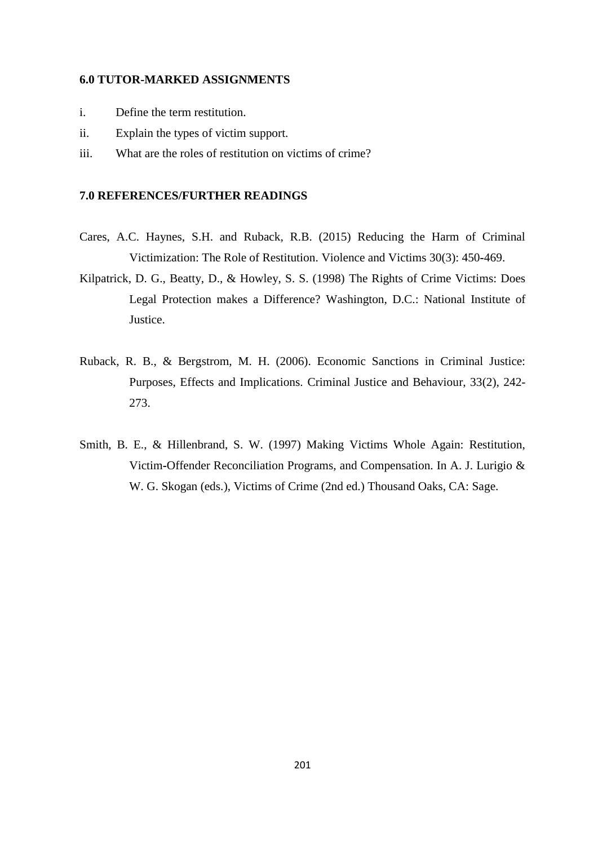## **6.0 TUTOR-MARKED ASSIGNMENTS**

- i. Define the term restitution.
- ii. Explain the types of victim support.
- iii. What are the roles of restitution on victims of crime?

# **7.0 REFERENCES/FURTHER READINGS**

- Cares, A.C. Haynes, S.H. and Ruback, R.B. (2015) Reducing the Harm of Criminal Victimization: The Role of Restitution. Violence and Victims 30(3): 450**-**469.
- Kilpatrick, D. G., Beatty, D., & Howley, S. S. (1998) The Rights of Crime Victims: Does Legal Protection makes a Difference? Washington, D.C.: National Institute of Justice.
- Ruback, R. B., & Bergstrom, M. H. (2006). Economic Sanctions in Criminal Justice: Purposes, Effects and Implications. Criminal Justice and Behaviour, 33(2), 242- 273.
- Smith, B. E., & Hillenbrand, S. W. (1997) Making Victims Whole Again: Restitution, Victim**-**Offender Reconciliation Programs, and Compensation. In A. J. Lurigio & W. G. Skogan (eds.), Victims of Crime (2nd ed.) Thousand Oaks, CA: Sage.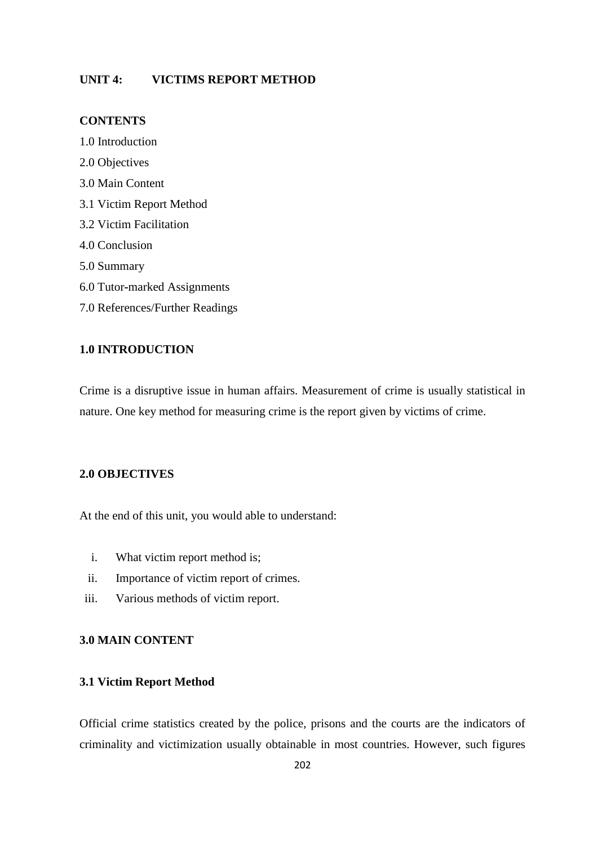# **UNIT 4: VICTIMS REPORT METHOD**

# **CONTENTS**

1.0 Introduction 2.0 Objectives 3.0 Main Content 3.1 Victim Report Method 3.2 Victim Facilitation 4.0 Conclusion 5.0 Summary 6.0 Tutor**-**marked Assignments 7.0 References/Further Readings

# **1.0 INTRODUCTION**

Crime is a disruptive issue in human affairs. Measurement of crime is usually statistical in nature. One key method for measuring crime is the report given by victims of crime.

# **2.0 OBJECTIVES**

At the end of this unit, you would able to understand:

- i. What victim report method is;
- ii. Importance of victim report of crimes.
- iii. Various methods of victim report.

# **3.0 MAIN CONTENT**

## **3.1 Victim Report Method**

Official crime statistics created by the police, prisons and the courts are the indicators of criminality and victimization usually obtainable in most countries. However, such figures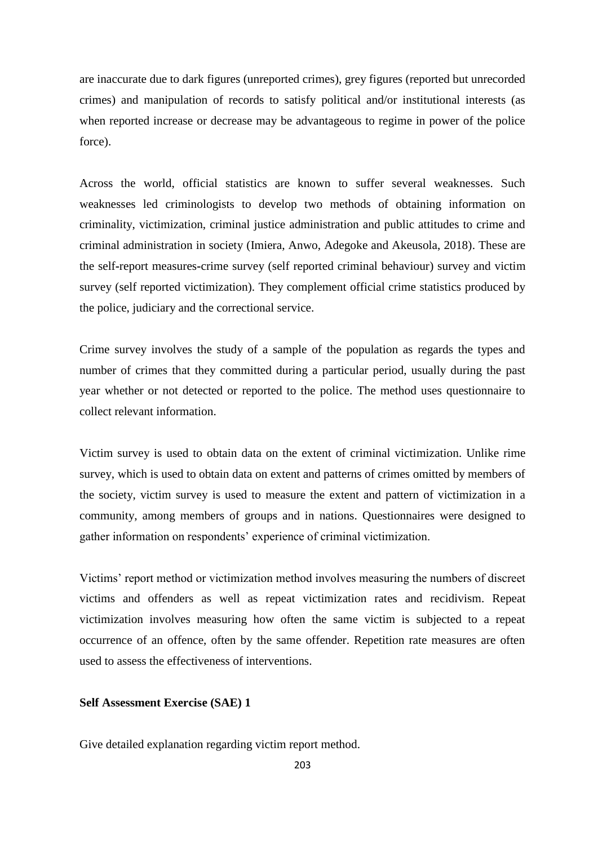are inaccurate due to dark figures (unreported crimes), grey figures (reported but unrecorded crimes) and manipulation of records to satisfy political and/or institutional interests (as when reported increase or decrease may be advantageous to regime in power of the police force).

Across the world, official statistics are known to suffer several weaknesses. Such weaknesses led criminologists to develop two methods of obtaining information on criminality, victimization, criminal justice administration and public attitudes to crime and criminal administration in society (Imiera, Anwo, Adegoke and Akeusola, 2018). These are the self**-**report measures**-**crime survey (self reported criminal behaviour) survey and victim survey (self reported victimization). They complement official crime statistics produced by the police, judiciary and the correctional service.

Crime survey involves the study of a sample of the population as regards the types and number of crimes that they committed during a particular period, usually during the past year whether or not detected or reported to the police. The method uses questionnaire to collect relevant information.

Victim survey is used to obtain data on the extent of criminal victimization. Unlike rime survey, which is used to obtain data on extent and patterns of crimes omitted by members of the society, victim survey is used to measure the extent and pattern of victimization in a community, among members of groups and in nations. Questionnaires were designed to gather information on respondents' experience of criminal victimization.

Victims' report method or victimization method involves measuring the numbers of discreet victims and offenders as well as repeat victimization rates and recidivism. Repeat victimization involves measuring how often the same victim is subjected to a repeat occurrence of an offence, often by the same offender. Repetition rate measures are often used to assess the effectiveness of interventions.

### **Self Assessment Exercise (SAE) 1**

Give detailed explanation regarding victim report method.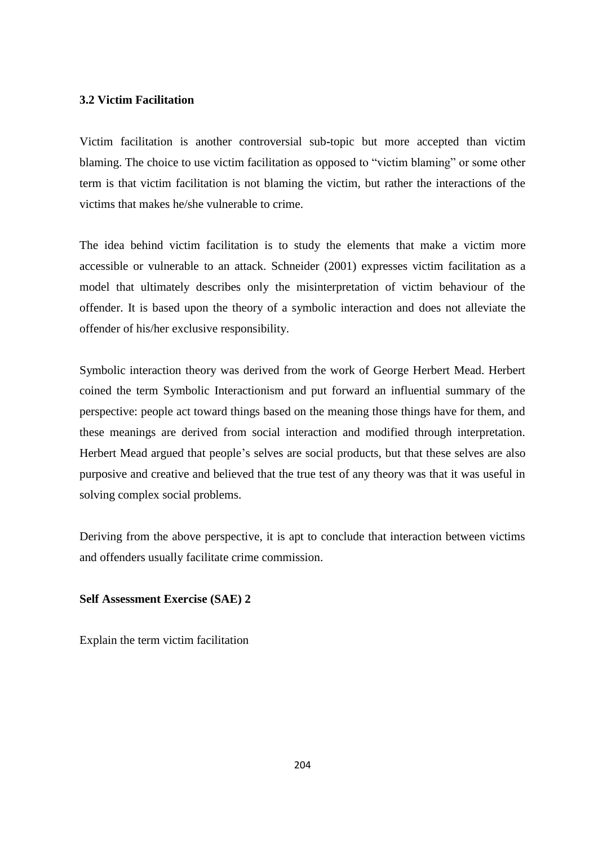# **3.2 Victim Facilitation**

Victim facilitation is another controversial sub**-**topic but more accepted than victim blaming. The choice to use victim facilitation as opposed to "victim blaming" or some other term is that victim facilitation is not blaming the victim, but rather the interactions of the victims that makes he/she vulnerable to crime.

The idea behind victim facilitation is to study the elements that make a victim more accessible or vulnerable to an attack. Schneider (2001) expresses victim facilitation as a model that ultimately describes only the misinterpretation of victim behaviour of the offender. It is based upon the theory of a symbolic interaction and does not alleviate the offender of his/her exclusive responsibility.

Symbolic interaction theory was derived from the work of George Herbert Mead. Herbert coined the term Symbolic Interactionism and put forward an influential summary of the perspective: people act toward things based on the meaning those things have for them, and these meanings are derived from social interaction and modified through interpretation. Herbert Mead argued that people's selves are social products, but that these selves are also purposive and creative and believed that the true test of any theory was that it was useful in solving complex social problems.

Deriving from the above perspective, it is apt to conclude that interaction between victims and offenders usually facilitate crime commission.

# **Self Assessment Exercise (SAE) 2**

Explain the term victim facilitation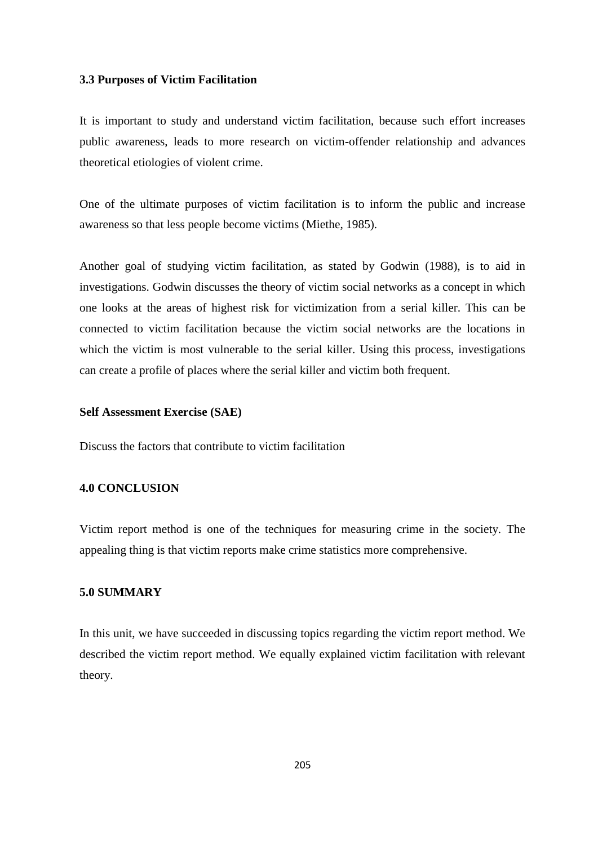### **3.3 Purposes of Victim Facilitation**

It is important to study and understand victim facilitation, because such effort increases public awareness, leads to more research on victim**-**offender relationship and advances theoretical etiologies of violent crime.

One of the ultimate purposes of victim facilitation is to inform the public and increase awareness so that less people become victims (Miethe, 1985).

Another goal of studying victim facilitation, as stated by Godwin (1988), is to aid in investigations. Godwin discusses the theory of victim social networks as a concept in which one looks at the areas of highest risk for victimization from a serial killer. This can be connected to victim facilitation because the victim social networks are the locations in which the victim is most vulnerable to the serial killer. Using this process, investigations can create a profile of places where the serial killer and victim both frequent.

# **Self Assessment Exercise (SAE)**

Discuss the factors that contribute to victim facilitation

# **4.0 CONCLUSION**

Victim report method is one of the techniques for measuring crime in the society. The appealing thing is that victim reports make crime statistics more comprehensive.

# **5.0 SUMMARY**

In this unit, we have succeeded in discussing topics regarding the victim report method. We described the victim report method. We equally explained victim facilitation with relevant theory.